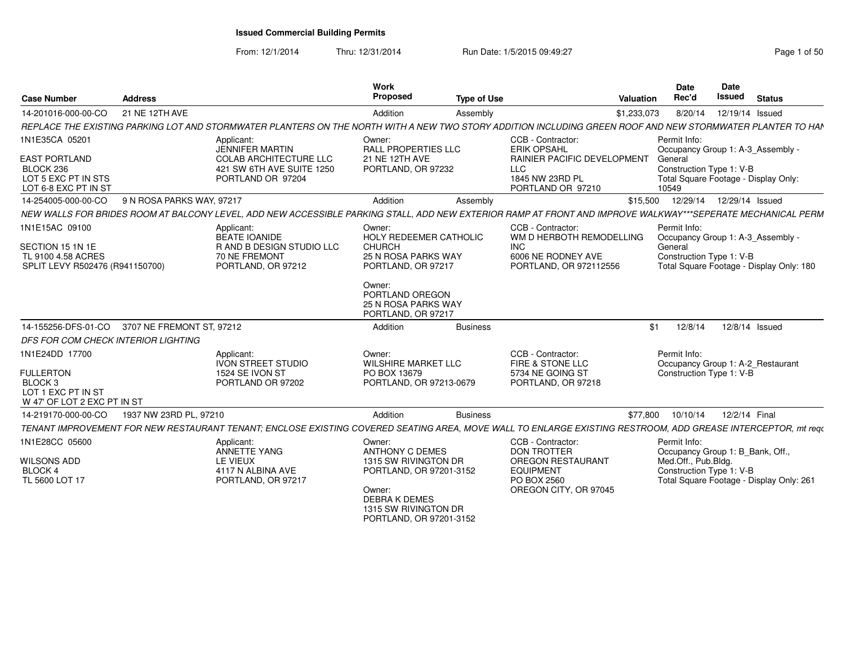From: 12/1/2014Thru: 12/31/2014 Run Date: 1/5/2015 09:49:27 Rege 1 of 50

| <b>Case Number</b>                                                                          | <b>Address</b>            |                                                                                                                                                              | Work<br><b>Proposed</b>                                                                                      | <b>Type of Use</b> | Valuation                                                                                             |                  | <b>Date</b><br>Rec'd                | <b>Date</b><br>Issued                                                                                     | <b>Status</b> |
|---------------------------------------------------------------------------------------------|---------------------------|--------------------------------------------------------------------------------------------------------------------------------------------------------------|--------------------------------------------------------------------------------------------------------------|--------------------|-------------------------------------------------------------------------------------------------------|------------------|-------------------------------------|-----------------------------------------------------------------------------------------------------------|---------------|
| 14-201016-000-00-CO                                                                         | 21 NE 12TH AVE            |                                                                                                                                                              | Addition                                                                                                     | Assembly           | \$1,233,073                                                                                           |                  | 8/20/14                             | 12/19/14 Issued                                                                                           |               |
|                                                                                             |                           | REPLACE THE EXISTING PARKING LOT AND STORMWATER PLANTERS ON THE NORTH WITH A NEW TWO STORY ADDITION INCLUDING GREEN ROOF AND NEW STORMWATER PLANTER TO HAN   |                                                                                                              |                    |                                                                                                       |                  |                                     |                                                                                                           |               |
| 1N1E35CA 05201                                                                              |                           | Applicant:<br>JENNIFER MARTIN                                                                                                                                | Owner:<br><b>RALL PROPERTIES LLC</b>                                                                         |                    | CCB - Contractor:<br><b>ERIK OPSAHL</b>                                                               |                  | Permit Info:                        | Occupancy Group 1: A-3_Assembly -                                                                         |               |
| EAST PORTLAND<br>BLOCK 236<br>LOT 5 EXC PT IN STS<br>LOT 6-8 EXC PT IN ST                   |                           | <b>COLAB ARCHITECTURE LLC</b><br>421 SW 6TH AVE SUITE 1250<br>PORTLAND OR 97204                                                                              | 21 NE 12TH AVE<br>PORTLAND, OR 97232                                                                         |                    | <b>RAINIER PACIFIC DEVELOPMENT</b><br>LLC<br>1845 NW 23RD PL<br>PORTLAND OR 97210                     | General<br>10549 |                                     | Construction Type 1: V-B<br>Total Square Footage - Display Only:                                          |               |
| 14-254005-000-00-CO                                                                         | 9 N ROSA PARKS WAY, 97217 |                                                                                                                                                              | Addition                                                                                                     | Assembly           |                                                                                                       |                  |                                     | \$15,500  12/29/14  12/29/14  Issued                                                                      |               |
|                                                                                             |                           | NEW WALLS FOR BRIDES ROOM AT BALCONY LEVEL. ADD NEW ACCESSIBLE PARKING STALL. ADD NEW EXTERIOR RAMP AT FRONT AND IMPROVE WALKWAY***SEPERATE MECHANICAL PERM  |                                                                                                              |                    |                                                                                                       |                  |                                     |                                                                                                           |               |
| 1N1E15AC 09100<br>SECTION 15 1N 1E<br>TL 9100 4.58 ACRES<br>SPLIT LEVY R502476 (R941150700) |                           | Applicant:<br>BEATE IOANIDE<br><b>RAND B DESIGN STUDIO LLC</b><br>70 NE FREMONT<br>PORTLAND, OR 97212                                                        | Owner:<br><b>HOLY REDEEMER CATHOLIC</b><br><b>CHURCH</b><br><b>25 N ROSA PARKS WAY</b><br>PORTLAND, OR 97217 |                    | CCB - Contractor:<br>WM D HERBOTH REMODELLING<br>INC.<br>6006 NE RODNEY AVE<br>PORTLAND, OR 972112556 | General          | Permit Info:                        | Occupancy Group 1: A-3_Assembly -<br>Construction Type 1: V-B<br>Total Square Footage - Display Only: 180 |               |
|                                                                                             |                           |                                                                                                                                                              | Owner:<br>PORTLAND OREGON<br>25 N ROSA PARKS WAY<br>PORTLAND, OR 97217                                       |                    |                                                                                                       |                  |                                     |                                                                                                           |               |
| 14-155256-DFS-01-CO                                                                         | 3707 NE FREMONT ST. 97212 |                                                                                                                                                              | Addition                                                                                                     | <b>Business</b>    |                                                                                                       | \$1              | 12/8/14                             | 12/8/14 Issued                                                                                            |               |
| DFS FOR COM CHECK INTERIOR LIGHTING                                                         |                           |                                                                                                                                                              |                                                                                                              |                    |                                                                                                       |                  |                                     |                                                                                                           |               |
| 1N1E24DD 17700                                                                              |                           | Applicant:<br><b>IVON STREET STUDIO</b>                                                                                                                      | Owner:<br><b>WILSHIRE MARKET LLC</b>                                                                         |                    | CCB - Contractor:<br>FIRE & STONE LLC                                                                 |                  | Permit Info:                        | Occupancy Group 1: A-2_Restaurant                                                                         |               |
| <b>FULLERTON</b><br>BLOCK <sub>3</sub><br>LOT 1 EXC PT IN ST<br>W 47' OF LOT 2 EXC PT IN ST |                           | 1524 SE IVON ST<br>PORTLAND OR 97202                                                                                                                         | PO BOX 13679<br>PORTLAND, OR 97213-0679                                                                      |                    | 5734 NE GOING ST<br>PORTLAND, OR 97218                                                                |                  |                                     | Construction Type 1: V-B                                                                                  |               |
| 14-219170-000-00-CO                                                                         | 1937 NW 23RD PL, 97210    |                                                                                                                                                              | Addition                                                                                                     | <b>Business</b>    |                                                                                                       | \$77,800         | 10/10/14                            | 12/2/14 Final                                                                                             |               |
|                                                                                             |                           | TENANT IMPROVEMENT FOR NEW RESTAURANT TENANT; ENCLOSE EXISTING COVERED SEATING AREA, MOVE WALL TO ENLARGE EXISTING RESTROOM, ADD GREASE INTERCEPTOR, mt requ |                                                                                                              |                    |                                                                                                       |                  |                                     |                                                                                                           |               |
| 1N1E28CC 05600<br><b>WILSONS ADD</b><br><b>BLOCK 4</b>                                      |                           | Applicant:<br><b>ANNETTE YANG</b><br>LE VIEUX<br>4117 N ALBINA AVE                                                                                           | Owner:<br><b>ANTHONY C DEMES</b><br>1315 SW RIVINGTON DR<br>PORTLAND, OR 97201-3152                          |                    | CCB - Contractor:<br><b>DON TROTTER</b><br><b>OREGON RESTAURANT</b><br><b>EQUIPMENT</b>               |                  | Permit Info:<br>Med.Off., Pub.Bldg. | Occupancy Group 1: B Bank, Off<br>Construction Type 1: V-B                                                |               |
| TL 5600 LOT 17                                                                              |                           | PORTLAND, OR 97217                                                                                                                                           | Owner:<br><b>DEBRAK DEMES</b><br>1315 SW RIVINGTON DR<br>PORTLAND, OR 97201-3152                             |                    | PO BOX 2560<br>OREGON CITY, OR 97045                                                                  |                  |                                     | Total Square Footage - Display Only: 261                                                                  |               |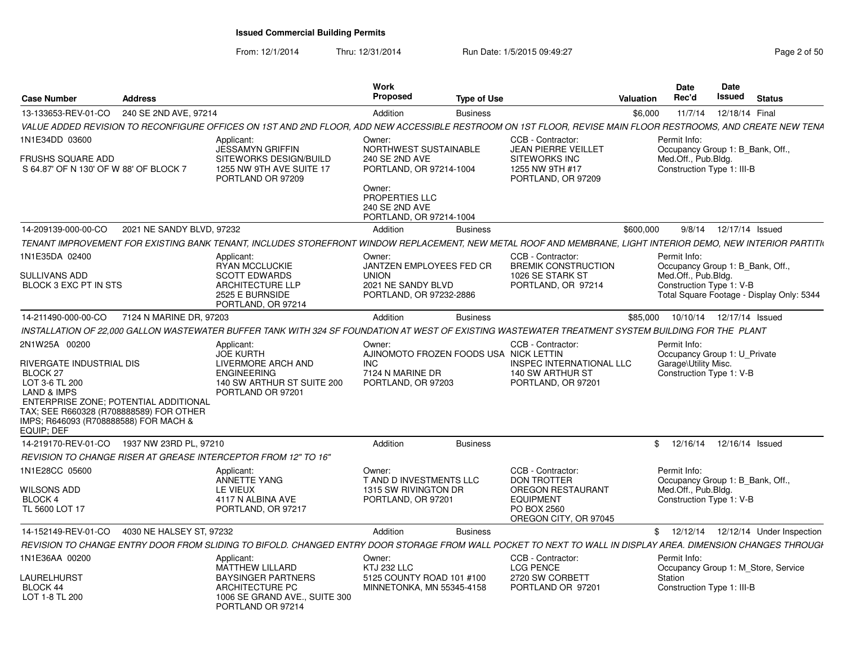From: 12/1/2014Thru: 12/31/2014 Run Date: 1/5/2015 09:49:27 Rege 2 of 50

|                                                                                                                                                                                                 |                           |                                                                                                                                                              | <b>Work</b><br><b>Proposed</b>                                                            |                    |                                                                                                                                 |                  | <b>Date</b><br>Rec'd                                                                                                             | Date<br><b>Issued</b>      | <b>Status</b> |  |
|-------------------------------------------------------------------------------------------------------------------------------------------------------------------------------------------------|---------------------------|--------------------------------------------------------------------------------------------------------------------------------------------------------------|-------------------------------------------------------------------------------------------|--------------------|---------------------------------------------------------------------------------------------------------------------------------|------------------|----------------------------------------------------------------------------------------------------------------------------------|----------------------------|---------------|--|
| <b>Case Number</b>                                                                                                                                                                              | <b>Address</b>            |                                                                                                                                                              |                                                                                           | <b>Type of Use</b> |                                                                                                                                 | <b>Valuation</b> |                                                                                                                                  |                            |               |  |
| 13-133653-REV-01-CO                                                                                                                                                                             | 240 SE 2ND AVE, 97214     | VALUE ADDED REVISION TO RECONFIGURE OFFICES ON 1ST AND 2ND FLOOR, ADD NEW ACCESSIBLE RESTROOM ON 1ST FLOOR, REVISE MAIN FLOOR RESTROOMS, AND CREATE NEW TENA | Addition                                                                                  | <b>Business</b>    |                                                                                                                                 | \$6,000          |                                                                                                                                  | 11/7/14  12/18/14  Final   |               |  |
| 1N1E34DD 03600<br><b>FRUSHS SQUARE ADD</b><br>S 64.87' OF N 130' OF W 88' OF BLOCK 7                                                                                                            |                           | Applicant:<br><b>JESSAMYN GRIFFIN</b><br>SITEWORKS DESIGN/BUILD<br>1255 NW 9TH AVE SUITE 17                                                                  | Owner:<br>NORTHWEST SUSTAINABLE<br>240 SE 2ND AVE<br>PORTLAND, OR 97214-1004              |                    | CCB - Contractor:<br><b>JEAN PIERRE VEILLET</b><br><b>SITEWORKS INC</b><br>1255 NW 9TH #17                                      |                  | Permit Info:<br>Occupancy Group 1: B Bank, Off.<br>Med.Off., Pub.Bldg.<br>Construction Type 1: III-B                             |                            |               |  |
|                                                                                                                                                                                                 |                           | PORTLAND OR 97209                                                                                                                                            | Owner:<br>PROPERTIES LLC<br>240 SE 2ND AVE<br>PORTLAND, OR 97214-1004                     |                    | PORTLAND, OR 97209                                                                                                              |                  |                                                                                                                                  |                            |               |  |
| 14-209139-000-00-CO                                                                                                                                                                             | 2021 NE SANDY BLVD, 97232 |                                                                                                                                                              | Addition                                                                                  | <b>Business</b>    |                                                                                                                                 | \$600,000        |                                                                                                                                  | 9/8/14  12/17/14  Issued   |               |  |
|                                                                                                                                                                                                 |                           | TENANT IMPROVEMENT FOR EXISTING BANK TENANT, INCLUDES STOREFRONT WINDOW REPLACEMENT, NEW METAL ROOF AND MEMBRANE, LIGHT INTERIOR DEMO, NEW INTERIOR PARTITIN |                                                                                           |                    |                                                                                                                                 |                  |                                                                                                                                  |                            |               |  |
| 1N1E35DA 02400                                                                                                                                                                                  |                           | Applicant:                                                                                                                                                   | Owner:                                                                                    |                    | CCB - Contractor:                                                                                                               |                  | Permit Info:                                                                                                                     |                            |               |  |
| SULLIVANS ADD<br>BLOCK 3 EXC PT IN STS                                                                                                                                                          |                           | RYAN MCCLUCKIE<br><b>SCOTT EDWARDS</b><br><b>ARCHITECTURE LLP</b><br>2525 E BURNSIDE<br>PORTLAND, OR 97214                                                   | JANTZEN EMPLOYEES FED CR<br><b>UNION</b><br>2021 NE SANDY BLVD<br>PORTLAND, OR 97232-2886 |                    | <b>BREMIK CONSTRUCTION</b><br>1026 SE STARK ST<br>PORTLAND, OR 97214                                                            |                  | Occupancy Group 1: B_Bank, Off.,<br>Med.Off., Pub.Bldg.<br>Construction Type 1: V-B<br>Total Square Footage - Display Only: 5344 |                            |               |  |
| 14-211490-000-00-CO                                                                                                                                                                             | 7124 N MARINE DR. 97203   |                                                                                                                                                              | Addition                                                                                  | <b>Business</b>    |                                                                                                                                 | \$85.000         |                                                                                                                                  | 10/10/14  12/17/14  Issued |               |  |
|                                                                                                                                                                                                 |                           | INSTALLATION OF 22.000 GALLON WASTEWATER BUFFER TANK WITH 324 SF FOUNDATION AT WEST OF EXISTING WASTEWATER TREATMENT SYSTEM BUILDING FOR THE PLANT           |                                                                                           |                    |                                                                                                                                 |                  |                                                                                                                                  |                            |               |  |
| 2N1W25A 00200<br>RIVERGATE INDUSTRIAL DIS                                                                                                                                                       |                           | Applicant:<br><b>JOE KURTH</b><br>LIVERMORE ARCH AND                                                                                                         | Owner:<br>AJINOMOTO FROZEN FOODS USA NICK LETTIN<br><b>INC</b>                            |                    | CCB - Contractor:<br><b>INSPEC INTERNATIONAL LLC</b>                                                                            |                  | Permit Info:<br>Occupancy Group 1: U Private<br>Garage\Utility Misc.                                                             |                            |               |  |
| BLOCK 27<br>LOT 3-6 TL 200<br><b>LAND &amp; IMPS</b><br>ENTERPRISE ZONE; POTENTIAL ADDITIONAL<br>TAX: SEE R660328 (R708888589) FOR OTHER<br>IMPS; R646093 (R708888588) FOR MACH &<br>EQUIP: DEF |                           | <b>ENGINEERING</b><br>140 SW ARTHUR ST SUITE 200<br>PORTLAND OR 97201                                                                                        | 7124 N MARINE DR<br>PORTLAND, OR 97203                                                    |                    | 140 SW ARTHUR ST<br>PORTLAND, OR 97201                                                                                          |                  | Construction Type 1: V-B                                                                                                         |                            |               |  |
| 14-219170-REV-01-CO 1937 NW 23RD PL, 97210                                                                                                                                                      |                           |                                                                                                                                                              | Addition                                                                                  | <b>Business</b>    |                                                                                                                                 |                  | \$ 12/16/14 12/16/14 Issued                                                                                                      |                            |               |  |
|                                                                                                                                                                                                 |                           | REVISION TO CHANGE RISER AT GREASE INTERCEPTOR FROM 12" TO 16"                                                                                               |                                                                                           |                    |                                                                                                                                 |                  |                                                                                                                                  |                            |               |  |
| 1N1E28CC 05600<br>WILSONS ADD<br><b>BLOCK 4</b><br>TL 5600 LOT 17                                                                                                                               |                           | Applicant:<br>ANNETTE YANG<br>LE VIEUX<br>4117 N ALBINA AVE<br>PORTLAND, OR 97217                                                                            | Owner:<br>T AND D INVESTMENTS LLC<br>1315 SW RIVINGTON DR<br>PORTLAND, OR 97201           |                    | CCB - Contractor:<br><b>DON TROTTER</b><br><b>OREGON RESTAURANT</b><br><b>EQUIPMENT</b><br>PO BOX 2560<br>OREGON CITY, OR 97045 |                  | Permit Info:<br>Occupancy Group 1: B_Bank, Off.<br>Med.Off., Pub.Bldg.<br>Construction Type 1: V-B                               |                            |               |  |
| 14-152149-REV-01-CO                                                                                                                                                                             | 4030 NE HALSEY ST. 97232  |                                                                                                                                                              | Addition                                                                                  | <b>Business</b>    |                                                                                                                                 |                  | \$ 12/12/14 12/12/14 Under Inspection                                                                                            |                            |               |  |
|                                                                                                                                                                                                 |                           | REVISION TO CHANGE ENTRY DOOR FROM SLIDING TO BIFOLD. CHANGED ENTRY DOOR STORAGE FROM WALL POCKET TO NEXT TO WALL IN DISPLAY AREA. DIMENSION CHANGES THROUGH |                                                                                           |                    |                                                                                                                                 |                  |                                                                                                                                  |                            |               |  |
| 1N1E36AA 00200                                                                                                                                                                                  |                           | Applicant:<br>MATTHEW LILLARD                                                                                                                                | Owner:<br>KTJ 232 LLC                                                                     |                    | CCB - Contractor:<br><b>LCG PENCE</b>                                                                                           |                  | Permit Info:<br>Occupancy Group 1: M Store, Service                                                                              |                            |               |  |
| LAURELHURST<br>BLOCK 44                                                                                                                                                                         |                           | <b>BAYSINGER PARTNERS</b><br><b>ARCHITECTURE PC</b>                                                                                                          | 5125 COUNTY ROAD 101 #100<br>MINNETONKA, MN 55345-4158                                    |                    | 2720 SW CORBETT<br>PORTLAND OR 97201                                                                                            |                  | Station<br>Construction Type 1: III-B                                                                                            |                            |               |  |
| LOT 1-8 TL 200                                                                                                                                                                                  |                           | 1006 SE GRAND AVE., SUITE 300<br>PORTLAND OR 97214                                                                                                           |                                                                                           |                    |                                                                                                                                 |                  |                                                                                                                                  |                            |               |  |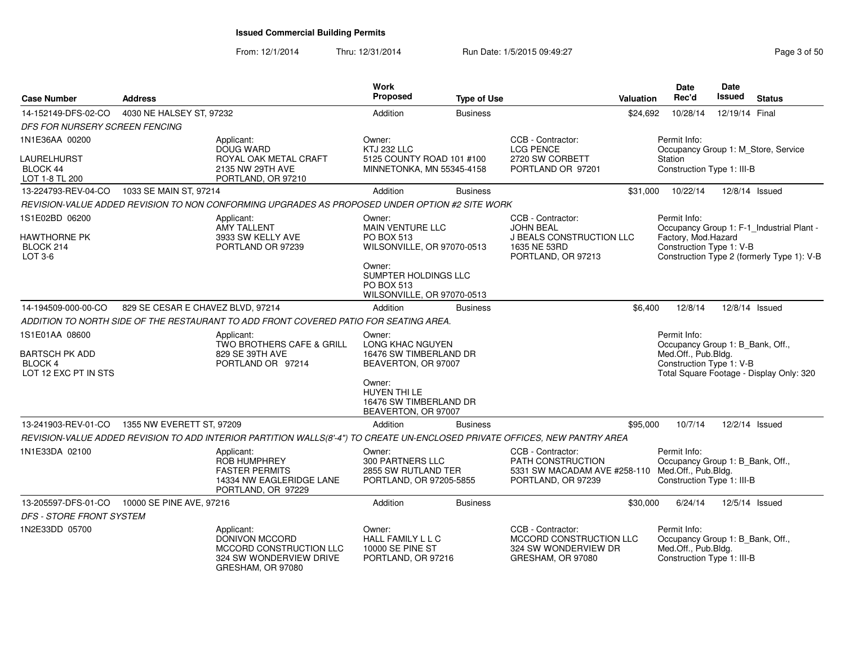From: 12/1/2014Thru: 12/31/2014 Run Date: 1/5/2015 09:49:27 Rege 3 of 50

| <b>Case Number</b>                                                                | <b>Address</b>                    |                                                                                                                             | Work<br>Proposed                                                                     | <b>Type of Use</b> |                                                                                                                  | Valuation | Date<br>Rec'd                                                                                         | <b>Date</b><br>Issued | <b>Status</b>                                                                           |
|-----------------------------------------------------------------------------------|-----------------------------------|-----------------------------------------------------------------------------------------------------------------------------|--------------------------------------------------------------------------------------|--------------------|------------------------------------------------------------------------------------------------------------------|-----------|-------------------------------------------------------------------------------------------------------|-----------------------|-----------------------------------------------------------------------------------------|
| 14-152149-DFS-02-CO                                                               | 4030 NE HALSEY ST, 97232          |                                                                                                                             | Addition                                                                             | <b>Business</b>    |                                                                                                                  | \$24,692  | 10/28/14                                                                                              | 12/19/14 Final        |                                                                                         |
| DFS FOR NURSERY SCREEN FENCING                                                    |                                   |                                                                                                                             |                                                                                      |                    |                                                                                                                  |           |                                                                                                       |                       |                                                                                         |
| 1N1E36AA 00200                                                                    |                                   | Applicant:<br>DOUG WARD                                                                                                     | Owner:<br>KTJ 232 LLC                                                                |                    | CCB - Contractor:<br><b>LCG PENCE</b>                                                                            |           | Permit Info:<br>Occupancy Group 1: M_Store, Service                                                   |                       |                                                                                         |
| LAURELHURST                                                                       |                                   | ROYAL OAK METAL CRAFT                                                                                                       | 5125 COUNTY ROAD 101 #100                                                            |                    | 2720 SW CORBETT                                                                                                  |           | Station                                                                                               |                       |                                                                                         |
| BLOCK 44<br>LOT 1-8 TL 200                                                        |                                   | 2135 NW 29TH AVE<br>PORTLAND, OR 97210                                                                                      | MINNETONKA, MN 55345-4158                                                            |                    | PORTLAND OR 97201                                                                                                |           | Construction Type 1: III-B                                                                            |                       |                                                                                         |
| 13-224793-REV-04-CO                                                               | 1033 SE MAIN ST, 97214            |                                                                                                                             | Addition                                                                             | <b>Business</b>    |                                                                                                                  | \$31,000  | 10/22/14                                                                                              |                       | 12/8/14 Issued                                                                          |
|                                                                                   |                                   | REVISION-VALUE ADDED REVISION TO NON CONFORMING UPGRADES AS PROPOSED UNDER OPTION #2 SITE WORK                              |                                                                                      |                    |                                                                                                                  |           |                                                                                                       |                       |                                                                                         |
| 1S1E02BD 06200<br><b>HAWTHORNE PK</b><br>BLOCK 214<br>$LOT 3-6$                   |                                   | Applicant:<br>AMY TALLENT<br>3933 SW KELLY AVE<br>PORTLAND OR 97239                                                         | Owner:<br><b>MAIN VENTURE LLC</b><br><b>PO BOX 513</b><br>WILSONVILLE, OR 97070-0513 |                    | CCB - Contractor:<br>JOHN BEAL<br>J BEALS CONSTRUCTION LLC<br>1635 NE 53RD<br>PORTLAND, OR 97213                 |           | Permit Info:<br>Factory, Mod.Hazard<br>Construction Type 1: V-B                                       |                       | Occupancy Group 1: F-1_Industrial Plant -<br>Construction Type 2 (formerly Type 1): V-B |
|                                                                                   |                                   |                                                                                                                             | Owner:<br>SUMPTER HOLDINGS LLC<br>PO BOX 513<br>WILSONVILLE, OR 97070-0513           |                    |                                                                                                                  |           |                                                                                                       |                       |                                                                                         |
| 14-194509-000-00-CO                                                               | 829 SE CESAR E CHAVEZ BLVD, 97214 |                                                                                                                             | Addition                                                                             | <b>Business</b>    |                                                                                                                  | \$6,400   | 12/8/14                                                                                               |                       | 12/8/14 Issued                                                                          |
|                                                                                   |                                   | ADDITION TO NORTH SIDE OF THE RESTAURANT TO ADD FRONT COVERED PATIO FOR SEATING AREA.                                       |                                                                                      |                    |                                                                                                                  |           |                                                                                                       |                       |                                                                                         |
| 1S1E01AA 08600<br><b>BARTSCH PK ADD</b><br><b>BLOCK 4</b><br>LOT 12 EXC PT IN STS |                                   | Applicant:<br>TWO BROTHERS CAFE & GRILL<br>829 SE 39TH AVE<br>PORTLAND OR 97214                                             | Owner:<br>LONG KHAC NGUYEN<br>16476 SW TIMBERLAND DR<br>BEAVERTON, OR 97007          |                    |                                                                                                                  |           | Permit Info:<br>Occupancy Group 1: B_Bank, Off.,<br>Med.Off., Pub.Bldg.<br>Construction Type 1: V-B   |                       | Total Square Footage - Display Only: 320                                                |
|                                                                                   |                                   |                                                                                                                             | Owner:<br>HUYEN THI LE<br>16476 SW TIMBERLAND DR<br>BEAVERTON, OR 97007              |                    |                                                                                                                  |           |                                                                                                       |                       |                                                                                         |
| 13-241903-REV-01-CO                                                               | 1355 NW EVERETT ST, 97209         |                                                                                                                             | Addition                                                                             | <b>Business</b>    |                                                                                                                  | \$95,000  | 10/7/14                                                                                               |                       | 12/2/14 Issued                                                                          |
|                                                                                   |                                   | REVISION-VALUE ADDED REVISION TO ADD INTERIOR PARTITION WALLS(8'-4") TO CREATE UN-ENCLOSED PRIVATE OFFICES, NEW PANTRY AREA |                                                                                      |                    |                                                                                                                  |           |                                                                                                       |                       |                                                                                         |
| 1N1E33DA 02100                                                                    |                                   | Applicant:<br><b>ROB HUMPHREY</b><br><b>FASTER PERMITS</b><br>14334 NW EAGLERIDGE LANE<br>PORTLAND, OR 97229                | Owner:<br>300 PARTNERS LLC<br>2855 SW RUTLAND TER<br>PORTLAND, OR 97205-5855         |                    | CCB - Contractor:<br>PATH CONSTRUCTION<br>5331 SW MACADAM AVE #258-110 Med.Off., Pub.Bldg.<br>PORTLAND, OR 97239 |           | Permit Info:<br>Occupancy Group 1: B Bank, Off.,<br>Construction Type 1: III-B                        |                       |                                                                                         |
| 13-205597-DFS-01-CO                                                               | 10000 SE PINE AVE, 97216          |                                                                                                                             | Addition                                                                             | <b>Business</b>    |                                                                                                                  | \$30,000  | 6/24/14                                                                                               |                       | 12/5/14 Issued                                                                          |
| <b>DFS - STORE FRONT SYSTEM</b>                                                   |                                   |                                                                                                                             |                                                                                      |                    |                                                                                                                  |           |                                                                                                       |                       |                                                                                         |
| 1N2E33DD 05700                                                                    |                                   | Applicant:<br>DONIVON MCCORD<br>MCCORD CONSTRUCTION LLC<br>324 SW WONDERVIEW DRIVE<br>GRESHAM, OR 97080                     | Owner:<br>HALL FAMILY L L C<br>10000 SE PINE ST<br>PORTLAND, OR 97216                |                    | CCB - Contractor:<br>MCCORD CONSTRUCTION LLC<br>324 SW WONDERVIEW DR<br>GRESHAM, OR 97080                        |           | Permit Info:<br>Occupancy Group 1: B_Bank, Off.,<br>Med.Off., Pub.Bldg.<br>Construction Type 1: III-B |                       |                                                                                         |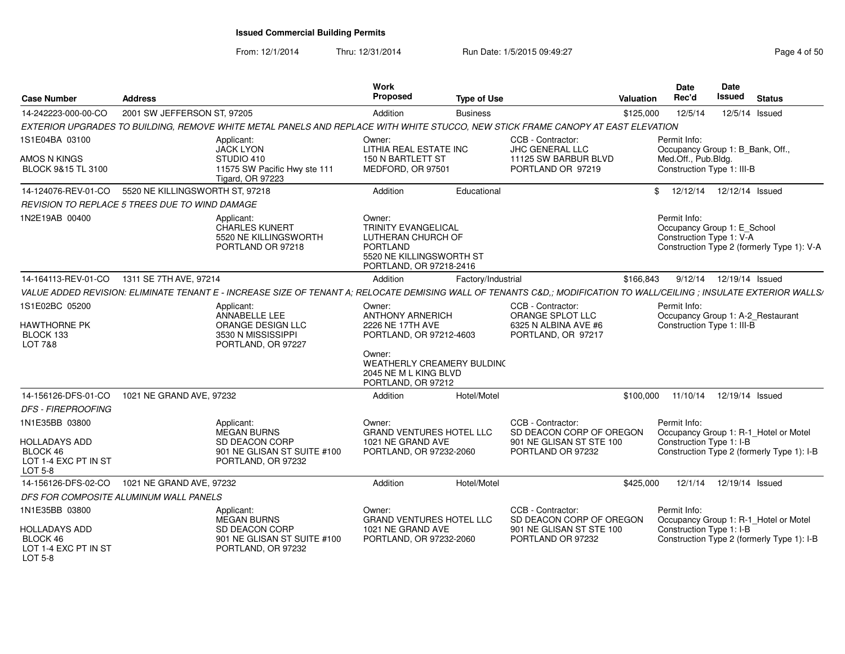From: 12/1/2014

Thru: 12/31/2014 Run Date: 1/5/2015 09:49:27 Rege 4 of 50

| <b>Case Number</b>                                                                                                 | <b>Address</b>                                                                                                                                                       |                                                                                           | Work<br><b>Proposed</b>                                                                                                                                                 | <b>Type of Use</b> |                                                                                                | <b>Valuation</b> | Date<br>Rec'd                                                     | Date<br>Issued<br><b>Status</b>                                                     |
|--------------------------------------------------------------------------------------------------------------------|----------------------------------------------------------------------------------------------------------------------------------------------------------------------|-------------------------------------------------------------------------------------------|-------------------------------------------------------------------------------------------------------------------------------------------------------------------------|--------------------|------------------------------------------------------------------------------------------------|------------------|-------------------------------------------------------------------|-------------------------------------------------------------------------------------|
| 14-242223-000-00-CO                                                                                                | 2001 SW JEFFERSON ST, 97205                                                                                                                                          |                                                                                           | Addition                                                                                                                                                                | <b>Business</b>    |                                                                                                | \$125,000        | 12/5/14                                                           | 12/5/14 Issued                                                                      |
|                                                                                                                    | EXTERIOR UPGRADES TO BUILDING, REMOVE WHITE METAL PANELS AND REPLACE WITH WHITE STUCCO, NEW STICK FRAME CANOPY AT EAST ELEVATION                                     |                                                                                           |                                                                                                                                                                         |                    |                                                                                                |                  |                                                                   |                                                                                     |
| 1S1E04BA 03100<br>AMOS N KINGS<br>BLOCK 9&15 TL 3100                                                               | Applicant:<br><b>JACK LYON</b><br>STUDIO 410                                                                                                                         | 11575 SW Pacific Hwy ste 111<br><b>Tigard, OR 97223</b>                                   | Owner:<br>LITHIA REAL ESTATE INC<br>150 N BARTLETT ST<br>MEDFORD, OR 97501                                                                                              |                    | CCB - Contractor:<br>JHC GENERAL LLC<br>11125 SW BARBUR BLVD<br>PORTLAND OR 97219              |                  | Permit Info:<br>Med.Off., Pub.Bldg.<br>Construction Type 1: III-B | Occupancy Group 1: B_Bank, Off.                                                     |
|                                                                                                                    | 14-124076-REV-01-CO 5520 NE KILLINGSWORTH ST, 97218                                                                                                                  |                                                                                           | Addition                                                                                                                                                                | Educational        |                                                                                                |                  |                                                                   | \$ 12/12/14 12/12/14 Issued                                                         |
|                                                                                                                    | REVISION TO REPLACE 5 TREES DUE TO WIND DAMAGE                                                                                                                       |                                                                                           |                                                                                                                                                                         |                    |                                                                                                |                  |                                                                   |                                                                                     |
| 1N2E19AB 00400                                                                                                     | Applicant:                                                                                                                                                           | CHARLES KUNERT<br>5520 NE KILLINGSWORTH<br>PORTLAND OR 97218                              | Owner:<br><b>TRINITY EVANGELICAL</b><br>LUTHERAN CHURCH OF<br>PORTLAND<br>5520 NE KILLINGSWORTH ST<br>PORTLAND, OR 97218-2416                                           |                    |                                                                                                |                  | Permit Info:<br>Construction Type 1: V-A                          | Occupancy Group 1: E School<br>Construction Type 2 (formerly Type 1): V-A           |
|                                                                                                                    | 14-164113-REV-01-CO 1311 SE 7TH AVE, 97214                                                                                                                           |                                                                                           | Addition                                                                                                                                                                | Factory/Industrial |                                                                                                | \$166,843        |                                                                   | 9/12/14  12/19/14  Issued                                                           |
|                                                                                                                    | VALUE ADDED REVISION: ELIMINATE TENANT E - INCREASE SIZE OF TENANT A; RELOCATE DEMISING WALL OF TENANTS C&D,; MODIFICATION TO WALL/CEILING; INSULATE EXTERIOR WALLS/ |                                                                                           |                                                                                                                                                                         |                    |                                                                                                |                  |                                                                   |                                                                                     |
| 1S1E02BC 05200<br><b>HAWTHORNE PK</b><br>BLOCK 133<br>LOT 7&8                                                      | Applicant:                                                                                                                                                           | ANNABELLE LEE<br>ORANGE DESIGN LLC<br>3530 N MISSISSIPPI<br>PORTLAND, OR 97227            | Owner:<br><b>ANTHONY ARNERICH</b><br>2226 NE 17TH AVE<br>PORTLAND, OR 97212-4603<br>Owner:<br>WEATHERLY CREAMERY BULDING<br>2045 NE M L KING BLVD<br>PORTLAND, OR 97212 |                    | CCB - Contractor:<br>ORANGE SPLOT LLC<br>6325 N ALBINA AVE #6<br>PORTLAND, OR 97217            |                  | Permit Info:<br>Construction Type 1: III-B                        | Occupancy Group 1: A-2_Restaurant                                                   |
|                                                                                                                    | 14-156126-DFS-01-CO  1021 NE GRAND AVE, 97232                                                                                                                        |                                                                                           | Addition                                                                                                                                                                | Hotel/Motel        |                                                                                                |                  |                                                                   | \$100,000  11/10/14  12/19/14  Issued                                               |
| <b>DFS - FIREPROOFING</b><br>1N1E35BB 03800<br>HOLLADAYS ADD<br>BLOCK 46<br>LOT 1-4 EXC PT IN ST<br><b>LOT 5-8</b> | Applicant:                                                                                                                                                           | MEGAN BURNS<br>SD DEACON CORP<br>901 NE GLISAN ST SUITE #100<br>PORTLAND, OR 97232        | Owner:<br><b>GRAND VENTURES HOTEL LLC</b><br>1021 NE GRAND AVE<br>PORTLAND, OR 97232-2060                                                                               |                    | CCB - Contractor:<br>SD DEACON CORP OF OREGON<br>901 NE GLISAN ST STE 100<br>PORTLAND OR 97232 |                  | Permit Info:<br>Construction Type 1: I-B                          | Occupancy Group 1: R-1_Hotel or Motel<br>Construction Type 2 (formerly Type 1): I-B |
|                                                                                                                    | 14-156126-DFS-02-CO 1021 NE GRAND AVE, 97232                                                                                                                         |                                                                                           | Addition                                                                                                                                                                | Hotel/Motel        |                                                                                                | \$425,000        |                                                                   | 12/1/14  12/19/14  Issued                                                           |
|                                                                                                                    | DFS FOR COMPOSITE ALUMINUM WALL PANELS                                                                                                                               |                                                                                           |                                                                                                                                                                         |                    |                                                                                                |                  |                                                                   |                                                                                     |
| 1N1E35BB 03800<br>HOLLADAYS ADD<br>BLOCK 46<br>LOT 1-4 EXC PT IN ST<br>LOT 5-8                                     | Applicant:                                                                                                                                                           | <b>MEGAN BURNS</b><br>SD DEACON CORP<br>901 NE GLISAN ST SUITE #100<br>PORTLAND, OR 97232 | Owner:<br>GRAND VENTURES HOTEL LLC<br>1021 NE GRAND AVE<br>PORTLAND, OR 97232-2060                                                                                      |                    | CCB - Contractor:<br>SD DEACON CORP OF OREGON<br>901 NE GLISAN ST STE 100<br>PORTLAND OR 97232 |                  | Permit Info:<br>Construction Type 1: I-B                          | Occupancy Group 1: R-1_Hotel or Motel<br>Construction Type 2 (formerly Type 1): I-B |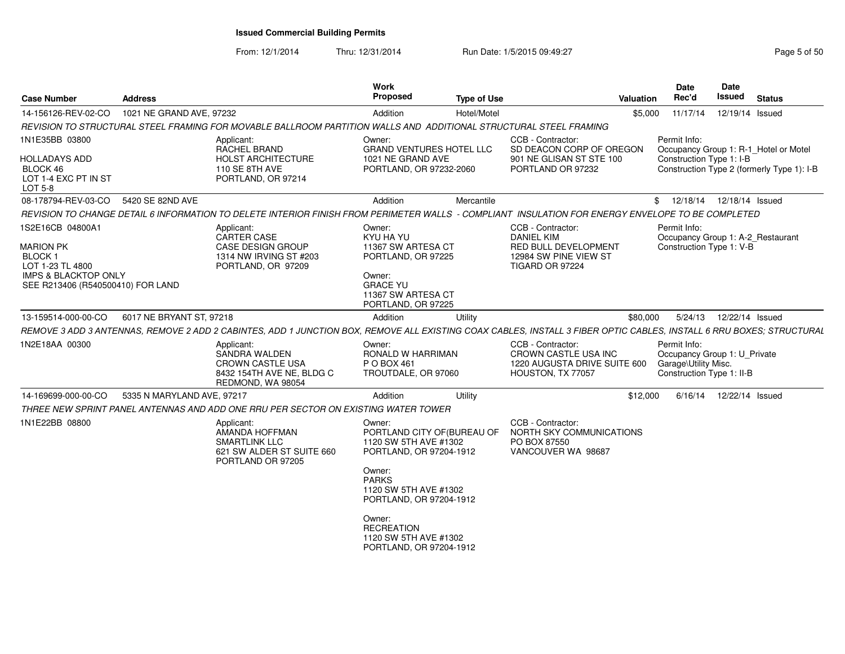From: 12/1/2014Thru: 12/31/2014 Run Date: 1/5/2015 09:49:27 Rege 5 of 50

| <b>Case Number</b>                                                                                                                                | <b>Address</b>             |                                                                                                                                                                      | Work<br>Proposed                                                                                                                                                                                                                | <b>Type of Use</b> |                                                                                                            | Valuation | Date<br>Rec'd                                                                                     | <b>Date</b><br><b>Issued</b> | <b>Status</b>                                                                       |
|---------------------------------------------------------------------------------------------------------------------------------------------------|----------------------------|----------------------------------------------------------------------------------------------------------------------------------------------------------------------|---------------------------------------------------------------------------------------------------------------------------------------------------------------------------------------------------------------------------------|--------------------|------------------------------------------------------------------------------------------------------------|-----------|---------------------------------------------------------------------------------------------------|------------------------------|-------------------------------------------------------------------------------------|
| 14-156126-REV-02-CO                                                                                                                               | 1021 NE GRAND AVE, 97232   |                                                                                                                                                                      | Addition                                                                                                                                                                                                                        | Hotel/Motel        |                                                                                                            |           | \$5,000 11/17/14 12/19/14 Issued                                                                  |                              |                                                                                     |
|                                                                                                                                                   |                            | REVISION TO STRUCTURAL STEEL FRAMING FOR MOVABLE BALLROOM PARTITION WALLS AND ADDITIONAL STRUCTURAL STEEL FRAMING                                                    |                                                                                                                                                                                                                                 |                    |                                                                                                            |           |                                                                                                   |                              |                                                                                     |
| 1N1E35BB 03800<br><b>HOLLADAYS ADD</b><br>BLOCK 46<br>LOT 1-4 EXC PT IN ST<br><b>LOT 5-8</b>                                                      |                            | Applicant:<br>RACHEL BRAND<br>HOLST ARCHITECTURE<br>110 SE 8TH AVE<br>PORTLAND, OR 97214                                                                             | Owner:<br><b>GRAND VENTURES HOTEL LLC</b><br>1021 NE GRAND AVE<br>PORTLAND, OR 97232-2060                                                                                                                                       |                    | CCB - Contractor:<br>SD DEACON CORP OF OREGON<br>901 NE GLISAN ST STE 100<br>PORTLAND OR 97232             |           | Permit Info:<br>Construction Type 1: I-B                                                          |                              | Occupancy Group 1: R-1_Hotel or Motel<br>Construction Type 2 (formerly Type 1): I-B |
| 08-178794-REV-03-CO 5420 SE 82ND AVE                                                                                                              |                            |                                                                                                                                                                      | Addition                                                                                                                                                                                                                        | Mercantile         |                                                                                                            |           | 12/18/14  12/18/14  Issued                                                                        |                              |                                                                                     |
|                                                                                                                                                   |                            | REVISION TO CHANGE DETAIL 6 INFORMATION TO DELETE INTERIOR FINISH FROM PERIMETER WALLS - COMPLIANT INSULATION FOR ENERGY ENVELOPE TO BE COMPLETED                    |                                                                                                                                                                                                                                 |                    |                                                                                                            |           |                                                                                                   |                              |                                                                                     |
| 1S2E16CB 04800A1<br><b>MARION PK</b><br><b>BLOCK1</b><br>LOT 1-23 TL 4800<br><b>IMPS &amp; BLACKTOP ONLY</b><br>SEE R213406 (R540500410) FOR LAND |                            | Applicant:<br>CARTER CASE<br>CASE DESIGN GROUP<br>1314 NW IRVING ST #203<br>PORTLAND, OR 97209                                                                       | Owner:<br>KYU HA YU<br>11367 SW ARTESA CT<br>PORTLAND, OR 97225<br>Owner:<br><b>GRACE YU</b><br>11367 SW ARTESA CT<br>PORTLAND, OR 97225                                                                                        |                    | CCB - Contractor:<br><b>DANIEL KIM</b><br>RED BULL DEVELOPMENT<br>12984 SW PINE VIEW ST<br>TIGARD OR 97224 |           | Permit Info:<br>Construction Type 1: V-B                                                          |                              | Occupancy Group 1: A-2_Restaurant                                                   |
| 13-159514-000-00-CO                                                                                                                               | 6017 NE BRYANT ST, 97218   |                                                                                                                                                                      | Addition                                                                                                                                                                                                                        | Utility            |                                                                                                            | \$80,000  | 5/24/13  12/22/14  Issued                                                                         |                              |                                                                                     |
|                                                                                                                                                   |                            | REMOVE 3 ADD 3 ANTENNAS, REMOVE 2 ADD 2 CABINTES, ADD 1 JUNCTION BOX, REMOVE ALL EXISTING COAX CABLES, INSTALL 3 FIBER OPTIC CABLES, INSTALL 6 RRU BOXES; STRUCTURAL |                                                                                                                                                                                                                                 |                    |                                                                                                            |           |                                                                                                   |                              |                                                                                     |
| 1N2E18AA 00300                                                                                                                                    |                            | Applicant:<br>SANDRA WALDEN<br><b>CROWN CASTLE USA</b><br>8432 154TH AVE NE, BLDG C<br>REDMOND, WA 98054                                                             | Owner:<br>RONALD W HARRIMAN<br>P O BOX 461<br>TROUTDALE, OR 97060                                                                                                                                                               |                    | CCB - Contractor:<br>CROWN CASTLE USA INC<br>1220 AUGUSTA DRIVE SUITE 600<br>HOUSTON, TX 77057             |           | Permit Info:<br>Occupancy Group 1: U_Private<br>Garage\Utility Misc.<br>Construction Type 1: II-B |                              |                                                                                     |
| 14-169699-000-00-CO                                                                                                                               | 5335 N MARYLAND AVE, 97217 |                                                                                                                                                                      | Addition                                                                                                                                                                                                                        | Utility            |                                                                                                            | \$12,000  | 6/16/14  12/22/14  Issued                                                                         |                              |                                                                                     |
|                                                                                                                                                   |                            | THREE NEW SPRINT PANEL ANTENNAS AND ADD ONE RRU PER SECTOR ON EXISTING WATER TOWER                                                                                   |                                                                                                                                                                                                                                 |                    |                                                                                                            |           |                                                                                                   |                              |                                                                                     |
| 1N1E22BB 08800                                                                                                                                    |                            | Applicant:<br>AMANDA HOFFMAN<br><b>SMARTLINK LLC</b><br>621 SW ALDER ST SUITE 660<br>PORTLAND OR 97205                                                               | Owner:<br>PORTLAND CITY OF (BUREAU OF<br>1120 SW 5TH AVE #1302<br>PORTLAND, OR 97204-1912<br>Owner:<br><b>PARKS</b><br>1120 SW 5TH AVE #1302<br>PORTLAND, OR 97204-1912<br>Owner:<br><b>RECREATION</b><br>1120 SW 5TH AVE #1302 |                    | CCB - Contractor:<br>NORTH SKY COMMUNICATIONS<br>PO BOX 87550<br>VANCOUVER WA 98687                        |           |                                                                                                   |                              |                                                                                     |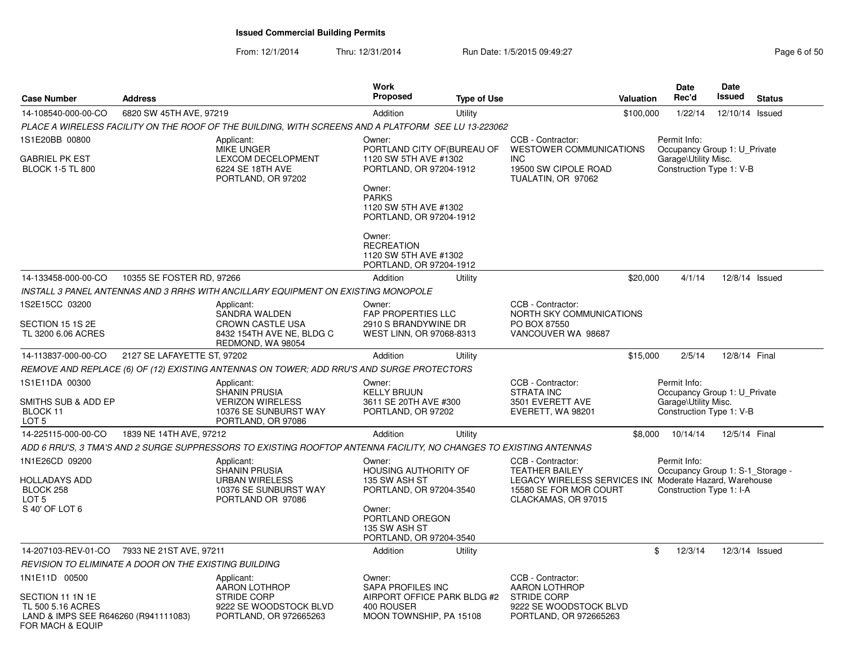From: 12/1/2014Thru: 12/31/2014 Run Date: 1/5/2015 09:49:27 Rege 6 of 50

| <b>Case Number</b>                                                                                | <b>Address</b>                                        |                                                                                                                    | <b>Work</b><br><b>Proposed</b>                                                    | <b>Type of Use</b> | Valuation                                                                                                                                              | <b>Date</b><br>Rec'd                                                             | <b>Date</b><br>Issued | <b>Status</b>  |
|---------------------------------------------------------------------------------------------------|-------------------------------------------------------|--------------------------------------------------------------------------------------------------------------------|-----------------------------------------------------------------------------------|--------------------|--------------------------------------------------------------------------------------------------------------------------------------------------------|----------------------------------------------------------------------------------|-----------------------|----------------|
| 14-108540-000-00-CO                                                                               | 6820 SW 45TH AVE, 97219                               |                                                                                                                    | Addition                                                                          | Utility            | \$100,000                                                                                                                                              | 1/22/14                                                                          | 12/10/14 Issued       |                |
|                                                                                                   |                                                       | PLACE A WIRELESS FACILITY ON THE ROOF OF THE BUILDING, WITH SCREENS AND A PLATFORM  SEE LU 13-223062               |                                                                                   |                    |                                                                                                                                                        |                                                                                  |                       |                |
| 1S1E20BB 00800                                                                                    |                                                       | Applicant:<br><b>MIKE UNGER</b>                                                                                    | Owner:<br>PORTLAND CITY OF (BUREAU OF                                             |                    | CCB - Contractor:<br><b>WESTOWER COMMUNICATIONS</b>                                                                                                    | Permit Info:<br>Occupancy Group 1: U Private                                     |                       |                |
| <b>GABRIEL PK EST</b><br><b>BLOCK 1-5 TL 800</b>                                                  |                                                       | <b>LEXCOM DECELOPMENT</b><br>6224 SE 18TH AVE<br>PORTLAND, OR 97202                                                | 1120 SW 5TH AVE #1302<br>PORTLAND, OR 97204-1912<br>Owner:                        |                    | <b>INC</b><br>19500 SW CIPOLE ROAD<br>TUALATIN, OR 97062                                                                                               | Garage\Utility Misc.<br>Construction Type 1: V-B                                 |                       |                |
|                                                                                                   |                                                       |                                                                                                                    | <b>PARKS</b><br>1120 SW 5TH AVE #1302<br>PORTLAND, OR 97204-1912                  |                    |                                                                                                                                                        |                                                                                  |                       |                |
|                                                                                                   |                                                       |                                                                                                                    | Owner:<br><b>RECREATION</b><br>1120 SW 5TH AVE #1302<br>PORTLAND, OR 97204-1912   |                    |                                                                                                                                                        |                                                                                  |                       |                |
| 14-133458-000-00-CO                                                                               | 10355 SE FOSTER RD, 97266                             |                                                                                                                    | Addition                                                                          | Utility            | \$20,000                                                                                                                                               | 4/1/14                                                                           |                       | 12/8/14 Issued |
|                                                                                                   |                                                       | INSTALL 3 PANEL ANTENNAS AND 3 RRHS WITH ANCILLARY EQUIPMENT ON EXISTING MONOPOLE                                  |                                                                                   |                    |                                                                                                                                                        |                                                                                  |                       |                |
| 1S2E15CC 03200                                                                                    |                                                       | Applicant:<br>SANDRA WALDEN                                                                                        | Owner:<br><b>FAP PROPERTIES LLC</b>                                               |                    | CCB - Contractor:<br>NORTH SKY COMMUNICATIONS                                                                                                          |                                                                                  |                       |                |
| SECTION 15 1S 2E<br>TL 3200 6.06 ACRES                                                            |                                                       | CROWN CASTLE USA<br>8432 154TH AVE NE, BLDG C<br>REDMOND, WA 98054                                                 | 2910 S BRANDYWINE DR<br>WEST LINN, OR 97068-8313                                  |                    | PO BOX 87550<br>VANCOUVER WA 98687                                                                                                                     |                                                                                  |                       |                |
| 14-113837-000-00-CO                                                                               | 2127 SE LAFAYETTE ST. 97202                           |                                                                                                                    | Addition                                                                          | Utility            | \$15,000                                                                                                                                               | 2/5/14                                                                           | 12/8/14 Final         |                |
|                                                                                                   |                                                       | REMOVE AND REPLACE (6) OF (12) EXISTING ANTENNAS ON TOWER; ADD RRU'S AND SURGE PROTECTORS                          |                                                                                   |                    |                                                                                                                                                        |                                                                                  |                       |                |
| 1S1E11DA 00300                                                                                    |                                                       | Applicant:                                                                                                         | Owner:                                                                            |                    | CCB - Contractor:                                                                                                                                      | Permit Info:                                                                     |                       |                |
| SMITHS SUB & ADD EP<br>BLOCK 11<br>LOT <sub>5</sub>                                               |                                                       | <b>SHANIN PRUSIA</b><br><b>VERIZON WIRELESS</b><br>10376 SE SUNBURST WAY<br>PORTLAND, OR 97086                     | <b>KELLY BRUUN</b><br>3611 SE 20TH AVE #300<br>PORTLAND, OR 97202                 |                    | <b>STRATA INC</b><br>3501 EVERETT AVE<br>EVERETT, WA 98201                                                                                             | Occupancy Group 1: U Private<br>Garage\Utility Misc.<br>Construction Type 1: V-B |                       |                |
| 14-225115-000-00-CO                                                                               | 1839 NE 14TH AVE, 97212                               |                                                                                                                    | Addition                                                                          | Utility            |                                                                                                                                                        | \$8,000<br>10/14/14                                                              | 12/5/14 Final         |                |
|                                                                                                   |                                                       | ADD 6 RRU'S, 3 TMA'S AND 2 SURGE SUPPRESSORS TO EXISTING ROOFTOP ANTENNA FACILITY, NO CHANGES TO EXISTING ANTENNAS |                                                                                   |                    |                                                                                                                                                        |                                                                                  |                       |                |
| 1N1E26CD 09200<br>HOLLADAYS ADD<br>BLOCK 258<br>LOT 5                                             |                                                       | Applicant:<br>SHANIN PRUSIA<br><b>URBAN WIRELESS</b><br>10376 SE SUNBURST WAY<br>PORTLAND OR 97086                 | Owner:<br><b>HOUSING AUTHORITY OF</b><br>135 SW ASH ST<br>PORTLAND, OR 97204-3540 |                    | CCB - Contractor:<br><b>TEATHER BAILEY</b><br>LEGACY WIRELESS SERVICES IN( Moderate Hazard, Warehouse<br>15580 SE FOR MOR COURT<br>CLACKAMAS, OR 97015 | Permit Info:<br>Occupancy Group 1: S-1_Storage -<br>Construction Type 1: I-A     |                       |                |
| S 40' OF LOT 6                                                                                    |                                                       |                                                                                                                    | Owner:<br>PORTLAND OREGON<br>135 SW ASH ST<br>PORTLAND, OR 97204-3540             |                    |                                                                                                                                                        |                                                                                  |                       |                |
| 14-207103-REV-01-CO                                                                               | 7933 NE 21ST AVE, 97211                               |                                                                                                                    | Addition                                                                          | Utility            |                                                                                                                                                        | \$<br>12/3/14                                                                    |                       | 12/3/14 Issued |
|                                                                                                   | REVISION TO ELIMINATE A DOOR ON THE EXISTING BUILDING |                                                                                                                    |                                                                                   |                    |                                                                                                                                                        |                                                                                  |                       |                |
| 1N1E11D 00500                                                                                     |                                                       | Applicant:<br><b>AARON LOTHROP</b>                                                                                 | Owner:<br>SAPA PROFILES INC                                                       |                    | CCB - Contractor:<br><b>AARON LOTHROP</b>                                                                                                              |                                                                                  |                       |                |
| SECTION 11 1N 1E<br>TL 500 5.16 ACRES<br>LAND & IMPS SEE R646260 (R941111083)<br>FOR MACH & EQUIP |                                                       | <b>STRIDE CORP</b><br>9222 SE WOODSTOCK BLVD<br>PORTLAND, OR 972665263                                             | AIRPORT OFFICE PARK BLDG #2<br>400 ROUSER<br>MOON TOWNSHIP, PA 15108              |                    | <b>STRIDE CORP</b><br>9222 SE WOODSTOCK BLVD<br>PORTLAND, OR 972665263                                                                                 |                                                                                  |                       |                |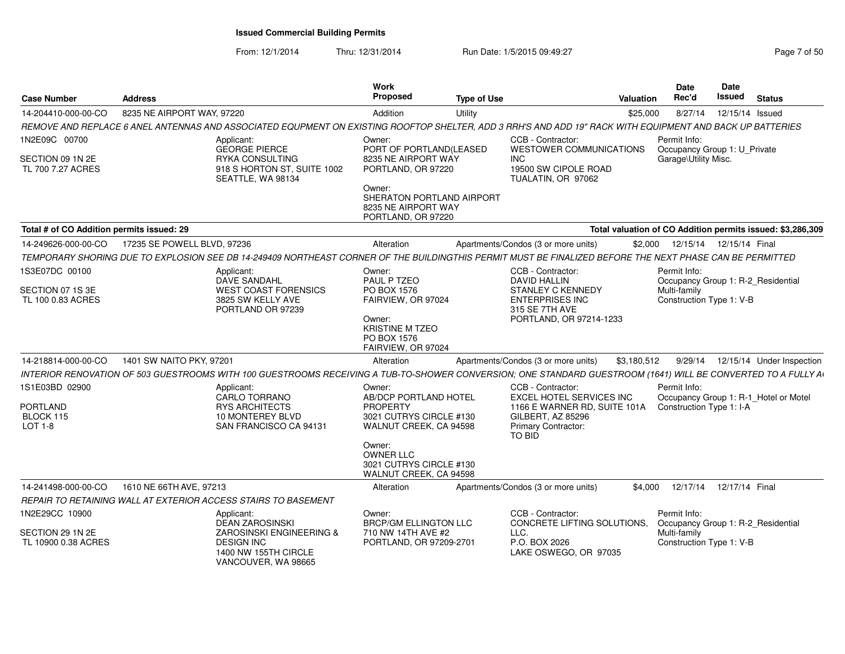From: 12/1/2014

Thru: 12/31/2014 Run Date: 1/5/2015 09:49:27 Research 2010 12:49:27 Page 7 of 50

| <b>Case Number</b>                                      | <b>Address</b>              |                                                                                                                                                              | Work<br><b>Proposed</b>                                                                  | <b>Type of Use</b> | Valuation                                                                                                 |          | <b>Date</b><br>Rec'd                                                                           | <b>Date</b><br>Issued | <b>Status</b>                       |
|---------------------------------------------------------|-----------------------------|--------------------------------------------------------------------------------------------------------------------------------------------------------------|------------------------------------------------------------------------------------------|--------------------|-----------------------------------------------------------------------------------------------------------|----------|------------------------------------------------------------------------------------------------|-----------------------|-------------------------------------|
| 14-204410-000-00-CO                                     | 8235 NE AIRPORT WAY, 97220  |                                                                                                                                                              | Addition                                                                                 | Utility            |                                                                                                           | \$25,000 | 8/27/14                                                                                        | 12/15/14 Issued       |                                     |
|                                                         |                             | REMOVE AND REPLACE 6 ANEL ANTENNAS AND ASSOCIATED EQUPMENT ON EXISTING ROOFTOP SHELTER. ADD 3 RRH'S AND ADD 19" RACK WITH EQUIPMENT AND BACK UP BATTERIES    |                                                                                          |                    |                                                                                                           |          |                                                                                                |                       |                                     |
| 1N2E09C 00700<br>SECTION 09 1N 2E<br>TL 700 7.27 ACRES  |                             | Applicant:<br><b>GEORGE PIERCE</b><br><b>RYKA CONSULTING</b><br>918 S HORTON ST, SUITE 1002<br>SEATTLE, WA 98134                                             | Owner:<br>PORT OF PORTLAND(LEASED<br>8235 NE AIRPORT WAY<br>PORTLAND, OR 97220<br>Owner: |                    | CCB - Contractor:<br><b>WESTOWER COMMUNICATIONS</b><br>INC.<br>19500 SW CIPOLE ROAD<br>TUALATIN, OR 97062 |          | Permit Info:<br>Occupancy Group 1: U_Private<br>Garage\Utility Misc.                           |                       |                                     |
|                                                         |                             |                                                                                                                                                              | SHERATON PORTLAND AIRPORT<br>8235 NE AIRPORT WAY<br>PORTLAND, OR 97220                   |                    |                                                                                                           |          |                                                                                                |                       |                                     |
| Total # of CO Addition permits issued: 29               |                             |                                                                                                                                                              |                                                                                          |                    | Total valuation of CO Addition permits issued: \$3,286,309                                                |          |                                                                                                |                       |                                     |
| 14-249626-000-00-CO                                     | 17235 SE POWELL BLVD, 97236 |                                                                                                                                                              | Alteration                                                                               |                    | Apartments/Condos (3 or more units)                                                                       | \$2.000  | 12/15/14  12/15/14  Final                                                                      |                       |                                     |
|                                                         |                             | TEMPORARY SHORING DUE TO EXPLOSION SEE DB 14-249409 NORTHEAST CORNER OF THE BUILDINGTHIS PERMIT MUST BE FINALIZED BEFORE THE NEXT PHASE CAN BE PERMITTED     |                                                                                          |                    |                                                                                                           |          |                                                                                                |                       |                                     |
| 1S3E07DC 00100<br>SECTION 07 1S 3E<br>TL 100 0.83 ACRES |                             | Applicant:<br>DAVE SANDAHL<br><b>WEST COAST FORENSICS</b><br>3825 SW KELLY AVE                                                                               | Owner:<br>PAUL P TZEO<br>PO BOX 1576<br>FAIRVIEW, OR 97024                               |                    | CCB - Contractor:<br><b>DAVID HALLIN</b><br><b>STANLEY C KENNEDY</b><br><b>ENTERPRISES INC</b>            |          | Permit Info:<br>Occupancy Group 1: R-2_Residential<br>Multi-family<br>Construction Type 1: V-B |                       |                                     |
|                                                         |                             | PORTLAND OR 97239                                                                                                                                            | Owner:<br><b>KRISTINE M TZEO</b><br>PO BOX 1576<br>FAIRVIEW, OR 97024                    |                    | 315 SE 7TH AVE<br>PORTLAND, OR 97214-1233                                                                 |          |                                                                                                |                       |                                     |
| 14-218814-000-00-CO                                     | 1401 SW NAITO PKY, 97201    |                                                                                                                                                              | Alteration                                                                               |                    | Apartments/Condos (3 or more units)<br>\$3,180,512                                                        |          |                                                                                                |                       | 9/29/14  12/15/14  Under Inspection |
|                                                         |                             | INTERIOR RENOVATION OF 503 GUESTROOMS WITH 100 GUESTROOMS RECEIVING A TUB-TO-SHOWER CONVERSION; ONE STANDARD GUESTROOM (1641) WILL BE CONVERTED TO A FULLY A |                                                                                          |                    |                                                                                                           |          |                                                                                                |                       |                                     |
| 1S1E03BD 02900                                          |                             | Applicant:<br>CARLO TORRANO                                                                                                                                  | Owner:<br>AB/DCP PORTLAND HOTEL                                                          |                    | CCB - Contractor:<br><b>EXCEL HOTEL SERVICES INC</b>                                                      |          | Permit Info:<br>Occupancy Group 1: R-1_Hotel or Motel                                          |                       |                                     |
| <b>PORTLAND</b><br>BLOCK 115                            |                             | <b>RYS ARCHITECTS</b><br>10 MONTEREY BLVD                                                                                                                    | <b>PROPERTY</b><br>3021 CUTRYS CIRCLE #130                                               |                    | 1166 E WARNER RD, SUITE 101A<br>GILBERT, AZ 85296                                                         |          | Construction Type 1: I-A                                                                       |                       |                                     |
| LOT 1-8                                                 |                             | SAN FRANCISCO CA 94131                                                                                                                                       | WALNUT CREEK, CA 94598                                                                   |                    | Primary Contractor:<br>TO BID                                                                             |          |                                                                                                |                       |                                     |
|                                                         |                             |                                                                                                                                                              | Owner:<br>OWNER LLC<br>3021 CUTRYS CIRCLE #130<br>WALNUT CREEK, CA 94598                 |                    |                                                                                                           |          |                                                                                                |                       |                                     |
| 14-241498-000-00-CO                                     | 1610 NE 66TH AVE, 97213     |                                                                                                                                                              | Alteration                                                                               |                    | Apartments/Condos (3 or more units)                                                                       | \$4,000  | 12/17/14  12/17/14  Final                                                                      |                       |                                     |
|                                                         |                             | REPAIR TO RETAINING WALL AT EXTERIOR ACCESS STAIRS TO BASEMENT                                                                                               |                                                                                          |                    |                                                                                                           |          |                                                                                                |                       |                                     |
| 1N2E29CC 10900                                          |                             | Applicant:<br><b>DEAN ZAROSINSKI</b>                                                                                                                         | Owner:<br><b>BRCP/GM ELLINGTON LLC</b>                                                   |                    | CCB - Contractor:<br>CONCRETE LIFTING SOLUTIONS,                                                          |          | Permit Info:<br>Occupancy Group 1: R-2_Residential                                             |                       |                                     |
| SECTION 29 1N 2E<br>TL 10900 0.38 ACRES                 |                             | ZAROSINSKI ENGINEERING &<br><b>DESIGN INC</b><br>1400 NW 155TH CIRCLE<br>VANCOUVER, WA 98665                                                                 | 710 NW 14TH AVE #2<br>PORTLAND, OR 97209-2701                                            |                    | LLC.<br>P.O. BOX 2026<br>LAKE OSWEGO, OR 97035                                                            |          | Multi-family<br>Construction Type 1: V-B                                                       |                       |                                     |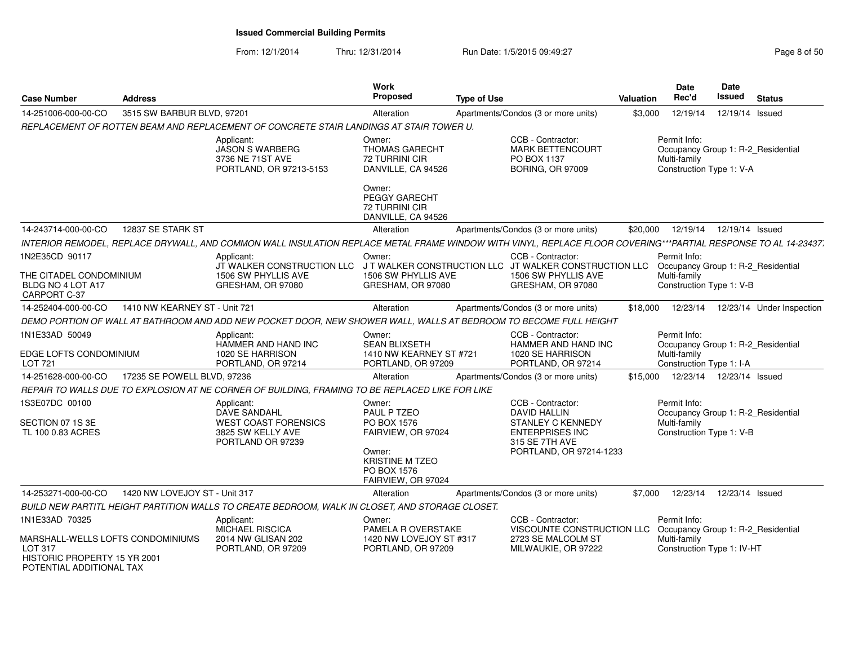From: 12/1/2014

Thru: 12/31/2014 Run Date: 1/5/2015 09:49:27 Reg

| Page 8 of 50 |  |  |
|--------------|--|--|

| <b>Case Number</b>                                                                                                         | <b>Address</b>                |                                                                                                                                                                | Work<br><b>Proposed</b>                                                                        | <b>Type of Use</b> |                                                                                                                                      | <b>Valuation</b> | <b>Date</b><br>Rec'd                                                                             | Date<br><b>Issued</b> | <b>Status</b>             |
|----------------------------------------------------------------------------------------------------------------------------|-------------------------------|----------------------------------------------------------------------------------------------------------------------------------------------------------------|------------------------------------------------------------------------------------------------|--------------------|--------------------------------------------------------------------------------------------------------------------------------------|------------------|--------------------------------------------------------------------------------------------------|-----------------------|---------------------------|
| 14-251006-000-00-CO                                                                                                        | 3515 SW BARBUR BLVD, 97201    |                                                                                                                                                                | Alteration                                                                                     |                    | Apartments/Condos (3 or more units)                                                                                                  | \$3,000          | 12/19/14                                                                                         | 12/19/14 Issued       |                           |
|                                                                                                                            |                               | REPLACEMENT OF ROTTEN BEAM AND REPLACEMENT OF CONCRETE STAIR LANDINGS AT STAIR TOWER U.                                                                        |                                                                                                |                    |                                                                                                                                      |                  |                                                                                                  |                       |                           |
|                                                                                                                            |                               | Applicant:<br><b>JASON S WARBERG</b><br>3736 NE 71ST AVE<br>PORTLAND, OR 97213-5153                                                                            | Owner:<br><b>THOMAS GARECHT</b><br>72 TURRINI CIR<br>DANVILLE, CA 94526                        |                    | CCB - Contractor:<br><b>MARK BETTENCOURT</b><br>PO BOX 1137<br><b>BORING, OR 97009</b>                                               |                  | Permit Info:<br>Occupancy Group 1: R-2_Residential<br>Multi-family<br>Construction Type 1: V-A   |                       |                           |
|                                                                                                                            |                               |                                                                                                                                                                | Owner:<br><b>PEGGY GARECHT</b><br>72 TURRINI CIR<br>DANVILLE, CA 94526                         |                    |                                                                                                                                      |                  |                                                                                                  |                       |                           |
| 14-243714-000-00-CO                                                                                                        | 12837 SE STARK ST             |                                                                                                                                                                | Alteration                                                                                     |                    | Apartments/Condos (3 or more units)                                                                                                  | \$20,000         | 12/19/14                                                                                         | 12/19/14 Issued       |                           |
|                                                                                                                            |                               | INTERIOR REMODEL, REPLACE DRYWALL, AND COMMON WALL INSULATION REPLACE METAL FRAME WINDOW WITH VINYL, REPLACE FLOOR COVERING***PARTIAL RESPONSE TO AL 14-23437. |                                                                                                |                    |                                                                                                                                      |                  |                                                                                                  |                       |                           |
| 1N2E35CD 90117<br>THE CITADEL CONDOMINIUM<br>BLDG NO 4 LOT A17<br>CARPORT C-37                                             |                               | Applicant:<br>JT WALKER CONSTRUCTION LLC JT WALKER CONSTRUCTION LLC JT WALKER CONSTRUCTION LLC<br>1506 SW PHYLLIS AVE<br>GRESHAM, OR 97080                     | Owner:<br>1506 SW PHYLLIS AVE<br>GRESHAM, OR 97080                                             |                    | CCB - Contractor:<br>1506 SW PHYLLIS AVE<br>GRESHAM, OR 97080                                                                        |                  | Permit Info:<br>Occupancy Group 1: R-2_Residential<br>Multi-family<br>Construction Type 1: V-B   |                       |                           |
| 14-252404-000-00-CO                                                                                                        | 1410 NW KEARNEY ST - Unit 721 |                                                                                                                                                                | Alteration                                                                                     |                    | Apartments/Condos (3 or more units)                                                                                                  | \$18,000         | 12/23/14                                                                                         |                       | 12/23/14 Under Inspection |
|                                                                                                                            |                               | DEMO PORTION OF WALL AT BATHROOM AND ADD NEW POCKET DOOR, NEW SHOWER WALL, WALLS AT BEDROOM TO BECOME FULL HEIGHT                                              |                                                                                                |                    |                                                                                                                                      |                  |                                                                                                  |                       |                           |
| 1N1E33AD 50049<br>EDGE LOFTS CONDOMINIUM<br><b>LOT 721</b>                                                                 |                               | Applicant:<br>HAMMER AND HAND INC<br>1020 SE HARRISON<br>PORTLAND, OR 97214                                                                                    | Owner:<br><b>SEAN BLIXSETH</b><br>1410 NW KEARNEY ST #721<br>PORTLAND, OR 97209                |                    | CCB - Contractor:<br>HAMMER AND HAND INC<br>1020 SE HARRISON<br>PORTLAND, OR 97214                                                   |                  | Permit Info:<br>Occupancy Group 1: R-2 Residential<br>Multi-family<br>Construction Type 1: I-A   |                       |                           |
| 14-251628-000-00-CO                                                                                                        | 17235 SE POWELL BLVD, 97236   |                                                                                                                                                                | Alteration                                                                                     |                    | Apartments/Condos (3 or more units)                                                                                                  | \$15,000         | 12/23/14                                                                                         | 12/23/14 Issued       |                           |
|                                                                                                                            |                               | REPAIR TO WALLS DUE TO EXPLOSION AT NE CORNER OF BUILDING, FRAMING TO BE REPLACED LIKE FOR LIKE                                                                |                                                                                                |                    |                                                                                                                                      |                  |                                                                                                  |                       |                           |
| 1S3E07DC 00100<br>SECTION 07 1S 3E<br>TL 100 0.83 ACRES                                                                    |                               | Applicant:<br>DAVE SANDAHL<br><b>WEST COAST FORENSICS</b><br>3825 SW KELLY AVE<br>PORTLAND OR 97239                                                            | Owner:<br>PAUL P TZEO<br>PO BOX 1576<br>FAIRVIEW, OR 97024<br>Owner:<br><b>KRISTINE M TZEO</b> |                    | CCB - Contractor:<br><b>DAVID HALLIN</b><br>STANLEY C KENNEDY<br><b>ENTERPRISES INC</b><br>315 SE 7TH AVE<br>PORTLAND, OR 97214-1233 |                  | Permit Info:<br>Occupancy Group 1: R-2 Residential<br>Multi-family<br>Construction Type 1: V-B   |                       |                           |
|                                                                                                                            |                               |                                                                                                                                                                | PO BOX 1576<br>FAIRVIEW, OR 97024                                                              |                    |                                                                                                                                      |                  |                                                                                                  |                       |                           |
| 14-253271-000-00-CO                                                                                                        | 1420 NW LOVEJOY ST - Unit 317 |                                                                                                                                                                | Alteration                                                                                     |                    | Apartments/Condos (3 or more units)                                                                                                  | \$7,000          | 12/23/14                                                                                         | 12/23/14 Issued       |                           |
|                                                                                                                            |                               | BUILD NEW PARTITL HEIGHT PARTITION WALLS TO CREATE BEDROOM, WALK IN CLOSET, AND STORAGE CLOSET.                                                                |                                                                                                |                    |                                                                                                                                      |                  |                                                                                                  |                       |                           |
| 1N1E33AD 70325<br>MARSHALL-WELLS LOFTS CONDOMINIUMS<br>LOT 317<br>HISTORIC PROPERTY 15 YR 2001<br>POTENTIAL ADDITIONAL TAX |                               | Applicant:<br>MICHAEL RISCICA<br>2014 NW GLISAN 202<br>PORTLAND, OR 97209                                                                                      | Owner:<br>PAMELA R OVERSTAKE<br>1420 NW LOVEJOY ST #317<br>PORTLAND, OR 97209                  |                    | CCB - Contractor:<br>VISCOUNTE CONSTRUCTION LLC<br>2723 SE MALCOLM ST<br>MILWAUKIE, OR 97222                                         |                  | Permit Info:<br>Occupancy Group 1: R-2 Residential<br>Multi-family<br>Construction Type 1: IV-HT |                       |                           |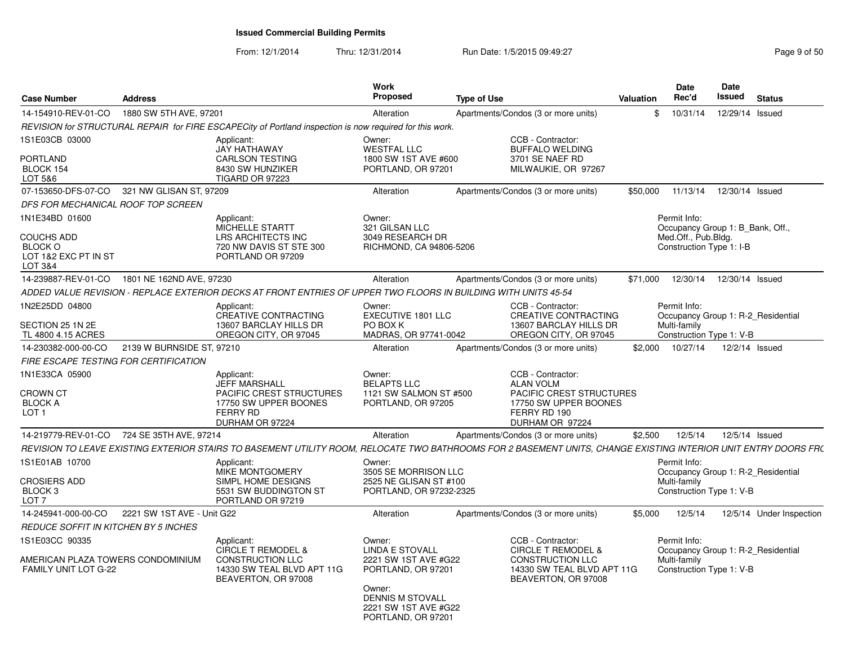From: 12/1/2014Thru: 12/31/2014 Run Date: 1/5/2015 09:49:27 Rege 9 of 50

| <b>Case Number</b>                                               | <b>Address</b>             |                                                                                                                                                                 | Work<br><b>Proposed</b>                                                         | <b>Type of Use</b> |                                                                              | Valuation | Date<br>Rec'd                                    | Date<br>Issued  | <b>Status</b>                      |
|------------------------------------------------------------------|----------------------------|-----------------------------------------------------------------------------------------------------------------------------------------------------------------|---------------------------------------------------------------------------------|--------------------|------------------------------------------------------------------------------|-----------|--------------------------------------------------|-----------------|------------------------------------|
| 14-154910-REV-01-CO                                              | 1880 SW 5TH AVE, 97201     |                                                                                                                                                                 | Alteration                                                                      |                    | Apartments/Condos (3 or more units)                                          | \$        | 10/31/14                                         | 12/29/14 Issued |                                    |
|                                                                  |                            | REVISION for STRUCTURAL REPAIR for FIRE ESCAPECity of Portland inspection is now required for this work.                                                        |                                                                                 |                    |                                                                              |           |                                                  |                 |                                    |
| 1S1E03CB 03000                                                   |                            | Applicant:<br>JAY HATHAWAY                                                                                                                                      | Owner:<br><b>WESTFAL LLC</b>                                                    |                    | CCB - Contractor:<br><b>BUFFALO WELDING</b>                                  |           |                                                  |                 |                                    |
| PORTLAND<br>BLOCK 154<br>LOT 5&6                                 |                            | <b>CARLSON TESTING</b><br>8430 SW HUNZIKER<br><b>TIGARD OR 97223</b>                                                                                            | 1800 SW 1ST AVE #600<br>PORTLAND, OR 97201                                      |                    | 3701 SE NAEF RD<br>MILWAUKIE, OR 97267                                       |           |                                                  |                 |                                    |
| 07-153650-DFS-07-CO                                              | 321 NW GLISAN ST, 97209    |                                                                                                                                                                 | Alteration                                                                      |                    | Apartments/Condos (3 or more units)                                          | \$50,000  | 11/13/14                                         | 12/30/14 Issued |                                    |
| DFS FOR MECHANICAL ROOF TOP SCREEN                               |                            |                                                                                                                                                                 |                                                                                 |                    |                                                                              |           |                                                  |                 |                                    |
| 1N1E34BD 01600                                                   |                            | Applicant:<br>MICHELLE STARTT                                                                                                                                   | Owner:<br>321 GILSAN LLC                                                        |                    |                                                                              |           | Permit Info:<br>Occupancy Group 1: B_Bank, Off., |                 |                                    |
| COUCHS ADD<br><b>BLOCK O</b><br>LOT 1&2 EXC PT IN ST<br>LOT 3&4  |                            | LRS ARCHITECTS INC<br>720 NW DAVIS ST STE 300<br>PORTLAND OR 97209                                                                                              | 3049 RESEARCH DR<br>RICHMOND, CA 94806-5206                                     |                    |                                                                              |           | Med.Off., Pub.Bldg.<br>Construction Type 1: I-B  |                 |                                    |
| 14-239887-REV-01-CO                                              | 1801 NE 162ND AVE, 97230   |                                                                                                                                                                 | Alteration                                                                      |                    | Apartments/Condos (3 or more units)                                          | \$71,000  | 12/30/14                                         | 12/30/14 Issued |                                    |
|                                                                  |                            | ADDED VALUE REVISION - REPLACE EXTERIOR DECKS AT FRONT ENTRIES OF UPPER TWO FLOORS IN BUILDING WITH UNITS 45-54                                                 |                                                                                 |                    |                                                                              |           |                                                  |                 |                                    |
| 1N2E25DD 04800                                                   |                            | Applicant:<br><b>CREATIVE CONTRACTING</b>                                                                                                                       | Owner:<br>EXECUTIVE 1801 LLC                                                    |                    | CCB - Contractor:<br>CREATIVE CONTRACTING                                    |           | Permit Info:                                     |                 | Occupancy Group 1: R-2 Residential |
| SECTION 25 1N 2E<br>TL 4800 4.15 ACRES                           |                            | 13607 BARCLAY HILLS DR<br>OREGON CITY, OR 97045                                                                                                                 | PO BOX K<br>MADRAS, OR 97741-0042                                               |                    | 13607 BARCLAY HILLS DR<br>OREGON CITY, OR 97045                              |           | Multi-family<br>Construction Type 1: V-B         |                 |                                    |
| 14-230382-000-00-CO                                              | 2139 W BURNSIDE ST, 97210  |                                                                                                                                                                 | Alteration                                                                      |                    | Apartments/Condos (3 or more units)                                          | \$2.000   | 10/27/14                                         | 12/2/14 Issued  |                                    |
| FIRE ESCAPE TESTING FOR CERTIFICATION                            |                            |                                                                                                                                                                 |                                                                                 |                    |                                                                              |           |                                                  |                 |                                    |
| 1N1E33CA 05900                                                   |                            | Applicant:<br><b>JEFF MARSHALL</b>                                                                                                                              | Owner:<br><b>BELAPTS LLC</b>                                                    |                    | CCB - Contractor:<br><b>ALAN VOLM</b>                                        |           |                                                  |                 |                                    |
| <b>CROWN CT</b>                                                  |                            | PACIFIC CREST STRUCTURES                                                                                                                                        | 1121 SW SALMON ST #500                                                          |                    | PACIFIC CREST STRUCTURES                                                     |           |                                                  |                 |                                    |
| <b>BLOCK A</b><br>LOT <sub>1</sub>                               |                            | 17750 SW UPPER BOONES<br><b>FERRY RD</b>                                                                                                                        | PORTLAND, OR 97205                                                              |                    | 17750 SW UPPER BOONES<br>FERRY RD 190                                        |           |                                                  |                 |                                    |
|                                                                  |                            | DURHAM OR 97224                                                                                                                                                 |                                                                                 |                    | DURHAM OR 97224                                                              |           |                                                  |                 |                                    |
| 14-219779-REV-01-CO 724 SE 35TH AVE, 97214                       |                            |                                                                                                                                                                 | Alteration                                                                      |                    | Apartments/Condos (3 or more units)                                          | \$2,500   | 12/5/14                                          | 12/5/14 Issued  |                                    |
|                                                                  |                            | REVISION TO LEAVE EXISTING EXTERIOR STAIRS TO BASEMENT UTILITY ROOM, RELOCATE TWO BATHROOMS FOR 2 BASEMENT UNITS, CHANGE EXISTING INTERIOR UNIT ENTRY DOORS FR( |                                                                                 |                    |                                                                              |           |                                                  |                 |                                    |
| 1S1E01AB 10700                                                   |                            | Applicant:                                                                                                                                                      | Owner:                                                                          |                    |                                                                              |           | Permit Info:                                     |                 |                                    |
|                                                                  |                            | <b>MIKE MONTGOMERY</b>                                                                                                                                          | 3505 SE MORRISON LLC                                                            |                    |                                                                              |           |                                                  |                 | Occupancy Group 1: R-2 Residential |
| CROSIERS ADD<br>BLOCK 3                                          |                            | SIMPL HOME DESIGNS<br>5531 SW BUDDINGTON ST                                                                                                                     | 2525 NE GLISAN ST #100<br>PORTLAND, OR 97232-2325                               |                    |                                                                              |           | Multi-family<br>Construction Type 1: V-B         |                 |                                    |
| LOT <sub>7</sub>                                                 |                            | PORTLAND OR 97219                                                                                                                                               |                                                                                 |                    |                                                                              |           |                                                  |                 |                                    |
| 14-245941-000-00-CO                                              | 2221 SW 1ST AVE - Unit G22 |                                                                                                                                                                 | Alteration                                                                      |                    | Apartments/Condos (3 or more units)                                          | \$5,000   | 12/5/14                                          |                 | 12/5/14 Under Inspection           |
| <b>REDUCE SOFFIT IN KITCHEN BY 5 INCHES</b>                      |                            |                                                                                                                                                                 |                                                                                 |                    |                                                                              |           |                                                  |                 |                                    |
| IS1E03CC 90335                                                   |                            | Applicant:<br><b>CIRCLE T REMODEL &amp;</b>                                                                                                                     | Owner:<br><b>LINDA E STOVALL</b>                                                |                    | CCB - Contractor:<br><b>CIRCLE T REMODEL &amp;</b>                           |           | Permit Info:                                     |                 | Occupancy Group 1: R-2 Residential |
| AMERICAN PLAZA TOWERS CONDOMINIUM<br><b>FAMILY UNIT LOT G-22</b> |                            | <b>CONSTRUCTION LLC</b><br>14330 SW TEAL BLVD APT 11G<br>BEAVERTON, OR 97008                                                                                    | 2221 SW 1ST AVE #G22<br>PORTLAND, OR 97201                                      |                    | <b>CONSTRUCTION LLC</b><br>14330 SW TEAL BLVD APT 11G<br>BEAVERTON, OR 97008 |           | Multi-family<br>Construction Type 1: V-B         |                 |                                    |
|                                                                  |                            |                                                                                                                                                                 | Owner:<br><b>DENNIS M STOVALL</b><br>2221 SW 1ST AVE #G22<br>PORTLAND, OR 97201 |                    |                                                                              |           |                                                  |                 |                                    |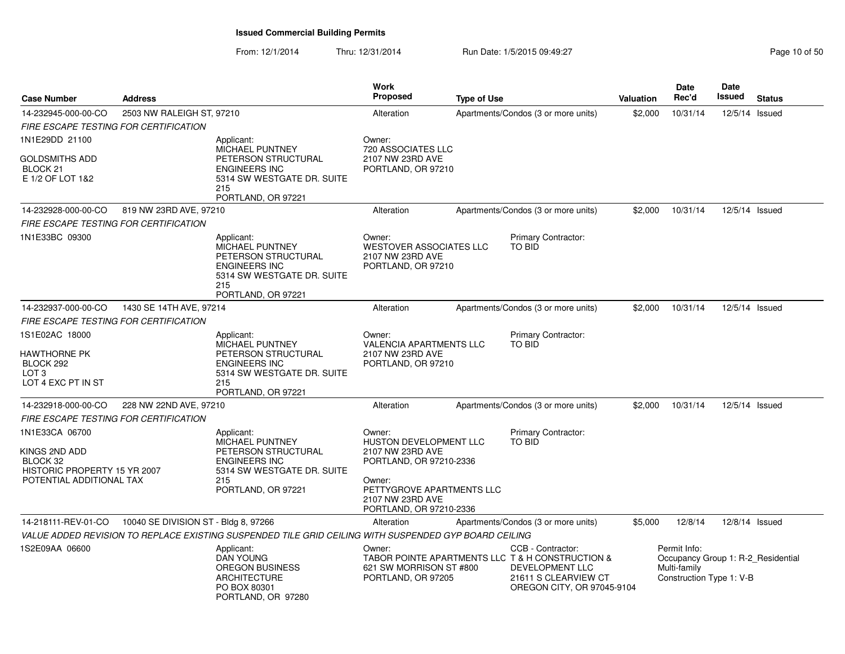| <b>Case Number</b>                                                                                      | <b>Address</b>                       |                                                                                                                                                | <b>Work</b><br><b>Proposed</b>                                                                                                                                               | <b>Type of Use</b> |                                                                                                                                                | <b>Valuation</b> | Date<br>Rec'd                                            | Date<br>Issued | <b>Status</b>                      |
|---------------------------------------------------------------------------------------------------------|--------------------------------------|------------------------------------------------------------------------------------------------------------------------------------------------|------------------------------------------------------------------------------------------------------------------------------------------------------------------------------|--------------------|------------------------------------------------------------------------------------------------------------------------------------------------|------------------|----------------------------------------------------------|----------------|------------------------------------|
| 14-232945-000-00-CO                                                                                     | 2503 NW RALEIGH ST, 97210            |                                                                                                                                                | Alteration                                                                                                                                                                   |                    | Apartments/Condos (3 or more units)                                                                                                            | \$2,000          | 10/31/14                                                 | 12/5/14 Issued |                                    |
| FIRE ESCAPE TESTING FOR CERTIFICATION                                                                   |                                      |                                                                                                                                                |                                                                                                                                                                              |                    |                                                                                                                                                |                  |                                                          |                |                                    |
| 1N1E29DD 21100<br>GOLDSMITHS ADD<br>BLOCK <sub>21</sub><br>E 1/2 OF LOT 1&2                             |                                      | Applicant:<br><b>MICHAEL PUNTNEY</b><br>PETERSON STRUCTURAL<br><b>ENGINEERS INC</b><br>5314 SW WESTGATE DR. SUITE<br>215<br>PORTLAND, OR 97221 | Owner:<br>720 ASSOCIATES LLC<br>2107 NW 23RD AVE<br>PORTLAND, OR 97210                                                                                                       |                    |                                                                                                                                                |                  |                                                          |                |                                    |
| 14-232928-000-00-CO                                                                                     | 819 NW 23RD AVE, 97210               |                                                                                                                                                | Alteration                                                                                                                                                                   |                    | Apartments/Condos (3 or more units)                                                                                                            | \$2,000          | 10/31/14                                                 | 12/5/14 Issued |                                    |
| FIRE ESCAPE TESTING FOR CERTIFICATION                                                                   |                                      |                                                                                                                                                |                                                                                                                                                                              |                    |                                                                                                                                                |                  |                                                          |                |                                    |
| 1N1E33BC 09300                                                                                          |                                      | Applicant:<br><b>MICHAEL PUNTNEY</b><br>PETERSON STRUCTURAL<br><b>ENGINEERS INC</b><br>5314 SW WESTGATE DR. SUITE<br>215<br>PORTLAND, OR 97221 | Owner:<br><b>WESTOVER ASSOCIATES LLC</b><br>2107 NW 23RD AVE<br>PORTLAND, OR 97210                                                                                           |                    | Primary Contractor:<br>TO BID                                                                                                                  |                  |                                                          |                |                                    |
| 14-232937-000-00-CO                                                                                     | 1430 SE 14TH AVE, 97214              |                                                                                                                                                | Alteration                                                                                                                                                                   |                    | Apartments/Condos (3 or more units)                                                                                                            | \$2,000          | 10/31/14                                                 | 12/5/14 Issued |                                    |
| <b>FIRE ESCAPE TESTING FOR CERTIFICATION</b>                                                            |                                      |                                                                                                                                                |                                                                                                                                                                              |                    |                                                                                                                                                |                  |                                                          |                |                                    |
| 1S1E02AC 18000<br>HAWTHORNE PK<br>BLOCK 292<br>LOT 3<br>LOT 4 EXC PT IN ST                              |                                      | Applicant:<br>MICHAEL PUNTNEY<br>PETERSON STRUCTURAL<br><b>ENGINEERS INC</b><br>5314 SW WESTGATE DR. SUITE<br>215<br>PORTLAND, OR 97221        | Owner:<br><b>VALENCIA APARTMENTS LLC</b><br>2107 NW 23RD AVE<br>PORTLAND, OR 97210                                                                                           |                    | Primary Contractor:<br><b>TO BID</b>                                                                                                           |                  |                                                          |                |                                    |
| 14-232918-000-00-CO                                                                                     | 228 NW 22ND AVE, 97210               |                                                                                                                                                | Alteration                                                                                                                                                                   |                    | Apartments/Condos (3 or more units)                                                                                                            | \$2,000          | 10/31/14                                                 | 12/5/14 Issued |                                    |
| FIRE ESCAPE TESTING FOR CERTIFICATION                                                                   |                                      |                                                                                                                                                |                                                                                                                                                                              |                    |                                                                                                                                                |                  |                                                          |                |                                    |
| 1N1E33CA 06700<br>KINGS 2ND ADD<br>BLOCK 32<br>HISTORIC PROPERTY 15 YR 2007<br>POTENTIAL ADDITIONAL TAX |                                      | Applicant:<br><b>MICHAEL PUNTNEY</b><br>PETERSON STRUCTURAL<br><b>ENGINEERS INC</b><br>5314 SW WESTGATE DR. SUITE<br>215<br>PORTLAND, OR 97221 | Owner:<br><b>HUSTON DEVELOPMENT LLC</b><br>2107 NW 23RD AVE<br>PORTLAND, OR 97210-2336<br>Owner:<br>PETTYGROVE APARTMENTS LLC<br>2107 NW 23RD AVE<br>PORTLAND, OR 97210-2336 |                    | Primary Contractor:<br><b>TO BID</b>                                                                                                           |                  |                                                          |                |                                    |
| 14-218111-REV-01-CO                                                                                     | 10040 SE DIVISION ST - Bldg 8, 97266 |                                                                                                                                                | Alteration                                                                                                                                                                   |                    | Apartments/Condos (3 or more units)                                                                                                            | \$5,000          | 12/8/14                                                  | 12/8/14 Issued |                                    |
|                                                                                                         |                                      | VALUE ADDED REVISION TO REPLACE EXISTING SUSPENDED TILE GRID CEILING WITH SUSPENDED GYP BOARD CEILING                                          |                                                                                                                                                                              |                    |                                                                                                                                                |                  |                                                          |                |                                    |
| 1S2E09AA 06600                                                                                          |                                      | Applicant:<br><b>DAN YOUNG</b><br><b>OREGON BUSINESS</b><br><b>ARCHITECTURE</b><br>PO BOX 80301<br>PORTLAND, OR 97280                          | Owner:<br>621 SW MORRISON ST #800<br>PORTLAND, OR 97205                                                                                                                      |                    | CCB - Contractor:<br>TABOR POINTE APARTMENTS LLC T & H CONSTRUCTION &<br>DEVELOPMENT LLC<br>21611 S CLEARVIEW CT<br>OREGON CITY, OR 97045-9104 |                  | Permit Info:<br>Multi-family<br>Construction Type 1: V-B |                | Occupancy Group 1: R-2 Residential |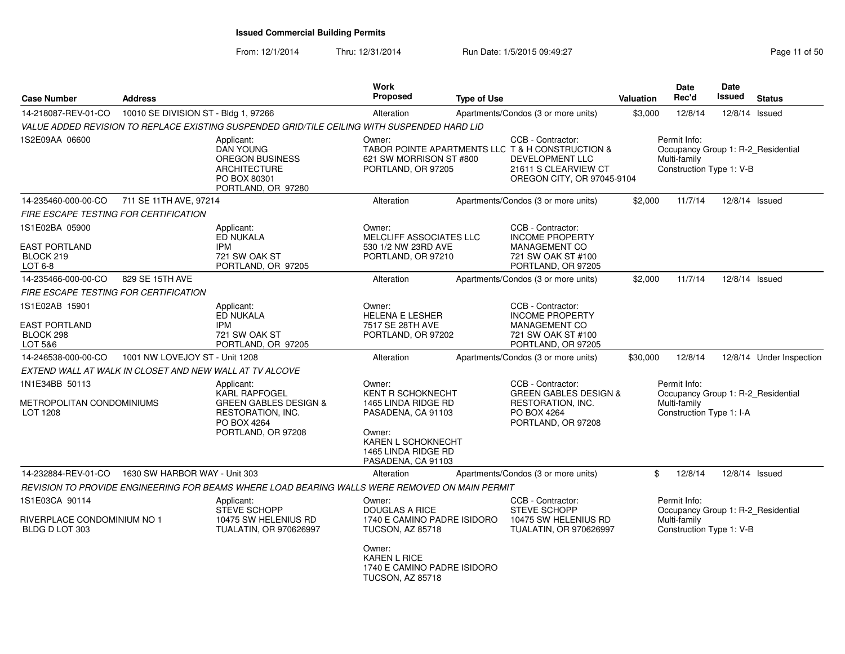From: 12/1/2014Thru: 12/31/2014 Run Date: 1/5/2015 09:49:27 Research 2010 12:31/2014 Page 11 of 50

| <b>Case Number</b>                                              | <b>Address</b>                       |                                                                                                                                  | <b>Work</b><br><b>Proposed</b>                                                                                                                                                       | <b>Type of Use</b> |                                                                                                                                                       | <b>Valuation</b> | Date<br>Rec'd                                                                                  | <b>Date</b><br><b>Issued</b> | <b>Status</b>            |
|-----------------------------------------------------------------|--------------------------------------|----------------------------------------------------------------------------------------------------------------------------------|--------------------------------------------------------------------------------------------------------------------------------------------------------------------------------------|--------------------|-------------------------------------------------------------------------------------------------------------------------------------------------------|------------------|------------------------------------------------------------------------------------------------|------------------------------|--------------------------|
| 14-218087-REV-01-CO                                             | 10010 SE DIVISION ST - Bldg 1, 97266 |                                                                                                                                  | Alteration                                                                                                                                                                           |                    | Apartments/Condos (3 or more units)                                                                                                                   | \$3,000          | 12/8/14                                                                                        | 12/8/14 Issued               |                          |
|                                                                 |                                      | VALUE ADDED REVISION TO REPLACE EXISTING SUSPENDED GRID/TILE CEILING WITH SUSPENDED HARD LID                                     |                                                                                                                                                                                      |                    |                                                                                                                                                       |                  |                                                                                                |                              |                          |
| 1S2E09AA 06600                                                  |                                      | Applicant:<br><b>DAN YOUNG</b><br><b>OREGON BUSINESS</b><br><b>ARCHITECTURE</b><br>PO BOX 80301<br>PORTLAND, OR 97280            | Owner:<br>621 SW MORRISON ST #800<br>PORTLAND, OR 97205                                                                                                                              |                    | CCB - Contractor:<br>TABOR POINTE APARTMENTS LLC T & H CONSTRUCTION &<br><b>DEVELOPMENT LLC</b><br>21611 S CLEARVIEW CT<br>OREGON CITY, OR 97045-9104 |                  | Permit Info:<br>Occupancy Group 1: R-2_Residential<br>Multi-family<br>Construction Type 1: V-B |                              |                          |
| 14-235460-000-00-CO                                             | 711 SE 11TH AVE, 97214               |                                                                                                                                  | Alteration                                                                                                                                                                           |                    | Apartments/Condos (3 or more units)                                                                                                                   | \$2,000          | 11/7/14                                                                                        | 12/8/14 Issued               |                          |
| FIRE ESCAPE TESTING FOR CERTIFICATION                           |                                      |                                                                                                                                  |                                                                                                                                                                                      |                    |                                                                                                                                                       |                  |                                                                                                |                              |                          |
| 1S1E02BA 05900<br>EAST PORTLAND<br>BLOCK 219<br>$LOT6-8$        |                                      | Applicant:<br>ED NUKALA<br>IPM<br>721 SW OAK ST<br>PORTLAND, OR 97205                                                            | Owner:<br><b>MELCLIFF ASSOCIATES LLC</b><br>530 1/2 NW 23RD AVE<br>PORTLAND, OR 97210                                                                                                |                    | CCB - Contractor:<br><b>INCOME PROPERTY</b><br>MANAGEMENT CO<br>721 SW OAK ST #100<br>PORTLAND, OR 97205                                              |                  |                                                                                                |                              |                          |
| 14-235466-000-00-CO                                             | 829 SE 15TH AVE                      |                                                                                                                                  | Alteration                                                                                                                                                                           |                    | Apartments/Condos (3 or more units)                                                                                                                   | \$2,000          | 11/7/14                                                                                        | 12/8/14 Issued               |                          |
| <b>FIRE ESCAPE TESTING FOR CERTIFICATION</b>                    |                                      |                                                                                                                                  |                                                                                                                                                                                      |                    |                                                                                                                                                       |                  |                                                                                                |                              |                          |
| 1S1E02AB 15901<br>EAST PORTLAND<br>BLOCK 298<br>LOT 5&6         |                                      | Applicant:<br>ED NUKALA<br><b>IPM</b><br>721 SW OAK ST<br>PORTLAND, OR 97205                                                     | Owner:<br><b>HELENA E LESHER</b><br>7517 SE 28TH AVE<br>PORTLAND, OR 97202                                                                                                           |                    | CCB - Contractor:<br><b>INCOME PROPERTY</b><br>MANAGEMENT CO<br>721 SW OAK ST #100<br>PORTLAND, OR 97205                                              |                  |                                                                                                |                              |                          |
| 14-246538-000-00-CO                                             | 1001 NW LOVEJOY ST - Unit 1208       |                                                                                                                                  | Alteration                                                                                                                                                                           |                    | Apartments/Condos (3 or more units)                                                                                                                   | \$30,000         | 12/8/14                                                                                        |                              | 12/8/14 Under Inspection |
| EXTEND WALL AT WALK IN CLOSET AND NEW WALL AT TV ALCOVE         |                                      |                                                                                                                                  |                                                                                                                                                                                      |                    |                                                                                                                                                       |                  |                                                                                                |                              |                          |
| 1N1E34BB 50113<br>METROPOLITAN CONDOMINIUMS<br>LOT 1208         |                                      | Applicant:<br><b>KARL RAPFOGEL</b><br><b>GREEN GABLES DESIGN &amp;</b><br>RESTORATION, INC.<br>PO BOX 4264<br>PORTLAND, OR 97208 | Owner:<br><b>KENT R SCHOKNECHT</b><br>1465 LINDA RIDGE RD<br>PASADENA, CA 91103<br>Owner:<br>KAREN L SCHOKNECHT<br>1465 LINDA RIDGE RD<br>PASADENA, CA 91103                         |                    | CCB - Contractor:<br><b>GREEN GABLES DESIGN &amp;</b><br>RESTORATION, INC.<br>PO BOX 4264<br>PORTLAND, OR 97208                                       |                  | Permit Info:<br>Occupancy Group 1: R-2 Residential<br>Multi-family<br>Construction Type 1: I-A |                              |                          |
| 14-232884-REV-01-CO                                             | 1630 SW HARBOR WAY - Unit 303        |                                                                                                                                  | Alteration                                                                                                                                                                           |                    | Apartments/Condos (3 or more units)                                                                                                                   | \$               | 12/8/14                                                                                        | 12/8/14 Issued               |                          |
|                                                                 |                                      | REVISION TO PROVIDE ENGINEERING FOR BEAMS WHERE LOAD BEARING WALLS WERE REMOVED ON MAIN PERMIT                                   |                                                                                                                                                                                      |                    |                                                                                                                                                       |                  |                                                                                                |                              |                          |
| 1S1E03CA 90114<br>RIVERPLACE CONDOMINIUM NO 1<br>BLDG D LOT 303 |                                      | Applicant:<br>STEVE SCHOPP<br>10475 SW HELENIUS RD<br>TUALATIN, OR 970626997                                                     | Owner:<br><b>DOUGLAS A RICE</b><br>1740 E CAMINO PADRE ISIDORO<br><b>TUCSON, AZ 85718</b><br>Owner:<br><b>KAREN L RICE</b><br>1740 E CAMINO PADRE ISIDORO<br><b>TUCSON, AZ 85718</b> |                    | CCB - Contractor:<br><b>STEVE SCHOPP</b><br>10475 SW HELENIUS RD<br><b>TUALATIN, OR 970626997</b>                                                     |                  | Permit Info:<br>Occupancy Group 1: R-2 Residential<br>Multi-family<br>Construction Type 1: V-B |                              |                          |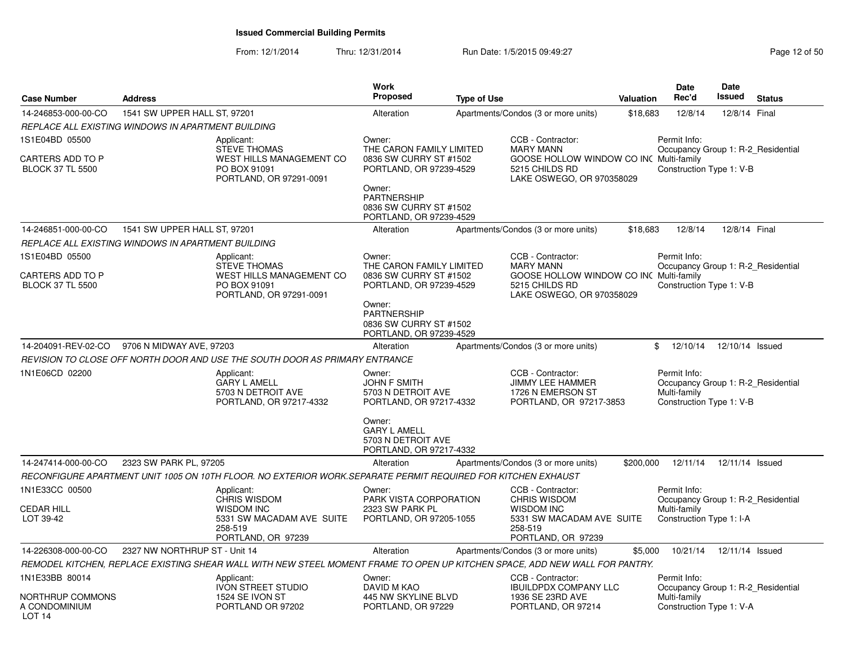| <b>Case Number</b>                                            | <b>Address</b>                                     |                                                                                                                             | <b>Work</b><br><b>Proposed</b>                                                                                                                    | <b>Type of Use</b> |                                                                                                                                 | Valuation | Date<br>Rec'd                                                                                  | Date<br>Issued  | <b>Status</b> |
|---------------------------------------------------------------|----------------------------------------------------|-----------------------------------------------------------------------------------------------------------------------------|---------------------------------------------------------------------------------------------------------------------------------------------------|--------------------|---------------------------------------------------------------------------------------------------------------------------------|-----------|------------------------------------------------------------------------------------------------|-----------------|---------------|
| 14-246853-000-00-CO                                           | 1541 SW UPPER HALL ST, 97201                       |                                                                                                                             | Alteration                                                                                                                                        |                    | Apartments/Condos (3 or more units)                                                                                             | \$18,683  | 12/8/14                                                                                        | 12/8/14 Final   |               |
|                                                               | REPLACE ALL EXISTING WINDOWS IN APARTMENT BUILDING |                                                                                                                             |                                                                                                                                                   |                    |                                                                                                                                 |           |                                                                                                |                 |               |
| 1S1E04BD 05500<br>CARTERS ADD TO P<br><b>BLOCK 37 TL 5500</b> |                                                    | Applicant:<br><b>STEVE THOMAS</b><br>WEST HILLS MANAGEMENT CO<br>PO BOX 91091<br>PORTLAND, OR 97291-0091                    | Owner:<br>THE CARON FAMILY LIMITED<br>0836 SW CURRY ST #1502<br>PORTLAND, OR 97239-4529<br>Owner:<br><b>PARTNERSHIP</b><br>0836 SW CURRY ST #1502 |                    | CCB - Contractor:<br><b>MARY MANN</b><br>GOOSE HOLLOW WINDOW CO INC Multi-family<br>5215 CHILDS RD<br>LAKE OSWEGO, OR 970358029 |           | Permit Info:<br>Occupancy Group 1: R-2 Residential<br>Construction Type 1: V-B                 |                 |               |
| 14-246851-000-00-CO                                           | 1541 SW UPPER HALL ST, 97201                       |                                                                                                                             | PORTLAND, OR 97239-4529<br>Alteration                                                                                                             |                    | Apartments/Condos (3 or more units)                                                                                             | \$18,683  | 12/8/14                                                                                        | 12/8/14 Final   |               |
|                                                               | REPLACE ALL EXISTING WINDOWS IN APARTMENT BUILDING |                                                                                                                             |                                                                                                                                                   |                    |                                                                                                                                 |           |                                                                                                |                 |               |
| 1S1E04BD 05500                                                |                                                    | Applicant:                                                                                                                  | Owner:                                                                                                                                            |                    | CCB - Contractor:                                                                                                               |           | Permit Info:                                                                                   |                 |               |
| CARTERS ADD TO P<br><b>BLOCK 37 TL 5500</b>                   |                                                    | <b>STEVE THOMAS</b><br>WEST HILLS MANAGEMENT CO<br>PO BOX 91091<br>PORTLAND, OR 97291-0091                                  | THE CARON FAMILY LIMITED<br>0836 SW CURRY ST #1502<br>PORTLAND, OR 97239-4529<br>Owner:<br>PARTNERSHIP<br>0836 SW CURRY ST #1502                  |                    | <b>MARY MANN</b><br>GOOSE HOLLOW WINDOW CO INC Multi-family<br>5215 CHILDS RD<br>LAKE OSWEGO, OR 970358029                      |           | Occupancy Group 1: R-2 Residential<br>Construction Type 1: V-B                                 |                 |               |
| 14-204091-REV-02-CO                                           | 9706 N MIDWAY AVE, 97203                           |                                                                                                                             | PORTLAND, OR 97239-4529<br>Alteration                                                                                                             |                    | Apartments/Condos (3 or more units)                                                                                             | \$        | 12/10/14                                                                                       | 12/10/14 Issued |               |
|                                                               |                                                    | REVISION TO CLOSE OFF NORTH DOOR AND USE THE SOUTH DOOR AS PRIMARY ENTRANCE                                                 |                                                                                                                                                   |                    |                                                                                                                                 |           |                                                                                                |                 |               |
| 1N1E06CD 02200                                                |                                                    | Applicant:<br><b>GARY L AMELL</b><br>5703 N DETROIT AVE<br>PORTLAND, OR 97217-4332                                          | Owner:<br><b>JOHN F SMITH</b><br>5703 N DETROIT AVE<br>PORTLAND, OR 97217-4332<br>Owner:<br><b>GARY L AMELL</b>                                   |                    | CCB - Contractor:<br><b>JIMMY LEE HAMMER</b><br>1726 N EMERSON ST<br>PORTLAND, OR 97217-3853                                    |           | Permit Info:<br>Occupancy Group 1: R-2 Residential<br>Multi-family<br>Construction Type 1: V-B |                 |               |
|                                                               |                                                    |                                                                                                                             | 5703 N DETROIT AVE<br>PORTLAND, OR 97217-4332                                                                                                     |                    |                                                                                                                                 |           |                                                                                                |                 |               |
| 14-247414-000-00-CO                                           | 2323 SW PARK PL, 97205                             |                                                                                                                             | Alteration                                                                                                                                        |                    | Apartments/Condos (3 or more units)                                                                                             | \$200,000 | 12/11/14                                                                                       | 12/11/14 Issued |               |
|                                                               |                                                    | RECONFIGURE APARTMENT UNIT 1005 ON 10TH FLOOR. NO EXTERIOR WORK.SEPARATE PERMIT REQUIRED FOR KITCHEN EXHAUST                |                                                                                                                                                   |                    |                                                                                                                                 |           |                                                                                                |                 |               |
| 1N1E33CC 00500<br><b>CEDAR HILL</b><br>LOT 39-42              |                                                    | Applicant:<br>CHRIS WISDOM<br><b>WISDOM INC</b><br>5331 SW MACADAM AVE SUITE<br>258-519<br>PORTLAND, OR 97239               | Owner:<br>PARK VISTA CORPORATION<br>2323 SW PARK PL<br>PORTLAND, OR 97205-1055                                                                    |                    | CCB - Contractor:<br><b>CHRIS WISDOM</b><br><b>WISDOM INC</b><br>5331 SW MACADAM AVE SUITE<br>258-519<br>PORTLAND, OR 97239     |           | Permit Info:<br>Occupancy Group 1: R-2_Residential<br>Multi-family<br>Construction Type 1: I-A |                 |               |
| 14-226308-000-00-CO                                           | 2327 NW NORTHRUP ST - Unit 14                      |                                                                                                                             | Alteration                                                                                                                                        |                    | Apartments/Condos (3 or more units)                                                                                             | \$5,000   | 10/21/14                                                                                       | 12/11/14 Issued |               |
|                                                               |                                                    | REMODEL KITCHEN, REPLACE EXISTING SHEAR WALL WITH NEW STEEL MOMENT FRAME TO OPEN UP KITCHEN SPACE, ADD NEW WALL FOR PANTRY. |                                                                                                                                                   |                    |                                                                                                                                 |           |                                                                                                |                 |               |
| 1N1E33BB 80014<br>NORTHRUP COMMONS<br>A CONDOMINIUM<br>LOT 14 |                                                    | Applicant:<br><b>IVON STREET STUDIO</b><br>1524 SE IVON ST<br>PORTLAND OR 97202                                             | Owner:<br>DAVID M KAO<br>445 NW SKYLINE BLVD<br>PORTLAND, OR 97229                                                                                |                    | CCB - Contractor:<br><b>IBUILDPDX COMPANY LLC</b><br>1936 SE 23RD AVE<br>PORTLAND, OR 97214                                     |           | Permit Info:<br>Occupancy Group 1: R-2 Residential<br>Multi-family<br>Construction Type 1: V-A |                 |               |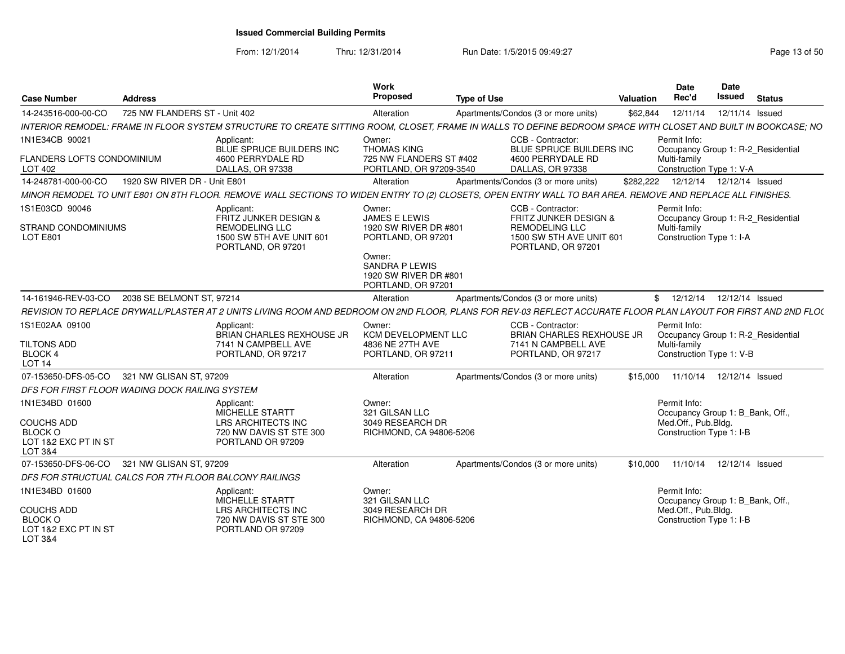| <b>Case Number</b>                                                     | <b>Address</b>                |                                                                                                                                                                 | Work<br>Proposed                                                               | <b>Type of Use</b> |                                                                                                                       | <b>Valuation</b> | Date<br>Rec'd                                                                                  | Date<br><b>Issued</b> | <b>Status</b> |
|------------------------------------------------------------------------|-------------------------------|-----------------------------------------------------------------------------------------------------------------------------------------------------------------|--------------------------------------------------------------------------------|--------------------|-----------------------------------------------------------------------------------------------------------------------|------------------|------------------------------------------------------------------------------------------------|-----------------------|---------------|
| 14-243516-000-00-CO                                                    | 725 NW FLANDERS ST - Unit 402 |                                                                                                                                                                 | Alteration                                                                     |                    | Apartments/Condos (3 or more units)                                                                                   | \$62,844         | 12/11/14                                                                                       | 12/11/14 Issued       |               |
|                                                                        |                               | INTERIOR REMODEL: FRAME IN FLOOR SYSTEM STRUCTURE TO CREATE SITTING ROOM, CLOSET, FRAME IN WALLS TO DEFINE BEDROOM SPACE WITH CLOSET AND BUILT IN BOOKCASE; NO  |                                                                                |                    |                                                                                                                       |                  |                                                                                                |                       |               |
| 1N1E34CB 90021                                                         |                               | Applicant:<br>BLUE SPRUCE BUILDERS INC                                                                                                                          | Owner:<br><b>THOMAS KING</b>                                                   |                    | CCB - Contractor:<br>BLUE SPRUCE BUILDERS INC                                                                         |                  | Permit Info:<br>Occupancy Group 1: R-2_Residential                                             |                       |               |
| FLANDERS LOFTS CONDOMINIUM<br>LOT 402                                  |                               | 4600 PERRYDALE RD<br>DALLAS, OR 97338                                                                                                                           | 725 NW FLANDERS ST #402<br>PORTLAND, OR 97209-3540                             |                    | 4600 PERRYDALE RD<br>DALLAS, OR 97338                                                                                 |                  | Multi-family<br>Construction Type 1: V-A                                                       |                       |               |
| 14-248781-000-00-CO                                                    | 1920 SW RIVER DR - Unit E801  |                                                                                                                                                                 | Alteration                                                                     |                    | Apartments/Condos (3 or more units)                                                                                   | \$282.222        | 12/12/14  12/12/14  Issued                                                                     |                       |               |
|                                                                        |                               | MINOR REMODEL TO UNIT E801 ON 8TH FLOOR. REMOVE WALL SECTIONS TO WIDEN ENTRY TO (2) CLOSETS, OPEN ENTRY WALL TO BAR AREA. REMOVE AND REPLACE ALL FINISHES.      |                                                                                |                    |                                                                                                                       |                  |                                                                                                |                       |               |
| 1S1E03CD 90046<br>STRAND CONDOMINIUMS<br>LOT E801                      |                               | Applicant:<br>FRITZ JUNKER DESIGN &<br><b>REMODELING LLC</b><br>1500 SW 5TH AVE UNIT 601<br>PORTLAND, OR 97201                                                  | Owner:<br>JAMES E LEWIS<br>1920 SW RIVER DR #801<br>PORTLAND, OR 97201         |                    | CCB - Contractor:<br>FRITZ JUNKER DESIGN &<br><b>REMODELING LLC</b><br>1500 SW 5TH AVE UNIT 601<br>PORTLAND, OR 97201 |                  | Permit Info:<br>Occupancy Group 1: R-2_Residential<br>Multi-family<br>Construction Type 1: I-A |                       |               |
|                                                                        |                               |                                                                                                                                                                 | Owner:<br><b>SANDRA P LEWIS</b><br>1920 SW RIVER DR #801<br>PORTLAND, OR 97201 |                    |                                                                                                                       |                  |                                                                                                |                       |               |
| 14-161946-REV-03-CO                                                    | 2038 SE BELMONT ST, 97214     |                                                                                                                                                                 | Alteration                                                                     |                    | Apartments/Condos (3 or more units)                                                                                   |                  | 12/12/14<br>\$                                                                                 | 12/12/14 Issued       |               |
|                                                                        |                               | REVISION TO REPLACE DRYWALL/PLASTER AT 2 UNITS LIVING ROOM AND BEDROOM ON 2ND FLOOR, PLANS FOR REV-03 REFLECT ACCURATE FLOOR PLAN LAYOUT FOR FIRST AND 2ND FLO( |                                                                                |                    |                                                                                                                       |                  |                                                                                                |                       |               |
| 1S1E02AA 09100                                                         |                               | Applicant:<br><b>BRIAN CHARLES REXHOUSE JR</b>                                                                                                                  | Owner:<br><b>KCM DEVELOPMENT LLC</b>                                           |                    | CCB - Contractor:<br><b>BRIAN CHARLES REXHOUSE JR</b>                                                                 |                  | Permit Info:<br>Occupancy Group 1: R-2_Residential                                             |                       |               |
| TILTONS ADD<br><b>BLOCK 4</b><br><b>LOT 14</b>                         |                               | 7141 N CAMPBELL AVE<br>PORTLAND, OR 97217                                                                                                                       | 4836 NE 27TH AVE<br>PORTLAND, OR 97211                                         |                    | 7141 N CAMPBELL AVE<br>PORTLAND, OR 97217                                                                             |                  | Multi-family<br>Construction Type 1: V-B                                                       |                       |               |
| 07-153650-DFS-05-CO                                                    | 321 NW GLISAN ST, 97209       |                                                                                                                                                                 | Alteration                                                                     |                    | Apartments/Condos (3 or more units)                                                                                   | \$15,000         | 11/10/14                                                                                       | 12/12/14 Issued       |               |
| DFS FOR FIRST FLOOR WADING DOCK RAILING SYSTEM                         |                               |                                                                                                                                                                 |                                                                                |                    |                                                                                                                       |                  |                                                                                                |                       |               |
| 1N1E34BD 01600                                                         |                               | Applicant:<br>MICHELLE STARTT                                                                                                                                   | Owner:<br>321 GILSAN LLC                                                       |                    |                                                                                                                       |                  | Permit Info:<br>Occupancy Group 1: B_Bank, Off.,                                               |                       |               |
| <b>COUCHS ADD</b><br><b>BLOCK O</b><br>LOT 1&2 EXC PT IN ST<br>LOT 3&4 |                               | LRS ARCHITECTS INC<br>720 NW DAVIS ST STE 300<br>PORTLAND OR 97209                                                                                              | 3049 RESEARCH DR<br>RICHMOND, CA 94806-5206                                    |                    |                                                                                                                       |                  | Med.Off., Pub.Bldg.<br>Construction Type 1: I-B                                                |                       |               |
| 07-153650-DFS-06-CO                                                    | 321 NW GLISAN ST, 97209       |                                                                                                                                                                 | Alteration                                                                     |                    | Apartments/Condos (3 or more units)                                                                                   | \$10,000         | 11/10/14                                                                                       | 12/12/14 Issued       |               |
| DFS FOR STRUCTUAL CALCS FOR 7TH FLOOR BALCONY RAILINGS                 |                               |                                                                                                                                                                 |                                                                                |                    |                                                                                                                       |                  |                                                                                                |                       |               |
| 1N1E34BD 01600                                                         |                               | Applicant:<br><b>MICHELLE STARTT</b>                                                                                                                            | Owner:<br>321 GILSAN LLC                                                       |                    |                                                                                                                       |                  | Permit Info:<br>Occupancy Group 1: B_Bank, Off.,                                               |                       |               |
| <b>COUCHS ADD</b><br><b>BLOCK O</b><br>LOT 1&2 EXC PT IN ST<br>LOT 3&4 |                               | <b>LRS ARCHITECTS INC</b><br>720 NW DAVIS ST STE 300<br>PORTLAND OR 97209                                                                                       | 3049 RESEARCH DR<br>RICHMOND, CA 94806-5206                                    |                    |                                                                                                                       |                  | Med.Off., Pub.Bldg.<br>Construction Type 1: I-B                                                |                       |               |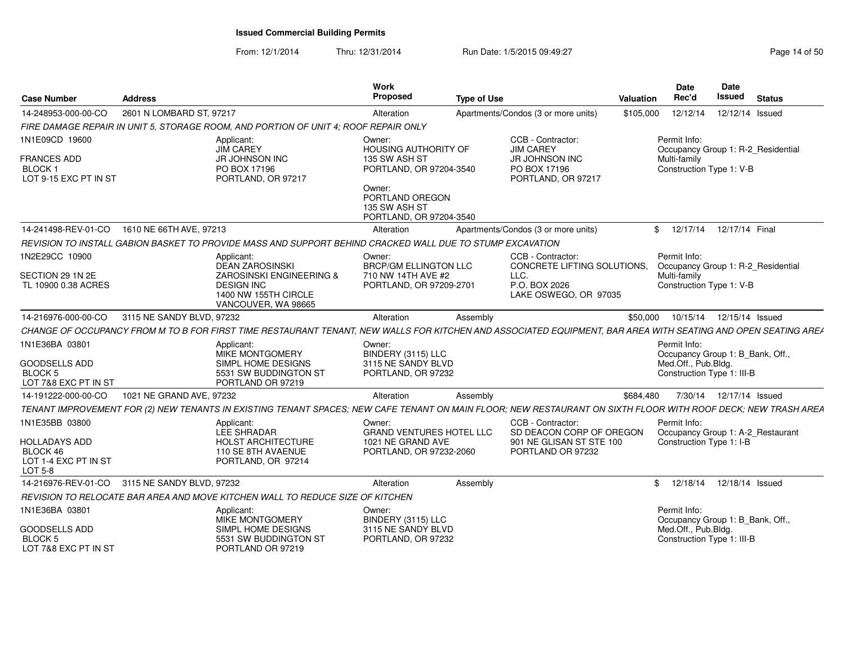From: 12/1/2014Thru: 12/31/2014 Run Date: 1/5/2015 09:49:27 Research 2010 12:49:27

| <b>Case Number</b>                                                  | <b>Address</b>            |                                                                                                                                                               | Work<br><b>Proposed</b>                                               | <b>Type of Use</b> |                                                            | Valuation | Date<br>Rec'd                                     | <b>Date</b><br>Issued | <b>Status</b>                             |
|---------------------------------------------------------------------|---------------------------|---------------------------------------------------------------------------------------------------------------------------------------------------------------|-----------------------------------------------------------------------|--------------------|------------------------------------------------------------|-----------|---------------------------------------------------|-----------------------|-------------------------------------------|
| 14-248953-000-00-CO                                                 | 2601 N LOMBARD ST, 97217  |                                                                                                                                                               | Alteration                                                            |                    | Apartments/Condos (3 or more units)                        | \$105,000 | 12/12/14                                          |                       | 12/12/14 Issued                           |
|                                                                     |                           | FIRE DAMAGE REPAIR IN UNIT 5, STORAGE ROOM, AND PORTION OF UNIT 4; ROOF REPAIR ONLY                                                                           |                                                                       |                    |                                                            |           |                                                   |                       |                                           |
| 1N1E09CD 19600                                                      |                           | Applicant:<br>JIM CAREY                                                                                                                                       | Owner:<br>HOUSING AUTHORITY OF                                        |                    | CCB - Contractor:<br><b>JIM CAREY</b>                      |           | Permit Info:                                      |                       | Occupancy Group 1: R-2_Residential        |
| <b>FRANCES ADD</b><br><b>BLOCK1</b><br>LOT 9-15 EXC PT IN ST        |                           | <b>JR JOHNSON INC</b><br>PO BOX 17196<br>PORTLAND, OR 97217                                                                                                   | 135 SW ASH ST<br>PORTLAND, OR 97204-3540                              |                    | JR JOHNSON INC<br>PO BOX 17196<br>PORTLAND, OR 97217       |           | Multi-family<br>Construction Type 1: V-B          |                       |                                           |
|                                                                     |                           |                                                                                                                                                               | Owner:<br>PORTLAND OREGON<br>135 SW ASH ST<br>PORTLAND, OR 97204-3540 |                    |                                                            |           |                                                   |                       |                                           |
| 14-241498-REV-01-CO 1610 NE 66TH AVE, 97213                         |                           |                                                                                                                                                               | Alteration                                                            |                    | Apartments/Condos (3 or more units)                        |           |                                                   |                       | \$ 12/17/14 12/17/14 Final                |
|                                                                     |                           | REVISION TO INSTALL GABION BASKET TO PROVIDE MASS AND SUPPORT BEHIND CRACKED WALL DUE TO STUMP EXCAVATION                                                     |                                                                       |                    |                                                            |           |                                                   |                       |                                           |
| 1N2E29CC 10900                                                      |                           | Applicant:<br>DEAN ZAROSINSKI                                                                                                                                 | Owner:<br><b>BRCP/GM ELLINGTON LLC</b>                                |                    | CCB - Contractor:<br>CONCRETE LIFTING SOLUTIONS,           |           | Permit Info:                                      |                       | Occupancy Group 1: R-2_Residential        |
| SECTION 29 1N 2E<br>TL 10900 0.38 ACRES                             |                           | <b>ZAROSINSKI ENGINEERING &amp;</b><br><b>DESIGN INC</b><br>1400 NW 155TH CIRCLE<br>VANCOUVER, WA 98665                                                       | 710 NW 14TH AVE #2<br>PORTLAND, OR 97209-2701                         |                    | LLC.<br>P.O. BOX 2026<br>LAKE OSWEGO, OR 97035             |           | Multi-family<br>Construction Type 1: V-B          |                       |                                           |
| 14-216976-000-00-CO                                                 | 3115 NE SANDY BLVD, 97232 |                                                                                                                                                               | Alteration                                                            | Assembly           |                                                            | \$50,000  |                                                   |                       | 10/15/14  12/15/14  Issued                |
|                                                                     |                           | CHANGE OF OCCUPANCY FROM M TO B FOR FIRST TIME RESTAURANT TENANT.                                                                                             |                                                                       |                    | NEW WALLS FOR KITCHEN AND ASSOCIATED EOUIPMENT. BAR AREA V |           |                                                   |                       | <b>WITH SEATING AND OPEN SEATING AREA</b> |
| 1N1E36BA 03801                                                      |                           | Applicant:<br>MIKE MONTGOMERY                                                                                                                                 | Owner:<br>BINDERY (3115) LLC                                          |                    |                                                            |           | Permit Info:                                      |                       | Occupancy Group 1: B_Bank, Off.,          |
| GOODSELLS ADD<br><b>BLOCK 5</b><br>LOT 7&8 EXC PT IN ST             |                           | SIMPL HOME DESIGNS<br>5531 SW BUDDINGTON ST<br>PORTLAND OR 97219                                                                                              | 3115 NE SANDY BLVD<br>PORTLAND, OR 97232                              |                    |                                                            |           | Med.Off., Pub.Bldg.<br>Construction Type 1: III-B |                       |                                           |
| 14-191222-000-00-CO                                                 | 1021 NE GRAND AVE, 97232  |                                                                                                                                                               | Alteration                                                            | Assembly           |                                                            | \$684.480 |                                                   |                       | 7/30/14  12/17/14  Issued                 |
|                                                                     |                           | TENANT IMPROVEMENT FOR (2) NEW TENANTS IN EXISTING TENANT SPACES; NEW CAFE TENANT ON MAIN FLOOR; NEW RESTAURANT ON SIXTH FLOOR WITH ROOF DECK; NEW TRASH AREA |                                                                       |                    |                                                            |           |                                                   |                       |                                           |
| 1N1E35BB 03800                                                      |                           | Applicant:<br>LEE SHRADAR                                                                                                                                     | Owner:<br><b>GRAND VENTURES HOTEL LLC</b>                             |                    | CCB - Contractor:<br>SD DEACON CORP OF OREGON              |           | Permit Info:                                      |                       | Occupancy Group 1: A-2_Restaurant         |
| <b>HOLLADAYS ADD</b><br>BLOCK 46<br>LOT 1-4 EXC PT IN ST<br>LOT 5-8 |                           | <b>HOLST ARCHITECTURE</b><br>110 SE 8TH AVAENUE<br>PORTLAND, OR 97214                                                                                         | 1021 NE GRAND AVE<br>PORTLAND, OR 97232-2060                          |                    | 901 NE GLISAN ST STE 100<br>PORTLAND OR 97232              |           | Construction Type 1: I-B                          |                       |                                           |
| 14-216976-REV-01-CO 3115 NE SANDY BLVD, 97232                       |                           |                                                                                                                                                               | Alteration                                                            | Assembly           |                                                            |           |                                                   |                       | \$ 12/18/14 12/18/14 Issued               |
|                                                                     |                           | REVISION TO RELOCATE BAR AREA AND MOVE KITCHEN WALL TO REDUCE SIZE OF KITCHEN                                                                                 |                                                                       |                    |                                                            |           |                                                   |                       |                                           |
| 1N1E36BA 03801                                                      |                           | Applicant:<br>MIKE MONTGOMERY                                                                                                                                 | Owner:<br>BINDERY (3115) LLC                                          |                    |                                                            |           | Permit Info:                                      |                       | Occupancy Group 1: B_Bank, Off.,          |
| <b>GOODSELLS ADD</b><br><b>BLOCK 5</b><br>LOT 7&8 EXC PT IN ST      |                           | SIMPL HOME DESIGNS<br>5531 SW BUDDINGTON ST<br>PORTLAND OR 97219                                                                                              | 3115 NE SANDY BLVD<br>PORTLAND, OR 97232                              |                    |                                                            |           | Med.Off., Pub.Bldg.<br>Construction Type 1: III-B |                       |                                           |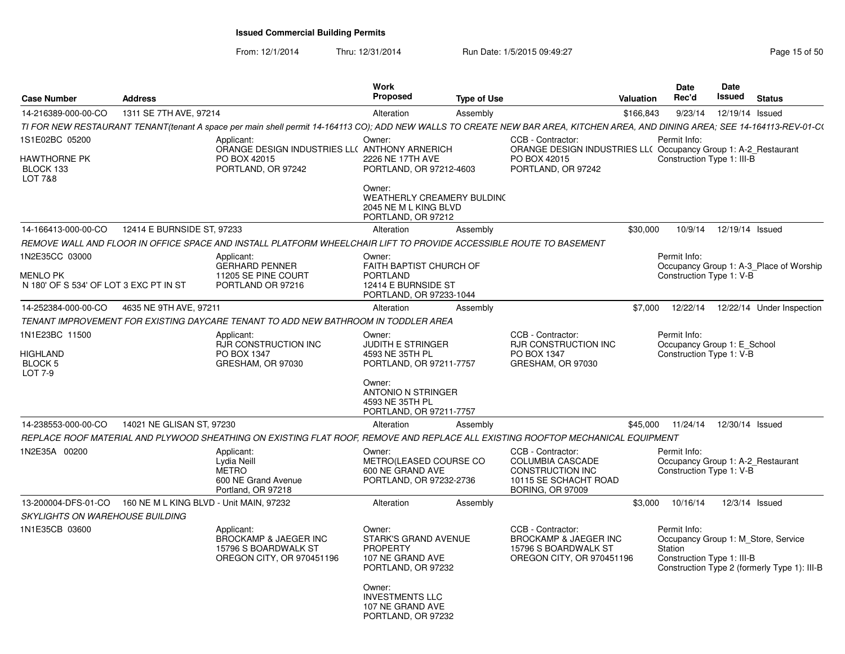| <b>Case Number</b>                                           | <b>Address</b>             |                                                                                                                                                                               | <b>Work</b><br><b>Proposed</b>                                                                     | <b>Type of Use</b> |                                                                                                                             | <b>Valuation</b> | <b>Date</b><br>Rec'd                                                          | Date<br>Issued  | <b>Status</b>                                                                       |
|--------------------------------------------------------------|----------------------------|-------------------------------------------------------------------------------------------------------------------------------------------------------------------------------|----------------------------------------------------------------------------------------------------|--------------------|-----------------------------------------------------------------------------------------------------------------------------|------------------|-------------------------------------------------------------------------------|-----------------|-------------------------------------------------------------------------------------|
| 14-216389-000-00-CO                                          | 1311 SE 7TH AVE, 97214     |                                                                                                                                                                               | Alteration                                                                                         | Assembly           |                                                                                                                             | \$166.843        | 9/23/14                                                                       | 12/19/14 Issued |                                                                                     |
|                                                              |                            | TI FOR NEW RESTAURANT TENANT(tenant A space per main shell permit 14-164113 CO); ADD NEW WALLS TO CREATE NEW BAR AREA, KITCHEN AREA, AND DINING AREA; SEE 14-164113-REV-01-C( |                                                                                                    |                    |                                                                                                                             |                  |                                                                               |                 |                                                                                     |
| 1S1E02BC 05200<br>HAWTHORNE PK<br>BLOCK 133<br>LOT 7&8       |                            | Applicant:<br>ORANGE DESIGN INDUSTRIES LL( ANTHONY ARNERICH<br>PO BOX 42015<br>PORTLAND, OR 97242                                                                             | Owner:<br>2226 NE 17TH AVE<br>PORTLAND, OR 97212-4603                                              |                    | CCB - Contractor:<br>ORANGE DESIGN INDUSTRIES LL( Occupancy Group 1: A-2_Restaurant<br>PO BOX 42015<br>PORTLAND, OR 97242   |                  | Permit Info:<br>Construction Type 1: III-B                                    |                 |                                                                                     |
|                                                              |                            |                                                                                                                                                                               | Owner:<br><b>WEATHERLY CREAMERY BULDING</b><br>2045 NE M L KING BLVD<br>PORTLAND, OR 97212         |                    |                                                                                                                             |                  |                                                                               |                 |                                                                                     |
| 14-166413-000-00-CO                                          | 12414 E BURNSIDE ST, 97233 |                                                                                                                                                                               | Alteration                                                                                         | Assembly           |                                                                                                                             | \$30,000         | 10/9/14                                                                       | 12/19/14 Issued |                                                                                     |
|                                                              |                            | REMOVE WALL AND FLOOR IN OFFICE SPACE AND INSTALL PLATFORM WHEELCHAIR LIFT TO PROVIDE ACCESSIBLE ROUTE TO BASEMENT                                                            |                                                                                                    |                    |                                                                                                                             |                  |                                                                               |                 |                                                                                     |
| 1N2E35CC 03000<br>MENLO PK                                   |                            | Applicant:<br><b>GERHARD PENNER</b><br>11205 SE PINE COURT                                                                                                                    | Owner:<br><b>FAITH BAPTIST CHURCH OF</b><br><b>PORTLAND</b>                                        |                    |                                                                                                                             |                  | Permit Info:                                                                  |                 | Occupancy Group 1: A-3 Place of Worship                                             |
| N 180' OF S 534' OF LOT 3 EXC PT IN ST                       |                            | PORTLAND OR 97216                                                                                                                                                             | 12414 E BURNSIDE ST<br>PORTLAND, OR 97233-1044                                                     |                    |                                                                                                                             |                  | Construction Type 1: V-B                                                      |                 |                                                                                     |
| 14-252384-000-00-CO                                          | 4635 NE 9TH AVE, 97211     |                                                                                                                                                                               | Alteration                                                                                         | Assembly           |                                                                                                                             | \$7,000          | 12/22/14                                                                      |                 | 12/22/14 Under Inspection                                                           |
|                                                              |                            | TENANT IMPROVEMENT FOR EXISTING DAYCARE TENANT TO ADD NEW BATHROOM IN TODDLER AREA                                                                                            |                                                                                                    |                    |                                                                                                                             |                  |                                                                               |                 |                                                                                     |
| 1N1E23BC 11500                                               |                            | Applicant:<br><b>RJR CONSTRUCTION INC</b>                                                                                                                                     | Owner:<br><b>JUDITH E STRINGER</b>                                                                 |                    | CCB - Contractor:<br><b>RJR CONSTRUCTION INC</b>                                                                            |                  | Permit Info:<br>Occupancy Group 1: E School                                   |                 |                                                                                     |
| HIGHLAND<br>BLOCK 5<br>LOT 7-9                               |                            | PO BOX 1347<br>GRESHAM, OR 97030                                                                                                                                              | 4593 NE 35TH PL<br>PORTLAND, OR 97211-7757                                                         |                    | PO BOX 1347<br>GRESHAM, OR 97030                                                                                            |                  | Construction Type 1: V-B                                                      |                 |                                                                                     |
|                                                              |                            |                                                                                                                                                                               | Owner:<br>ANTONIO N STRINGER<br>4593 NE 35TH PL<br>PORTLAND, OR 97211-7757                         |                    |                                                                                                                             |                  |                                                                               |                 |                                                                                     |
| 14-238553-000-00-CO                                          | 14021 NE GLISAN ST, 97230  |                                                                                                                                                                               | Alteration                                                                                         | Assembly           |                                                                                                                             | \$45,000         | 11/24/14                                                                      | 12/30/14 Issued |                                                                                     |
|                                                              |                            | REPLACE ROOF MATERIAL AND PLYWOOD SHEATHING ON EXISTING FLAT ROOF, REMOVE AND REPLACE ALL EXISTING ROOFTOP MECHANICAL EQUIPMENT                                               |                                                                                                    |                    |                                                                                                                             |                  |                                                                               |                 |                                                                                     |
| 1N2E35A 00200                                                |                            | Applicant:<br>Lydia Neill<br><b>METRO</b><br>600 NE Grand Avenue<br>Portland, OR 97218                                                                                        | Owner:<br>METRO(LEASED COURSE CO<br>600 NE GRAND AVE<br>PORTLAND, OR 97232-2736                    |                    | CCB - Contractor:<br><b>COLUMBIA CASCADE</b><br><b>CONSTRUCTION INC</b><br>10115 SE SCHACHT ROAD<br><b>BORING, OR 97009</b> |                  | Permit Info:<br>Occupancy Group 1: A-2_Restaurant<br>Construction Type 1: V-B |                 |                                                                                     |
| 13-200004-DFS-01-CO  160 NE M L KING BLVD - Unit MAIN, 97232 |                            |                                                                                                                                                                               | Alteration                                                                                         | Assembly           |                                                                                                                             | \$3,000          | 10/16/14                                                                      |                 | 12/3/14 Issued                                                                      |
| <b>SKYLIGHTS ON WAREHOUSE BUILDING</b>                       |                            |                                                                                                                                                                               |                                                                                                    |                    |                                                                                                                             |                  |                                                                               |                 |                                                                                     |
| 1N1E35CB 03600                                               |                            | Applicant:<br>BROCKAMP & JAEGER INC<br>15796 S BOARDWALK ST<br>OREGON CITY, OR 970451196                                                                                      | Owner:<br><b>STARK'S GRAND AVENUE</b><br><b>PROPERTY</b><br>107 NE GRAND AVE<br>PORTLAND, OR 97232 |                    | CCB - Contractor:<br>BROCKAMP & JAEGER INC<br>15796 S BOARDWALK ST<br>OREGON CITY, OR 970451196                             |                  | Permit Info:<br><b>Station</b><br>Construction Type 1: III-B                  |                 | Occupancy Group 1: M Store, Service<br>Construction Type 2 (formerly Type 1): III-B |
|                                                              |                            |                                                                                                                                                                               | Owner:<br><b>INVESTMENTS LLC</b><br>107 NE GRAND AVE<br>PORTLAND, OR 97232                         |                    |                                                                                                                             |                  |                                                                               |                 |                                                                                     |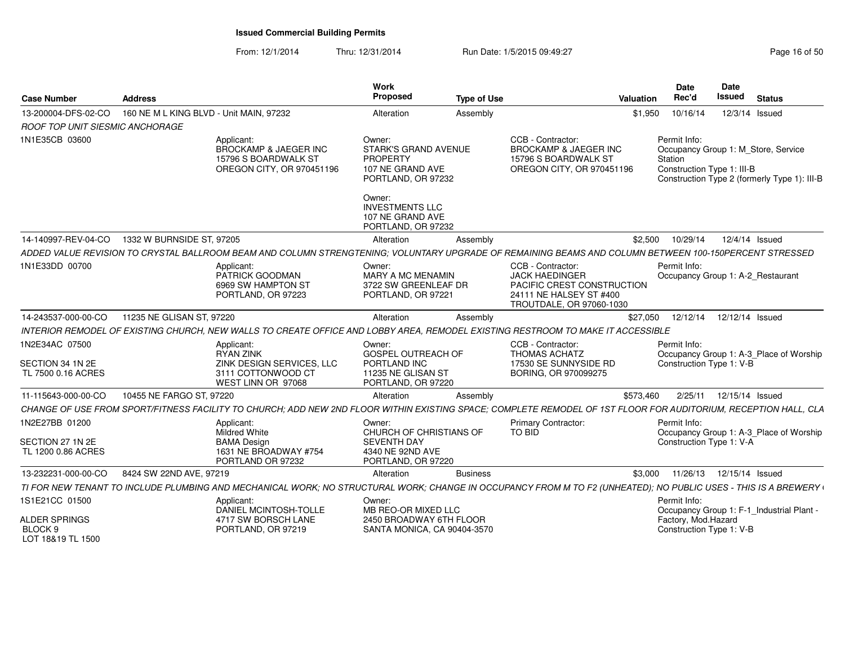| <b>Case Number</b>                                       | <b>Address</b>                                                                                                                                                  | Work<br>Proposed                                                                            | <b>Type of Use</b> | Valuation                                                                                                                       | <b>Date</b><br>Rec'd                                  | Date<br><b>Issued</b><br><b>Status</b>                                              |
|----------------------------------------------------------|-----------------------------------------------------------------------------------------------------------------------------------------------------------------|---------------------------------------------------------------------------------------------|--------------------|---------------------------------------------------------------------------------------------------------------------------------|-------------------------------------------------------|-------------------------------------------------------------------------------------|
| 13-200004-DFS-02-CO                                      | 160 NE M L KING BLVD - Unit MAIN, 97232                                                                                                                         | Alteration                                                                                  | Assembly           | \$1,950                                                                                                                         | 10/16/14                                              | 12/3/14 Issued                                                                      |
| ROOF TOP UNIT SIESMIC ANCHORAGE                          |                                                                                                                                                                 |                                                                                             |                    |                                                                                                                                 |                                                       |                                                                                     |
| 1N1E35CB 03600                                           | Applicant:<br>BROCKAMP & JAEGER INC<br>15796 S BOARDWALK ST<br>OREGON CITY, OR 970451196                                                                        | Owner:<br><b>STARK'S GRAND AVENUE</b><br>PROPERTY<br>107 NE GRAND AVE<br>PORTLAND, OR 97232 |                    | CCB - Contractor:<br><b>BROCKAMP &amp; JAEGER INC</b><br>15796 S BOARDWALK ST<br>OREGON CITY, OR 970451196                      | Permit Info:<br>Station<br>Construction Type 1: III-B | Occupancy Group 1: M Store, Service<br>Construction Type 2 (formerly Type 1): III-B |
|                                                          |                                                                                                                                                                 | Owner:<br><b>INVESTMENTS LLC</b><br>107 NE GRAND AVE<br>PORTLAND, OR 97232                  |                    |                                                                                                                                 |                                                       |                                                                                     |
| 14-140997-REV-04-CO                                      | 1332 W BURNSIDE ST, 97205                                                                                                                                       | Alteration                                                                                  | Assembly           | \$2,500                                                                                                                         | 10/29/14                                              | 12/4/14 Issued                                                                      |
|                                                          | ADDED VALUE REVISION TO CRYSTAL BALLROOM BEAM AND COLUMN STRENGTENING; VOLUNTARY UPGRADE OF REMAINING BEAMS AND COLUMN BETWEEN 100-150PERCENT STRESSED          |                                                                                             |                    |                                                                                                                                 |                                                       |                                                                                     |
| 1N1E33DD 00700                                           | Applicant:<br>PATRICK GOODMAN<br>6969 SW HAMPTON ST<br>PORTLAND, OR 97223                                                                                       | Owner:<br>MARY A MC MENAMIN<br>3722 SW GREENLEAF DR<br>PORTLAND, OR 97221                   |                    | CCB - Contractor:<br><b>JACK HAEDINGER</b><br>PACIFIC CREST CONSTRUCTION<br>24111 NE HALSEY ST #400<br>TROUTDALE, OR 97060-1030 | Permit Info:                                          | Occupancy Group 1: A-2_Restaurant                                                   |
| 14-243537-000-00-CO                                      | 11235 NE GLISAN ST, 97220                                                                                                                                       | Alteration                                                                                  | Assembly           | \$27,050                                                                                                                        |                                                       | 12/12/14  12/12/14  Issued                                                          |
|                                                          | INTERIOR REMODEL OF EXISTING CHURCH, NEW WALLS TO CREATE OFFICE AND LOBBY AREA, REMODEL EXISTING RESTROOM TO MAKE IT ACCESSIBLE                                 |                                                                                             |                    |                                                                                                                                 |                                                       |                                                                                     |
| 1N2E34AC 07500<br>SECTION 34 1N 2E<br>TL 7500 0.16 ACRES | Applicant:<br>RYAN ZINK<br>ZINK DESIGN SERVICES, LLC<br>3111 COTTONWOOD CT                                                                                      | Owner:<br>GOSPEL OUTREACH OF<br>PORTLAND INC<br>11235 NE GLISAN ST                          |                    | CCB - Contractor:<br><b>THOMAS ACHATZ</b><br>17530 SE SUNNYSIDE RD<br>BORING, OR 970099275                                      | Permit Info:<br>Construction Type 1: V-B              | Occupancy Group 1: A-3_Place of Worship                                             |
|                                                          | WEST LINN OR 97068                                                                                                                                              | PORTLAND, OR 97220                                                                          |                    |                                                                                                                                 |                                                       |                                                                                     |
| 11-115643-000-00-CO                                      | 10455 NE FARGO ST, 97220                                                                                                                                        | Alteration                                                                                  | Assembly           | \$573,460                                                                                                                       | 2/25/11                                               | 12/15/14 Issued                                                                     |
|                                                          | CHANGE OF USE FROM SPORT/FITNESS FACILITY TO CHURCH: ADD NEW 2ND FLOOR WITHIN EXISTING SPACE: COMPLETE REMODEL OF 1ST FLOOR FOR AUDITORIUM, RECEPTION HALL, CLA |                                                                                             |                    |                                                                                                                                 |                                                       |                                                                                     |
| 1N2E27BB 01200                                           | Applicant:<br>Mildred White                                                                                                                                     | Owner:<br>CHURCH OF CHRISTIANS OF                                                           |                    | <b>Primary Contractor:</b><br><b>TO BID</b>                                                                                     | Permit Info:                                          | Occupancy Group 1: A-3_Place of Worship                                             |
| SECTION 27 1N 2E<br>TL 1200 0.86 ACRES                   | <b>BAMA Design</b><br>1631 NE BROADWAY #754<br>PORTLAND OR 97232                                                                                                | <b>SEVENTH DAY</b><br>4340 NE 92ND AVE<br>PORTLAND, OR 97220                                |                    |                                                                                                                                 | Construction Type 1: V-A                              |                                                                                     |
| 13-232231-000-00-CO                                      | 8424 SW 22ND AVE, 97219                                                                                                                                         | Alteration                                                                                  | <b>Business</b>    | \$3.000                                                                                                                         |                                                       | 11/26/13  12/15/14  Issued                                                          |
|                                                          | TI FOR NEW TENANT TO INCLUDE PLUMBING AND MECHANICAL WORK; NO STRUCTURAL WORK; CHANGE IN OCCUPANCY FROM M TO F2 (UNHEATED); NO PUBLIC USES - THIS IS A BREWERY  |                                                                                             |                    |                                                                                                                                 |                                                       |                                                                                     |
| 1S1E21CC 01500                                           | Applicant:<br>DANIEL MCINTOSH-TOLLE                                                                                                                             | Owner:<br>MB REO-OR MIXED LLC                                                               |                    |                                                                                                                                 | Permit Info:                                          | Occupancy Group 1: F-1 Industrial Plant -                                           |
| <b>ALDER SPRINGS</b><br>BLOCK 9<br>LOT 18&19 TL 1500     | 4717 SW BORSCH LANE<br>PORTLAND, OR 97219                                                                                                                       | 2450 BROADWAY 6TH FLOOR<br>SANTA MONICA, CA 90404-3570                                      |                    |                                                                                                                                 | Factory, Mod.Hazard<br>Construction Type 1: V-B       |                                                                                     |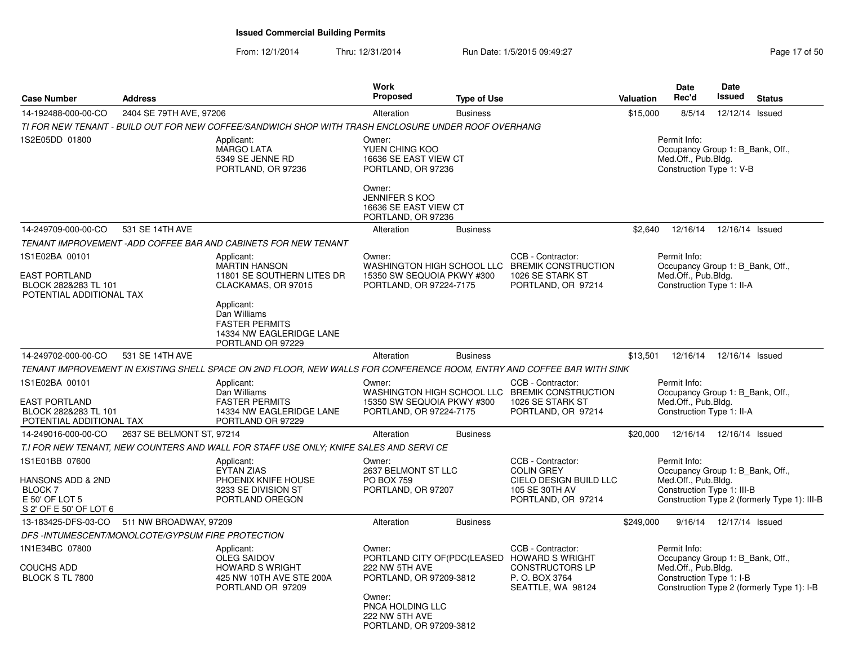| <b>Case Number</b>                                                                                | <b>Address</b>            |                                                                                                                        | <b>Work</b><br><b>Proposed</b>                                                                                                 | <b>Type of Use</b> |                                                                                                                                    | <b>Valuation</b> | <b>Date</b><br>Rec'd                                                                                  | Date<br><b>Issued</b>     | <b>Status</b>                                |
|---------------------------------------------------------------------------------------------------|---------------------------|------------------------------------------------------------------------------------------------------------------------|--------------------------------------------------------------------------------------------------------------------------------|--------------------|------------------------------------------------------------------------------------------------------------------------------------|------------------|-------------------------------------------------------------------------------------------------------|---------------------------|----------------------------------------------|
| 14-192488-000-00-CO                                                                               | 2404 SE 79TH AVE, 97206   |                                                                                                                        | Alteration                                                                                                                     | <b>Business</b>    |                                                                                                                                    | \$15,000         | 8/5/14                                                                                                | 12/12/14 Issued           |                                              |
|                                                                                                   |                           | TI FOR NEW TENANT - BUILD OUT FOR NEW COFFEE/SANDWICH SHOP WITH TRASH ENCLOSURE UNDER ROOF OVERHANG                    |                                                                                                                                |                    |                                                                                                                                    |                  |                                                                                                       |                           |                                              |
| 1S2E05DD 01800                                                                                    |                           | Applicant:<br><b>MARGO LATA</b><br>5349 SE JENNE RD<br>PORTLAND, OR 97236                                              | Owner:<br>YUEN CHING KOO<br>16636 SE EAST VIEW CT<br>PORTLAND, OR 97236                                                        |                    |                                                                                                                                    |                  | Permit Info:<br>Occupancy Group 1: B_Bank, Off.,<br>Med.Off., Pub.Bldg.<br>Construction Type 1: V-B   |                           |                                              |
|                                                                                                   |                           |                                                                                                                        | Owner:<br><b>JENNIFER S KOO</b><br>16636 SE EAST VIEW CT<br>PORTLAND, OR 97236                                                 |                    |                                                                                                                                    |                  |                                                                                                       |                           |                                              |
| 14-249709-000-00-CO                                                                               | 531 SE 14TH AVE           |                                                                                                                        | Alteration                                                                                                                     | <b>Business</b>    |                                                                                                                                    | \$2,640          | 12/16/14                                                                                              | 12/16/14 Issued           |                                              |
|                                                                                                   |                           | TENANT IMPROVEMENT -ADD COFFEE BAR AND CABINETS FOR NEW TENANT                                                         |                                                                                                                                |                    |                                                                                                                                    |                  |                                                                                                       |                           |                                              |
| 1S1E02BA 00101<br><b>EAST PORTLAND</b><br>BLOCK 282&283 TL 101                                    |                           | Applicant:<br>MARTIN HANSON<br>11801 SE SOUTHERN LITES DR<br>CLACKAMAS, OR 97015                                       | Owner:<br>WASHINGTON HIGH SCHOOL LLC<br>15350 SW SEQUOIA PKWY #300<br>PORTLAND, OR 97224-7175                                  |                    | CCB - Contractor:<br><b>BREMIK CONSTRUCTION</b><br>1026 SE STARK ST<br>PORTLAND, OR 97214                                          |                  | Permit Info:<br>Occupancy Group 1: B_Bank, Off.,<br>Med.Off., Pub.Bldg.<br>Construction Type 1: II-A  |                           |                                              |
| POTENTIAL ADDITIONAL TAX                                                                          |                           | Applicant:<br>Dan Williams<br><b>FASTER PERMITS</b><br>14334 NW EAGLERIDGE LANE<br>PORTLAND OR 97229                   |                                                                                                                                |                    |                                                                                                                                    |                  |                                                                                                       |                           |                                              |
| 14-249702-000-00-CO                                                                               | 531 SE 14TH AVE           |                                                                                                                        | Alteration                                                                                                                     | <b>Business</b>    |                                                                                                                                    | \$13,501         | 12/16/14                                                                                              | 12/16/14 Issued           |                                              |
|                                                                                                   |                           | TENANT IMPROVEMENT IN EXISTING SHELL SPACE ON 2ND FLOOR. NEW WALLS FOR CONFERENCE ROOM. ENTRY AND COFFEE BAR WITH SINK |                                                                                                                                |                    |                                                                                                                                    |                  |                                                                                                       |                           |                                              |
| 1S1E02BA 00101<br><b>EAST PORTLAND</b><br>BLOCK 282&283 TL 101<br>POTENTIAL ADDITIONAL TAX        |                           | Applicant:<br>Dan Williams<br><b>FASTER PERMITS</b><br>14334 NW EAGLERIDGE LANE<br>PORTLAND OR 97229                   | Owner:<br>15350 SW SEQUOIA PKWY #300<br>PORTLAND, OR 97224-7175                                                                |                    | CCB - Contractor:<br>WASHINGTON HIGH SCHOOL LLC BREMIK CONSTRUCTION<br>1026 SE STARK ST<br>PORTLAND, OR 97214                      |                  | Permit Info:<br>Occupancy Group 1: B_Bank, Off.,<br>Med.Off., Pub.Bldg.<br>Construction Type 1: II-A  |                           |                                              |
| 14-249016-000-00-CO                                                                               | 2637 SE BELMONT ST, 97214 |                                                                                                                        | Alteration                                                                                                                     | <b>Business</b>    |                                                                                                                                    | \$20,000         | 12/16/14                                                                                              | 12/16/14 Issued           |                                              |
|                                                                                                   |                           | T.I FOR NEW TENANT, NEW COUNTERS AND WALL FOR STAFF USE ONLY; KNIFE SALES AND SERVI CE                                 |                                                                                                                                |                    |                                                                                                                                    |                  |                                                                                                       |                           |                                              |
| 1S1E01BB 07600<br>HANSONS ADD & 2ND<br><b>BLOCK 7</b><br>E 50' OF LOT 5<br>S 2' OF E 50' OF LOT 6 |                           | Applicant:<br><b>EYTAN ZIAS</b><br>PHOENIX KNIFE HOUSE<br>3233 SE DIVISION ST<br>PORTLAND OREGON                       | Owner:<br>2637 BELMONT ST LLC<br><b>PO BOX 759</b><br>PORTLAND, OR 97207                                                       |                    | CCB - Contractor:<br><b>COLIN GREY</b><br>CIELO DESIGN BUILD LLC<br>105 SE 30TH AV<br>PORTLAND, OR 97214                           |                  | Permit Info:<br>Occupancy Group 1: B Bank, Off.,<br>Med.Off., Pub.Bldg.<br>Construction Type 1: III-B |                           | Construction Type 2 (formerly Type 1): III-B |
| 13-183425-DFS-03-CO                                                                               | 511 NW BROADWAY, 97209    |                                                                                                                        | Alteration                                                                                                                     | <b>Business</b>    |                                                                                                                                    | \$249,000        |                                                                                                       | 9/16/14  12/17/14  Issued |                                              |
| DFS-INTUMESCENT/MONOLCOTE/GYPSUM FIRE PROTECTION                                                  |                           |                                                                                                                        |                                                                                                                                |                    |                                                                                                                                    |                  |                                                                                                       |                           |                                              |
| 1N1E34BC 07800<br><b>COUCHS ADD</b><br>BLOCK S TL 7800                                            |                           | Applicant:<br><b>OLEG SAIDOV</b><br><b>HOWARD S WRIGHT</b><br>425 NW 10TH AVE STE 200A<br>PORTLAND OR 97209            | Owner:<br>222 NW 5TH AVE<br>PORTLAND, OR 97209-3812<br>Owner:<br>PNCA HOLDING LLC<br>222 NW 5TH AVE<br>PORTLAND, OR 97209-3812 |                    | CCB - Contractor:<br>PORTLAND CITY OF (PDC (LEASED HOWARD SWRIGHT<br><b>CONSTRUCTORS LP</b><br>P. O. BOX 3764<br>SEATTLE, WA 98124 |                  | Permit Info:<br>Occupancy Group 1: B_Bank, Off.,<br>Med.Off., Pub.Bldg.<br>Construction Type 1: I-B   |                           | Construction Type 2 (formerly Type 1): I-B   |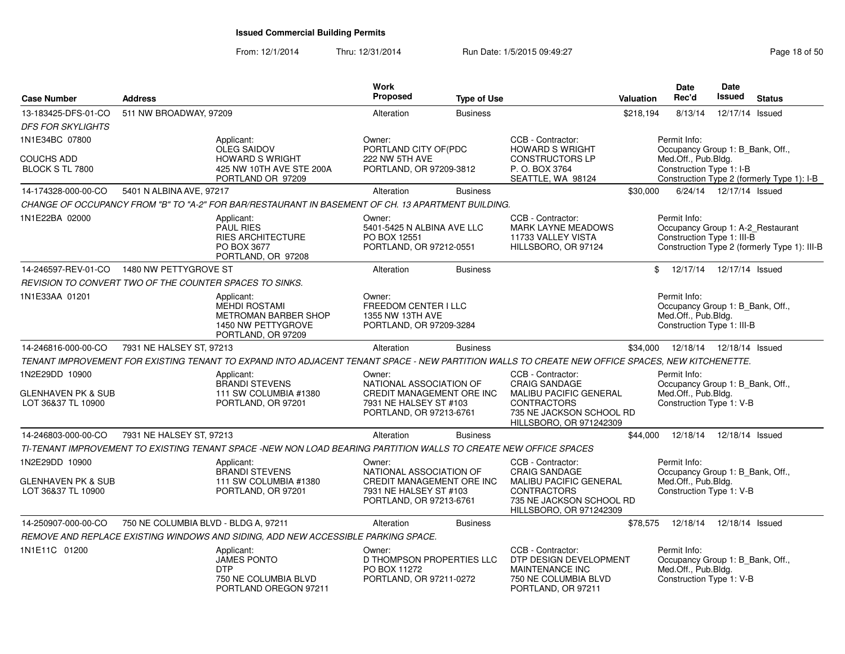| <b>Case Number</b>                                                    | <b>Address</b>                       |                                                                                                                                                 | <b>Work</b><br><b>Proposed</b>                                                                                      | <b>Type of Use</b> |                                                                                                                                                         | Valuation                                                                                                                         | Date<br>Rec'd                                                                                         | <b>Date</b><br><b>Issued</b> | <b>Status</b>                                |  |
|-----------------------------------------------------------------------|--------------------------------------|-------------------------------------------------------------------------------------------------------------------------------------------------|---------------------------------------------------------------------------------------------------------------------|--------------------|---------------------------------------------------------------------------------------------------------------------------------------------------------|-----------------------------------------------------------------------------------------------------------------------------------|-------------------------------------------------------------------------------------------------------|------------------------------|----------------------------------------------|--|
| 13-183425-DFS-01-CO<br><b>DFS FOR SKYLIGHTS</b>                       | 511 NW BROADWAY, 97209               |                                                                                                                                                 | Alteration                                                                                                          | <b>Business</b>    |                                                                                                                                                         | \$218,194                                                                                                                         | 8/13/14                                                                                               | 12/17/14 Issued              |                                              |  |
| 1N1E34BC 07800                                                        |                                      | Applicant:<br>OLEG SAIDOV                                                                                                                       | Owner:<br>PORTLAND CITY OF(PDC                                                                                      |                    | CCB - Contractor:<br><b>HOWARD S WRIGHT</b>                                                                                                             | Permit Info:                                                                                                                      |                                                                                                       |                              |                                              |  |
| <b>COUCHS ADD</b><br>BLOCK S TL 7800                                  |                                      | <b>HOWARD S WRIGHT</b><br>425 NW 10TH AVE STE 200A<br>PORTLAND OR 97209                                                                         | 222 NW 5TH AVE<br>PORTLAND, OR 97209-3812                                                                           |                    | <b>CONSTRUCTORS LP</b><br>P.O. BOX 3764<br>SEATTLE, WA 98124                                                                                            | Occupancy Group 1: B_Bank, Off.,<br>Med.Off., Pub.Bldg.<br>Construction Type 1: I-B<br>Construction Type 2 (formerly Type 1): I-B |                                                                                                       |                              |                                              |  |
| 14-174328-000-00-CO                                                   | 5401 N ALBINA AVE, 97217             |                                                                                                                                                 | Alteration                                                                                                          | <b>Business</b>    |                                                                                                                                                         | \$30,000                                                                                                                          |                                                                                                       | 6/24/14  12/17/14  Issued    |                                              |  |
|                                                                       |                                      | CHANGE OF OCCUPANCY FROM "B" TO "A-2" FOR BAR/RESTAURANT IN BASEMENT OF CH. 13 APARTMENT BUILDING.                                              |                                                                                                                     |                    |                                                                                                                                                         |                                                                                                                                   |                                                                                                       |                              |                                              |  |
| 1N1E22BA 02000                                                        |                                      | Applicant:<br><b>PAUL RIES</b><br><b>RIES ARCHITECTURE</b><br>PO BOX 3677<br>PORTLAND, OR 97208                                                 | Owner:<br>5401-5425 N ALBINA AVE LLC<br>PO BOX 12551<br>PORTLAND, OR 97212-0551                                     |                    | CCB - Contractor:<br><b>MARK LAYNE MEADOWS</b><br>11733 VALLEY VISTA<br>HILLSBORO, OR 97124                                                             |                                                                                                                                   | Permit Info:<br>Occupancy Group 1: A-2_Restaurant<br>Construction Type 1: III-B                       |                              | Construction Type 2 (formerly Type 1): III-B |  |
| 14-246597-REV-01-CO                                                   | 1480 NW PETTYGROVE ST                |                                                                                                                                                 | Alteration                                                                                                          | <b>Business</b>    |                                                                                                                                                         |                                                                                                                                   | \$ 12/17/14 12/17/14 Issued                                                                           |                              |                                              |  |
| REVISION TO CONVERT TWO OF THE COUNTER SPACES TO SINKS.               |                                      |                                                                                                                                                 |                                                                                                                     |                    |                                                                                                                                                         |                                                                                                                                   |                                                                                                       |                              |                                              |  |
| 1N1E33AA 01201                                                        |                                      | Applicant:<br>MEHDI ROSTAMI<br><b>METROMAN BARBER SHOP</b><br>1450 NW PETTYGROVE<br>PORTLAND, OR 97209                                          | Owner:<br>FREEDOM CENTER I LLC<br>1355 NW 13TH AVE<br>PORTLAND, OR 97209-3284                                       |                    |                                                                                                                                                         |                                                                                                                                   | Permit Info:<br>Occupancy Group 1: B_Bank, Off.,<br>Med.Off., Pub.Bldg.<br>Construction Type 1: III-B |                              |                                              |  |
| 14-246816-000-00-CO                                                   | 7931 NE HALSEY ST, 97213             |                                                                                                                                                 | Alteration                                                                                                          | <b>Business</b>    |                                                                                                                                                         | \$34,000                                                                                                                          | 12/18/14                                                                                              | 12/18/14 Issued              |                                              |  |
|                                                                       |                                      | TENANT IMPROVEMENT FOR EXISTING TENANT TO EXPAND INTO ADJACENT TENANT SPACE - NEW PARTITION WALLS TO CREATE NEW OFFICE SPACES, NEW KITCHENETTE. |                                                                                                                     |                    |                                                                                                                                                         |                                                                                                                                   |                                                                                                       |                              |                                              |  |
| 1N2E29DD 10900<br><b>GLENHAVEN PK &amp; SUB</b><br>LOT 36&37 TL 10900 |                                      | Applicant:<br><b>BRANDI STEVENS</b><br>111 SW COLUMBIA #1380<br>PORTLAND, OR 97201                                                              | Owner:<br>NATIONAL ASSOCIATION OF<br>CREDIT MANAGEMENT ORE INC<br>7931 NE HALSEY ST #103<br>PORTLAND, OR 97213-6761 |                    | CCB - Contractor:<br><b>CRAIG SANDAGE</b><br><b>MALIBU PACIFIC GENERAL</b><br><b>CONTRACTORS</b><br>735 NE JACKSON SCHOOL RD<br>HILLSBORO, OR 971242309 |                                                                                                                                   | Permit Info:<br>Occupancy Group 1: B_Bank, Off.,<br>Med.Off., Pub.Bldg.<br>Construction Type 1: V-B   |                              |                                              |  |
| 14-246803-000-00-CO                                                   | 7931 NE HALSEY ST, 97213             |                                                                                                                                                 | Alteration                                                                                                          | <b>Business</b>    |                                                                                                                                                         | \$44.000                                                                                                                          | 12/18/14                                                                                              | 12/18/14 Issued              |                                              |  |
|                                                                       |                                      | TI-TENANT IMPROVEMENT TO EXISTING TENANT SPACE -NEW NON LOAD BEARING PARTITION WALLS TO CREATE NEW OFFICE SPACES                                |                                                                                                                     |                    |                                                                                                                                                         |                                                                                                                                   |                                                                                                       |                              |                                              |  |
| 1N2E29DD 10900                                                        |                                      | Applicant:<br><b>BRANDI STEVENS</b>                                                                                                             | Owner:<br>NATIONAL ASSOCIATION OF                                                                                   |                    | CCB - Contractor:<br><b>CRAIG SANDAGE</b>                                                                                                               |                                                                                                                                   | Permit Info:<br>Occupancy Group 1: B_Bank, Off.,                                                      |                              |                                              |  |
| <b>GLENHAVEN PK &amp; SUB</b><br>LOT 36&37 TL 10900                   |                                      | 111 SW COLUMBIA #1380<br>PORTLAND, OR 97201                                                                                                     | CREDIT MANAGEMENT ORE INC<br>7931 NE HALSEY ST #103<br>PORTLAND, OR 97213-6761                                      |                    | MALIBU PACIFIC GENERAL<br><b>CONTRACTORS</b><br>735 NE JACKSON SCHOOL RD<br>HILLSBORO, OR 971242309                                                     |                                                                                                                                   | Med.Off., Pub.Bldg.<br>Construction Type 1: V-B                                                       |                              |                                              |  |
| 14-250907-000-00-CO                                                   | 750 NE COLUMBIA BLVD - BLDG A, 97211 |                                                                                                                                                 | Alteration                                                                                                          | <b>Business</b>    |                                                                                                                                                         | \$78,575                                                                                                                          | 12/18/14                                                                                              | 12/18/14 Issued              |                                              |  |
|                                                                       |                                      | REMOVE AND REPLACE EXISTING WINDOWS AND SIDING, ADD NEW ACCESSIBLE PARKING SPACE.                                                               |                                                                                                                     |                    |                                                                                                                                                         |                                                                                                                                   |                                                                                                       |                              |                                              |  |
| 1N1E11C 01200                                                         |                                      | Applicant:<br><b>JAMES PONTO</b><br><b>DTP</b><br>750 NE COLUMBIA BLVD<br>PORTLAND OREGON 97211                                                 | Owner:<br>D THOMPSON PROPERTIES LLC<br>PO BOX 11272<br>PORTLAND, OR 97211-0272                                      |                    | CCB - Contractor:<br>DTP DESIGN DEVELOPMENT<br><b>MAINTENANCE INC</b><br>750 NE COLUMBIA BLVD<br>PORTLAND, OR 97211                                     |                                                                                                                                   | Permit Info:<br>Occupancy Group 1: B_Bank, Off.,<br>Med.Off., Pub.Bldg.<br>Construction Type 1: V-B   |                              |                                              |  |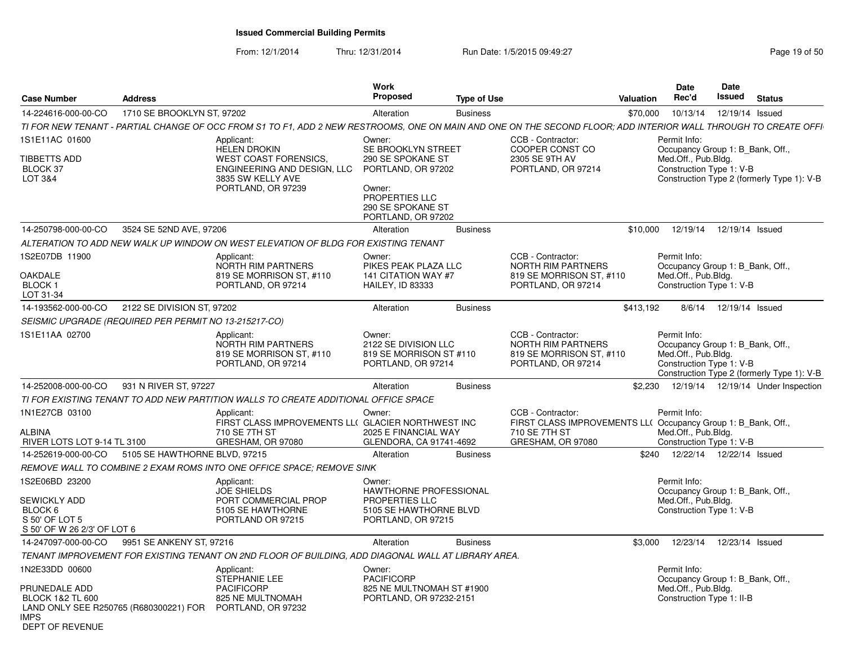| <b>Case Number</b>                                                                                                       | <b>Address</b>                |                                                                                                                                                                 | Work<br>Proposed                                                                | <b>Type of Use</b> |                                                                                                  | <b>Valuation</b> | <b>Date</b><br>Rec'd                                                                                | Date<br>Issued             | <b>Status</b>                              |
|--------------------------------------------------------------------------------------------------------------------------|-------------------------------|-----------------------------------------------------------------------------------------------------------------------------------------------------------------|---------------------------------------------------------------------------------|--------------------|--------------------------------------------------------------------------------------------------|------------------|-----------------------------------------------------------------------------------------------------|----------------------------|--------------------------------------------|
| 14-224616-000-00-CO                                                                                                      | 1710 SE BROOKLYN ST, 97202    |                                                                                                                                                                 | Alteration                                                                      | <b>Business</b>    |                                                                                                  | \$70,000         | 10/13/14                                                                                            | 12/19/14 Issued            |                                            |
|                                                                                                                          |                               | TI FOR NEW TENANT - PARTIAL CHANGE OF OCC FROM S1 TO F1, ADD 2 NEW RESTROOMS, ONE ON MAIN AND ONE ON THE SECOND FLOOR; ADD INTERIOR WALL THROUGH TO CREATE OFFI |                                                                                 |                    |                                                                                                  |                  |                                                                                                     |                            |                                            |
| 1S1E11AC 01600                                                                                                           |                               | Applicant:<br><b>HELEN DROKIN</b>                                                                                                                               | Owner:<br>SE BROOKLYN STREET                                                    |                    | CCB - Contractor:<br>COOPER CONST CO                                                             |                  | Permit Info:<br>Occupancy Group 1: B Bank, Off.,                                                    |                            |                                            |
| TIBBETTS ADD<br>BLOCK 37<br>LOT 3&4                                                                                      |                               | <b>WEST COAST FORENSICS,</b><br>ENGINEERING AND DESIGN, LLC<br>3835 SW KELLY AVE                                                                                | 290 SE SPOKANE ST<br>PORTLAND, OR 97202                                         |                    | 2305 SE 9TH AV<br>PORTLAND, OR 97214                                                             |                  | Med.Off., Pub.Bldg.<br>Construction Type 1: V-B                                                     |                            | Construction Type 2 (formerly Type 1): V-B |
|                                                                                                                          |                               | PORTLAND, OR 97239                                                                                                                                              | Owner:<br><b>PROPERTIES LLC</b><br>290 SE SPOKANE ST<br>PORTLAND, OR 97202      |                    |                                                                                                  |                  |                                                                                                     |                            |                                            |
| 14-250798-000-00-CO                                                                                                      | 3524 SE 52ND AVE, 97206       |                                                                                                                                                                 | Alteration                                                                      | <b>Business</b>    |                                                                                                  | \$10,000         | 12/19/14                                                                                            | 12/19/14 Issued            |                                            |
|                                                                                                                          |                               | ALTERATION TO ADD NEW WALK UP WINDOW ON WEST ELEVATION OF BLDG FOR EXISTING TENANT                                                                              |                                                                                 |                    |                                                                                                  |                  |                                                                                                     |                            |                                            |
| 1S2E07DB 11900                                                                                                           |                               | Applicant:<br><b>NORTH RIM PARTNERS</b>                                                                                                                         | Owner:<br>PIKES PEAK PLAZA LLC                                                  |                    | CCB - Contractor:<br>NORTH RIM PARTNERS                                                          |                  | Permit Info:<br>Occupancy Group 1: B_Bank, Off.,                                                    |                            |                                            |
| <b>OAKDALE</b><br>BLOCK 1<br>LOT 31-34                                                                                   |                               | 819 SE MORRISON ST, #110<br>PORTLAND, OR 97214                                                                                                                  | 141 CITATION WAY #7<br>HAILEY, ID 83333                                         |                    | 819 SE MORRISON ST, #110<br>PORTLAND, OR 97214                                                   |                  | Med.Off., Pub.Bldg.<br>Construction Type 1: V-B                                                     |                            |                                            |
| 14-193562-000-00-CO                                                                                                      | 2122 SE DIVISION ST, 97202    |                                                                                                                                                                 | Alteration                                                                      | <b>Business</b>    |                                                                                                  | \$413,192        | 8/6/14                                                                                              | 12/19/14 Issued            |                                            |
| SEISMIC UPGRADE (REQUIRED PER PERMIT NO 13-215217-CO)                                                                    |                               |                                                                                                                                                                 |                                                                                 |                    |                                                                                                  |                  |                                                                                                     |                            |                                            |
| 1S1E11AA 02700                                                                                                           |                               | Applicant:<br><b>NORTH RIM PARTNERS</b><br>819 SE MORRISON ST, #110<br>PORTLAND, OR 97214                                                                       | Owner:<br>2122 SE DIVISION LLC<br>819 SE MORRISON ST #110<br>PORTLAND, OR 97214 |                    | CCB - Contractor:<br><b>NORTH RIM PARTNERS</b><br>819 SE MORRISON ST, #110<br>PORTLAND, OR 97214 |                  | Permit Info:<br>Occupancy Group 1: B Bank, Off.,<br>Med.Off., Pub.Bldg.<br>Construction Type 1: V-B |                            | Construction Type 2 (formerly Type 1): V-B |
| 14-252008-000-00-CO                                                                                                      | 931 N RIVER ST, 97227         |                                                                                                                                                                 | Alteration                                                                      | <b>Business</b>    |                                                                                                  |                  |                                                                                                     |                            | \$2,230 12/19/14 12/19/14 Under Inspection |
|                                                                                                                          |                               | TI FOR EXISTING TENANT TO ADD NEW PARTITION WALLS TO CREATE ADDITIONAL OFFICE SPACE                                                                             |                                                                                 |                    |                                                                                                  |                  |                                                                                                     |                            |                                            |
| 1N1E27CB 03100                                                                                                           |                               | Applicant:<br>FIRST CLASS IMPROVEMENTS LL( GLACIER NORTHWEST INC                                                                                                | Owner:                                                                          |                    | CCB - Contractor:<br>FIRST CLASS IMPROVEMENTS LL( Occupancy Group 1: B_Bank, Off.,               |                  | Permit Info:                                                                                        |                            |                                            |
| <b>ALBINA</b><br>RIVER LOTS LOT 9-14 TL 3100                                                                             |                               | 710 SE 7TH ST<br>GRESHAM, OR 97080                                                                                                                              | 2025 E FINANCIAL WAY<br>GLENDORA, CA 91741-4692                                 |                    | 710 SE 7TH ST<br>GRESHAM, OR 97080                                                               |                  | Med.Off., Pub.Bldg.<br>Construction Type 1: V-B                                                     |                            |                                            |
| 14-252619-000-00-CO                                                                                                      | 5105 SE HAWTHORNE BLVD, 97215 |                                                                                                                                                                 | Alteration                                                                      | <b>Business</b>    |                                                                                                  | \$240            |                                                                                                     | 12/22/14  12/22/14  Issued |                                            |
|                                                                                                                          |                               | REMOVE WALL TO COMBINE 2 EXAM ROMS INTO ONE OFFICE SPACE; REMOVE SINK                                                                                           |                                                                                 |                    |                                                                                                  |                  |                                                                                                     |                            |                                            |
| 1S2E06BD 23200                                                                                                           |                               | Applicant:<br><b>JOE SHIELDS</b>                                                                                                                                | Owner:<br>HAWTHORNE PROFESSIONAL                                                |                    |                                                                                                  |                  | Permit Info:<br>Occupancy Group 1: B Bank, Off.,                                                    |                            |                                            |
| SEWICKLY ADD                                                                                                             |                               | PORT COMMERCIAL PROP                                                                                                                                            | <b>PROPERTIES LLC</b>                                                           |                    |                                                                                                  |                  | Med.Off., Pub.Bldg.                                                                                 |                            |                                            |
| BLOCK 6<br>S 50' OF LOT 5<br>S 50' OF W 26 2/3' OF LOT 6                                                                 |                               | 5105 SE HAWTHORNE<br>PORTLAND OR 97215                                                                                                                          | 5105 SE HAWTHORNE BLVD<br>PORTLAND, OR 97215                                    |                    |                                                                                                  |                  | Construction Type 1: V-B                                                                            |                            |                                            |
| 14-247097-000-00-CO                                                                                                      | 9951 SE ANKENY ST, 97216      |                                                                                                                                                                 | Alteration                                                                      | <b>Business</b>    |                                                                                                  | \$3,000          | 12/23/14                                                                                            | 12/23/14 Issued            |                                            |
|                                                                                                                          |                               | TENANT IMPROVEMENT FOR EXISTING TENANT ON 2ND FLOOR OF BUILDING. ADD DIAGONAL WALL AT LIBRARY AREA                                                              |                                                                                 |                    |                                                                                                  |                  |                                                                                                     |                            |                                            |
| 1N2E33DD 00600                                                                                                           |                               | Applicant:<br><b>STEPHANIE LEE</b>                                                                                                                              | Owner:<br><b>PACIFICORP</b>                                                     |                    |                                                                                                  |                  | Permit Info:<br>Occupancy Group 1: B Bank, Off.,                                                    |                            |                                            |
| PRUNEDALE ADD<br><b>BLOCK 1&amp;2 TL 600</b><br>LAND ONLY SEE R250765 (R680300221) FOR<br><b>IMPS</b><br>DEPT OF REVENUE |                               | <b>PACIFICORP</b><br>825 NE MULTNOMAH<br>PORTLAND, OR 97232                                                                                                     | 825 NE MULTNOMAH ST #1900<br>PORTLAND, OR 97232-2151                            |                    |                                                                                                  |                  | Med.Off., Pub.Bldg.<br>Construction Type 1: II-B                                                    |                            |                                            |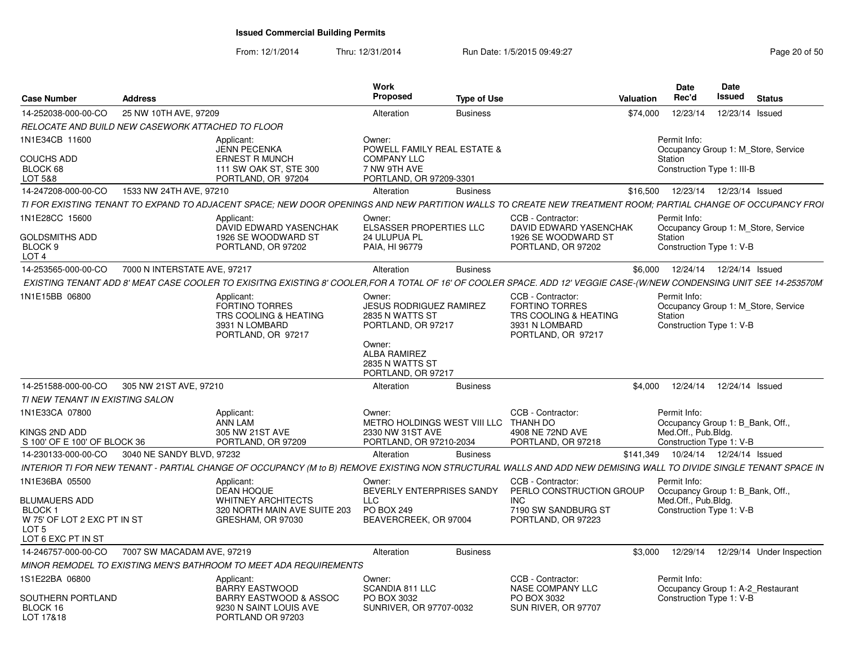From: 12/1/2014

| <b>Case Number</b>                                                                            | <b>Address</b>                                    |                                                                                                                                                                       | <b>Work</b><br>Proposed                                                                                                                              | <b>Type of Use</b> | Valuation                                                                                                   | <b>Date</b><br>Rec'd                                                                                | Date<br>Issued             | <b>Status</b>                       |
|-----------------------------------------------------------------------------------------------|---------------------------------------------------|-----------------------------------------------------------------------------------------------------------------------------------------------------------------------|------------------------------------------------------------------------------------------------------------------------------------------------------|--------------------|-------------------------------------------------------------------------------------------------------------|-----------------------------------------------------------------------------------------------------|----------------------------|-------------------------------------|
| 14-252038-000-00-CO                                                                           | 25 NW 10TH AVE, 97209                             |                                                                                                                                                                       | Alteration                                                                                                                                           | <b>Business</b>    | \$74,000                                                                                                    | 12/23/14                                                                                            |                            | 12/23/14 Issued                     |
|                                                                                               | RELOCATE AND BUILD NEW CASEWORK ATTACHED TO FLOOR |                                                                                                                                                                       |                                                                                                                                                      |                    |                                                                                                             |                                                                                                     |                            |                                     |
| 1N1E34CB 11600                                                                                |                                                   | Applicant:<br><b>JENN PECENKA</b>                                                                                                                                     | Owner:<br>POWELL FAMILY REAL ESTATE &                                                                                                                |                    |                                                                                                             | Permit Info:                                                                                        |                            | Occupancy Group 1: M Store, Service |
| <b>COUCHS ADD</b><br>BLOCK 68                                                                 |                                                   | <b>ERNEST R MUNCH</b><br>111 SW OAK ST, STE 300                                                                                                                       | <b>COMPANY LLC</b><br>7 NW 9TH AVE                                                                                                                   |                    |                                                                                                             | Station<br>Construction Type 1: III-B                                                               |                            |                                     |
| LOT 5&8                                                                                       |                                                   | PORTLAND, OR 97204                                                                                                                                                    | PORTLAND, OR 97209-3301                                                                                                                              |                    |                                                                                                             |                                                                                                     |                            |                                     |
| 14-247208-000-00-CO                                                                           | 1533 NW 24TH AVE, 97210                           |                                                                                                                                                                       | Alteration                                                                                                                                           | <b>Business</b>    | \$16,500                                                                                                    |                                                                                                     | 12/23/14  12/23/14  Issued |                                     |
|                                                                                               |                                                   | TI FOR EXISTING TENANT TO EXPAND TO ADJACENT SPACE; NEW DOOR OPENINGS AND NEW PARTITION WALLS TO CREATE NEW TREATMENT ROOM; PARTIAL CHANGE OF OCCUPANCY FROI          |                                                                                                                                                      |                    |                                                                                                             |                                                                                                     |                            |                                     |
| 1N1E28CC 15600                                                                                |                                                   | Applicant:<br>DAVID EDWARD YASENCHAK                                                                                                                                  | Owner:<br>ELSASSER PROPERTIES LLC                                                                                                                    |                    | CCB - Contractor:<br>DAVID EDWARD YASENCHAK                                                                 | Permit Info:                                                                                        |                            | Occupancy Group 1: M_Store, Service |
| <b>GOLDSMITHS ADD</b><br>BLOCK 9<br>LOT <sub>4</sub>                                          |                                                   | 1926 SE WOODWARD ST<br>PORTLAND, OR 97202                                                                                                                             | 24 ULUPUA PL<br>PAIA, HI 96779                                                                                                                       |                    | 1926 SE WOODWARD ST<br>PORTLAND, OR 97202                                                                   | Station<br>Construction Type 1: V-B                                                                 |                            |                                     |
| 14-253565-000-00-CO                                                                           | 7000 N INTERSTATE AVE, 97217                      |                                                                                                                                                                       | Alteration                                                                                                                                           | <b>Business</b>    |                                                                                                             | \$6.000                                                                                             | 12/24/14  12/24/14  Issued |                                     |
|                                                                                               |                                                   | EXISTING TENANT ADD 8' MEAT CASE COOLER TO EXISITNG EXISTING 8' COOLER, FOR A TOTAL OF 16' OF COOLER SPACE. ADD 12' VEGGIE CASE-(W/NEW CONDENSING UNIT SEE 14-253570M |                                                                                                                                                      |                    |                                                                                                             |                                                                                                     |                            |                                     |
| 1N1E15BB 06800                                                                                |                                                   | Applicant:<br><b>FORTINO TORRES</b><br>TRS COOLING & HEATING<br>3931 N LOMBARD<br>PORTLAND, OR 97217                                                                  | Owner:<br>JESUS RODRIGUEZ RAMIREZ<br>2835 N WATTS ST<br>PORTLAND, OR 97217<br>Owner:<br><b>ALBA RAMIREZ</b><br>2835 N WATTS ST<br>PORTLAND, OR 97217 |                    | CCB - Contractor:<br><b>FORTINO TORRES</b><br>TRS COOLING & HEATING<br>3931 N LOMBARD<br>PORTLAND, OR 97217 | Permit Info:<br>Station<br>Construction Type 1: V-B                                                 |                            | Occupancy Group 1: M Store, Service |
| 14-251588-000-00-CO                                                                           | 305 NW 21ST AVE, 97210                            |                                                                                                                                                                       | Alteration                                                                                                                                           | <b>Business</b>    |                                                                                                             | \$4.000<br>12/24/14                                                                                 |                            | 12/24/14 Issued                     |
| TI NEW TENANT IN EXISTING SALON                                                               |                                                   |                                                                                                                                                                       |                                                                                                                                                      |                    |                                                                                                             |                                                                                                     |                            |                                     |
| 1N1E33CA 07800<br>KINGS 2ND ADD<br>S 100' OF E 100' OF BLOCK 36                               |                                                   | Applicant:<br><b>ANN LAM</b><br>305 NW 21ST AVE<br>PORTLAND, OR 97209                                                                                                 | Owner:<br>METRO HOLDINGS WEST VIII LLC THANH DO<br>2330 NW 31ST AVE<br>PORTLAND, OR 97210-2034                                                       |                    | CCB - Contractor:<br>4908 NE 72ND AVE<br>PORTLAND, OR 97218                                                 | Permit Info:<br>Occupancy Group 1: B Bank, Off.,<br>Med.Off., Pub.Bldg.<br>Construction Type 1: V-B |                            |                                     |
| 14-230133-000-00-CO                                                                           | 3040 NE SANDY BLVD, 97232                         |                                                                                                                                                                       | Alteration                                                                                                                                           | <b>Business</b>    | \$141,349                                                                                                   |                                                                                                     | 10/24/14  12/24/14  Issued |                                     |
|                                                                                               |                                                   | INTERIOR TI FOR NEW TENANT - PARTIAL CHANGE OF OCCUPANCY (M to B) REMOVE EXISTING NON STRUCTURAL WALLS AND ADD NEW DEMISING WALL TO DIVIDE SINGLE TENANT SPACE IN     |                                                                                                                                                      |                    |                                                                                                             |                                                                                                     |                            |                                     |
| 1N1E36BA 05500                                                                                |                                                   | Applicant:                                                                                                                                                            | Owner:                                                                                                                                               |                    | CCB - Contractor:                                                                                           | Permit Info:                                                                                        |                            |                                     |
| <b>BLUMAUERS ADD</b><br>BLOCK 1<br>W 75' OF LOT 2 EXC PT IN ST<br>LOT 5<br>LOT 6 EXC PT IN ST |                                                   | <b>DEAN HOQUE</b><br>WHITNEY ARCHITECTS<br>320 NORTH MAIN AVE SUITE 203<br>GRESHAM, OR 97030                                                                          | BEVERLY ENTERPRISES SANDY<br><b>LLC</b><br>PO BOX 249<br>BEAVERCREEK, OR 97004                                                                       |                    | PERLO CONSTRUCTION GROUP<br><b>INC</b><br>7190 SW SANDBURG ST<br>PORTLAND, OR 97223                         | Occupancy Group 1: B_Bank, Off.,<br>Med.Off., Pub.Bldg.<br>Construction Type 1: V-B                 |                            |                                     |
| 14-246757-000-00-CO                                                                           | 7007 SW MACADAM AVE, 97219                        |                                                                                                                                                                       | Alteration                                                                                                                                           | <b>Business</b>    |                                                                                                             | 12/29/14<br>\$3.000                                                                                 |                            | 12/29/14 Under Inspection           |
|                                                                                               |                                                   | MINOR REMODEL TO EXISTING MEN'S BATHROOM TO MEET ADA REQUIREMENTS                                                                                                     |                                                                                                                                                      |                    |                                                                                                             |                                                                                                     |                            |                                     |
| 1S1E22BA 06800                                                                                |                                                   | Applicant:<br><b>BARRY EASTWOOD</b>                                                                                                                                   | Owner:<br><b>SCANDIA 811 LLC</b>                                                                                                                     |                    | CCB - Contractor:<br><b>NASE COMPANY LLC</b>                                                                | Permit Info:                                                                                        |                            | Occupancy Group 1: A-2 Restaurant   |
| SOUTHERN PORTLAND<br>BLOCK 16<br>LOT 17&18                                                    |                                                   | <b>BARRY EASTWOOD &amp; ASSOC</b><br>9230 N SAINT LOUIS AVE<br>PORTLAND OR 97203                                                                                      | PO BOX 3032<br>SUNRIVER, OR 97707-0032                                                                                                               |                    | PO BOX 3032<br>SUN RIVER, OR 97707                                                                          | Construction Type 1: V-B                                                                            |                            |                                     |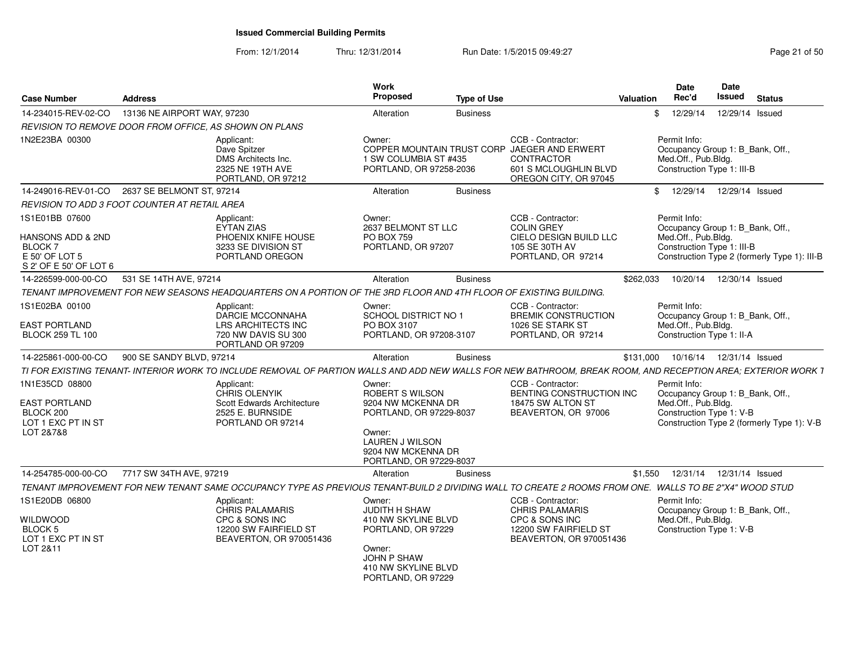From: 12/1/2014

| <b>Case Number</b>                                                                               | <b>Address</b>              |                                                                                                                                                               | <b>Work</b><br>Proposed                                                                                                                                         | <b>Type of Use</b> |                                                                                                                                          | <b>Valuation</b> | Date<br>Rec'd                                                                                         | <b>Date</b><br>Issued      | <b>Status</b>                                |
|--------------------------------------------------------------------------------------------------|-----------------------------|---------------------------------------------------------------------------------------------------------------------------------------------------------------|-----------------------------------------------------------------------------------------------------------------------------------------------------------------|--------------------|------------------------------------------------------------------------------------------------------------------------------------------|------------------|-------------------------------------------------------------------------------------------------------|----------------------------|----------------------------------------------|
| 14-234015-REV-02-CO                                                                              | 13136 NE AIRPORT WAY, 97230 |                                                                                                                                                               | Alteration                                                                                                                                                      | <b>Business</b>    |                                                                                                                                          | \$               | 12/29/14                                                                                              | 12/29/14 Issued            |                                              |
| <b>REVISION TO REMOVE DOOR FROM OFFICE, AS SHOWN ON PLANS</b>                                    |                             |                                                                                                                                                               |                                                                                                                                                                 |                    |                                                                                                                                          |                  |                                                                                                       |                            |                                              |
| 1N2E23BA 00300                                                                                   |                             | Applicant:<br>Dave Spitzer<br>DMS Architects Inc.<br>2325 NE 19TH AVE<br>PORTLAND, OR 97212                                                                   | Owner:<br>1 SW COLUMBIA ST #435<br>PORTLAND, OR 97258-2036                                                                                                      |                    | CCB - Contractor:<br>COPPER MOUNTAIN TRUST CORP JAEGER AND ERWERT<br><b>CONTRACTOR</b><br>601 S MCLOUGHLIN BLVD<br>OREGON CITY, OR 97045 |                  | Permit Info:<br>Occupancy Group 1: B_Bank, Off.,<br>Med.Off., Pub.Bldg.<br>Construction Type 1: III-B |                            |                                              |
| 14-249016-REV-01-CO                                                                              | 2637 SE BELMONT ST, 97214   |                                                                                                                                                               | Alteration                                                                                                                                                      | <b>Business</b>    |                                                                                                                                          |                  | \$12/29/14                                                                                            | 12/29/14 Issued            |                                              |
| <b>REVISION TO ADD 3 FOOT COUNTER AT RETAIL AREA</b>                                             |                             |                                                                                                                                                               |                                                                                                                                                                 |                    |                                                                                                                                          |                  |                                                                                                       |                            |                                              |
| 1S1E01BB 07600<br>HANSONS ADD & 2ND<br><b>BLOCK7</b><br>E 50' OF LOT 5<br>S 2' OF E 50' OF LOT 6 |                             | Applicant:<br><b>EYTAN ZIAS</b><br>PHOENIX KNIFE HOUSE<br>3233 SE DIVISION ST<br>PORTLAND OREGON                                                              | Owner:<br>2637 BELMONT ST LLC<br><b>PO BOX 759</b><br>PORTLAND, OR 97207                                                                                        |                    | CCB - Contractor:<br><b>COLIN GREY</b><br>CIELO DESIGN BUILD LLC<br>105 SE 30TH AV<br>PORTLAND, OR 97214                                 |                  | Permit Info:<br>Occupancy Group 1: B_Bank, Off.,<br>Med.Off., Pub.Bldg.<br>Construction Type 1: III-B |                            | Construction Type 2 (formerly Type 1): III-B |
| 14-226599-000-00-CO                                                                              | 531 SE 14TH AVE, 97214      |                                                                                                                                                               | Alteration                                                                                                                                                      | <b>Business</b>    |                                                                                                                                          | \$262,033        | 10/20/14                                                                                              | 12/30/14 Issued            |                                              |
|                                                                                                  |                             | TENANT IMPROVEMENT FOR NEW SEASONS HEADQUARTERS ON A PORTION OF THE 3RD FLOOR AND 4TH FLOOR OF EXISTING BUILDING.                                             |                                                                                                                                                                 |                    |                                                                                                                                          |                  |                                                                                                       |                            |                                              |
| 1S1E02BA 00100<br><b>EAST PORTLAND</b><br><b>BLOCK 259 TL 100</b>                                |                             | Applicant:<br>DARCIE MCCONNAHA<br>LRS ARCHITECTS INC<br>720 NW DAVIS SU 300<br>PORTLAND OR 97209                                                              | Owner:<br>SCHOOL DISTRICT NO 1<br>PO BOX 3107<br>PORTLAND, OR 97208-3107                                                                                        |                    | CCB - Contractor:<br><b>BREMIK CONSTRUCTION</b><br>1026 SE STARK ST<br>PORTLAND, OR 97214                                                |                  | Permit Info:<br>Occupancy Group 1: B Bank, Off.,<br>Med.Off., Pub.Bldg.<br>Construction Type 1: II-A  |                            |                                              |
| 14-225861-000-00-CO                                                                              | 900 SE SANDY BLVD, 97214    |                                                                                                                                                               | Alteration                                                                                                                                                      | <b>Business</b>    |                                                                                                                                          | \$131,000        |                                                                                                       | 10/16/14  12/31/14  Issued |                                              |
|                                                                                                  |                             | TI FOR EXISTING TENANT- INTERIOR WORK TO INCLUDE REMOVAL OF PARTION WALLS AND ADD NEW WALLS FOR NEW BATHROOM, BREAK ROOM, AND RECEPTION AREA; EXTERIOR WORK 1 |                                                                                                                                                                 |                    |                                                                                                                                          |                  |                                                                                                       |                            |                                              |
| 1N1E35CD 08800<br><b>EAST PORTLAND</b><br>BLOCK 200<br>LOT 1 EXC PT IN ST<br>LOT 2&7&8           |                             | Applicant:<br>CHRIS OLENYIK<br>Scott Edwards Architecture<br>2525 E. BURNSIDE<br>PORTLAND OR 97214                                                            | Owner:<br>ROBERT S WILSON<br>9204 NW MCKENNA DR<br>PORTLAND, OR 97229-8037<br>Owner:<br><b>LAUREN J WILSON</b><br>9204 NW MCKENNA DR<br>PORTLAND, OR 97229-8037 |                    | CCB - Contractor:<br>BENTING CONSTRUCTION INC<br>18475 SW ALTON ST<br>BEAVERTON, OR 97006                                                |                  | Permit Info:<br>Occupancy Group 1: B_Bank, Off.,<br>Med.Off., Pub.Bldg.<br>Construction Type 1: V-B   |                            | Construction Type 2 (formerly Type 1): V-B   |
| 14-254785-000-00-CO                                                                              | 7717 SW 34TH AVE, 97219     |                                                                                                                                                               | Alteration                                                                                                                                                      | <b>Business</b>    |                                                                                                                                          | \$1,550          | 12/31/14                                                                                              | 12/31/14 Issued            |                                              |
|                                                                                                  |                             | TENANT IMPROVEMENT FOR NEW TENANT SAME OCCUPANCY TYPE AS PREVIOUS TENANT-BUILD 2 DIVIDING WALL TO CREATE 2 ROOMS FROM ONE. WALLS TO BE 2"X4" WOOD STUD        |                                                                                                                                                                 |                    |                                                                                                                                          |                  |                                                                                                       |                            |                                              |
| 1S1E20DB 06800<br><b>WILDWOOD</b><br>BLOCK 5<br>LOT 1 EXC PT IN ST<br>LOT 2&11                   |                             | Applicant:<br><b>CHRIS PALAMARIS</b><br>CPC & SONS INC<br>12200 SW FAIRFIELD ST<br>BEAVERTON, OR 970051436                                                    | Owner:<br>JUDITH H SHAW<br>410 NW SKYLINE BLVD<br>PORTLAND, OR 97229<br>Owner:<br>JOHN P SHAW<br>410 NW SKYLINE BLVD<br>PORTLAND, OR 97229                      |                    | CCB - Contractor:<br><b>CHRIS PALAMARIS</b><br>CPC & SONS INC<br>12200 SW FAIRFIELD ST<br>BEAVERTON, OR 970051436                        |                  | Permit Info:<br>Occupancy Group 1: B_Bank, Off.,<br>Med.Off., Pub.Bldg.<br>Construction Type 1: V-B   |                            |                                              |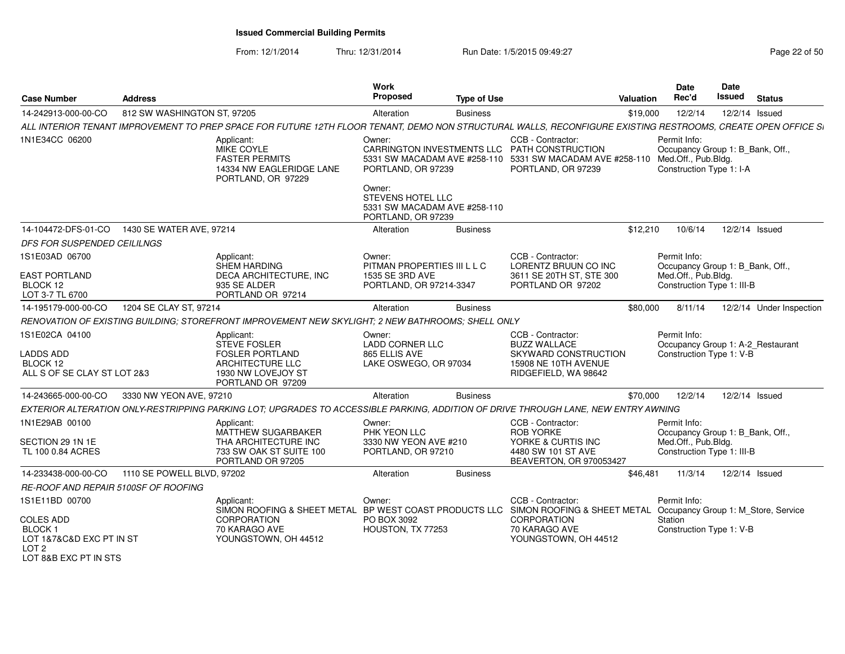From: 12/1/2014Thru: 12/31/2014 Run Date: 1/5/2015 09:49:27 Research 2010 12:49:27 Page 22 of 50

|                                                                                                                                                                                                      |                                                                                                                                                                                              | <b>Type of Use</b> |                                                                                                                                                      | Valuation | Rec'd                                                                                                 | <b>Issued</b> | <b>Status</b>            |
|------------------------------------------------------------------------------------------------------------------------------------------------------------------------------------------------------|----------------------------------------------------------------------------------------------------------------------------------------------------------------------------------------------|--------------------|------------------------------------------------------------------------------------------------------------------------------------------------------|-----------|-------------------------------------------------------------------------------------------------------|---------------|--------------------------|
| 14-242913-000-00-CO<br>812 SW WASHINGTON ST, 97205                                                                                                                                                   | Alteration                                                                                                                                                                                   | <b>Business</b>    |                                                                                                                                                      | \$19,000  | 12/2/14                                                                                               |               | 12/2/14 Issued           |
| ALL INTERIOR TENANT IMPROVEMENT TO PREP SPACE FOR FUTURE 12TH FLOOR TENANT, DEMO NON STRUCTURAL WALLS, RECONFIGURE EXISTING RESTROOMS, CREATE OPEN OFFICE SI                                         |                                                                                                                                                                                              |                    |                                                                                                                                                      |           |                                                                                                       |               |                          |
| 1N1E34CC 06200<br>Applicant:<br>MIKE COYLE<br><b>FASTER PERMITS</b><br>PORTLAND, OR 97229                                                                                                            | Owner:<br>14334 NW EAGLERIDGE LANE<br>PORTLAND, OR 97239<br>Owner:                                                                                                                           |                    | CCB - Contractor:<br>CARRINGTON INVESTMENTS LLC PATH CONSTRUCTION<br>5331 SW MACADAM AVE #258-110 5331 SW MACADAM AVE #258-110<br>PORTLAND, OR 97239 |           | Permit Info:<br>Occupancy Group 1: B_Bank, Off.,<br>Med.Off., Pub.Bldg.<br>Construction Type 1: I-A   |               |                          |
|                                                                                                                                                                                                      | STEVENS HOTEL LLC<br>5331 SW MACADAM AVE #258-110<br>PORTLAND, OR 97239                                                                                                                      |                    |                                                                                                                                                      |           |                                                                                                       |               |                          |
| 14-104472-DFS-01-CO<br>1430 SE WATER AVE, 97214                                                                                                                                                      | Alteration                                                                                                                                                                                   | <b>Business</b>    |                                                                                                                                                      | \$12,210  | 10/6/14                                                                                               |               | 12/2/14 Issued           |
| <b>DFS FOR SUSPENDED CEILILNGS</b>                                                                                                                                                                   |                                                                                                                                                                                              |                    |                                                                                                                                                      |           |                                                                                                       |               |                          |
| 1S1E03AD 06700<br>Applicant:<br>SHEM HARDING                                                                                                                                                         | Owner:<br>PITMAN PROPERTIES III L L C                                                                                                                                                        |                    | CCB - Contractor:<br>LORENTZ BRUUN CO INC                                                                                                            |           | Permit Info:<br>Occupancy Group 1: B Bank, Off.,                                                      |               |                          |
| <b>EAST PORTLAND</b><br>BLOCK 12<br>935 SE ALDER<br>PORTLAND OR 97214<br>LOT 3-7 TL 6700                                                                                                             | DECA ARCHITECTURE, INC<br>1535 SE 3RD AVE<br>PORTLAND, OR 97214-3347                                                                                                                         |                    | 3611 SE 20TH ST, STE 300<br>PORTLAND OR 97202                                                                                                        |           | Med.Off., Pub.Bldg.<br>Construction Type 1: III-B                                                     |               |                          |
| 1204 SE CLAY ST, 97214<br>14-195179-000-00-CO                                                                                                                                                        | Alteration                                                                                                                                                                                   | <b>Business</b>    |                                                                                                                                                      | \$80,000  | 8/11/14                                                                                               |               | 12/2/14 Under Inspection |
| RENOVATION OF EXISTING BUILDING; STOREFRONT IMPROVEMENT NEW SKYLIGHT; 2 NEW BATHROOMS; SHELL ONLY                                                                                                    |                                                                                                                                                                                              |                    |                                                                                                                                                      |           |                                                                                                       |               |                          |
| 1S1E02CA 04100<br>Applicant:<br><b>STEVE FOSLER</b><br><b>FOSLER PORTLAND</b><br>LADDS ADD<br>BLOCK 12<br>ARCHITECTURE LLC<br>ALL S OF SE CLAY ST LOT 2&3<br>1930 NW LOVEJOY ST<br>PORTLAND OR 97209 | Owner:<br><b>LADD CORNER LLC</b><br>865 ELLIS AVE<br>LAKE OSWEGO, OR 97034                                                                                                                   |                    | CCB - Contractor:<br><b>BUZZ WALLACE</b><br>SKYWARD CONSTRUCTION<br>15908 NE 10TH AVENUE<br>RIDGEFIELD, WA 98642                                     |           | Permit Info:<br>Occupancy Group 1: A-2_Restaurant<br>Construction Type 1: V-B                         |               |                          |
| 3330 NW YEON AVE, 97210<br>14-243665-000-00-CO                                                                                                                                                       | Alteration                                                                                                                                                                                   | <b>Business</b>    |                                                                                                                                                      | \$70,000  | 12/2/14                                                                                               |               | 12/2/14 Issued           |
| EXTERIOR ALTERATION ONLY-RESTRIPPING PARKING LOT: UPGRADES TO ACCESSIBLE PARKING, ADDITION OF DRIVE THROUGH LANE, NEW ENTRY AWNING                                                                   |                                                                                                                                                                                              |                    |                                                                                                                                                      |           |                                                                                                       |               |                          |
| 1N1E29AB 00100<br>Applicant:<br>SECTION 29 1N 1E<br>TL 100 0.84 ACRES<br>PORTLAND OR 97205                                                                                                           | Owner:<br>MATTHEW SUGARBAKER<br>PHK YEON LLC<br>THA ARCHITECTURE INC<br>3330 NW YEON AVE #210<br>733 SW OAK ST SUITE 100<br>PORTLAND, OR 97210                                               |                    | CCB - Contractor:<br><b>ROB YORKE</b><br>YORKE & CURTIS INC<br>4480 SW 101 ST AVE<br>BEAVERTON, OR 970053427                                         |           | Permit Info:<br>Occupancy Group 1: B Bank, Off.,<br>Med.Off., Pub.Bldg.<br>Construction Type 1: III-B |               |                          |
| 1110 SE POWELL BLVD, 97202<br>14-233438-000-00-CO                                                                                                                                                    | Alteration                                                                                                                                                                                   | <b>Business</b>    |                                                                                                                                                      | \$46,481  | 11/3/14                                                                                               |               | 12/2/14 Issued           |
| RE-ROOF AND REPAIR 5100SF OF ROOFING                                                                                                                                                                 |                                                                                                                                                                                              |                    |                                                                                                                                                      |           |                                                                                                       |               |                          |
| 1S1E11BD 00700<br>Applicant:<br><b>COLES ADD</b><br>CORPORATION<br>BLOCK <sub>1</sub><br>70 KARAGO AVE<br>LOT 1&7&C&D EXC PT IN ST<br>LOT <sub>2</sub><br>LOT 8&B EXC PT IN STS                      | Owner:<br>SIMON ROOFING & SHEET METAL BP WEST COAST PRODUCTS LLC SIMON ROOFING & SHEET METAL Occupancy Group 1: M_Store, Service<br>PO BOX 3092<br>HOUSTON, TX 77253<br>YOUNGSTOWN, OH 44512 |                    | CCB - Contractor:<br><b>CORPORATION</b><br>70 KARAGO AVE<br>YOUNGSTOWN, OH 44512                                                                     |           | Permit Info:<br>Station<br>Construction Type 1: V-B                                                   |               |                          |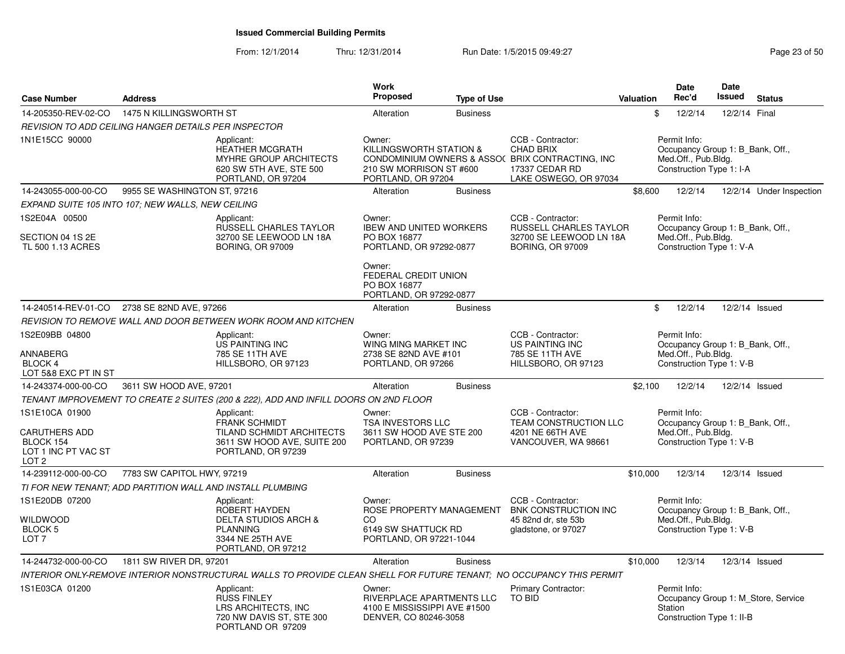| <b>Case Number</b>                                                                             | <b>Address</b>                                                                                                       |                                                                                                        | Work<br><b>Proposed</b>                                                                      | <b>Type of Use</b> |                                                                                                                                       | Valuation | <b>Date</b><br>Rec'd                                                                                | <b>Date</b><br><b>Issued</b> | <b>Status</b>                       |
|------------------------------------------------------------------------------------------------|----------------------------------------------------------------------------------------------------------------------|--------------------------------------------------------------------------------------------------------|----------------------------------------------------------------------------------------------|--------------------|---------------------------------------------------------------------------------------------------------------------------------------|-----------|-----------------------------------------------------------------------------------------------------|------------------------------|-------------------------------------|
| 14-205350-REV-02-CO                                                                            | 1475 N KILLINGSWORTH ST                                                                                              |                                                                                                        | Alteration                                                                                   | <b>Business</b>    |                                                                                                                                       | \$        | 12/2/14                                                                                             | 12/2/14 Final                |                                     |
|                                                                                                | REVISION TO ADD CEILING HANGER DETAILS PER INSPECTOR                                                                 |                                                                                                        |                                                                                              |                    |                                                                                                                                       |           |                                                                                                     |                              |                                     |
| 1N1E15CC 90000                                                                                 | Applicant:                                                                                                           | <b>HEATHER MCGRATH</b><br>MYHRE GROUP ARCHITECTS<br>620 SW 5TH AVE, STE 500<br>PORTLAND, OR 97204      | Owner:<br>KILLINGSWORTH STATION &<br>210 SW MORRISON ST #600<br>PORTLAND, OR 97204           |                    | CCB - Contractor:<br><b>CHAD BRIX</b><br>CONDOMINIUM OWNERS & ASSO( BRIX CONTRACTING, INC.<br>17337 CEDAR RD<br>LAKE OSWEGO, OR 97034 |           | Permit Info:<br>Occupancy Group 1: B Bank, Off.,<br>Med.Off., Pub.Bldg.<br>Construction Type 1: I-A |                              |                                     |
| 14-243055-000-00-CO                                                                            | 9955 SE WASHINGTON ST, 97216                                                                                         |                                                                                                        | Alteration                                                                                   | <b>Business</b>    |                                                                                                                                       | \$8,600   | 12/2/14                                                                                             |                              | 12/2/14 Under Inspection            |
|                                                                                                | EXPAND SUITE 105 INTO 107; NEW WALLS, NEW CEILING                                                                    |                                                                                                        |                                                                                              |                    |                                                                                                                                       |           |                                                                                                     |                              |                                     |
| 1S2E04A 00500                                                                                  | Applicant:                                                                                                           | RUSSELL CHARLES TAYLOR                                                                                 | Owner:<br><b>IBEW AND UNITED WORKERS</b>                                                     |                    | CCB - Contractor:<br><b>RUSSELL CHARLES TAYLOR</b>                                                                                    |           | Permit Info:<br>Occupancy Group 1: B_Bank, Off.,                                                    |                              |                                     |
| SECTION 04 1S 2E<br>TL 500 1.13 ACRES                                                          |                                                                                                                      | 32700 SE LEEWOOD LN 18A<br><b>BORING, OR 97009</b>                                                     | PO BOX 16877<br>PORTLAND, OR 97292-0877                                                      |                    | 32700 SE LEEWOOD LN 18A<br><b>BORING, OR 97009</b>                                                                                    |           | Med.Off., Pub.Bldg.<br>Construction Type 1: V-A                                                     |                              |                                     |
|                                                                                                |                                                                                                                      |                                                                                                        | Owner:<br>FEDERAL CREDIT UNION<br>PO BOX 16877<br>PORTLAND, OR 97292-0877                    |                    |                                                                                                                                       |           |                                                                                                     |                              |                                     |
|                                                                                                | 14-240514-REV-01-CO 2738 SE 82ND AVE, 97266                                                                          |                                                                                                        | Alteration                                                                                   | <b>Business</b>    |                                                                                                                                       | \$        | 12/2/14                                                                                             | 12/2/14 Issued               |                                     |
|                                                                                                | REVISION TO REMOVE WALL AND DOOR BETWEEN WORK ROOM AND KITCHEN                                                       |                                                                                                        |                                                                                              |                    |                                                                                                                                       |           |                                                                                                     |                              |                                     |
| 1S2E09BB 04800                                                                                 | Applicant:                                                                                                           | <b>US PAINTING INC</b>                                                                                 | Owner:<br>WING MING MARKET INC                                                               |                    | CCB - Contractor:<br>US PAINTING INC                                                                                                  |           | Permit Info:<br>Occupancy Group 1: B_Bank, Off.,                                                    |                              |                                     |
| ANNABERG<br><b>BLOCK 4</b><br>LOT 5&8 EXC PT IN ST                                             |                                                                                                                      | 785 SE 11TH AVE<br>HILLSBORO, OR 97123                                                                 | 2738 SE 82ND AVE #101<br>PORTLAND, OR 97266                                                  |                    | 785 SE 11TH AVE<br>HILLSBORO, OR 97123                                                                                                |           | Med.Off., Pub.Bldg.<br>Construction Type 1: V-B                                                     |                              |                                     |
| 14-243374-000-00-CO                                                                            | 3611 SW HOOD AVE, 97201                                                                                              |                                                                                                        | Alteration                                                                                   | <b>Business</b>    |                                                                                                                                       | \$2,100   | 12/2/14                                                                                             | 12/2/14 Issued               |                                     |
|                                                                                                | TENANT IMPROVEMENT TO CREATE 2 SUITES (200 & 222), ADD AND INFILL DOORS ON 2ND FLOOR                                 |                                                                                                        |                                                                                              |                    |                                                                                                                                       |           |                                                                                                     |                              |                                     |
| 1S1E10CA 01900<br><b>CARUTHERS ADD</b><br>BLOCK 154<br>LOT 1 INC PT VAC ST<br>LOT <sub>2</sub> | Applicant:                                                                                                           | <b>FRANK SCHMIDT</b><br>TILAND SCHMIDT ARCHITECTS<br>3611 SW HOOD AVE, SUITE 200<br>PORTLAND, OR 97239 | Owner:<br>TSA INVESTORS LLC<br>3611 SW HOOD AVE STE 200<br>PORTLAND, OR 97239                |                    | CCB - Contractor:<br>TEAM CONSTRUCTION LLC<br>4201 NE 66TH AVE<br>VANCOUVER, WA 98661                                                 |           | Permit Info:<br>Occupancy Group 1: B_Bank, Off.,<br>Med.Off., Pub.Bldg.<br>Construction Type 1: V-B |                              |                                     |
| 14-239112-000-00-CO                                                                            | 7783 SW CAPITOL HWY, 97219                                                                                           |                                                                                                        | Alteration                                                                                   | <b>Business</b>    |                                                                                                                                       | \$10,000  | 12/3/14                                                                                             | 12/3/14 Issued               |                                     |
|                                                                                                | TI FOR NEW TENANT; ADD PARTITION WALL AND INSTALL PLUMBING                                                           |                                                                                                        |                                                                                              |                    |                                                                                                                                       |           |                                                                                                     |                              |                                     |
| 1S1E20DB 07200                                                                                 | Applicant:                                                                                                           | ROBERT HAYDEN                                                                                          | Owner:<br>ROSE PROPERTY MANAGEMENT                                                           |                    | CCB - Contractor:<br><b>BNK CONSTRUCTION INC</b>                                                                                      |           | Permit Info:<br>Occupancy Group 1: B Bank, Off.,                                                    |                              |                                     |
| <b>WILDWOOD</b><br><b>BLOCK 5</b><br>LOT <sub>7</sub>                                          | <b>PLANNING</b>                                                                                                      | <b>DELTA STUDIOS ARCH &amp;</b><br>3344 NE 25TH AVE<br>PORTLAND, OR 97212                              | CO<br>6149 SW SHATTUCK RD<br>PORTLAND, OR 97221-1044                                         |                    | 45 82nd dr, ste 53b<br>gladstone, or 97027                                                                                            |           | Med.Off., Pub.Bldg.<br>Construction Type 1: V-B                                                     |                              |                                     |
| 14-244732-000-00-CO                                                                            | 1811 SW RIVER DR, 97201                                                                                              |                                                                                                        | Alteration                                                                                   | <b>Business</b>    |                                                                                                                                       | \$10,000  | 12/3/14                                                                                             | 12/3/14 Issued               |                                     |
|                                                                                                | INTERIOR ONLY-REMOVE INTERIOR NONSTRUCTURAL WALLS TO PROVIDE CLEAN SHELL FOR FUTURE TENANT: NO OCCUPANCY THIS PERMIT |                                                                                                        |                                                                                              |                    |                                                                                                                                       |           |                                                                                                     |                              |                                     |
| 1S1E03CA 01200                                                                                 | Applicant:<br><b>RUSS FINLEY</b>                                                                                     | LRS ARCHITECTS, INC<br>720 NW DAVIS ST, STE 300<br>PORTLAND OR 97209                                   | Owner:<br>RIVERPLACE APARTMENTS LLC<br>4100 E MISSISSIPPI AVE #1500<br>DENVER, CO 80246-3058 |                    | Primary Contractor:<br>TO BID                                                                                                         |           | Permit Info:<br>Station<br>Construction Type 1: II-B                                                |                              | Occupancy Group 1: M_Store, Service |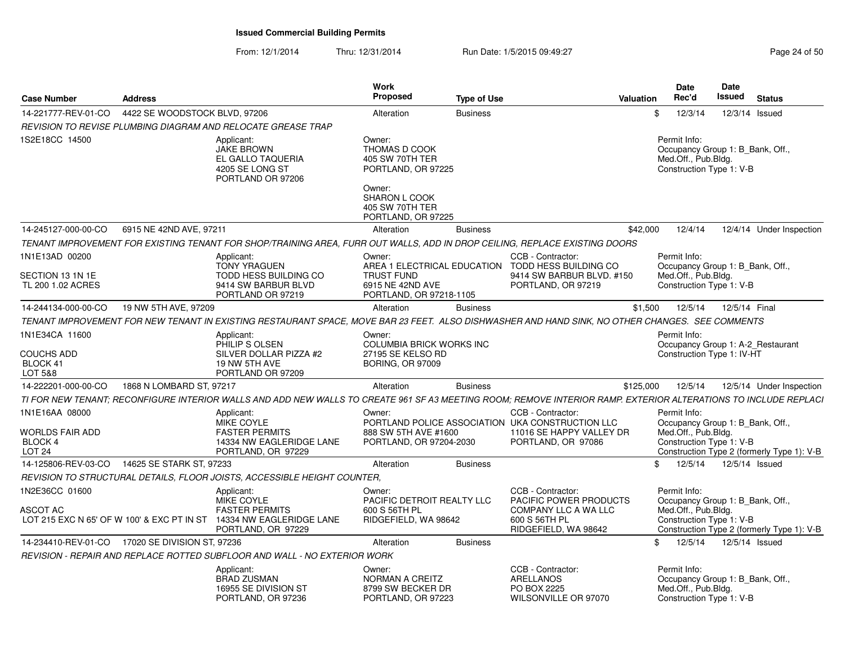| <b>Case Number</b>                                                              | <b>Address</b>                |                                                                                                                                                                 | Work<br><b>Proposed</b>                                                                     | <b>Type of Use</b> |                                                                                                                         | Valuation | <b>Date</b><br>Rec'd                                                                                | Date<br>Issued | <b>Status</b>                              |
|---------------------------------------------------------------------------------|-------------------------------|-----------------------------------------------------------------------------------------------------------------------------------------------------------------|---------------------------------------------------------------------------------------------|--------------------|-------------------------------------------------------------------------------------------------------------------------|-----------|-----------------------------------------------------------------------------------------------------|----------------|--------------------------------------------|
| 14-221777-REV-01-CO                                                             | 4422 SE WOODSTOCK BLVD, 97206 |                                                                                                                                                                 | Alteration                                                                                  | <b>Business</b>    |                                                                                                                         | \$        | 12/3/14                                                                                             | 12/3/14 Issued |                                            |
|                                                                                 |                               | REVISION TO REVISE PLUMBING DIAGRAM AND RELOCATE GREASE TRAP                                                                                                    |                                                                                             |                    |                                                                                                                         |           |                                                                                                     |                |                                            |
| 1S2E18CC 14500                                                                  |                               | Applicant:<br><b>JAKE BROWN</b><br>EL GALLO TAQUERIA<br>4205 SE LONG ST<br>PORTLAND OR 97206                                                                    | Owner:<br>THOMAS D COOK<br>405 SW 70TH TER<br>PORTLAND, OR 97225<br>Owner:<br>SHARON L COOK |                    |                                                                                                                         |           | Permit Info:<br>Occupancy Group 1: B_Bank, Off.,<br>Med.Off., Pub.Bldg.<br>Construction Type 1: V-B |                |                                            |
|                                                                                 |                               |                                                                                                                                                                 | 405 SW 70TH TER<br>PORTLAND, OR 97225                                                       |                    |                                                                                                                         |           |                                                                                                     |                |                                            |
| 14-245127-000-00-CO                                                             | 6915 NE 42ND AVE, 97211       |                                                                                                                                                                 | Alteration                                                                                  | <b>Business</b>    |                                                                                                                         | \$42,000  | 12/4/14                                                                                             |                | 12/4/14 Under Inspection                   |
|                                                                                 |                               | TENANT IMPROVEMENT FOR EXISTING TENANT FOR SHOP/TRAINING AREA, FURR OUT WALLS, ADD IN DROP CEILING, REPLACE EXISTING DOORS                                      |                                                                                             |                    |                                                                                                                         |           |                                                                                                     |                |                                            |
| 1N1E13AD 00200<br>SECTION 13 1N 1E                                              |                               | Applicant:<br><b>TONY YRAGUEN</b><br>TODD HESS BUILDING CO                                                                                                      | Owner:<br><b>TRUST FUND</b>                                                                 |                    | CCB - Contractor:<br>AREA 1 ELECTRICAL EDUCATION TODD HESS BUILDING CO<br>9414 SW BARBUR BLVD. #150                     |           | Permit Info:<br>Occupancy Group 1: B_Bank, Off.,<br>Med.Off., Pub.Bldg.                             |                |                                            |
| TL 200 1.02 ACRES                                                               |                               | 9414 SW BARBUR BLVD<br>PORTLAND OR 97219                                                                                                                        | 6915 NE 42ND AVE<br>PORTLAND, OR 97218-1105                                                 |                    | PORTLAND, OR 97219                                                                                                      |           | Construction Type 1: V-B                                                                            |                |                                            |
| 14-244134-000-00-CO                                                             | 19 NW 5TH AVE, 97209          |                                                                                                                                                                 | Alteration                                                                                  | <b>Business</b>    |                                                                                                                         | \$1,500   | 12/5/14                                                                                             | 12/5/14 Final  |                                            |
|                                                                                 |                               | TENANT IMPROVEMENT FOR NEW TENANT IN EXISTING RESTAURANT SPACE, MOVE BAR 23 FEET. ALSO DISHWASHER AND HAND SINK, NO OTHER CHANGES. SEE COMMENTS                 |                                                                                             |                    |                                                                                                                         |           |                                                                                                     |                |                                            |
| 1N1E34CA 11600<br><b>COUCHS ADD</b><br>BLOCK 41<br>LOT 5&8                      |                               | Applicant:<br>PHILIP S OLSEN<br>SILVER DOLLAR PIZZA #2<br>19 NW 5TH AVE<br>PORTLAND OR 97209                                                                    | Owner:<br>COLUMBIA BRICK WORKS INC<br>27195 SE KELSO RD<br><b>BORING, OR 97009</b>          |                    |                                                                                                                         |           | Permit Info:<br>Occupancy Group 1: A-2_Restaurant<br>Construction Type 1: IV-HT                     |                |                                            |
| 14-222201-000-00-CO                                                             | 1868 N LOMBARD ST, 97217      |                                                                                                                                                                 | Alteration                                                                                  | <b>Business</b>    |                                                                                                                         | \$125,000 | 12/5/14                                                                                             |                | 12/5/14 Under Inspection                   |
|                                                                                 |                               | TI FOR NEW TENANT; RECONFIGURE INTERIOR WALLS AND ADD NEW WALLS TO CREATE 961 SF A3 MEETING ROOM; REMOVE INTERIOR RAMP. EXTERIOR ALTERATIONS TO INCLUDE REPLACI |                                                                                             |                    |                                                                                                                         |           |                                                                                                     |                |                                            |
| 1N1E16AA 08000<br><b>WORLDS FAIR ADD</b><br><b>BLOCK 4</b><br>LOT <sub>24</sub> |                               | Applicant:<br>MIKE COYLE<br><b>FASTER PERMITS</b><br>14334 NW EAGLERIDGE LANE<br>PORTLAND, OR 97229                                                             | Owner:<br>888 SW 5TH AVE #1600<br>PORTLAND, OR 97204-2030                                   |                    | CCB - Contractor:<br>PORTLAND POLICE ASSOCIATION UKA CONSTRUCTION LLC<br>11016 SE HAPPY VALLEY DR<br>PORTLAND, OR 97086 |           | Permit Info:<br>Occupancy Group 1: B_Bank, Off.,<br>Med.Off., Pub.Bldg.<br>Construction Type 1: V-B |                | Construction Type 2 (formerly Type 1): V-B |
| 14-125806-REV-03-CO                                                             | 14625 SE STARK ST, 97233      |                                                                                                                                                                 | Alteration                                                                                  | <b>Business</b>    |                                                                                                                         | \$.       | 12/5/14                                                                                             | 12/5/14 Issued |                                            |
|                                                                                 |                               | REVISION TO STRUCTURAL DETAILS, FLOOR JOISTS, ACCESSIBLE HEIGHT COUNTER,                                                                                        |                                                                                             |                    |                                                                                                                         |           |                                                                                                     |                |                                            |
| 1N2E36CC 01600                                                                  |                               | Applicant:                                                                                                                                                      | Owner:                                                                                      |                    | CCB - Contractor:                                                                                                       |           | Permit Info:                                                                                        |                |                                            |
| ASCOT AC                                                                        |                               | MIKE COYLE<br><b>FASTER PERMITS</b><br>LOT 215 EXC N 65' OF W 100' & EXC PT IN ST 14334 NW EAGLERIDGE LANE<br>PORTLAND, OR 97229                                | PACIFIC DETROIT REALTY LLC<br>600 S 56TH PL<br>RIDGEFIELD, WA 98642                         |                    | PACIFIC POWER PRODUCTS<br>COMPANY LLC A WA LLC<br>600 S 56TH PL<br>RIDGEFIELD, WA 98642                                 |           | Occupancy Group 1: B_Bank, Off.,<br>Med.Off., Pub.Bldg.<br>Construction Type 1: V-B                 |                | Construction Type 2 (formerly Type 1): V-B |
| 14-234410-REV-01-CO 17020 SE DIVISION ST, 97236                                 |                               |                                                                                                                                                                 | Alteration                                                                                  | <b>Business</b>    |                                                                                                                         | \$        | 12/5/14                                                                                             | 12/5/14 Issued |                                            |
|                                                                                 |                               | REVISION - REPAIR AND REPLACE ROTTED SUBFLOOR AND WALL - NO EXTERIOR WORK                                                                                       |                                                                                             |                    |                                                                                                                         |           |                                                                                                     |                |                                            |
|                                                                                 |                               | Applicant:<br><b>BRAD ZUSMAN</b><br>16955 SE DIVISION ST<br>PORTLAND, OR 97236                                                                                  | Owner:<br>NORMAN A CREITZ<br>8799 SW BECKER DR<br>PORTLAND, OR 97223                        |                    | CCB - Contractor:<br>ARELLANOS<br>PO BOX 2225<br>WILSONVILLE OR 97070                                                   |           | Permit Info:<br>Occupancy Group 1: B Bank, Off.,<br>Med.Off., Pub.Bldg.<br>Construction Type 1: V-B |                |                                            |
|                                                                                 |                               |                                                                                                                                                                 |                                                                                             |                    |                                                                                                                         |           |                                                                                                     |                |                                            |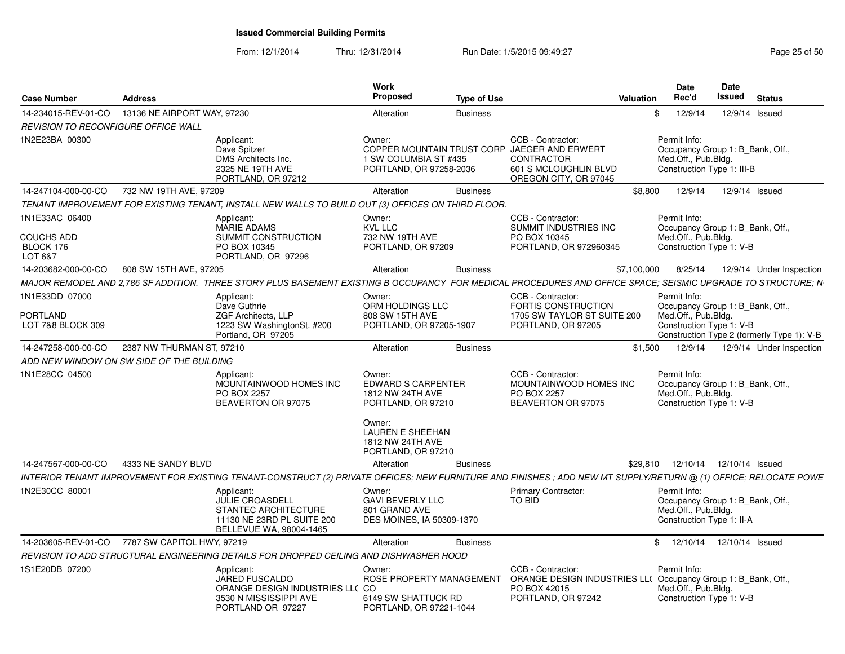| <b>Case Number</b>                                          | <b>Address</b>              |                                                                                                                                                                 | <b>Work</b><br><b>Proposed</b>                                                                                                                               | <b>Type of Use</b> |                                                                                                                                   | Valuation   | Date<br>Rec'd                                                                                         | <b>Date</b><br>Issued | <b>Status</b>                              |
|-------------------------------------------------------------|-----------------------------|-----------------------------------------------------------------------------------------------------------------------------------------------------------------|--------------------------------------------------------------------------------------------------------------------------------------------------------------|--------------------|-----------------------------------------------------------------------------------------------------------------------------------|-------------|-------------------------------------------------------------------------------------------------------|-----------------------|--------------------------------------------|
| 14-234015-REV-01-CO                                         | 13136 NE AIRPORT WAY, 97230 |                                                                                                                                                                 | Alteration                                                                                                                                                   | <b>Business</b>    |                                                                                                                                   |             | 12/9/14                                                                                               |                       | 12/9/14 Issued                             |
| <b>REVISION TO RECONFIGURE OFFICE WALL</b>                  |                             |                                                                                                                                                                 |                                                                                                                                                              |                    |                                                                                                                                   |             |                                                                                                       |                       |                                            |
| 1N2E23BA 00300                                              |                             | Applicant:<br>Dave Spitzer<br>DMS Architects Inc.<br>2325 NE 19TH AVE<br>PORTLAND, OR 97212                                                                     | Owner:<br>1 SW COLUMBIA ST #435<br>PORTLAND, OR 97258-2036                                                                                                   |                    | CCB - Contractor:<br>COPPER MOUNTAIN TRUST CORP JAEGER AND ERWERT<br>CONTRACTOR<br>601 S MCLOUGHLIN BLVD<br>OREGON CITY, OR 97045 |             | Permit Info:<br>Occupancy Group 1: B_Bank, Off.,<br>Med.Off., Pub.Bldg.<br>Construction Type 1: III-B |                       |                                            |
| 14-247104-000-00-CO                                         | 732 NW 19TH AVE, 97209      |                                                                                                                                                                 | Alteration                                                                                                                                                   | <b>Business</b>    |                                                                                                                                   | \$8,800     | 12/9/14                                                                                               |                       | 12/9/14 Issued                             |
|                                                             |                             | TENANT IMPROVEMENT FOR EXISTING TENANT, INSTALL NEW WALLS TO BUILD OUT (3) OFFICES ON THIRD FLOOR.                                                              |                                                                                                                                                              |                    |                                                                                                                                   |             |                                                                                                       |                       |                                            |
| 1N1E33AC 06400<br><b>COUCHS ADD</b><br>BLOCK 176<br>LOT 6&7 |                             | Applicant:<br>MARIE ADAMS<br>SUMMIT CONSTRUCTION<br>PO BOX 10345<br>PORTLAND, OR 97296                                                                          | Owner:<br><b>KVL LLC</b><br>732 NW 19TH AVE<br>PORTLAND, OR 97209                                                                                            |                    | CCB - Contractor:<br>SUMMIT INDUSTRIES INC<br>PO BOX 10345<br>PORTLAND, OR 972960345                                              |             | Permit Info:<br>Occupancy Group 1: B_Bank, Off.,<br>Med.Off., Pub.Bldg.<br>Construction Type 1: V-B   |                       |                                            |
| 14-203682-000-00-CO                                         | 808 SW 15TH AVE, 97205      |                                                                                                                                                                 | Alteration                                                                                                                                                   | <b>Business</b>    |                                                                                                                                   | \$7,100,000 | 8/25/14                                                                                               |                       | 12/9/14 Under Inspection                   |
|                                                             |                             | MAJOR REMODEL AND 2,786 SF ADDITION. THREE STORY PLUS BASEMENT EXISTING B OCCUPANCY FOR MEDICAL PROCEDURES AND OFFICE SPACE; SEISMIC UPGRADE TO STRUCTURE; N    |                                                                                                                                                              |                    |                                                                                                                                   |             |                                                                                                       |                       |                                            |
| 1N1E33DD 07000<br>PORTLAND<br>LOT 7&8 BLOCK 309             |                             | Applicant:<br>Dave Guthrie<br><b>ZGF Architects, LLP</b><br>1223 SW WashingtonSt. #200<br>Portland, OR 97205                                                    | Owner:<br>ORM HOLDINGS LLC<br>808 SW 15TH AVE<br>PORTLAND, OR 97205-1907                                                                                     |                    | CCB - Contractor:<br><b>FORTIS CONSTRUCTION</b><br>1705 SW TAYLOR ST SUITE 200<br>PORTLAND, OR 97205                              |             | Permit Info:<br>Occupancy Group 1: B Bank, Off.,<br>Med.Off., Pub.Bldg.<br>Construction Type 1: V-B   |                       | Construction Type 2 (formerly Type 1): V-B |
| 14-247258-000-00-CO                                         | 2387 NW THURMAN ST, 97210   |                                                                                                                                                                 | Alteration                                                                                                                                                   | <b>Business</b>    |                                                                                                                                   | \$1,500     | 12/9/14                                                                                               |                       | 12/9/14 Under Inspection                   |
| ADD NEW WINDOW ON SW SIDE OF THE BUILDING                   |                             |                                                                                                                                                                 |                                                                                                                                                              |                    |                                                                                                                                   |             |                                                                                                       |                       |                                            |
| 1N1E28CC 04500                                              |                             | Applicant:<br>MOUNTAINWOOD HOMES INC<br>PO BOX 2257<br>BEAVERTON OR 97075                                                                                       | Owner:<br><b>EDWARD S CARPENTER</b><br>1812 NW 24TH AVE<br>PORTLAND, OR 97210<br>Owner:<br><b>LAUREN E SHEEHAN</b><br>1812 NW 24TH AVE<br>PORTLAND, OR 97210 |                    | CCB - Contractor:<br>MOUNTAINWOOD HOMES INC<br>PO BOX 2257<br>BEAVERTON OR 97075                                                  |             | Permit Info:<br>Occupancy Group 1: B_Bank, Off.,<br>Med.Off., Pub.Bldg.<br>Construction Type 1: V-B   |                       |                                            |
| 14-247567-000-00-CO                                         | 4333 NE SANDY BLVD          |                                                                                                                                                                 | Alteration                                                                                                                                                   | <b>Business</b>    |                                                                                                                                   | \$29.810    | 12/10/14                                                                                              | 12/10/14 Issued       |                                            |
|                                                             |                             | INTERIOR TENANT IMPROVEMENT FOR EXISTING TENANT-CONSTRUCT (2) PRIVATE OFFICES; NEW FURNITURE AND FINISHES; ADD NEW MT SUPPLY/RETURN @ (1) OFFICE; RELOCATE POWE |                                                                                                                                                              |                    |                                                                                                                                   |             |                                                                                                       |                       |                                            |
| 1N2E30CC 80001                                              |                             | Applicant:<br><b>JULIE CROASDELL</b><br>STANTEC ARCHITECTURE<br>11130 NE 23RD PL SUITE 200<br>BELLEVUE WA, 98004-1465                                           | Owner:<br><b>GAVI BEVERLY LLC</b><br>801 GRAND AVE<br><b>DES MOINES. IA 50309-1370</b>                                                                       |                    | <b>Primary Contractor:</b><br>TO BID                                                                                              |             | Permit Info:<br>Occupancy Group 1: B Bank, Off.,<br>Med.Off., Pub.Bldg.<br>Construction Type 1: II-A  |                       |                                            |
| 14-203605-REV-01-CO 7787 SW CAPITOL HWY, 97219              |                             |                                                                                                                                                                 | Alteration                                                                                                                                                   | <b>Business</b>    |                                                                                                                                   |             | \$12/10/14                                                                                            | 12/10/14 Issued       |                                            |
|                                                             |                             | REVISION TO ADD STRUCTURAL ENGINEERING DETAILS FOR DROPPED CEILING AND DISHWASHER HOOD                                                                          |                                                                                                                                                              |                    |                                                                                                                                   |             |                                                                                                       |                       |                                            |
| 1S1E20DB 07200                                              |                             | Applicant:<br><b>JARED FUSCALDO</b><br>ORANGE DESIGN INDUSTRIES LL(CO<br>3530 N MISSISSIPPI AVE<br>PORTLAND OR 97227                                            | Owner:<br>ROSE PROPERTY MANAGEMENT<br>6149 SW SHATTUCK RD<br>PORTLAND, OR 97221-1044                                                                         |                    | CCB - Contractor:<br>ORANGE DESIGN INDUSTRIES LL( Occupancy Group 1: B_Bank, Off.,<br>PO BOX 42015<br>PORTLAND, OR 97242          |             | Permit Info:<br>Med.Off., Pub.Bldg.<br>Construction Type 1: V-B                                       |                       |                                            |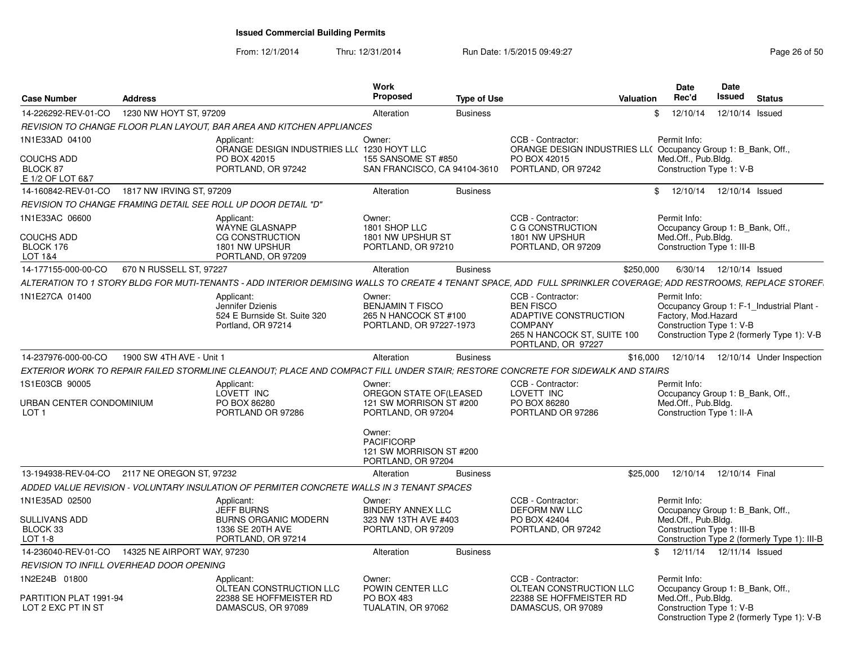|                                                                     |                                                  |                                                                                                                                                                 | Work<br><b>Proposed</b>                                                                            |                    | Valuation                                                                                                                                    | <b>Date</b><br>Rec'd                                            | <b>Date</b><br>Issued |                                                                                         |
|---------------------------------------------------------------------|--------------------------------------------------|-----------------------------------------------------------------------------------------------------------------------------------------------------------------|----------------------------------------------------------------------------------------------------|--------------------|----------------------------------------------------------------------------------------------------------------------------------------------|-----------------------------------------------------------------|-----------------------|-----------------------------------------------------------------------------------------|
| <b>Case Number</b>                                                  | <b>Address</b>                                   |                                                                                                                                                                 |                                                                                                    | <b>Type of Use</b> |                                                                                                                                              |                                                                 |                       | <b>Status</b>                                                                           |
| 14-226292-REV-01-CO                                                 | 1230 NW HOYT ST, 97209                           |                                                                                                                                                                 | Alteration                                                                                         | <b>Business</b>    |                                                                                                                                              | 12/10/14<br>$\mathcal{S}$                                       |                       | 12/10/14 Issued                                                                         |
|                                                                     |                                                  | REVISION TO CHANGE FLOOR PLAN LAYOUT. BAR AREA AND KITCHEN APPLIANCES                                                                                           |                                                                                                    |                    |                                                                                                                                              |                                                                 |                       |                                                                                         |
| 1N1E33AD 04100<br><b>COUCHS ADD</b><br>BLOCK 87<br>E 1/2 OF LOT 6&7 |                                                  | Applicant:<br>ORANGE DESIGN INDUSTRIES LL( 1230 HOYT LLC<br>PO BOX 42015<br>PORTLAND, OR 97242                                                                  | Owner:<br>155 SANSOME ST #850<br>SAN FRANCISCO, CA 94104-3610                                      |                    | CCB - Contractor:<br>ORANGE DESIGN INDUSTRIES LL( Occupancy Group 1: B_Bank, Off.,<br>PO BOX 42015<br>PORTLAND, OR 97242                     | Permit Info:<br>Med.Off., Pub.Bldg.<br>Construction Type 1: V-B |                       |                                                                                         |
|                                                                     | 14-160842-REV-01-CO 1817 NW IRVING ST, 97209     |                                                                                                                                                                 | Alteration                                                                                         | <b>Business</b>    |                                                                                                                                              | \$ 12/10/14 12/10/14 Issued                                     |                       |                                                                                         |
|                                                                     |                                                  | REVISION TO CHANGE FRAMING DETAIL SEE ROLL UP DOOR DETAIL "D"                                                                                                   |                                                                                                    |                    |                                                                                                                                              |                                                                 |                       |                                                                                         |
| 1N1E33AC 06600                                                      |                                                  | Applicant:                                                                                                                                                      | Owner:                                                                                             |                    | CCB - Contractor:                                                                                                                            | Permit Info:                                                    |                       |                                                                                         |
| <b>COUCHS ADD</b><br>BLOCK 176                                      |                                                  | WAYNE GLASNAPP<br><b>CG CONSTRUCTION</b><br>1801 NW UPSHUR                                                                                                      | 1801 SHOP LLC<br>1801 NW UPSHUR ST<br>PORTLAND, OR 97210                                           |                    | C G CONSTRUCTION<br>1801 NW UPSHUR<br>PORTLAND, OR 97209                                                                                     | Med.Off., Pub.Bldg.<br>Construction Type 1: III-B               |                       | Occupancy Group 1: B_Bank, Off.,                                                        |
| <b>LOT 1&amp;4</b>                                                  |                                                  | PORTLAND, OR 97209                                                                                                                                              |                                                                                                    |                    |                                                                                                                                              |                                                                 |                       |                                                                                         |
| 14-177155-000-00-CO                                                 | 670 N RUSSELL ST, 97227                          |                                                                                                                                                                 | Alteration                                                                                         | <b>Business</b>    | \$250,000                                                                                                                                    |                                                                 |                       | 6/30/14  12/10/14  Issued                                                               |
|                                                                     |                                                  | ALTERATION TO 1 STORY BLDG FOR MUTI-TENANTS - ADD INTERIOR DEMISING WALLS TO CREATE 4 TENANT SPACE. ADD FULL SPRINKLER COVERAGE: ADD RESTROOMS. REPLACE STOREF. |                                                                                                    |                    |                                                                                                                                              |                                                                 |                       |                                                                                         |
| 1N1E27CA 01400                                                      |                                                  | Applicant:<br>Jennifer Dzienis<br>524 E Burnside St. Suite 320<br>Portland, OR 97214                                                                            | Owner:<br><b>BENJAMIN T FISCO</b><br>265 N HANCOCK ST #100<br>PORTLAND, OR 97227-1973              |                    | CCB - Contractor:<br><b>BEN FISCO</b><br><b>ADAPTIVE CONSTRUCTION</b><br><b>COMPANY</b><br>265 N HANCOCK ST, SUITE 100<br>PORTLAND, OR 97227 | Permit Info:<br>Factory, Mod.Hazard<br>Construction Type 1: V-B |                       | Occupancy Group 1: F-1_Industrial Plant -<br>Construction Type 2 (formerly Type 1): V-B |
| 14-237976-000-00-CO                                                 | 1900 SW 4TH AVE - Unit 1                         |                                                                                                                                                                 | Alteration                                                                                         | <b>Business</b>    |                                                                                                                                              |                                                                 |                       | \$16,000  12/10/14  12/10/14  Under Inspection                                          |
|                                                                     |                                                  | EXTERIOR WORK TO REPAIR FAILED STORMLINE CLEANOUT; PLACE AND COMPACT FILL UNDER STAIR; RESTORE CONCRETE FOR SIDEWALK AND STAIRS                                 |                                                                                                    |                    |                                                                                                                                              |                                                                 |                       |                                                                                         |
| 1S1E03CB 90005<br>URBAN CENTER CONDOMINIUM                          |                                                  | Applicant:<br>LOVETT INC<br>PO BOX 86280                                                                                                                        | Owner:<br>OREGON STATE OF(LEASED<br>121 SW MORRISON ST #200                                        |                    | CCB - Contractor:<br>LOVETT INC<br>PO BOX 86280<br>PORTLAND OR 97286                                                                         | Permit Info:<br>Med.Off., Pub.Bldg.                             |                       | Occupancy Group 1: B_Bank, Off.,                                                        |
| LOT <sub>1</sub>                                                    |                                                  | PORTLAND OR 97286                                                                                                                                               | PORTLAND, OR 97204<br>Owner:<br><b>PACIFICORP</b><br>121 SW MORRISON ST #200<br>PORTLAND, OR 97204 |                    |                                                                                                                                              | Construction Type 1: II-A                                       |                       |                                                                                         |
|                                                                     | 13-194938-REV-04-CO 2117 NE OREGON ST. 97232     |                                                                                                                                                                 | Alteration                                                                                         | <b>Business</b>    | \$25,000                                                                                                                                     |                                                                 |                       | 12/10/14  12/10/14  Final                                                               |
|                                                                     |                                                  | ADDED VALUE REVISION - VOLUNTARY INSULATION OF PERMITER CONCRETE WALLS IN 3 TENANT SPACES                                                                       |                                                                                                    |                    |                                                                                                                                              |                                                                 |                       |                                                                                         |
| 1N1E35AD 02500                                                      |                                                  | Applicant:<br><b>JEFF BURNS</b>                                                                                                                                 | Owner:<br><b>BINDERY ANNEX LLC</b>                                                                 |                    | CCB - Contractor:<br>DEFORM NW LLC                                                                                                           | Permit Info:                                                    |                       | Occupancy Group 1: B_Bank, Off.,                                                        |
| SULLIVANS ADD<br>BLOCK 33<br><b>LOT 1-8</b>                         |                                                  | <b>BURNS ORGANIC MODERN</b><br>1336 SE 20TH AVE<br>PORTLAND, OR 97214                                                                                           | 323 NW 13TH AVE #403<br>PORTLAND, OR 97209                                                         |                    | PO BOX 42404<br>PORTLAND, OR 97242                                                                                                           | Med.Off., Pub.Bldg.<br>Construction Type 1: III-B               |                       | Construction Type 2 (formerly Type 1): III-B                                            |
|                                                                     | 14-236040-REV-01-CO  14325 NE AIRPORT WAY, 97230 |                                                                                                                                                                 | Alteration                                                                                         | <b>Business</b>    |                                                                                                                                              | \$ 12/11/14 12/11/14 Issued                                     |                       |                                                                                         |
|                                                                     | <b>REVISION TO INFILL OVERHEAD DOOR OPENING</b>  |                                                                                                                                                                 |                                                                                                    |                    |                                                                                                                                              |                                                                 |                       |                                                                                         |
| 1N2E24B 01800                                                       |                                                  | Applicant:<br>OLTEAN CONSTRUCTION LLC                                                                                                                           | Owner:<br>POWIN CENTER LLC                                                                         |                    | CCB - Contractor:<br>OLTEAN CONSTRUCTION LLC                                                                                                 | Permit Info:                                                    |                       | Occupancy Group 1: B Bank, Off.,                                                        |
| PARTITION PLAT 1991-94<br>LOT 2 EXC PT IN ST                        |                                                  | 22388 SE HOFFMEISTER RD<br>DAMASCUS, OR 97089                                                                                                                   | PO BOX 483<br>TUALATIN, OR 97062                                                                   |                    | 22388 SE HOFFMEISTER RD<br>DAMASCUS, OR 97089                                                                                                | Med.Off., Pub.Bldg.<br>Construction Type 1: V-B                 |                       | Construction Type 2 (formerly Type 1): V-B                                              |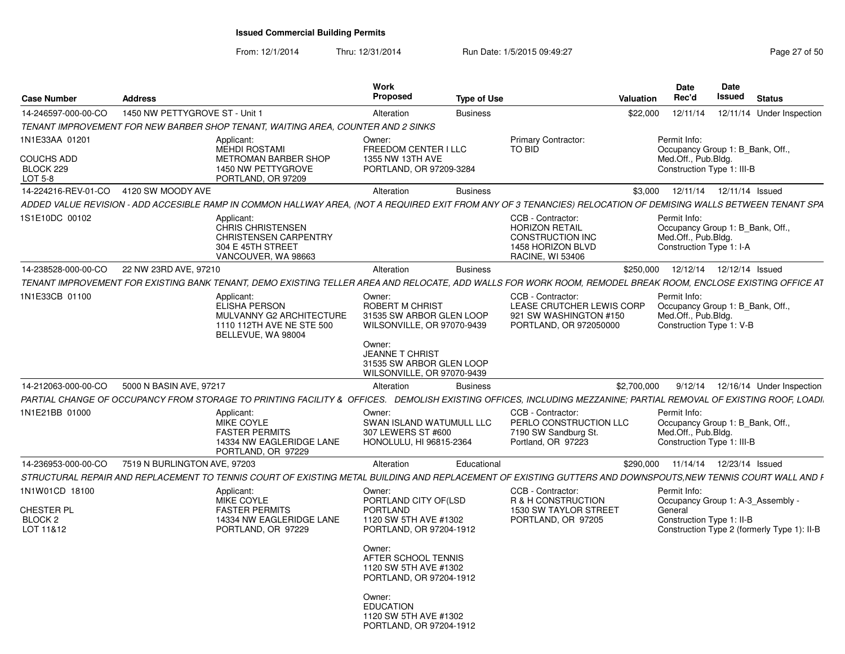From: 12/1/2014Thru: 12/31/2014 Run Date: 1/5/2015 09:49:27 Page 27 of 50

| <b>Case Number</b>                                   | Address                                                                                                                                                           | Work<br>Proposed<br><b>Type of Use</b>                                                                                                              |                                                                                                                              | Date<br>Date<br>Rec'd<br>Issued<br><b>Status</b><br>Valuation                                                                          |
|------------------------------------------------------|-------------------------------------------------------------------------------------------------------------------------------------------------------------------|-----------------------------------------------------------------------------------------------------------------------------------------------------|------------------------------------------------------------------------------------------------------------------------------|----------------------------------------------------------------------------------------------------------------------------------------|
| 14-246597-000-00-CO                                  | 1450 NW PETTYGROVE ST - Unit 1                                                                                                                                    | Alteration<br><b>Business</b>                                                                                                                       |                                                                                                                              | \$22,000  12/11/14  12/11/14  Under Inspection                                                                                         |
|                                                      | TENANT IMPROVEMENT FOR NEW BARBER SHOP TENANT, WAITING AREA, COUNTER AND 2 SINKS                                                                                  |                                                                                                                                                     |                                                                                                                              |                                                                                                                                        |
| 1N1E33AA 01201<br>COUCHS ADD<br>BLOCK 229<br>LOT 5-8 | Applicant:<br>MEHDI ROSTAMI<br>METROMAN BARBER SHOP<br>1450 NW PETTYGROVE<br>PORTLAND, OR 97209                                                                   | Owner:<br>FREEDOM CENTER I LLC<br>1355 NW 13TH AVE<br>PORTLAND, OR 97209-3284                                                                       | <b>Primary Contractor:</b><br>TO BID                                                                                         | Permit Info:<br>Occupancy Group 1: B_Bank, Off.<br>Med.Off., Pub.Bldg.<br>Construction Type 1: III-B                                   |
| 14-224216-REV-01-CO 4120 SW MOODY AVE                |                                                                                                                                                                   | Alteration<br>Business                                                                                                                              |                                                                                                                              | \$3,000  12/11/14  12/11/14  Issued                                                                                                    |
|                                                      | ADDED VALUE REVISION - ADD ACCESIBLE RAMP IN COMMON HALLWAY AREA, (NOT A REQUIRED EXIT FROM ANY OF 3 TENANCIES) RELOCATION OF DEMISING WALLS BETWEEN TENANT SPA   |                                                                                                                                                     |                                                                                                                              |                                                                                                                                        |
| 1S1E10DC 00102                                       | Applicant:<br>CHRIS CHRISTENSEN<br><b>CHRISTENSEN CARPENTRY</b><br>304 E 45TH STREET<br>VANCOUVER, WA 98663                                                       |                                                                                                                                                     | <b>CCB - Contractor:</b><br><b>HORIZON RETAIL</b><br><b>CONSTRUCTION INC</b><br>1458 HORIZON BLVD<br><b>RACINE, WI 53406</b> | Permit Info:<br>Occupancy Group 1: B_Bank, Off.<br>Med.Off., Pub.Bldg.<br>Construction Type 1: I-A                                     |
|                                                      | 14-238528-000-00-CO 22 NW 23RD AVE, 97210                                                                                                                         | Alteration<br><b>Business</b>                                                                                                                       |                                                                                                                              | \$250,000  12/12/14  12/12/14  Issued                                                                                                  |
|                                                      | TENANT IMPROVEMENT FOR EXISTING BANK TENANT, DEMO EXISTING TELLER AREA AND RELOCATE, ADD WALLS FOR WORK ROOM, REMODEL BREAK ROOM, ENCLOSE EXISTING OFFICE AT      |                                                                                                                                                     |                                                                                                                              |                                                                                                                                        |
| 1N1E33CB 01100                                       | Applicant:<br>ELISHA PERSON<br>MULVANNY G2 ARCHITECTURE<br>1110 112TH AVE NE STE 500<br>BELLEVUE, WA 98004                                                        | Owner:<br><b>ROBERT M CHRIST</b><br>31535 SW ARBOR GLEN LOOP<br>WILSONVILLE, OR 97070-9439<br>Owner:<br>JEANNE T CHRIST<br>31535 SW ARBOR GLEN LOOP | CCB - Contractor:<br>LEASE CRUTCHER LEWIS CORP<br>921 SW WASHINGTON #150<br>PORTLAND, OR 972050000                           | Permit Info:<br>Occupancy Group 1: B_Bank, Off.,<br>Med.Off., Pub.Bldg.<br>Construction Type 1: V-B                                    |
|                                                      |                                                                                                                                                                   | WILSONVILLE, OR 97070-9439                                                                                                                          |                                                                                                                              |                                                                                                                                        |
|                                                      | 14-212063-000-00-CO 5000 N BASIN AVE, 9721                                                                                                                        | Alteration<br><b>Business</b>                                                                                                                       |                                                                                                                              | \$2,700,000<br>9/12/14  12/16/14  Under Inspection                                                                                     |
|                                                      | PARTIAL CHANGE OF OCCUPANCY FROM STORAGE TO PRINTING FACILITY & OFFICES. DEMOLISH EXISTING OFFICES, INCLUDING MEZZANINE; PARTIAL REMOVAL OF EXISTING ROOF, LOADI. |                                                                                                                                                     |                                                                                                                              |                                                                                                                                        |
| 1N1E21BB 01000                                       | Applicant:<br>MIKE COYLE<br><b>FASTER PERMITS</b><br>14334 NW EAGLERIDGE LANE<br>PORTLAND, OR 97229                                                               | Owner:<br>SWAN ISLAND WATUMULL LLC<br>307 LEWERS ST #600<br>HONOLULU, HI 96815-2364                                                                 | CCB - Contractor:<br>PERLO CONSTRUCTION LLC<br>7190 SW Sandburg St<br>Portland, OR 97223                                     | Permit Info:<br>Occupancy Group 1: B_Bank, Off.,<br>Med.Off., Pub.Bldg.<br>Construction Type 1: III-B                                  |
| 14-236953-000-00-CO                                  | 7519 N BURLINGTON AVE, 97203                                                                                                                                      | Educational<br>Alteration                                                                                                                           |                                                                                                                              | \$290,000  11/14/14  12/23/14  Issued                                                                                                  |
| STRUCTURAL REPAIR AND REPLACEMENT 1                  |                                                                                                                                                                   |                                                                                                                                                     |                                                                                                                              | TO TENNIS COURT OF EXISTING METAL BUILDING AND REPLACEMENT OF EXISTING GUTTERS AND DOWNSPOUTS,NEW TENNIS COURT WALL AND F              |
| 1N1W01CD 18100<br>CHESTER PL<br>BLOCK 2<br>LOT 11&12 | Applicant:<br>MIKE COYLE<br><b>FASTER PERMITS</b><br>14334 NW EAGLERIDGE LANE<br>PORTLAND, OR 97229                                                               | Owner:<br>PORTLAND CITY OF(LSD<br>PORTLAND<br>1120 SW 5TH AVE #1302<br>PORTLAND, OR 97204-1912<br>Owner:<br>AFTER SCHOOL TENNIS                     | CCB - Contractor:<br>R & H CONSTRUCTION<br>1530 SW TAYLOR STREET<br>PORTLAND, OR 97205                                       | Permit Info:<br>Occupancy Group 1: A-3_Assembly<br>General<br>Construction Type 1: II-B<br>Construction Type 2 (formerly Type 1): II-B |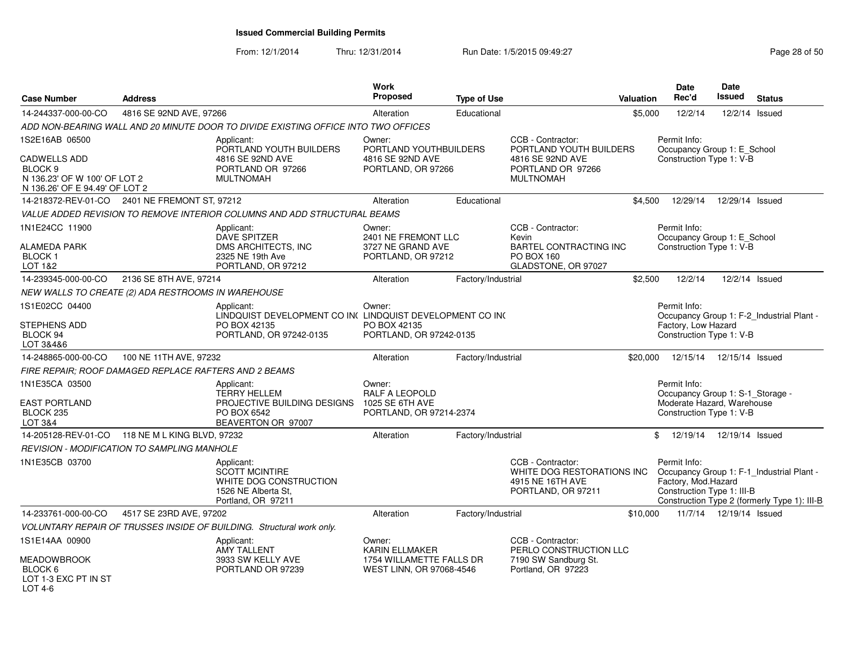| <b>Case Number</b>                                                                                          | <b>Address</b>                                        |                                                                                                            | <b>Work</b><br>Proposed                                                       | <b>Type of Use</b> |                                                                                           | Valuation | Date<br>Rec'd                                                                                              | Date<br>Issued            | <b>Status</b>                                                                             |
|-------------------------------------------------------------------------------------------------------------|-------------------------------------------------------|------------------------------------------------------------------------------------------------------------|-------------------------------------------------------------------------------|--------------------|-------------------------------------------------------------------------------------------|-----------|------------------------------------------------------------------------------------------------------------|---------------------------|-------------------------------------------------------------------------------------------|
| 14-244337-000-00-CO                                                                                         | 4816 SE 92ND AVE, 97266                               |                                                                                                            | Alteration                                                                    | Educational        |                                                                                           | \$5,000   | 12/2/14                                                                                                    |                           | 12/2/14 Issued                                                                            |
|                                                                                                             |                                                       | ADD NON-BEARING WALL AND 20 MINUTE DOOR TO DIVIDE EXISTING OFFICE INTO TWO OFFICES                         |                                                                               |                    |                                                                                           |           |                                                                                                            |                           |                                                                                           |
| 1S2E16AB 06500                                                                                              |                                                       | Applicant:                                                                                                 | Owner:                                                                        |                    | CCB - Contractor:                                                                         |           | Permit Info:                                                                                               |                           |                                                                                           |
| <b>CADWELLS ADD</b><br>BLOCK <sub>9</sub><br>N 136.23' OF W 100' OF LOT 2<br>N 136.26' OF E 94.49' OF LOT 2 |                                                       | PORTLAND YOUTH BUILDERS<br>4816 SE 92ND AVE<br>PORTLAND OR 97266<br><b>MULTNOMAH</b>                       | PORTLAND YOUTHBUILDERS<br>4816 SE 92ND AVE<br>PORTLAND, OR 97266              |                    | PORTLAND YOUTH BUILDERS<br>4816 SE 92ND AVE<br>PORTLAND OR 97266<br><b>MULTNOMAH</b>      |           | Occupancy Group 1: E_School<br>Construction Type 1: V-B                                                    |                           |                                                                                           |
| 14-218372-REV-01-CO                                                                                         | 2401 NE FREMONT ST, 97212                             |                                                                                                            | Alteration                                                                    | Educational        |                                                                                           | \$4,500   | 12/29/14                                                                                                   | 12/29/14 Issued           |                                                                                           |
|                                                                                                             |                                                       | VALUE ADDED REVISION TO REMOVE INTERIOR COLUMNS AND ADD STRUCTURAL BEAMS                                   |                                                                               |                    |                                                                                           |           |                                                                                                            |                           |                                                                                           |
| 1N1E24CC 11900                                                                                              |                                                       | Applicant:<br>DAVE SPITZER                                                                                 | Owner:<br>2401 NE FREMONT LLC                                                 |                    | CCB - Contractor:<br>Kevin                                                                |           | Permit Info:<br>Occupancy Group 1: E_School                                                                |                           |                                                                                           |
| <b>ALAMEDA PARK</b><br><b>BLOCK1</b><br>LOT 1&2                                                             |                                                       | DMS ARCHITECTS. INC.<br>2325 NE 19th Ave<br>PORTLAND, OR 97212                                             | 3727 NE GRAND AVE<br>PORTLAND, OR 97212                                       |                    | BARTEL CONTRACTING INC<br>PO BOX 160<br>GLADSTONE, OR 97027                               |           | Construction Type 1: V-B                                                                                   |                           |                                                                                           |
| 14-239345-000-00-CO                                                                                         | 2136 SE 8TH AVE, 97214                                |                                                                                                            | Alteration                                                                    | Factory/Industrial |                                                                                           | \$2,500   | 12/2/14                                                                                                    |                           | 12/2/14 Issued                                                                            |
|                                                                                                             | NEW WALLS TO CREATE (2) ADA RESTROOMS IN WAREHOUSE    |                                                                                                            |                                                                               |                    |                                                                                           |           |                                                                                                            |                           |                                                                                           |
| 1S1E02CC 04400                                                                                              |                                                       | Applicant:<br>LINDQUIST DEVELOPMENT CO IN( LINDQUIST DEVELOPMENT CO IN(                                    | Owner:                                                                        |                    |                                                                                           |           | Permit Info:                                                                                               |                           | Occupancy Group 1: F-2_Industrial Plant -                                                 |
| STEPHENS ADD<br>BLOCK 94<br>LOT 3&4&6                                                                       |                                                       | PO BOX 42135<br>PORTLAND, OR 97242-0135                                                                    | PO BOX 42135<br>PORTLAND, OR 97242-0135                                       |                    |                                                                                           |           | Factory, Low Hazard<br>Construction Type 1: V-B                                                            |                           |                                                                                           |
| 14-248865-000-00-CO                                                                                         | 100 NE 11TH AVE, 97232                                |                                                                                                            | Alteration                                                                    | Factory/Industrial |                                                                                           | \$20,000  | 12/15/14  12/15/14  Issued                                                                                 |                           |                                                                                           |
|                                                                                                             | FIRE REPAIR: ROOF DAMAGED REPLACE RAFTERS AND 2 BEAMS |                                                                                                            |                                                                               |                    |                                                                                           |           |                                                                                                            |                           |                                                                                           |
| 1N1E35CA 03500<br><b>EAST PORTLAND</b><br>BLOCK 235<br>LOT 3&4                                              |                                                       | Applicant:<br><b>TERRY HELLEM</b><br>PROJECTIVE BUILDING DESIGNS<br>PO BOX 6542<br>BEAVERTON OR 97007      | Owner:<br><b>RALF A LEOPOLD</b><br>1025 SE 6TH AVE<br>PORTLAND, OR 97214-2374 |                    |                                                                                           |           | Permit Info:<br>Occupancy Group 1: S-1_Storage -<br>Moderate Hazard, Warehouse<br>Construction Type 1: V-B |                           |                                                                                           |
|                                                                                                             | 14-205128-REV-01-CO 118 NE M L KING BLVD, 97232       |                                                                                                            | Alteration                                                                    | Factory/Industrial |                                                                                           |           | \$ 12/19/14 12/19/14 Issued                                                                                |                           |                                                                                           |
|                                                                                                             | <b>REVISION - MODIFICATION TO SAMPLING MANHOLE</b>    |                                                                                                            |                                                                               |                    |                                                                                           |           |                                                                                                            |                           |                                                                                           |
| 1N1E35CB 03700                                                                                              |                                                       | Applicant:<br><b>SCOTT MCINTIRE</b><br>WHITE DOG CONSTRUCTION<br>1526 NE Alberta St.<br>Portland, OR 97211 |                                                                               |                    | CCB - Contractor:<br>WHITE DOG RESTORATIONS INC<br>4915 NE 16TH AVE<br>PORTLAND, OR 97211 |           | Permit Info:<br>Factory, Mod.Hazard<br>Construction Type 1: III-B                                          |                           | Occupancy Group 1: F-1_Industrial Plant -<br>Construction Type 2 (formerly Type 1): III-B |
| 14-233761-000-00-CO                                                                                         | 4517 SE 23RD AVE, 97202                               |                                                                                                            | Alteration                                                                    | Factory/Industrial |                                                                                           | \$10,000  |                                                                                                            | 11/7/14  12/19/14  Issued |                                                                                           |
|                                                                                                             |                                                       | VOLUNTARY REPAIR OF TRUSSES INSIDE OF BUILDING. Structural work only.                                      |                                                                               |                    |                                                                                           |           |                                                                                                            |                           |                                                                                           |
| 1S1E14AA 00900                                                                                              |                                                       | Applicant:<br><b>AMY TALLENT</b>                                                                           | Owner:<br><b>KARIN ELLMAKER</b>                                               |                    | CCB - Contractor:<br>PERLO CONSTRUCTION LLC                                               |           |                                                                                                            |                           |                                                                                           |
| <b>MEADOWBROOK</b><br>BLOCK 6<br>LOT 1-3 EXC PT IN ST<br>$LOT 4-6$                                          |                                                       | 3933 SW KELLY AVE<br>PORTLAND OR 97239                                                                     | 1754 WILLAMETTE FALLS DR<br>WEST LINN, OR 97068-4546                          |                    | 7190 SW Sandburg St.<br>Portland, OR 97223                                                |           |                                                                                                            |                           |                                                                                           |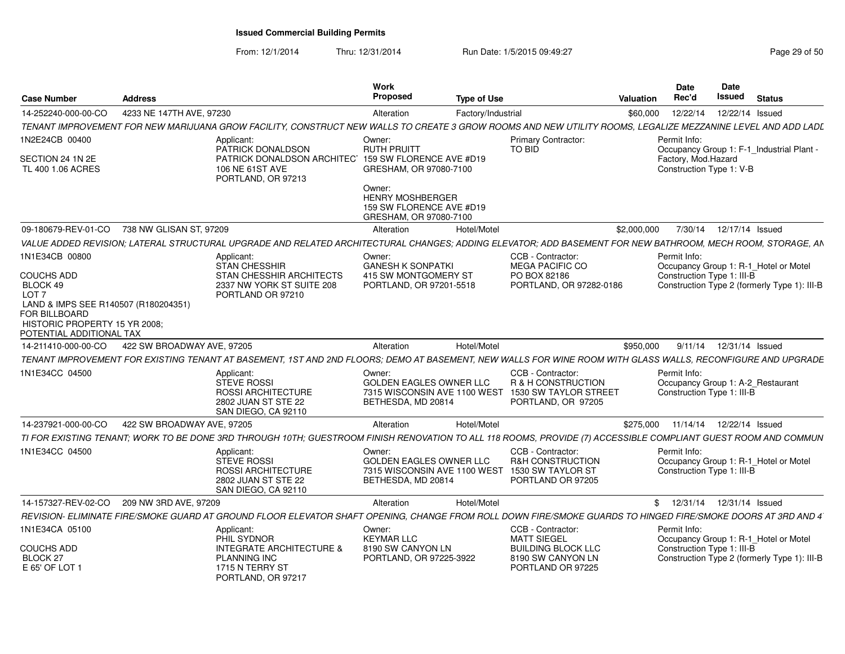From: 12/1/2014

|                                                                            |                                                                          | Work                                   |                                                                     | <b>Date</b><br>Date                                                                                                                                            |
|----------------------------------------------------------------------------|--------------------------------------------------------------------------|----------------------------------------|---------------------------------------------------------------------|----------------------------------------------------------------------------------------------------------------------------------------------------------------|
| Case Number<br><b>Address</b>                                              |                                                                          | <b>Proposed</b>                        | <b>Type of Use</b>                                                  | Issued<br>Rec'd<br>Valuation<br><b>Status</b>                                                                                                                  |
| 4233 NE 147TH AVE. 97230<br>14-252240-000-00-CO                            |                                                                          | Alteration                             | Factory/Industrial                                                  | \$60,000  12/22/14  12/22/14  Issued                                                                                                                           |
| TENANT IMPROVEMENT FOR NEW MARIJUANA GROW FACILITY, CONSTRUCT NEW WALLS TO |                                                                          |                                        |                                                                     | CREATE 3 GROW ROOMS AND NEW UTILITY ROOMS, LEGALIZE MEZZANINE LEVEL AND ADD LADL                                                                               |
| 1N2E24CB 00400                                                             | Applicant:                                                               | Owner:                                 | <b>Primary Contractor:</b>                                          | Permit Info:                                                                                                                                                   |
| SECTION 24 1N 2E                                                           | PATRICK DONALDSON<br>PATRICK DONALDSON ARCHITEC 159 SW FLORENCE AVE #D19 | <b>RUTH PRUITT</b>                     | TO BID                                                              | Occupancy Group 1: F-1_Industrial Plant -<br>Factory, Mod.Hazard                                                                                               |
| TL 400 1.06 ACRES                                                          | 106 NE 61ST AVE                                                          | GRESHAM, OR 97080-7100                 |                                                                     | Construction Type 1: V-B                                                                                                                                       |
|                                                                            | PORTLAND, OR 97213                                                       | Owner:                                 |                                                                     |                                                                                                                                                                |
|                                                                            |                                                                          | <b>HENRY MOSHBERGER</b>                |                                                                     |                                                                                                                                                                |
|                                                                            |                                                                          | 159 SW FLORENCE AVE #D19               |                                                                     |                                                                                                                                                                |
|                                                                            |                                                                          | GRESHAM, OR 97080-7100                 |                                                                     |                                                                                                                                                                |
| 09-180679-REV-01-CO 738 NW GLISAN ST, 97209                                |                                                                          | Hotel/Motel<br>Alteration              |                                                                     | \$2,000,000 7/30/14 12/17/14 Issued                                                                                                                            |
|                                                                            |                                                                          |                                        |                                                                     | VALUE ADDED REVISION; LATERAL STRUCTURAL UPGRADE AND RELATED ARCHITECTURAL CHANGES; ADDING ELEVATOR; ADD BASEMENT FOR NEW BATHROOM, MECH ROOM, STORAGE, AN     |
| 1N1E34CB 00800                                                             | Applicant:<br>STAN CHESSHIR                                              | Owner:<br><b>GANESH K SONPATKI</b>     | CCB - Contractor:<br>MEGA PACIFIC CO                                | Permit Info:<br>Occupancy Group 1: R-1_Hotel or Motel                                                                                                          |
| <b>COUCHS ADD</b>                                                          | STAN CHESSHIR ARCHITECTS                                                 | 415 SW MONTGOMERY ST                   | PO BOX 82186                                                        | Construction Type 1: III-B                                                                                                                                     |
| BLOCK 49<br>LOT <sub>7</sub>                                               | 2337 NW YORK ST SUITE 208                                                | PORTLAND, OR 97201-5518                | PORTLAND, OR 97282-0186                                             | Construction Type 2 (formerly Type 1): III-B                                                                                                                   |
| LAND & IMPS SEE R140507 (R180204351)                                       | PORTLAND OR 97210                                                        |                                        |                                                                     |                                                                                                                                                                |
| FOR BILLBOARD                                                              |                                                                          |                                        |                                                                     |                                                                                                                                                                |
| HISTORIC PROPERTY 15 YR 2008;<br>POTENTIAL ADDITIONAL TAX                  |                                                                          |                                        |                                                                     |                                                                                                                                                                |
| 14-211410-000-00-CO  422 SW BROADWAY AVE, 97205                            |                                                                          | Hotel/Motel<br>Alteration              |                                                                     | \$950,000 9/11/14 12/31/14 Issued                                                                                                                              |
| TENANT IMPROVEMENT FOR EXISTING TENANT AT BASEMENT, 1ST AND 2ND FI         |                                                                          |                                        |                                                                     | OORS; DEMO AT BASEMENT, NEW WALLS FOR WINE ROOM WITH GLASS WALLS, RECONFIGURE AND UPGRADE                                                                      |
| 1N1E34CC 04500                                                             | Applicant:                                                               | Owner:                                 | CCB - Contractor:                                                   | Permit Info:                                                                                                                                                   |
|                                                                            | <b>STEVE ROSSI</b>                                                       | GOLDEN EAGLES OWNER LLC                | R & H CONSTRUCTION                                                  | Occupancy Group 1: A-2_Restaurant                                                                                                                              |
|                                                                            | ROSSI ARCHITECTURE<br>2802 JUAN ST STE 22                                |                                        | 7315 WISCONSIN AVE 1100 WEST 1530 SW TAYLOR STREET                  | Construction Type 1: III-B                                                                                                                                     |
|                                                                            | SAN DIEGO, CA 92110                                                      | BETHESDA, MD 20814                     | PORTLAND, OR 97205                                                  |                                                                                                                                                                |
| 14-237921-000-00-CO  422 SW BROADWAY AVE, 97205                            |                                                                          | Alteration<br>Hotel/Motel              |                                                                     | \$275,000  11/14/14  12/22/14  Issued                                                                                                                          |
|                                                                            |                                                                          |                                        |                                                                     | TI FOR EXISTING TENANT; WORK TO BE DONE 3RD THROUGH 10TH; GUESTROOM FINISH RENOVATION TO ALL 118 ROOMS, PROVIDE (7) ACCESSIBLE COMPLIANT GUEST ROOM AND COMMUN |
| 1N1E34CC 04500                                                             | Applicant:                                                               | Owner:                                 | CCB - Contractor:                                                   | Permit Info:                                                                                                                                                   |
|                                                                            | <b>STEVE ROSSI</b>                                                       | GOLDEN EAGLES OWNER LLC                | <b>R&amp;H CONSTRUCTION</b>                                         | Occupancy Group 1: R-1_Hotel or Motel                                                                                                                          |
|                                                                            | <b>ROSSI ARCHITECTURE</b><br>2802 JUAN ST STE 22                         | BETHESDA, MD 20814                     | 7315 WISCONSIN AVE 1100 WEST 1530 SW TAYLOR ST<br>PORTLAND OR 97205 | Construction Type 1: III-B                                                                                                                                     |
|                                                                            | SAN DIEGO, CA 92110                                                      |                                        |                                                                     |                                                                                                                                                                |
| 14-157327-REV-02-CO 209 NW 3RD AVE, 97209                                  |                                                                          | Hotel/Motel<br>Alteration              |                                                                     | \$ 12/31/14 12/31/14 Issued                                                                                                                                    |
| REVISION- ELIMINATE FIRE/SMOKE GUARD AT GROUND FLOOR ELEVATOR SH           |                                                                          | AFT OPENING,                           | CHANGE FROM ROLL DOWN FIRE/SMOKE GUARDS 1                           | HINGED FIRE/SMOKE DOORS AT 3RD AND 4                                                                                                                           |
| 1N1E34CA 05100                                                             | Applicant:                                                               | Owner:                                 | CCB - Contractor:                                                   | Permit Info:                                                                                                                                                   |
| <b>COUCHS ADD</b>                                                          | PHIL SYDNOR<br>INTEGRATE ARCHITECTURE &                                  | <b>KEYMAR LLC</b><br>8190 SW CANYON LN | <b>MATT SIEGEL</b><br><b>BUILDING BLOCK LLC</b>                     | Occupancy Group 1: R-1_Hotel or Motel<br>Construction Type 1: III-B                                                                                            |
| BLOCK 27                                                                   | PLANNING INC                                                             | PORTLAND, OR 97225-3922                | 8190 SW CANYON LN                                                   | Construction Type 2 (formerly Type 1): III-B                                                                                                                   |
| E 65' OF LOT 1                                                             | 1715 N TERRY ST                                                          |                                        | PORTLAND OR 97225                                                   |                                                                                                                                                                |
|                                                                            | PORTLAND, OR 97217                                                       |                                        |                                                                     |                                                                                                                                                                |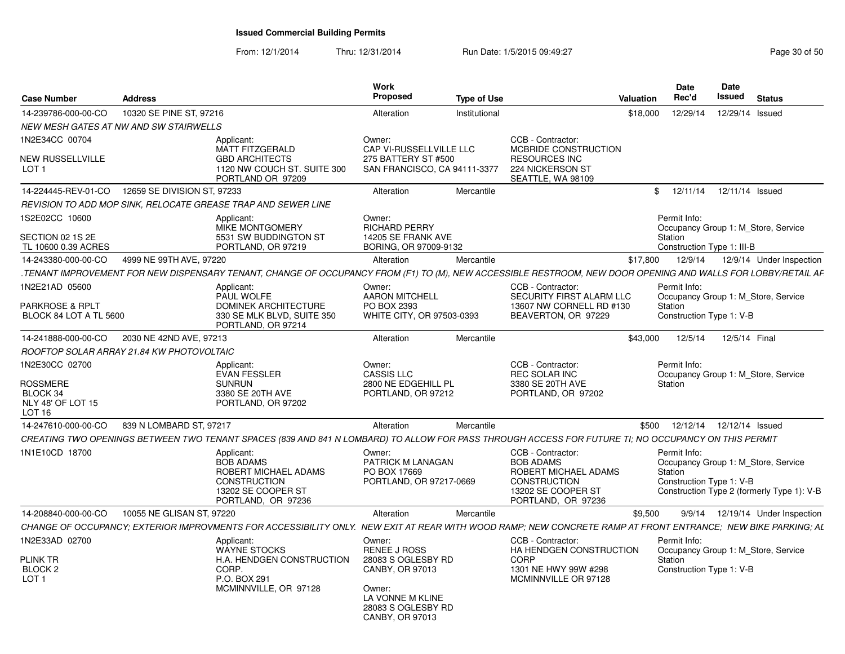| 14-239786-000-00-CO<br>10320 SE PINE ST, 97216<br>Institutional<br>\$18,000<br>12/29/14<br>12/29/14 Issued<br>Alteration<br><b>NEW MESH GATES AT NW AND SW STAIRWELLS</b><br>1N2E34CC 00704<br>CCB - Contractor:<br>Applicant:<br>Owner:<br><b>MATT FITZGERALD</b><br>CAP VI-RUSSELLVILLE LLC<br>MCBRIDE CONSTRUCTION<br><b>NEW RUSSELLVILLE</b><br><b>GBD ARCHITECTS</b><br>275 BATTERY ST #500<br><b>RESOURCES INC</b><br>224 NICKERSON ST<br>1120 NW COUCH ST. SUITE 300<br>SAN FRANCISCO, CA 94111-3377<br>LOT 1<br>SEATTLE, WA 98109<br>PORTLAND OR 97209<br>14-224445-REV-01-CO<br>12659 SE DIVISION ST, 97233<br>\$<br>12/11/14<br>12/11/14 Issued<br>Alteration<br>Mercantile<br>REVISION TO ADD MOP SINK, RELOCATE GREASE TRAP AND SEWER LINE<br>1S2E02CC 10600<br>Permit Info:<br>Applicant:<br>Owner:<br><b>MIKE MONTGOMERY</b><br><b>RICHARD PERRY</b><br>Occupancy Group 1: M Store, Service<br>SECTION 02 1S 2E<br>5531 SW BUDDINGTON ST<br>14205 SE FRANK AVE<br>Station<br>TL 10600 0.39 ACRES<br>PORTLAND, OR 97219<br>BORING, OR 97009-9132<br>Construction Type 1: III-B<br>4999 NE 99TH AVE, 97220<br>12/9/14<br>14-243380-000-00-CO<br>Alteration<br>Mercantile<br>\$17,800<br>12/9/14 Under Inspection<br>.TENANT IMPROVEMENT FOR NEW DISPENSARY TENANT, CHANGE OF OCCUPANCY FROM (F1) TO (M), NEW ACCESSIBLE RESTROOM, NEW DOOR OPENING AND WALLS FOR LOBBY/RETAIL AF<br>1N2E21AD 05600<br>CCB - Contractor:<br>Permit Info:<br>Applicant:<br>Owner:<br>PAUL WOLFE<br><b>AARON MITCHELL</b><br>SECURITY FIRST ALARM LLC<br>Occupancy Group 1: M Store, Service<br><b>PARKROSE &amp; RPLT</b><br><b>DOMINEK ARCHITECTURE</b><br>PO BOX 2393<br>13607 NW CORNELL RD #130<br>Station<br>330 SE MLK BLVD, SUITE 350<br>WHITE CITY, OR 97503-0393<br>Construction Type 1: V-B<br>BLOCK 84 LOT A TL 5600<br>BEAVERTON, OR 97229<br>PORTLAND, OR 97214<br>12/5/14<br>2030 NE 42ND AVE, 97213<br>\$43,000<br>12/5/14 Final<br>14-241888-000-00-CO<br>Alteration<br>Mercantile<br>ROOFTOP SOLAR ARRAY 21.84 KW PHOTOVOLTAIC<br>1N2E30CC 02700<br>CCB - Contractor:<br>Permit Info:<br>Owner:<br>Applicant:<br><b>CASSIS LLC</b><br><b>EVAN FESSLER</b><br>REC SOLAR INC<br>Occupancy Group 1: M Store, Service<br><b>ROSSMERE</b><br>2800 NE EDGEHILL PL<br>3380 SE 20TH AVE<br><b>SUNRUN</b><br>Station<br>BLOCK 34<br>3380 SE 20TH AVE<br>PORTLAND, OR 97212<br>PORTLAND, OR 97202<br>NLY 48' OF LOT 15<br>PORTLAND, OR 97202<br>LOT 16<br>14-247610-000-00-CO<br>839 N LOMBARD ST, 97217<br>Alteration<br>\$500<br>12/12/14  12/12/14  Issued<br>Mercantile<br>CREATING TWO OPENINGS BETWEEN TWO TENANT SPACES (839 AND 841 N LOMBARD) TO ALLOW FOR PASS THROUGH ACCESS FOR FUTURE TI; NO OCCUPANCY ON THIS PERMIT<br>1N1E10CD 18700<br>Applicant:<br>CCB - Contractor:<br>Permit Info:<br>Owner:<br><b>BOB ADAMS</b><br>PATRICK M LANAGAN<br><b>BOB ADAMS</b><br>Occupancy Group 1: M Store, Service<br>ROBERT MICHAEL ADAMS<br>PO BOX 17669<br>ROBERT MICHAEL ADAMS<br>Station<br><b>CONSTRUCTION</b><br>PORTLAND, OR 97217-0669<br>Construction Type 1: V-B<br><b>CONSTRUCTION</b><br>Construction Type 2 (formerly Type 1): V-B<br>13202 SE COOPER ST<br>13202 SE COOPER ST<br>PORTLAND, OR 97236<br>PORTLAND, OR 97236<br>14-208840-000-00-CO<br>10055 NE GLISAN ST, 97220<br>Alteration<br>\$9,500<br>9/9/14  12/19/14  Under Inspection<br>Mercantile<br>CHANGE OF OCCUPANCY; EXTERIOR IMPROVMENTS FOR ACCESSIBILITY ONLY. NEW EXIT AT REAR WITH WOOD RAMP; NEW CONCRETE RAMP AT FRONT ENTRANCE; NEW BIKE PARKING; AL<br>CCB - Contractor:<br>Permit Info:<br>Applicant:<br>Owner:<br><b>WAYNE STOCKS</b><br>RENEE J ROSS<br>HA HENDGEN CONSTRUCTION<br>Occupancy Group 1: M_Store, Service<br><b>PLINK TR</b><br>H.A. HENDGEN CONSTRUCTION<br>28083 S OGLESBY RD<br><b>CORP</b><br>Station<br>BLOCK 2<br>CORP.<br>CANBY, OR 97013<br>1301 NE HWY 99W #298<br>Construction Type 1: V-B<br>P.O. BOX 291<br>MCMINNVILLE OR 97128<br>LOT <sub>1</sub><br>MCMINNVILLE, OR 97128<br>Owner:<br>LA VONNE M KLINE<br>28083 S OGLESBY RD | <b>Case Number</b> | <b>Address</b> | <b>Work</b><br><b>Proposed</b> | <b>Type of Use</b> | <b>Valuation</b> | Date<br>Rec'd | Date<br><b>Issued</b> | <b>Status</b> |
|---------------------------------------------------------------------------------------------------------------------------------------------------------------------------------------------------------------------------------------------------------------------------------------------------------------------------------------------------------------------------------------------------------------------------------------------------------------------------------------------------------------------------------------------------------------------------------------------------------------------------------------------------------------------------------------------------------------------------------------------------------------------------------------------------------------------------------------------------------------------------------------------------------------------------------------------------------------------------------------------------------------------------------------------------------------------------------------------------------------------------------------------------------------------------------------------------------------------------------------------------------------------------------------------------------------------------------------------------------------------------------------------------------------------------------------------------------------------------------------------------------------------------------------------------------------------------------------------------------------------------------------------------------------------------------------------------------------------------------------------------------------------------------------------------------------------------------------------------------------------------------------------------------------------------------------------------------------------------------------------------------------------------------------------------------------------------------------------------------------------------------------------------------------------------------------------------------------------------------------------------------------------------------------------------------------------------------------------------------------------------------------------------------------------------------------------------------------------------------------------------------------------------------------------------------------------------------------------------------------------------------------------------------------------------------------------------------------------------------------------------------------------------------------------------------------------------------------------------------------------------------------------------------------------------------------------------------------------------------------------------------------------------------------------------------------------------------------------------------------------------------------------------------------------------------------------------------------------------------------------------------------------------------------------------------------------------------------------------------------------------------------------------------------------------------------------------------------------------------------------------------------------------------------------------------------------------------------------------------------------------------------------------------------------------------------------------------------------------------------------------------------------------------------------------------------------------------------------------------------------------------------------------------------------------------------------------------------------------------------------------------------------------------------------------------|--------------------|----------------|--------------------------------|--------------------|------------------|---------------|-----------------------|---------------|
| 1N2E33AD 02700                                                                                                                                                                                                                                                                                                                                                                                                                                                                                                                                                                                                                                                                                                                                                                                                                                                                                                                                                                                                                                                                                                                                                                                                                                                                                                                                                                                                                                                                                                                                                                                                                                                                                                                                                                                                                                                                                                                                                                                                                                                                                                                                                                                                                                                                                                                                                                                                                                                                                                                                                                                                                                                                                                                                                                                                                                                                                                                                                                                                                                                                                                                                                                                                                                                                                                                                                                                                                                                                                                                                                                                                                                                                                                                                                                                                                                                                                                                                                                                                                                          |                    |                |                                |                    |                  |               |                       |               |
|                                                                                                                                                                                                                                                                                                                                                                                                                                                                                                                                                                                                                                                                                                                                                                                                                                                                                                                                                                                                                                                                                                                                                                                                                                                                                                                                                                                                                                                                                                                                                                                                                                                                                                                                                                                                                                                                                                                                                                                                                                                                                                                                                                                                                                                                                                                                                                                                                                                                                                                                                                                                                                                                                                                                                                                                                                                                                                                                                                                                                                                                                                                                                                                                                                                                                                                                                                                                                                                                                                                                                                                                                                                                                                                                                                                                                                                                                                                                                                                                                                                         |                    |                |                                |                    |                  |               |                       |               |
|                                                                                                                                                                                                                                                                                                                                                                                                                                                                                                                                                                                                                                                                                                                                                                                                                                                                                                                                                                                                                                                                                                                                                                                                                                                                                                                                                                                                                                                                                                                                                                                                                                                                                                                                                                                                                                                                                                                                                                                                                                                                                                                                                                                                                                                                                                                                                                                                                                                                                                                                                                                                                                                                                                                                                                                                                                                                                                                                                                                                                                                                                                                                                                                                                                                                                                                                                                                                                                                                                                                                                                                                                                                                                                                                                                                                                                                                                                                                                                                                                                                         |                    |                |                                |                    |                  |               |                       |               |
|                                                                                                                                                                                                                                                                                                                                                                                                                                                                                                                                                                                                                                                                                                                                                                                                                                                                                                                                                                                                                                                                                                                                                                                                                                                                                                                                                                                                                                                                                                                                                                                                                                                                                                                                                                                                                                                                                                                                                                                                                                                                                                                                                                                                                                                                                                                                                                                                                                                                                                                                                                                                                                                                                                                                                                                                                                                                                                                                                                                                                                                                                                                                                                                                                                                                                                                                                                                                                                                                                                                                                                                                                                                                                                                                                                                                                                                                                                                                                                                                                                                         |                    |                |                                |                    |                  |               |                       |               |
|                                                                                                                                                                                                                                                                                                                                                                                                                                                                                                                                                                                                                                                                                                                                                                                                                                                                                                                                                                                                                                                                                                                                                                                                                                                                                                                                                                                                                                                                                                                                                                                                                                                                                                                                                                                                                                                                                                                                                                                                                                                                                                                                                                                                                                                                                                                                                                                                                                                                                                                                                                                                                                                                                                                                                                                                                                                                                                                                                                                                                                                                                                                                                                                                                                                                                                                                                                                                                                                                                                                                                                                                                                                                                                                                                                                                                                                                                                                                                                                                                                                         |                    |                |                                |                    |                  |               |                       |               |
|                                                                                                                                                                                                                                                                                                                                                                                                                                                                                                                                                                                                                                                                                                                                                                                                                                                                                                                                                                                                                                                                                                                                                                                                                                                                                                                                                                                                                                                                                                                                                                                                                                                                                                                                                                                                                                                                                                                                                                                                                                                                                                                                                                                                                                                                                                                                                                                                                                                                                                                                                                                                                                                                                                                                                                                                                                                                                                                                                                                                                                                                                                                                                                                                                                                                                                                                                                                                                                                                                                                                                                                                                                                                                                                                                                                                                                                                                                                                                                                                                                                         |                    |                |                                |                    |                  |               |                       |               |
|                                                                                                                                                                                                                                                                                                                                                                                                                                                                                                                                                                                                                                                                                                                                                                                                                                                                                                                                                                                                                                                                                                                                                                                                                                                                                                                                                                                                                                                                                                                                                                                                                                                                                                                                                                                                                                                                                                                                                                                                                                                                                                                                                                                                                                                                                                                                                                                                                                                                                                                                                                                                                                                                                                                                                                                                                                                                                                                                                                                                                                                                                                                                                                                                                                                                                                                                                                                                                                                                                                                                                                                                                                                                                                                                                                                                                                                                                                                                                                                                                                                         |                    |                |                                |                    |                  |               |                       |               |
|                                                                                                                                                                                                                                                                                                                                                                                                                                                                                                                                                                                                                                                                                                                                                                                                                                                                                                                                                                                                                                                                                                                                                                                                                                                                                                                                                                                                                                                                                                                                                                                                                                                                                                                                                                                                                                                                                                                                                                                                                                                                                                                                                                                                                                                                                                                                                                                                                                                                                                                                                                                                                                                                                                                                                                                                                                                                                                                                                                                                                                                                                                                                                                                                                                                                                                                                                                                                                                                                                                                                                                                                                                                                                                                                                                                                                                                                                                                                                                                                                                                         |                    |                |                                |                    |                  |               |                       |               |
|                                                                                                                                                                                                                                                                                                                                                                                                                                                                                                                                                                                                                                                                                                                                                                                                                                                                                                                                                                                                                                                                                                                                                                                                                                                                                                                                                                                                                                                                                                                                                                                                                                                                                                                                                                                                                                                                                                                                                                                                                                                                                                                                                                                                                                                                                                                                                                                                                                                                                                                                                                                                                                                                                                                                                                                                                                                                                                                                                                                                                                                                                                                                                                                                                                                                                                                                                                                                                                                                                                                                                                                                                                                                                                                                                                                                                                                                                                                                                                                                                                                         |                    |                |                                |                    |                  |               |                       |               |
|                                                                                                                                                                                                                                                                                                                                                                                                                                                                                                                                                                                                                                                                                                                                                                                                                                                                                                                                                                                                                                                                                                                                                                                                                                                                                                                                                                                                                                                                                                                                                                                                                                                                                                                                                                                                                                                                                                                                                                                                                                                                                                                                                                                                                                                                                                                                                                                                                                                                                                                                                                                                                                                                                                                                                                                                                                                                                                                                                                                                                                                                                                                                                                                                                                                                                                                                                                                                                                                                                                                                                                                                                                                                                                                                                                                                                                                                                                                                                                                                                                                         |                    |                |                                |                    |                  |               |                       |               |
|                                                                                                                                                                                                                                                                                                                                                                                                                                                                                                                                                                                                                                                                                                                                                                                                                                                                                                                                                                                                                                                                                                                                                                                                                                                                                                                                                                                                                                                                                                                                                                                                                                                                                                                                                                                                                                                                                                                                                                                                                                                                                                                                                                                                                                                                                                                                                                                                                                                                                                                                                                                                                                                                                                                                                                                                                                                                                                                                                                                                                                                                                                                                                                                                                                                                                                                                                                                                                                                                                                                                                                                                                                                                                                                                                                                                                                                                                                                                                                                                                                                         |                    |                |                                |                    |                  |               |                       |               |
|                                                                                                                                                                                                                                                                                                                                                                                                                                                                                                                                                                                                                                                                                                                                                                                                                                                                                                                                                                                                                                                                                                                                                                                                                                                                                                                                                                                                                                                                                                                                                                                                                                                                                                                                                                                                                                                                                                                                                                                                                                                                                                                                                                                                                                                                                                                                                                                                                                                                                                                                                                                                                                                                                                                                                                                                                                                                                                                                                                                                                                                                                                                                                                                                                                                                                                                                                                                                                                                                                                                                                                                                                                                                                                                                                                                                                                                                                                                                                                                                                                                         |                    |                |                                |                    |                  |               |                       |               |
|                                                                                                                                                                                                                                                                                                                                                                                                                                                                                                                                                                                                                                                                                                                                                                                                                                                                                                                                                                                                                                                                                                                                                                                                                                                                                                                                                                                                                                                                                                                                                                                                                                                                                                                                                                                                                                                                                                                                                                                                                                                                                                                                                                                                                                                                                                                                                                                                                                                                                                                                                                                                                                                                                                                                                                                                                                                                                                                                                                                                                                                                                                                                                                                                                                                                                                                                                                                                                                                                                                                                                                                                                                                                                                                                                                                                                                                                                                                                                                                                                                                         |                    |                |                                |                    |                  |               |                       |               |
|                                                                                                                                                                                                                                                                                                                                                                                                                                                                                                                                                                                                                                                                                                                                                                                                                                                                                                                                                                                                                                                                                                                                                                                                                                                                                                                                                                                                                                                                                                                                                                                                                                                                                                                                                                                                                                                                                                                                                                                                                                                                                                                                                                                                                                                                                                                                                                                                                                                                                                                                                                                                                                                                                                                                                                                                                                                                                                                                                                                                                                                                                                                                                                                                                                                                                                                                                                                                                                                                                                                                                                                                                                                                                                                                                                                                                                                                                                                                                                                                                                                         |                    |                |                                |                    |                  |               |                       |               |
|                                                                                                                                                                                                                                                                                                                                                                                                                                                                                                                                                                                                                                                                                                                                                                                                                                                                                                                                                                                                                                                                                                                                                                                                                                                                                                                                                                                                                                                                                                                                                                                                                                                                                                                                                                                                                                                                                                                                                                                                                                                                                                                                                                                                                                                                                                                                                                                                                                                                                                                                                                                                                                                                                                                                                                                                                                                                                                                                                                                                                                                                                                                                                                                                                                                                                                                                                                                                                                                                                                                                                                                                                                                                                                                                                                                                                                                                                                                                                                                                                                                         |                    |                |                                |                    |                  |               |                       |               |
|                                                                                                                                                                                                                                                                                                                                                                                                                                                                                                                                                                                                                                                                                                                                                                                                                                                                                                                                                                                                                                                                                                                                                                                                                                                                                                                                                                                                                                                                                                                                                                                                                                                                                                                                                                                                                                                                                                                                                                                                                                                                                                                                                                                                                                                                                                                                                                                                                                                                                                                                                                                                                                                                                                                                                                                                                                                                                                                                                                                                                                                                                                                                                                                                                                                                                                                                                                                                                                                                                                                                                                                                                                                                                                                                                                                                                                                                                                                                                                                                                                                         |                    |                |                                |                    |                  |               |                       |               |
|                                                                                                                                                                                                                                                                                                                                                                                                                                                                                                                                                                                                                                                                                                                                                                                                                                                                                                                                                                                                                                                                                                                                                                                                                                                                                                                                                                                                                                                                                                                                                                                                                                                                                                                                                                                                                                                                                                                                                                                                                                                                                                                                                                                                                                                                                                                                                                                                                                                                                                                                                                                                                                                                                                                                                                                                                                                                                                                                                                                                                                                                                                                                                                                                                                                                                                                                                                                                                                                                                                                                                                                                                                                                                                                                                                                                                                                                                                                                                                                                                                                         |                    |                |                                |                    |                  |               |                       |               |
|                                                                                                                                                                                                                                                                                                                                                                                                                                                                                                                                                                                                                                                                                                                                                                                                                                                                                                                                                                                                                                                                                                                                                                                                                                                                                                                                                                                                                                                                                                                                                                                                                                                                                                                                                                                                                                                                                                                                                                                                                                                                                                                                                                                                                                                                                                                                                                                                                                                                                                                                                                                                                                                                                                                                                                                                                                                                                                                                                                                                                                                                                                                                                                                                                                                                                                                                                                                                                                                                                                                                                                                                                                                                                                                                                                                                                                                                                                                                                                                                                                                         |                    |                |                                |                    |                  |               |                       |               |
|                                                                                                                                                                                                                                                                                                                                                                                                                                                                                                                                                                                                                                                                                                                                                                                                                                                                                                                                                                                                                                                                                                                                                                                                                                                                                                                                                                                                                                                                                                                                                                                                                                                                                                                                                                                                                                                                                                                                                                                                                                                                                                                                                                                                                                                                                                                                                                                                                                                                                                                                                                                                                                                                                                                                                                                                                                                                                                                                                                                                                                                                                                                                                                                                                                                                                                                                                                                                                                                                                                                                                                                                                                                                                                                                                                                                                                                                                                                                                                                                                                                         |                    |                |                                |                    |                  |               |                       |               |
| CANBY, OR 97013                                                                                                                                                                                                                                                                                                                                                                                                                                                                                                                                                                                                                                                                                                                                                                                                                                                                                                                                                                                                                                                                                                                                                                                                                                                                                                                                                                                                                                                                                                                                                                                                                                                                                                                                                                                                                                                                                                                                                                                                                                                                                                                                                                                                                                                                                                                                                                                                                                                                                                                                                                                                                                                                                                                                                                                                                                                                                                                                                                                                                                                                                                                                                                                                                                                                                                                                                                                                                                                                                                                                                                                                                                                                                                                                                                                                                                                                                                                                                                                                                                         |                    |                |                                |                    |                  |               |                       |               |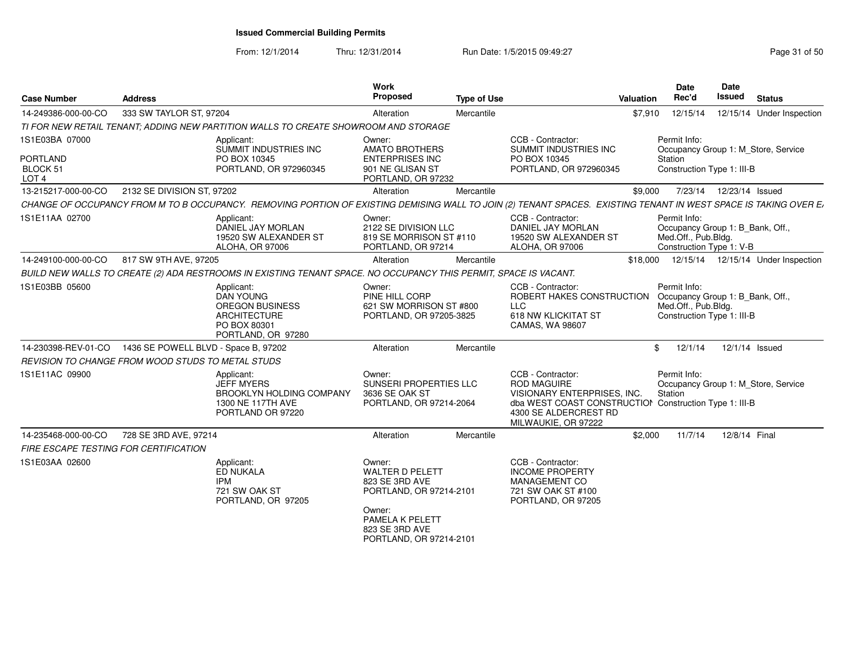From: 12/1/2014Thru: 12/31/2014 Run Date: 1/5/2015 09:49:27 Research 2010 12:49:27

| <b>Address</b>                        | <b>Work</b><br>Proposed                                                                                                                                                                                                                                                                                                                                                                                                                                                                                                                                              |                |                                                                                                                                                                                                                                                                                                                          |                                                                                                                                        | <b>Date</b><br>Rec'd                                                               | <b>Date</b><br><b>Issued</b>                                        | <b>Status</b>                                                                                                                                                                                                                                                                                                                                                                                                                                                                                                                                                                                                                  |
|---------------------------------------|----------------------------------------------------------------------------------------------------------------------------------------------------------------------------------------------------------------------------------------------------------------------------------------------------------------------------------------------------------------------------------------------------------------------------------------------------------------------------------------------------------------------------------------------------------------------|----------------|--------------------------------------------------------------------------------------------------------------------------------------------------------------------------------------------------------------------------------------------------------------------------------------------------------------------------|----------------------------------------------------------------------------------------------------------------------------------------|------------------------------------------------------------------------------------|---------------------------------------------------------------------|--------------------------------------------------------------------------------------------------------------------------------------------------------------------------------------------------------------------------------------------------------------------------------------------------------------------------------------------------------------------------------------------------------------------------------------------------------------------------------------------------------------------------------------------------------------------------------------------------------------------------------|
| 333 SW TAYLOR ST, 97204               | Alteration                                                                                                                                                                                                                                                                                                                                                                                                                                                                                                                                                           | Mercantile     |                                                                                                                                                                                                                                                                                                                          |                                                                                                                                        | 12/15/14                                                                           |                                                                     | 12/15/14 Under Inspection                                                                                                                                                                                                                                                                                                                                                                                                                                                                                                                                                                                                      |
|                                       |                                                                                                                                                                                                                                                                                                                                                                                                                                                                                                                                                                      |                |                                                                                                                                                                                                                                                                                                                          |                                                                                                                                        |                                                                                    |                                                                     |                                                                                                                                                                                                                                                                                                                                                                                                                                                                                                                                                                                                                                |
|                                       | Owner:<br><b>AMATO BROTHERS</b><br><b>ENTERPRISES INC</b><br>901 NE GLISAN ST                                                                                                                                                                                                                                                                                                                                                                                                                                                                                        |                | CCB - Contractor:<br>SUMMIT INDUSTRIES INC<br>PO BOX 10345                                                                                                                                                                                                                                                               |                                                                                                                                        | Permit Info:<br>Station                                                            |                                                                     |                                                                                                                                                                                                                                                                                                                                                                                                                                                                                                                                                                                                                                |
| 2132 SE DIVISION ST, 97202            | Alteration                                                                                                                                                                                                                                                                                                                                                                                                                                                                                                                                                           | Mercantile     |                                                                                                                                                                                                                                                                                                                          |                                                                                                                                        |                                                                                    |                                                                     |                                                                                                                                                                                                                                                                                                                                                                                                                                                                                                                                                                                                                                |
|                                       |                                                                                                                                                                                                                                                                                                                                                                                                                                                                                                                                                                      |                |                                                                                                                                                                                                                                                                                                                          |                                                                                                                                        |                                                                                    |                                                                     |                                                                                                                                                                                                                                                                                                                                                                                                                                                                                                                                                                                                                                |
|                                       | Owner:                                                                                                                                                                                                                                                                                                                                                                                                                                                                                                                                                               |                | CCB - Contractor:<br>DANIEL JAY MORLAN<br>19520 SW ALEXANDER ST<br>ALOHA, OR 97006                                                                                                                                                                                                                                       |                                                                                                                                        | Permit Info:                                                                       |                                                                     |                                                                                                                                                                                                                                                                                                                                                                                                                                                                                                                                                                                                                                |
| 817 SW 9TH AVE, 97205                 | Alteration                                                                                                                                                                                                                                                                                                                                                                                                                                                                                                                                                           | Mercantile     |                                                                                                                                                                                                                                                                                                                          |                                                                                                                                        |                                                                                    |                                                                     |                                                                                                                                                                                                                                                                                                                                                                                                                                                                                                                                                                                                                                |
|                                       |                                                                                                                                                                                                                                                                                                                                                                                                                                                                                                                                                                      |                |                                                                                                                                                                                                                                                                                                                          |                                                                                                                                        |                                                                                    |                                                                     |                                                                                                                                                                                                                                                                                                                                                                                                                                                                                                                                                                                                                                |
|                                       | Owner:<br>PINE HILL CORP                                                                                                                                                                                                                                                                                                                                                                                                                                                                                                                                             |                | CCB - Contractor:<br><b>LLC</b><br>618 NW KLICKITAT ST<br>CAMAS, WA 98607                                                                                                                                                                                                                                                |                                                                                                                                        | Permit Info:                                                                       |                                                                     |                                                                                                                                                                                                                                                                                                                                                                                                                                                                                                                                                                                                                                |
|                                       | Alteration                                                                                                                                                                                                                                                                                                                                                                                                                                                                                                                                                           | Mercantile     |                                                                                                                                                                                                                                                                                                                          |                                                                                                                                        | 12/1/14                                                                            |                                                                     |                                                                                                                                                                                                                                                                                                                                                                                                                                                                                                                                                                                                                                |
|                                       |                                                                                                                                                                                                                                                                                                                                                                                                                                                                                                                                                                      |                |                                                                                                                                                                                                                                                                                                                          |                                                                                                                                        |                                                                                    |                                                                     |                                                                                                                                                                                                                                                                                                                                                                                                                                                                                                                                                                                                                                |
|                                       | Owner:<br>3636 SE OAK ST                                                                                                                                                                                                                                                                                                                                                                                                                                                                                                                                             |                | CCB - Contractor:<br><b>ROD MAGUIRE</b><br>4300 SE ALDERCREST RD<br>MILWAUKIE, OR 97222                                                                                                                                                                                                                                  |                                                                                                                                        | Permit Info:<br>Station                                                            |                                                                     |                                                                                                                                                                                                                                                                                                                                                                                                                                                                                                                                                                                                                                |
| 728 SE 3RD AVE, 97214                 | Alteration                                                                                                                                                                                                                                                                                                                                                                                                                                                                                                                                                           | Mercantile     |                                                                                                                                                                                                                                                                                                                          |                                                                                                                                        | 11/7/14                                                                            |                                                                     |                                                                                                                                                                                                                                                                                                                                                                                                                                                                                                                                                                                                                                |
| FIRE ESCAPE TESTING FOR CERTIFICATION |                                                                                                                                                                                                                                                                                                                                                                                                                                                                                                                                                                      |                |                                                                                                                                                                                                                                                                                                                          |                                                                                                                                        |                                                                                    |                                                                     |                                                                                                                                                                                                                                                                                                                                                                                                                                                                                                                                                                                                                                |
| <b>IPM</b>                            | Owner:<br><b>WALTER D PELETT</b><br>823 SE 3RD AVE<br>Owner:<br>PAMELA K PELETT                                                                                                                                                                                                                                                                                                                                                                                                                                                                                      |                | CCB - Contractor:<br><b>INCOME PROPERTY</b><br>MANAGEMENT CO<br>721 SW OAK ST #100<br>PORTLAND, OR 97205                                                                                                                                                                                                                 |                                                                                                                                        |                                                                                    |                                                                     |                                                                                                                                                                                                                                                                                                                                                                                                                                                                                                                                                                                                                                |
|                                       | Applicant:<br>SUMMIT INDUSTRIES INC<br>PO BOX 10345<br>PORTLAND, OR 972960345<br>Applicant:<br>DANIEL JAY MORLAN<br>19520 SW ALEXANDER ST<br>ALOHA, OR 97006<br>Applicant:<br><b>DAN YOUNG</b><br><b>OREGON BUSINESS</b><br><b>ARCHITECTURE</b><br>PO BOX 80301<br>PORTLAND, OR 97280<br>1436 SE POWELL BLVD - Space B, 97202<br>REVISION TO CHANGE FROM WOOD STUDS TO METAL STUDS<br>Applicant:<br><b>JEFF MYERS</b><br>BROOKLYN HOLDING COMPANY<br>1300 NE 117TH AVE<br>PORTLAND OR 97220<br>Applicant:<br><b>ED NUKALA</b><br>721 SW OAK ST<br>PORTLAND, OR 97205 | 823 SE 3RD AVE | TI FOR NEW RETAIL TENANT: ADDING NEW PARTITION WALLS TO CREATE SHOWROOM AND STORAGE<br>PORTLAND, OR 97232<br>2122 SE DIVISION LLC<br>819 SE MORRISON ST #110<br>PORTLAND, OR 97214<br>621 SW MORRISON ST #800<br>PORTLAND, OR 97205-3825<br>SUNSERI PROPERTIES LLC<br>PORTLAND, OR 97214-2064<br>PORTLAND, OR 97214-2101 | <b>Type of Use</b><br>BUILD NEW WALLS TO CREATE (2) ADA RESTROOMS IN EXISTING TENANT SPACE. NO OCCUPANCY THIS PERMIT, SPACE IS VACANT. | PORTLAND, OR 972960345<br>ROBERT HAKES CONSTRUCTION<br>VISIONARY ENTERPRISES, INC. | <b>Valuation</b><br>\$7,910<br>\$9,000<br>\$18,000<br>\$<br>\$2,000 | Occupancy Group 1: M_Store, Service<br>Construction Type 1: III-B<br>7/23/14  12/23/14  Issued<br>CHANGE OF OCCUPANCY FROM M TO B OCCUPANCY. REMOVING PORTION OF EXISTING DEMISING WALL TO JOIN (2) TENANT SPACES. EXISTING TENANT IN WEST SPACE IS TAKING OVER E.<br>Occupancy Group 1: B_Bank, Off.,<br>Med.Off., Pub.Bldg.<br>Construction Type 1: V-B<br>12/15/14  12/15/14  Under Inspection<br>Occupancy Group 1: B_Bank, Off.,<br>Med.Off., Pub.Bldg.<br>Construction Type 1: III-B<br>12/1/14 Issued<br>Occupancy Group 1: M Store, Service<br>dba WEST COAST CONSTRUCTION Construction Type 1: III-B<br>12/8/14 Final |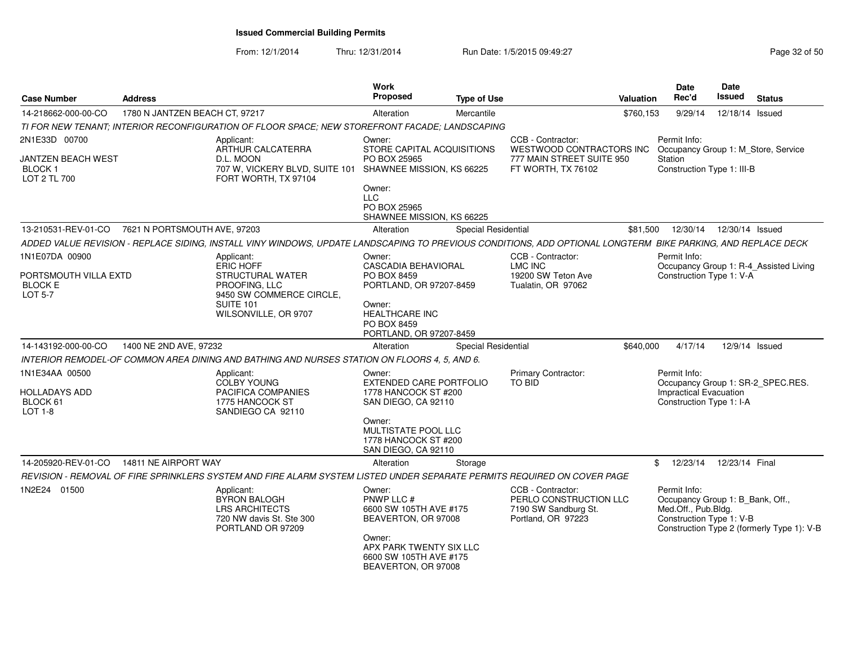| <b>Case Number</b>                                                          | <b>Address</b>                 |                                                                                                                                                              | Work<br>Proposed                                                                        | <b>Type of Use</b>  |                                                                                           | Valuation | <b>Date</b><br>Rec'd                                                                                | <b>Date</b><br><b>Issued</b> | <b>Status</b>                              |
|-----------------------------------------------------------------------------|--------------------------------|--------------------------------------------------------------------------------------------------------------------------------------------------------------|-----------------------------------------------------------------------------------------|---------------------|-------------------------------------------------------------------------------------------|-----------|-----------------------------------------------------------------------------------------------------|------------------------------|--------------------------------------------|
| 14-218662-000-00-CO                                                         | 1780 N JANTZEN BEACH CT, 97217 |                                                                                                                                                              | Alteration                                                                              | Mercantile          |                                                                                           | \$760,153 | 9/29/14                                                                                             | 12/18/14 Issued              |                                            |
|                                                                             |                                | TI FOR NEW TENANT: INTERIOR RECONFIGURATION OF FLOOR SPACE: NEW STOREFRONT FACADE: LANDSCAPING                                                               |                                                                                         |                     |                                                                                           |           |                                                                                                     |                              |                                            |
| 2N1E33D 00700                                                               |                                | Applicant:<br>ARTHUR CALCATERRA                                                                                                                              | Owner:                                                                                  |                     | CCB - Contractor:<br>WESTWOOD CONTRACTORS INC                                             |           | Permit Info:                                                                                        |                              |                                            |
| JANTZEN BEACH WEST<br>BLOCK 1<br>LOT 2 TL 700                               |                                | D.L. MOON<br>707 W, VICKERY BLVD, SUITE 101<br>FORT WORTH, TX 97104                                                                                          | STORE CAPITAL ACQUISITIONS<br>PO BOX 25965<br>SHAWNEE MISSION, KS 66225                 |                     | 777 MAIN STREET SUITE 950<br>FT WORTH, TX 76102                                           |           | Station<br>Construction Type 1: III-B                                                               |                              | Occupancy Group 1: M_Store, Service        |
|                                                                             |                                |                                                                                                                                                              | Owner:<br><b>LLC</b><br>PO BOX 25965<br>SHAWNEE MISSION, KS 66225                       |                     |                                                                                           |           |                                                                                                     |                              |                                            |
| 13-210531-REV-01-CO                                                         | 7621 N PORTSMOUTH AVE, 97203   |                                                                                                                                                              | Alteration                                                                              | Special Residential |                                                                                           | \$81,500  | 12/30/14                                                                                            | 12/30/14 Issued              |                                            |
|                                                                             |                                | ADDED VALUE REVISION - REPLACE SIDING, INSTALL VINY WINDOWS, UPDATE LANDSCAPING TO PREVIOUS CONDITIONS, ADD OPTIONAL LONGTERM BIKE PARKING, AND REPLACE DECK |                                                                                         |                     |                                                                                           |           |                                                                                                     |                              |                                            |
| 1N1E07DA 00900<br>PORTSMOUTH VILLA EXTD<br><b>BLOCK E</b><br><b>LOT 5-7</b> |                                | Applicant:<br><b>ERIC HOFF</b><br><b>STRUCTURAL WATER</b><br>PROOFING, LLC<br>9450 SW COMMERCE CIRCLE,                                                       | Owner:<br><b>CASCADIA BEHAVIORAL</b><br>PO BOX 8459<br>PORTLAND, OR 97207-8459          |                     | CCB - Contractor:<br>LMC INC<br>19200 SW Teton Ave<br>Tualatin, OR 97062                  |           | Permit Info:<br>Construction Type 1: V-A                                                            |                              | Occupancy Group 1: R-4_Assisted Living     |
|                                                                             |                                | <b>SUITE 101</b><br>WILSONVILLE, OR 9707                                                                                                                     | Owner:<br><b>HEALTHCARE INC</b><br>PO BOX 8459<br>PORTLAND, OR 97207-8459               |                     |                                                                                           |           |                                                                                                     |                              |                                            |
| 14-143192-000-00-CO                                                         | 1400 NE 2ND AVE, 97232         |                                                                                                                                                              | Alteration                                                                              | Special Residential |                                                                                           | \$640,000 | 4/17/14                                                                                             |                              | 12/9/14 Issued                             |
|                                                                             |                                | INTERIOR REMODEL-OF COMMON AREA DINING AND BATHING AND NURSES STATION ON FLOORS 4, 5, AND 6.                                                                 |                                                                                         |                     |                                                                                           |           |                                                                                                     |                              |                                            |
| 1N1E34AA 00500<br><b>HOLLADAYS ADD</b><br>BLOCK 61<br>LOT 1-8               |                                | Applicant:<br><b>COLBY YOUNG</b><br>PACIFICA COMPANIES<br>1775 HANCOCK ST<br>SANDIEGO CA 92110                                                               | Owner:<br><b>EXTENDED CARE PORTFOLIO</b><br>1778 HANCOCK ST #200<br>SAN DIEGO, CA 92110 |                     | Primary Contractor:<br>TO BID                                                             |           | Permit Info:<br><b>Impractical Evacuation</b><br>Construction Type 1: I-A                           |                              | Occupancy Group 1: SR-2 SPEC.RES.          |
|                                                                             |                                |                                                                                                                                                              | Owner:<br>MULTISTATE POOL LLC<br>1778 HANCOCK ST #200<br>SAN DIEGO, CA 92110            |                     |                                                                                           |           |                                                                                                     |                              |                                            |
| 14-205920-REV-01-CO                                                         | 14811 NE AIRPORT WAY           |                                                                                                                                                              | Alteration                                                                              | Storage             |                                                                                           |           | \$<br>12/23/14                                                                                      | 12/23/14 Final               |                                            |
|                                                                             |                                | REVISION - REMOVAL OF FIRE SPRINKLERS SYSTEM AND FIRE ALARM SYSTEM LISTED UNDER SEPARATE PERMITS REQUIRED ON COVER PAGE                                      |                                                                                         |                     |                                                                                           |           |                                                                                                     |                              |                                            |
| 1N2E24 01500                                                                |                                | Applicant:<br><b>BYRON BALOGH</b><br><b>LRS ARCHITECTS</b><br>720 NW davis St. Ste 300<br>PORTLAND OR 97209                                                  | Owner:<br>PNWP LLC #<br>6600 SW 105TH AVE #175<br>BEAVERTON, OR 97008<br>Owner:         |                     | CCB - Contractor:<br>PERLO CONSTRUCTION LLC<br>7190 SW Sandburg St.<br>Portland, OR 97223 |           | Permit Info:<br>Occupancy Group 1: B_Bank, Off.,<br>Med.Off., Pub.Bldg.<br>Construction Type 1: V-B |                              | Construction Type 2 (formerly Type 1): V-B |
|                                                                             |                                |                                                                                                                                                              | APX PARK TWENTY SIX LLC<br>6600 SW 105TH AVE #175<br>BEAVERTON, OR 97008                |                     |                                                                                           |           |                                                                                                     |                              |                                            |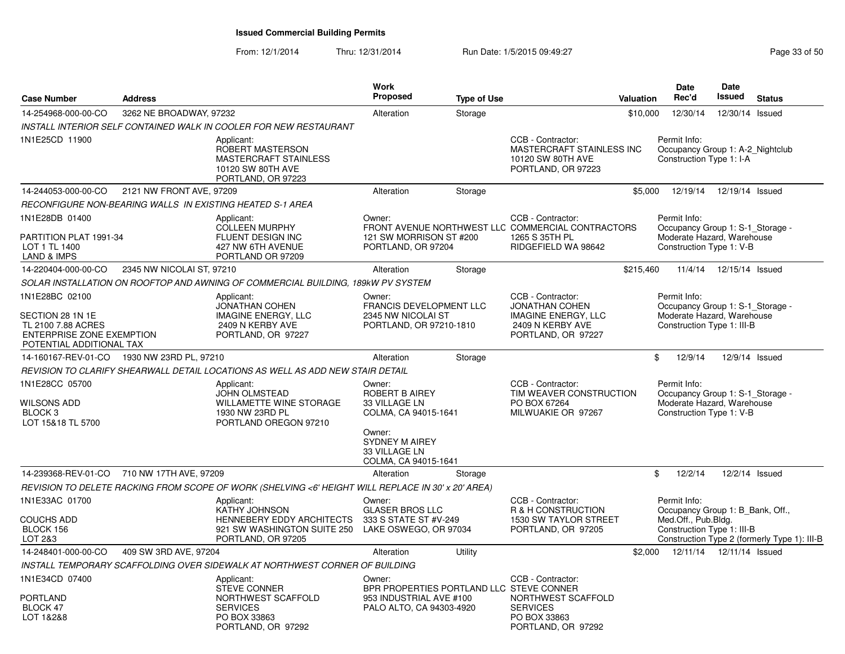| <b>Case Number</b>                                                                 | <b>Address</b>            |                                                                                                           | Work<br><b>Proposed</b>                                                  | <b>Type of Use</b> |                                                                                                                 | <b>Valuation</b> | <b>Date</b><br>Rec'd                                                                                       | Date<br><b>Issued</b>      | <b>Status</b>                                |
|------------------------------------------------------------------------------------|---------------------------|-----------------------------------------------------------------------------------------------------------|--------------------------------------------------------------------------|--------------------|-----------------------------------------------------------------------------------------------------------------|------------------|------------------------------------------------------------------------------------------------------------|----------------------------|----------------------------------------------|
| 14-254968-000-00-CO                                                                | 3262 NE BROADWAY, 97232   |                                                                                                           | Alteration                                                               | Storage            |                                                                                                                 | \$10,000         | 12/30/14                                                                                                   | 12/30/14 Issued            |                                              |
|                                                                                    |                           | INSTALL INTERIOR SELF CONTAINED WALK IN COOLER FOR NEW RESTAURANT                                         |                                                                          |                    |                                                                                                                 |                  |                                                                                                            |                            |                                              |
| 1N1E25CD 11900                                                                     |                           | Applicant:<br>ROBERT MASTERSON<br><b>MASTERCRAFT STAINLESS</b><br>10120 SW 80TH AVE<br>PORTLAND, OR 97223 |                                                                          |                    | CCB - Contractor:<br>MASTERCRAFT STAINLESS INC<br>10120 SW 80TH AVE<br>PORTLAND, OR 97223                       |                  | Permit Info:<br>Occupancy Group 1: A-2 Nightclub<br>Construction Type 1: I-A                               |                            |                                              |
| 14-244053-000-00-CO                                                                | 2121 NW FRONT AVE, 97209  |                                                                                                           | Alteration                                                               | Storage            |                                                                                                                 | \$5.000          | 12/19/14                                                                                                   | 12/19/14 Issued            |                                              |
|                                                                                    |                           | RECONFIGURE NON-BEARING WALLS IN EXISTING HEATED S-1 AREA                                                 |                                                                          |                    |                                                                                                                 |                  |                                                                                                            |                            |                                              |
| 1N1E28DB 01400<br>PARTITION PLAT 1991-34<br>LOT 1 TL 1400                          |                           | Applicant:<br><b>COLLEEN MURPHY</b><br>FLUENT DESIGN INC<br>427 NW 6TH AVENUE                             | Owner:<br>121 SW MORRISON ST #200<br>PORTLAND, OR 97204                  |                    | CCB - Contractor:<br>FRONT AVENUE NORTHWEST LLC COMMERCIAL CONTRACTORS<br>1265 S 35TH PL<br>RIDGEFIELD WA 98642 |                  | Permit Info:<br>Occupancy Group 1: S-1 Storage -<br>Moderate Hazard, Warehouse<br>Construction Type 1: V-B |                            |                                              |
| <b>LAND &amp; IMPS</b>                                                             |                           | PORTLAND OR 97209                                                                                         |                                                                          |                    |                                                                                                                 |                  |                                                                                                            |                            |                                              |
| 14-220404-000-00-CO                                                                | 2345 NW NICOLAI ST, 97210 |                                                                                                           | Alteration                                                               | Storage            |                                                                                                                 | \$215,460        |                                                                                                            | 11/4/14  12/15/14  Issued  |                                              |
|                                                                                    |                           | SOLAR INSTALLATION ON ROOFTOP AND AWNING OF COMMERCIAL BUILDING, 189kW PV SYSTEM                          |                                                                          |                    |                                                                                                                 |                  |                                                                                                            |                            |                                              |
| 1N1E28BC 02100<br>SECTION 28 1N 1E                                                 |                           | Applicant:<br><b>JONATHAN COHEN</b><br><b>IMAGINE ENERGY, LLC</b>                                         | Owner:<br><b>FRANCIS DEVELOPMENT LLC</b><br>2345 NW NICOLAI ST           |                    | CCB - Contractor:<br><b>JONATHAN COHEN</b><br><b>IMAGINE ENERGY, LLC</b>                                        |                  | Permit Info:<br>Occupancy Group 1: S-1 Storage -<br>Moderate Hazard, Warehouse                             |                            |                                              |
| TL 2100 7.88 ACRES<br><b>ENTERPRISE ZONE EXEMPTION</b><br>POTENTIAL ADDITIONAL TAX |                           | 2409 N KERBY AVE<br>PORTLAND, OR 97227                                                                    | PORTLAND, OR 97210-1810                                                  |                    | 2409 N KERBY AVE<br>PORTLAND, OR 97227                                                                          |                  | Construction Type 1: III-B                                                                                 |                            |                                              |
| 14-160167-REV-01-CO 1930 NW 23RD PL, 97210                                         |                           |                                                                                                           | Alteration                                                               | Storage            |                                                                                                                 | \$               | 12/9/14                                                                                                    | 12/9/14 Issued             |                                              |
|                                                                                    |                           | REVISION TO CLARIFY SHEARWALL DETAIL LOCATIONS AS WELL AS ADD NEW STAIR DETAIL                            |                                                                          |                    |                                                                                                                 |                  |                                                                                                            |                            |                                              |
| 1N1E28CC 05700<br>WILSONS ADD<br>BLOCK <sub>3</sub><br>LOT 15&18 TL 5700           |                           | Applicant:<br><b>JOHN OLMSTEAD</b><br>WILLAMETTE WINE STORAGE<br>1930 NW 23RD PL<br>PORTLAND OREGON 97210 | Owner:<br>ROBERT B AIREY<br>33 VILLAGE LN<br>COLMA, CA 94015-1641        |                    | CCB - Contractor:<br>TIM WEAVER CONSTRUCTION<br>PO BOX 67264<br>MILWUAKIE OR 97267                              |                  | Permit Info:<br>Occupancy Group 1: S-1_Storage -<br>Moderate Hazard, Warehouse<br>Construction Type 1: V-B |                            |                                              |
|                                                                                    |                           |                                                                                                           | Owner:<br><b>SYDNEY M AIREY</b><br>33 VILLAGE LN<br>COLMA, CA 94015-1641 |                    |                                                                                                                 |                  |                                                                                                            |                            |                                              |
| 14-239368-REV-01-CO 710 NW 17TH AVE, 97209                                         |                           |                                                                                                           | Alteration                                                               | Storage            |                                                                                                                 | \$               | 12/2/14                                                                                                    | 12/2/14 Issued             |                                              |
|                                                                                    |                           | REVISION TO DELETE RACKING FROM SCOPE OF WORK (SHELVING <6' HEIGHT WILL REPLACE IN 30' x 20' AREA)        |                                                                          |                    |                                                                                                                 |                  |                                                                                                            |                            |                                              |
| 1N1E33AC 01700                                                                     |                           | Applicant:<br><b>KATHY JOHNSON</b>                                                                        | Owner:<br><b>GLASER BROS LLC</b>                                         |                    | CCB - Contractor:<br>R & H CONSTRUCTION                                                                         |                  | Permit Info:<br>Occupancy Group 1: B_Bank, Off.,                                                           |                            |                                              |
| <b>COUCHS ADD</b><br>BLOCK 156<br>LOT 2&3                                          |                           | HENNEBERY EDDY ARCHITECTS<br>921 SW WASHINGTON SUITE 250<br>PORTLAND, OR 97205                            | 333 S STATE ST #V-249<br>LAKE OSWEGO, OR 97034                           |                    | 1530 SW TAYLOR STREET<br>PORTLAND, OR 97205                                                                     |                  | Med.Off., Pub.Bldg.<br>Construction Type 1: III-B                                                          |                            | Construction Type 2 (formerly Type 1): III-B |
| 14-248401-000-00-CO                                                                | 409 SW 3RD AVE, 97204     |                                                                                                           | Alteration                                                               | Utility            |                                                                                                                 | \$2,000          |                                                                                                            | 12/11/14  12/11/14  Issued |                                              |
|                                                                                    |                           | INSTALL TEMPORARY SCAFFOLDING OVER SIDEWALK AT NORTHWEST CORNER OF BUILDING                               |                                                                          |                    |                                                                                                                 |                  |                                                                                                            |                            |                                              |
| 1N1E34CD 07400                                                                     |                           | Applicant:<br><b>STEVE CONNER</b>                                                                         | Owner:<br>BPR PROPERTIES PORTLAND LLC STEVE CONNER                       |                    | CCB - Contractor:                                                                                               |                  |                                                                                                            |                            |                                              |
| PORTLAND<br>BLOCK 47<br>LOT 1&2&8                                                  |                           | NORTHWEST SCAFFOLD<br><b>SERVICES</b><br>PO BOX 33863<br>PORTLAND, OR 97292                               | 953 INDUSTRIAL AVE #100<br>PALO ALTO, CA 94303-4920                      |                    | NORTHWEST SCAFFOLD<br><b>SERVICES</b><br>PO BOX 33863<br>PORTLAND, OR 97292                                     |                  |                                                                                                            |                            |                                              |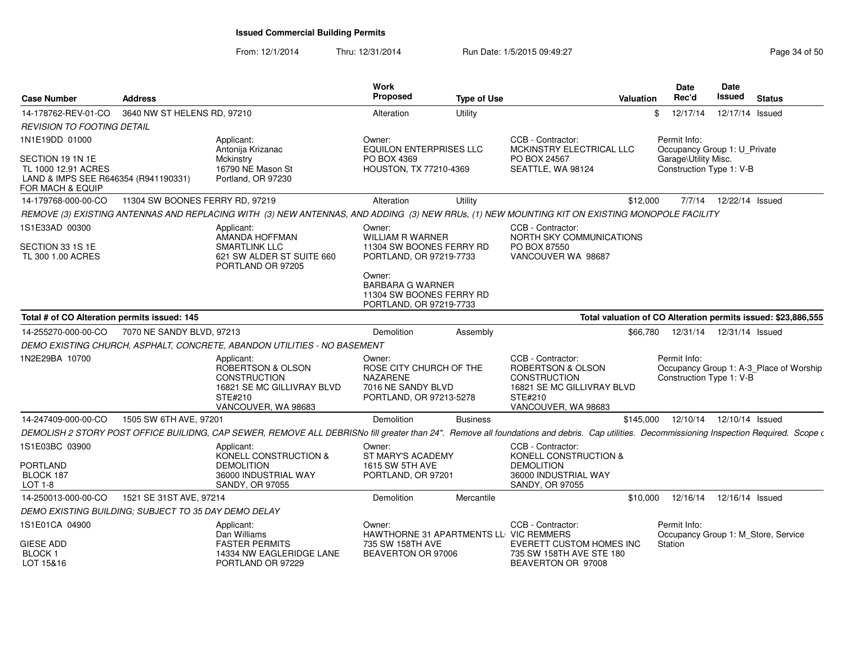| <b>Case Number</b>                                                                                  | <b>Address</b>                  |                                                                                                                                                                                              | <b>Work</b><br>Proposed                                                                               | <b>Type of Use</b> |                                                                                                                        | Valuation | <b>Date</b><br>Rec'd                             | <b>Date</b><br>Issued | <b>Status</b>                                                 |
|-----------------------------------------------------------------------------------------------------|---------------------------------|----------------------------------------------------------------------------------------------------------------------------------------------------------------------------------------------|-------------------------------------------------------------------------------------------------------|--------------------|------------------------------------------------------------------------------------------------------------------------|-----------|--------------------------------------------------|-----------------------|---------------------------------------------------------------|
| 14-178762-REV-01-CO                                                                                 | 3640 NW ST HELENS RD, 97210     |                                                                                                                                                                                              | Alteration                                                                                            | Utility            |                                                                                                                        | \$.       | 12/17/14                                         | 12/17/14 Issued       |                                                               |
| REVISION TO FOOTING DETAIL                                                                          |                                 |                                                                                                                                                                                              |                                                                                                       |                    |                                                                                                                        |           |                                                  |                       |                                                               |
| 1N1E19DD 01000                                                                                      |                                 | Applicant:<br>Antonija Krizanac                                                                                                                                                              | Owner:<br>EQUILON ENTERPRISES LLC                                                                     |                    | CCB - Contractor:<br>MCKINSTRY ELECTRICAL LLC                                                                          |           | Permit Info:<br>Occupancy Group 1: U_Private     |                       |                                                               |
| SECTION 19 1N 1E<br>TL 1000 12.91 ACRES<br>LAND & IMPS SEE R646354 (R941190331)<br>FOR MACH & EQUIP |                                 | Mckinstry<br>16790 NE Mason St<br>Portland, OR 97230                                                                                                                                         | PO BOX 4369<br>HOUSTON, TX 77210-4369                                                                 |                    | PO BOX 24567<br>SEATTLE, WA 98124                                                                                      |           | Garage\Utility Misc.<br>Construction Type 1: V-B |                       |                                                               |
| 14-179768-000-00-CO                                                                                 | 11304 SW BOONES FERRY RD, 97219 |                                                                                                                                                                                              | Alteration                                                                                            | Utility            |                                                                                                                        | \$12,000  | 7/7/14                                           | 12/22/14 Issued       |                                                               |
|                                                                                                     |                                 | REMOVE (3) EXISTING ANTENNAS AND REPLACING WITH (3) NEW ANTENNAS, AND ADDING (3) NEW RRUs, (1) NEW MOUNTING KIT ON EXISTING MONOPOLE FACILITY                                                |                                                                                                       |                    |                                                                                                                        |           |                                                  |                       |                                                               |
| 1S1E33AD 00300<br>SECTION 33 1S 1E<br>TL 300 1.00 ACRES                                             |                                 | Applicant:<br>AMANDA HOFFMAN<br><b>SMARTLINK LLC</b><br>621 SW ALDER ST SUITE 660<br>PORTLAND OR 97205                                                                                       | Owner:<br><b>WILLIAM R WARNER</b><br>11304 SW BOONES FERRY RD<br>PORTLAND, OR 97219-7733              |                    | CCB - Contractor:<br>NORTH SKY COMMUNICATIONS<br>PO BOX 87550<br>VANCOUVER WA 98687                                    |           |                                                  |                       |                                                               |
|                                                                                                     |                                 |                                                                                                                                                                                              | Owner:<br><b>BARBARA G WARNER</b><br>11304 SW BOONES FERRY RD<br>PORTLAND, OR 97219-7733              |                    |                                                                                                                        |           |                                                  |                       |                                                               |
| Total # of CO Alteration permits issued: 145                                                        |                                 |                                                                                                                                                                                              |                                                                                                       |                    |                                                                                                                        |           |                                                  |                       | Total valuation of CO Alteration permits issued: \$23,886,555 |
| 14-255270-000-00-CO                                                                                 | 7070 NE SANDY BLVD, 97213       |                                                                                                                                                                                              | <b>Demolition</b>                                                                                     | Assembly           |                                                                                                                        | \$66,780  | 12/31/14  12/31/14  Issued                       |                       |                                                               |
|                                                                                                     |                                 | DEMO EXISTING CHURCH, ASPHALT, CONCRETE, ABANDON UTILITIES - NO BASEMENT                                                                                                                     |                                                                                                       |                    |                                                                                                                        |           |                                                  |                       |                                                               |
| 1N2E29BA 10700                                                                                      |                                 | Applicant:<br>ROBERTSON & OLSON<br><b>CONSTRUCTION</b><br>16821 SE MC GILLIVRAY BLVD<br>STE#210<br>VANCOUVER, WA 98683                                                                       | Owner:<br>ROSE CITY CHURCH OF THE<br><b>NAZARENE</b><br>7016 NE SANDY BLVD<br>PORTLAND, OR 97213-5278 |                    | CCB - Contractor:<br>ROBERTSON & OLSON<br>CONSTRUCTION<br>16821 SE MC GILLIVRAY BLVD<br>STE#210<br>VANCOUVER, WA 98683 |           | Permit Info:<br>Construction Type 1: V-B         |                       | Occupancy Group 1: A-3_Place of Worship                       |
| 14-247409-000-00-CO                                                                                 | 1505 SW 6TH AVE, 97201          |                                                                                                                                                                                              | Demolition                                                                                            | <b>Business</b>    |                                                                                                                        | \$145,000 | 12/10/14                                         | 12/10/14 Issued       |                                                               |
|                                                                                                     |                                 | DEMOLISH 2 STORY POST OFFICE BUILIDNG, CAP SEWER, REMOVE ALL DEBRISNo fill greater than 24". Remove all foundations and debris. Cap utilities. Decommissioning Inspection Required. Scope of |                                                                                                       |                    |                                                                                                                        |           |                                                  |                       |                                                               |
| 1S1E03BC 03900                                                                                      |                                 | Applicant:<br>KONELL CONSTRUCTION &                                                                                                                                                          | Owner:<br>ST MARY'S ACADEMY                                                                           |                    | CCB - Contractor:<br>KONELL CONSTRUCTION &                                                                             |           |                                                  |                       |                                                               |
| <b>PORTLAND</b><br>BLOCK 187<br>LOT 1-8                                                             |                                 | <b>DEMOLITION</b><br>36000 INDUSTRIAL WAY<br>SANDY, OR 97055                                                                                                                                 | 1615 SW 5TH AVE<br>PORTLAND, OR 97201                                                                 |                    | <b>DEMOLITION</b><br>36000 INDUSTRIAL WAY<br>SANDY, OR 97055                                                           |           |                                                  |                       |                                                               |
| 14-250013-000-00-CO                                                                                 | 1521 SE 31ST AVE, 97214         |                                                                                                                                                                                              | <b>Demolition</b>                                                                                     | Mercantile         |                                                                                                                        | \$10,000  | 12/16/14                                         | 12/16/14 Issued       |                                                               |
| DEMO EXISTING BUILDING: SUBJECT TO 35 DAY DEMO DELAY                                                |                                 |                                                                                                                                                                                              |                                                                                                       |                    |                                                                                                                        |           |                                                  |                       |                                                               |
| 1S1E01CA 04900                                                                                      |                                 | Applicant:<br>Dan Williams                                                                                                                                                                   | Owner:<br>HAWTHORNE 31 APARTMENTS LL VIC REMMERS                                                      |                    | CCB - Contractor:                                                                                                      |           | Permit Info:                                     |                       | Occupancy Group 1: M Store, Service                           |
| <b>GIESE ADD</b><br>BLOCK <sub>1</sub><br>LOT 15&16                                                 |                                 | <b>FASTER PERMITS</b><br>14334 NW EAGLERIDGE LANE<br>PORTLAND OR 97229                                                                                                                       | 735 SW 158TH AVE<br>BEAVERTON OR 97006                                                                |                    | EVERETT CUSTOM HOMES INC<br>735 SW 158TH AVE STE 180<br>BEAVERTON OR 97008                                             |           | Station                                          |                       |                                                               |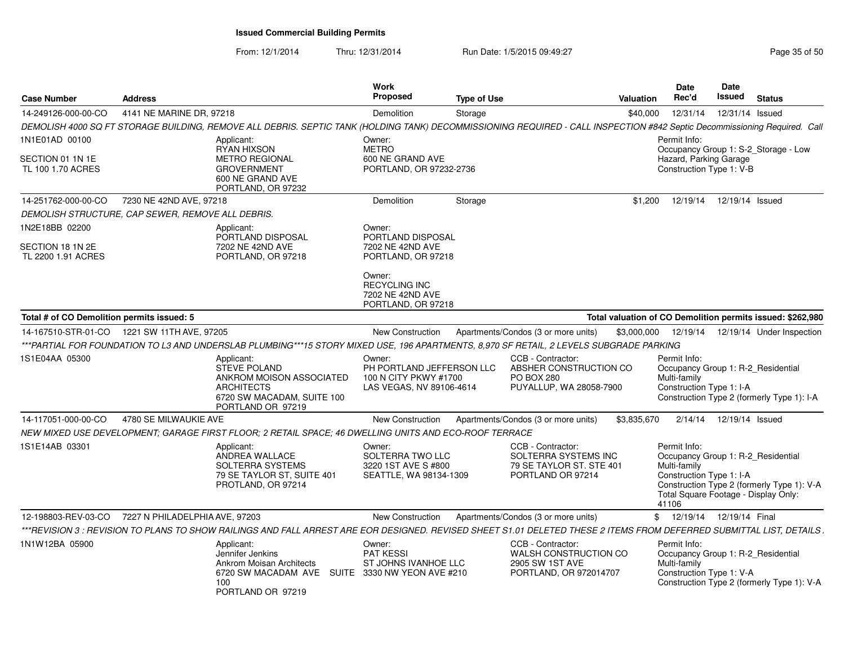| <b>Case Number</b>                                       | <b>Address</b>                 |                                                                                                                                                                           | Work<br><b>Proposed</b>                                                                                                                           | <b>Type of Use</b> |                                                                                             | Valuation   | Date<br>Rec'd                                                                                                                                   | Date<br>Issued  | <b>Status</b>                                                                    |
|----------------------------------------------------------|--------------------------------|---------------------------------------------------------------------------------------------------------------------------------------------------------------------------|---------------------------------------------------------------------------------------------------------------------------------------------------|--------------------|---------------------------------------------------------------------------------------------|-------------|-------------------------------------------------------------------------------------------------------------------------------------------------|-----------------|----------------------------------------------------------------------------------|
| 14-249126-000-00-CO                                      | 4141 NE MARINE DR, 97218       |                                                                                                                                                                           | Demolition                                                                                                                                        | Storage            |                                                                                             | \$40,000    | 12/31/14                                                                                                                                        | 12/31/14 Issued |                                                                                  |
|                                                          |                                | DEMOLISH 4000 SQ FT STORAGE BUILDING, REMOVE ALL DEBRIS. SEPTIC TANK (HOLDING TANK) DECOMMISSIONING REQUIRED - CALL INSPECTION #842 Septic Decommissioning Required. Call |                                                                                                                                                   |                    |                                                                                             |             |                                                                                                                                                 |                 |                                                                                  |
| 1N1E01AD 00100<br>SECTION 01 1N 1E<br>TL 100 1.70 ACRES  |                                | Applicant:<br><b>RYAN HIXSON</b><br><b>METRO REGIONAL</b><br><b>GROVERNMENT</b><br>600 NE GRAND AVE<br>PORTLAND, OR 97232                                                 | Owner:<br><b>METRO</b><br>600 NE GRAND AVE<br>PORTLAND, OR 97232-2736                                                                             |                    |                                                                                             |             | Permit Info:<br>Hazard, Parking Garage<br>Construction Type 1: V-B                                                                              |                 | Occupancy Group 1: S-2_Storage - Low                                             |
| 14-251762-000-00-CO                                      | 7230 NE 42ND AVE, 97218        |                                                                                                                                                                           | Demolition                                                                                                                                        | Storage            |                                                                                             | \$1,200     | 12/19/14                                                                                                                                        | 12/19/14 Issued |                                                                                  |
| DEMOLISH STRUCTURE, CAP SEWER, REMOVE ALL DEBRIS.        |                                |                                                                                                                                                                           |                                                                                                                                                   |                    |                                                                                             |             |                                                                                                                                                 |                 |                                                                                  |
| 1N2E18BB 02200<br>SECTION 18 1N 2E<br>TL 2200 1.91 ACRES |                                | Applicant:<br>PORTLAND DISPOSAL<br>7202 NE 42ND AVE<br>PORTLAND, OR 97218                                                                                                 | Owner:<br>PORTLAND DISPOSAL<br>7202 NE 42ND AVE<br>PORTLAND, OR 97218<br>Owner:<br><b>RECYCLING INC</b><br>7202 NE 42ND AVE<br>PORTLAND, OR 97218 |                    |                                                                                             |             |                                                                                                                                                 |                 |                                                                                  |
| Total # of CO Demolition permits issued: 5               |                                |                                                                                                                                                                           |                                                                                                                                                   |                    |                                                                                             |             |                                                                                                                                                 |                 | Total valuation of CO Demolition permits issued: \$262,980                       |
| 14-167510-STR-01-CO   1221 SW 11TH AVE, 97205            |                                |                                                                                                                                                                           | <b>New Construction</b>                                                                                                                           |                    | Apartments/Condos (3 or more units)                                                         | \$3,000,000 |                                                                                                                                                 |                 | 12/19/14  12/19/14  Under Inspection                                             |
|                                                          |                                | ***PARTIAL FOR FOUNDATION TO L3 AND UNDERSLAB PLUMBING***15 STORY MIXED USE, 196 APARTMENTS, 8,970 SF RETAIL, 2 LEVELS SUBGRADE PARKING                                   |                                                                                                                                                   |                    |                                                                                             |             |                                                                                                                                                 |                 |                                                                                  |
| IS1E04AA 05300                                           |                                | Applicant:<br><b>STEVE POLAND</b><br>ANKROM MOISON ASSOCIATED<br><b>ARCHITECTS</b><br>6720 SW MACADAM, SUITE 100<br>PORTLAND OR 97219                                     | Owner:<br>PH PORTLAND JEFFERSON LLC<br>100 N CITY PKWY #1700<br>LAS VEGAS, NV 89106-4614                                                          |                    | CCB - Contractor:<br>ABSHER CONSTRUCTION CO<br><b>PO BOX 280</b><br>PUYALLUP, WA 28058-7900 |             | Permit Info:<br>Multi-family<br>Construction Type 1: I-A                                                                                        |                 | Occupancy Group 1: R-2_Residential<br>Construction Type 2 (formerly Type 1): I-A |
| 14-117051-000-00-CO                                      | 4780 SE MILWAUKIE AVE          |                                                                                                                                                                           | New Construction                                                                                                                                  |                    | Apartments/Condos (3 or more units)                                                         | \$3,835,670 | 2/14/14                                                                                                                                         | 12/19/14 Issued |                                                                                  |
|                                                          |                                | NEW MIXED USE DEVELOPMENT; GARAGE FIRST FLOOR; 2 RETAIL SPACE; 46 DWELLING UNITS AND ECO-ROOF TERRACE                                                                     |                                                                                                                                                   |                    |                                                                                             |             |                                                                                                                                                 |                 |                                                                                  |
| 1S1E14AB 03301                                           |                                | Applicant:<br>ANDREA WALLACE<br>SOLTERRA SYSTEMS<br>79 SE TAYLOR ST, SUITE 401<br>PROTLAND, OR 97214                                                                      | Owner:<br>SOLTERRA TWO LLC<br>3220 1ST AVE S #800<br>SEATTLE, WA 98134-1309                                                                       |                    | CCB - Contractor:<br>SOLTERRA SYSTEMS INC<br>79 SE TAYLOR ST. STE 401<br>PORTLAND OR 97214  |             | Permit Info:<br>Occupancy Group 1: R-2_Residential<br>Multi-family<br>Construction Type 1: I-A<br>Total Square Footage - Display Only:<br>41106 |                 | Construction Type 2 (formerly Type 1): V-A                                       |
| 12-198803-REV-03-CO                                      | 7227 N PHILADELPHIA AVE, 97203 |                                                                                                                                                                           | <b>New Construction</b>                                                                                                                           |                    | Apartments/Condos (3 or more units)                                                         |             | \$ 12/19/14 12/19/14 Final                                                                                                                      |                 |                                                                                  |
|                                                          |                                | **REVISION 3 : REVISION TO PLANS TO SHOW RAILINGS AND FALL ARREST ARE EOR DESIGNED. REVISED SHEET \$1.01 DELETED THESE 2 ITEMS FROM DEFERRED SUBMITTAL LIST, DETAILS .    |                                                                                                                                                   |                    |                                                                                             |             |                                                                                                                                                 |                 |                                                                                  |
| 1N1W12BA 05900                                           |                                | Applicant:<br>Jennifer Jenkins<br><b>Ankrom Moisan Architects</b><br>6720 SW MACADAM AVE SUITE 3330 NW YEON AVE #210<br>100<br>PORTLAND OR 97219                          | Owner:<br><b>PAT KESSI</b><br>ST JOHNS IVANHOE LLC                                                                                                |                    | CCB - Contractor:<br>WALSH CONSTRUCTION CO<br>2905 SW 1ST AVE<br>PORTLAND, OR 972014707     |             | Permit Info:<br>Occupancy Group 1: R-2_Residential<br>Multi-family<br>Construction Type 1: V-A                                                  |                 | Construction Type 2 (formerly Type 1): V-A                                       |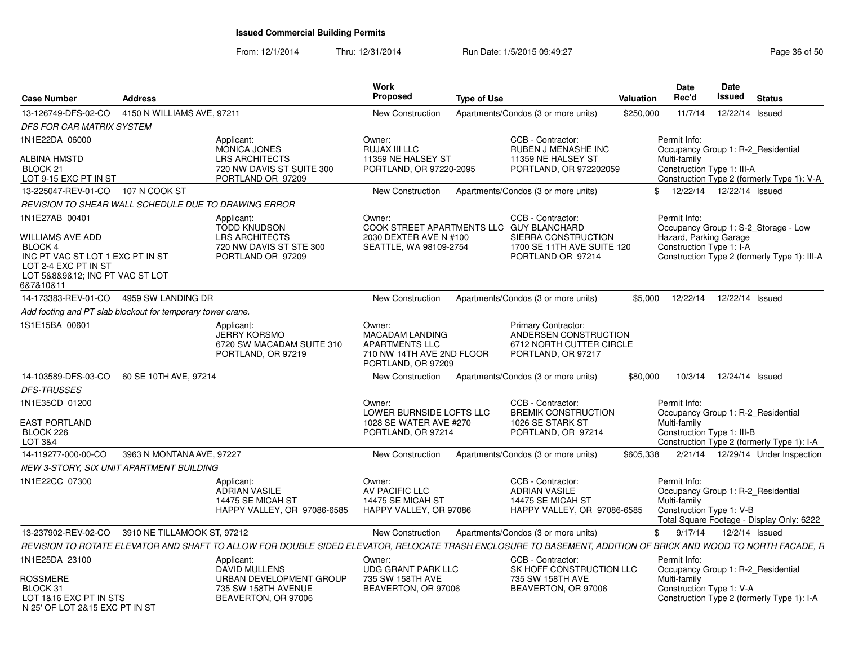| <b>Case Number</b>                                                                                                                                               | <b>Address</b>                                              |                                                                                                                                                                | Work<br><b>Proposed</b><br><b>Type of Use</b>                                                                |                                                                                                       | Valuation | <b>Date</b><br>Rec'd                                               | Date<br>Issued | <b>Status</b>                                                                        |
|------------------------------------------------------------------------------------------------------------------------------------------------------------------|-------------------------------------------------------------|----------------------------------------------------------------------------------------------------------------------------------------------------------------|--------------------------------------------------------------------------------------------------------------|-------------------------------------------------------------------------------------------------------|-----------|--------------------------------------------------------------------|----------------|--------------------------------------------------------------------------------------|
| 13-126749-DFS-02-CO                                                                                                                                              | 4150 N WILLIAMS AVE, 97211                                  |                                                                                                                                                                | <b>New Construction</b>                                                                                      | Apartments/Condos (3 or more units)                                                                   | \$250,000 | 11/7/14                                                            |                | 12/22/14 Issued                                                                      |
| DFS FOR CAR MATRIX SYSTEM                                                                                                                                        |                                                             |                                                                                                                                                                |                                                                                                              |                                                                                                       |           |                                                                    |                |                                                                                      |
| 1N1E22DA 06000                                                                                                                                                   |                                                             | Applicant:<br><b>MONICA JONES</b>                                                                                                                              | Owner:<br>RUJAX III LLC                                                                                      | CCB - Contractor:<br>RUBEN J MENASHE INC                                                              |           | Permit Info:                                                       |                | Occupancy Group 1: R-2 Residential                                                   |
| <b>ALBINA HMSTD</b><br>BLOCK <sub>21</sub><br>LOT 9-15 EXC PT IN ST                                                                                              |                                                             | <b>LRS ARCHITECTS</b><br>720 NW DAVIS ST SUITE 300<br>PORTLAND OR 97209                                                                                        | 11359 NE HALSEY ST<br>PORTLAND, OR 97220-2095                                                                | 11359 NE HALSEY ST<br>PORTLAND, OR 972202059                                                          |           | Multi-family<br>Construction Type 1: III-A                         |                | Construction Type 2 (formerly Type 1): V-A                                           |
| 13-225047-REV-01-CO 107 N COOK ST                                                                                                                                |                                                             |                                                                                                                                                                | New Construction                                                                                             | Apartments/Condos (3 or more units)                                                                   |           | \$ 12/22/14 12/22/14 Issued                                        |                |                                                                                      |
|                                                                                                                                                                  | REVISION TO SHEAR WALL SCHEDULE DUE TO DRAWING ERROR        |                                                                                                                                                                |                                                                                                              |                                                                                                       |           |                                                                    |                |                                                                                      |
| 1N1E27AB 00401<br>WILLIAMS AVE ADD<br><b>BLOCK 4</b><br>INC PT VAC ST LOT 1 EXC PT IN ST<br>LOT 2-4 EXC PT IN ST<br>LOT 5&8&9&12; INC PT VAC ST LOT<br>6&7&10&11 |                                                             | Applicant:<br><b>TODD KNUDSON</b><br><b>LRS ARCHITECTS</b><br>720 NW DAVIS ST STE 300<br>PORTLAND OR 97209                                                     | Owner:<br>COOK STREET APARTMENTS LLC GUY BLANCHARD<br>2030 DEXTER AVE N #100<br>SEATTLE, WA 98109-2754       | CCB - Contractor:<br>SIERRA CONSTRUCTION<br>1700 SE 11TH AVE SUITE 120<br>PORTLAND OR 97214           |           | Permit Info:<br>Hazard, Parking Garage<br>Construction Type 1: I-A |                | Occupancy Group 1: S-2 Storage - Low<br>Construction Type 2 (formerly Type 1): III-A |
|                                                                                                                                                                  | 14-173383-REV-01-CO 4959 SW LANDING DR                      |                                                                                                                                                                | New Construction                                                                                             | Apartments/Condos (3 or more units)                                                                   | \$5.000   | 12/22/14                                                           |                | 12/22/14 Issued                                                                      |
|                                                                                                                                                                  | Add footing and PT slab blockout for temporary tower crane. |                                                                                                                                                                |                                                                                                              |                                                                                                       |           |                                                                    |                |                                                                                      |
| 1S1E15BA 00601                                                                                                                                                   |                                                             | Applicant:<br><b>JERRY KORSMO</b><br>6720 SW MACADAM SUITE 310<br>PORTLAND, OR 97219                                                                           | Owner:<br><b>MACADAM LANDING</b><br><b>APARTMENTS LLC</b><br>710 NW 14TH AVE 2ND FLOOR<br>PORTLAND, OR 97209 | <b>Primary Contractor:</b><br>ANDERSEN CONSTRUCTION<br>6712 NORTH CUTTER CIRCLE<br>PORTLAND, OR 97217 |           |                                                                    |                |                                                                                      |
| 14-103589-DFS-03-CO                                                                                                                                              | 60 SE 10TH AVE, 97214                                       |                                                                                                                                                                | New Construction                                                                                             | Apartments/Condos (3 or more units)                                                                   | \$80,000  | 10/3/14                                                            |                | 12/24/14 Issued                                                                      |
| <b>DFS-TRUSSES</b>                                                                                                                                               |                                                             |                                                                                                                                                                |                                                                                                              |                                                                                                       |           |                                                                    |                |                                                                                      |
| 1N1E35CD 01200<br><b>EAST PORTLAND</b><br>BLOCK 226<br>LOT 3&4                                                                                                   |                                                             |                                                                                                                                                                | Owner:<br>LOWER BURNSIDE LOFTS LLC<br>1028 SE WATER AVE #270<br>PORTLAND, OR 97214                           | CCB - Contractor:<br><b>BREMIK CONSTRUCTION</b><br>1026 SE STARK ST<br>PORTLAND, OR 97214             |           | Permit Info:<br>Multi-family<br>Construction Type 1: III-B         |                | Occupancy Group 1: R-2 Residential<br>Construction Type 2 (formerly Type 1): I-A     |
| 14-119277-000-00-CO                                                                                                                                              | 3963 N MONTANA AVE, 97227                                   |                                                                                                                                                                | <b>New Construction</b>                                                                                      | Apartments/Condos (3 or more units)                                                                   | \$605,338 |                                                                    |                | 2/21/14  12/29/14  Under Inspection                                                  |
| NEW 3-STORY, SIX UNIT APARTMENT BUILDING                                                                                                                         |                                                             |                                                                                                                                                                |                                                                                                              |                                                                                                       |           |                                                                    |                |                                                                                      |
| 1N1E22CC 07300                                                                                                                                                   |                                                             | Applicant:<br><b>ADRIAN VASILE</b><br>14475 SE MICAH ST<br>HAPPY VALLEY, OR 97086-6585                                                                         | Owner:<br>AV PACIFIC LLC<br>14475 SE MICAH ST<br>HAPPY VALLEY, OR 97086                                      | CCB - Contractor:<br><b>ADRIAN VASILE</b><br>14475 SE MICAH ST<br>HAPPY VALLEY, OR 97086-6585         |           | Permit Info:<br>Multi-family<br>Construction Type 1: V-B           |                | Occupancy Group 1: R-2 Residential<br>Total Square Footage - Display Only: 6222      |
| 13-237902-REV-02-CO                                                                                                                                              | 3910 NE TILLAMOOK ST, 97212                                 |                                                                                                                                                                | <b>New Construction</b>                                                                                      | Apartments/Condos (3 or more units)                                                                   |           | \$<br>9/17/14                                                      |                | 12/2/14 Issued                                                                       |
|                                                                                                                                                                  |                                                             | REVISION TO ROTATE ELEVATOR AND SHAFT TO ALLOW FOR DOUBLE SIDED ELEVATOR. RELOCATE TRASH ENCLOSURE TO BASEMENT, ADDITION OF BRICK AND WOOD TO NORTH FACADE, F. |                                                                                                              |                                                                                                       |           |                                                                    |                |                                                                                      |
| 1N1E25DA 23100<br>ROSSMERE<br>BLOCK 31<br>LOT 1&16 EXC PT IN STS                                                                                                 |                                                             | Applicant:<br>DAVID MULLENS<br>URBAN DEVELOPMENT GROUP<br>735 SW 158TH AVENUE<br>BEAVERTON, OR 97006                                                           | Owner:<br>UDG GRANT PARK LLC<br>735 SW 158TH AVE<br>BEAVERTON, OR 97006                                      | CCB - Contractor:<br>SK HOFF CONSTRUCTION LLC<br>735 SW 158TH AVE<br>BEAVERTON, OR 97006              |           | Permit Info:<br>Multi-family<br>Construction Type 1: V-A           |                | Occupancy Group 1: R-2_Residential<br>Construction Type 2 (formerly Type 1): I-A     |
| N 25' OF LOT 2&15 EXC PT IN ST                                                                                                                                   |                                                             |                                                                                                                                                                |                                                                                                              |                                                                                                       |           |                                                                    |                |                                                                                      |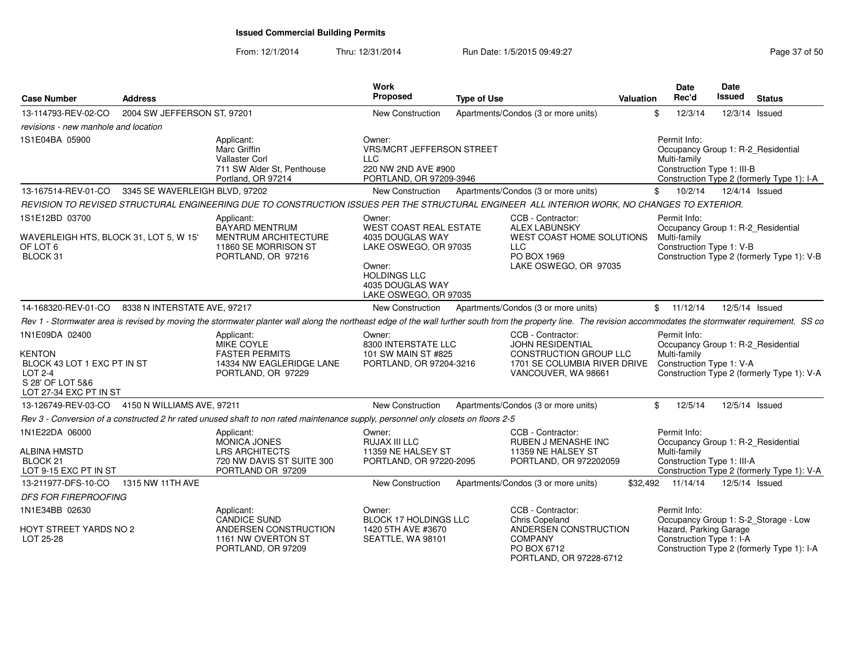From: 12/1/2014Thru: 12/31/2014 Run Date: 1/5/2015 09:49:27 Research 2010 12:31/2014 Page 37 of 50

| <b>Case Number</b>                                                                                                             | <b>Address</b>                 |                                                                                                                                                                                                                 | Work<br>Proposed                                                                                                                                                   | <b>Type of Use</b> |                                                                                                                        | Valuation | <b>Date</b><br>Rec'd         | <b>Date</b><br>Issued                              | <b>Status</b>                                                                      |
|--------------------------------------------------------------------------------------------------------------------------------|--------------------------------|-----------------------------------------------------------------------------------------------------------------------------------------------------------------------------------------------------------------|--------------------------------------------------------------------------------------------------------------------------------------------------------------------|--------------------|------------------------------------------------------------------------------------------------------------------------|-----------|------------------------------|----------------------------------------------------|------------------------------------------------------------------------------------|
| 13-114793-REV-02-CO                                                                                                            | 2004 SW JEFFERSON ST, 97201    |                                                                                                                                                                                                                 | <b>New Construction</b>                                                                                                                                            |                    | Apartments/Condos (3 or more units)                                                                                    |           | 12/3/14<br>\$                |                                                    | 12/3/14 Issued                                                                     |
| revisions - new manhole and location                                                                                           |                                |                                                                                                                                                                                                                 |                                                                                                                                                                    |                    |                                                                                                                        |           |                              |                                                    |                                                                                    |
| 1S1E04BA 05900                                                                                                                 |                                | Applicant:<br>Marc Griffin<br><b>Vallaster Corl</b><br>711 SW Alder St, Penthouse<br>Portland, OR 97214                                                                                                         | Owner:<br><b>VRS/MCRT JEFFERSON STREET</b><br><b>LLC</b><br>220 NW 2ND AVE #900<br>PORTLAND, OR 97209-3946                                                         |                    |                                                                                                                        |           | Permit Info:<br>Multi-family | Construction Type 1: III-B                         | Occupancy Group 1: R-2 Residential<br>Construction Type 2 (formerly Type 1): I-A   |
| 13-167514-REV-01-CO                                                                                                            | 3345 SE WAVERLEIGH BLVD, 97202 |                                                                                                                                                                                                                 | New Construction                                                                                                                                                   |                    | Apartments/Condos (3 or more units)                                                                                    |           | 10/2/14<br>\$                |                                                    | 12/4/14 Issued                                                                     |
|                                                                                                                                |                                | REVISION TO REVISED STRUCTURAL ENGINEERING DUE TO CONSTRUCTION ISSUES PER THE STRUCTURAL ENGINEER ALL INTERIOR WORK, NO CHANGES TO EXTERIOR.                                                                    |                                                                                                                                                                    |                    |                                                                                                                        |           |                              |                                                    |                                                                                    |
| 1S1E12BD 03700<br>WAVERLEIGH HTS, BLOCK 31, LOT 5, W 15'<br>OF LOT 6<br>BLOCK 31                                               |                                | Applicant:<br><b>BAYARD MENTRUM</b><br><b>MENTRUM ARCHITECTURE</b><br>11860 SE MORRISON ST<br>PORTLAND, OR 97216                                                                                                | Owner:<br><b>WEST COAST REAL ESTATE</b><br>4035 DOUGLAS WAY<br>LAKE OSWEGO, OR 97035<br>Owner:<br><b>HOLDINGS LLC</b><br>4035 DOUGLAS WAY<br>LAKE OSWEGO, OR 97035 |                    | CCB - Contractor:<br><b>ALEX LABUNSKY</b><br>WEST COAST HOME SOLUTIONS<br>LLC.<br>PO BOX 1969<br>LAKE OSWEGO, OR 97035 |           | Permit Info:<br>Multi-family | Construction Type 1: V-B                           | Occupancy Group 1: R-2 Residential<br>Construction Type 2 (formerly Type 1): V-B   |
| 14-168320-REV-01-CO                                                                                                            | 8338 N INTERSTATE AVE, 97217   |                                                                                                                                                                                                                 | New Construction                                                                                                                                                   |                    | Apartments/Condos (3 or more units)                                                                                    |           | \$11/12/14                   |                                                    | 12/5/14 Issued                                                                     |
|                                                                                                                                |                                | Rev 1 - Stormwater area is revised by moving the stormwater planter wall along the northeast edge of the wall further south from the property line. The revision accommodates the stormwater requirement. SS co |                                                                                                                                                                    |                    |                                                                                                                        |           |                              |                                                    |                                                                                    |
| 1N1E09DA 02400<br><b>KENTON</b><br>BLOCK 43 LOT 1 EXC PT IN ST<br><b>LOT 2-4</b><br>S 28' OF LOT 5&6<br>LOT 27-34 EXC PT IN ST |                                | Applicant:<br>MIKE COYLE<br><b>FASTER PERMITS</b><br>14334 NW EAGLERIDGE LANE<br>PORTLAND, OR 97229                                                                                                             | Owner:<br>8300 INTERSTATE LLC<br>101 SW MAIN ST #825<br>PORTLAND, OR 97204-3216                                                                                    |                    | CCB - Contractor:<br>JOHN RESIDENTIAL<br>CONSTRUCTION GROUP LLC<br>1701 SE COLUMBIA RIVER DRIVE<br>VANCOUVER, WA 98661 |           | Permit Info:<br>Multi-family | Construction Type 1: V-A                           | Occupancy Group 1: R-2_Residential<br>Construction Type 2 (formerly Type 1): V-A   |
| 13-126749-REV-03-CO 4150 N WILLIAMS AVE, 97211                                                                                 |                                |                                                                                                                                                                                                                 | New Construction                                                                                                                                                   |                    | Apartments/Condos (3 or more units)                                                                                    |           | 12/5/14<br>\$                |                                                    | 12/5/14 Issued                                                                     |
|                                                                                                                                |                                | Rev 3 - Conversion of a constructed 2 hr rated unused shaft to non rated maintenance supply, personnel only closets on floors 2-5                                                                               |                                                                                                                                                                    |                    |                                                                                                                        |           |                              |                                                    |                                                                                    |
| 1N1E22DA 06000<br>ALBINA HMSTD<br>BLOCK <sub>21</sub><br>LOT 9-15 EXC PT IN ST                                                 |                                | Applicant:<br><b>MONICA JONES</b><br><b>LRS ARCHITECTS</b><br>720 NW DAVIS ST SUITE 300<br>PORTLAND OR 97209                                                                                                    | Owner:<br><b>RUJAX III LLC</b><br>11359 NE HALSEY ST<br>PORTLAND, OR 97220-2095                                                                                    |                    | CCB - Contractor:<br><b>RUBEN J MENASHE INC</b><br>11359 NE HALSEY ST<br>PORTLAND, OR 972202059                        |           | Permit Info:<br>Multi-family | Construction Type 1: III-A                         | Occupancy Group 1: R-2_Residential<br>Construction Type 2 (formerly Type 1): V-A   |
| 13-211977-DFS-10-CO                                                                                                            | 1315 NW 11TH AVE               |                                                                                                                                                                                                                 | New Construction                                                                                                                                                   |                    | Apartments/Condos (3 or more units)                                                                                    | \$32,492  | 11/14/14                     |                                                    | 12/5/14 Issued                                                                     |
| <b>DFS FOR FIREPROOFING</b>                                                                                                    |                                |                                                                                                                                                                                                                 |                                                                                                                                                                    |                    |                                                                                                                        |           |                              |                                                    |                                                                                    |
| 1N1E34BB 02630<br>HOYT STREET YARDS NO 2<br>LOT 25-28                                                                          |                                | Applicant:<br><b>CANDICE SUND</b><br>ANDERSEN CONSTRUCTION<br>1161 NW OVERTON ST<br>PORTLAND, OR 97209                                                                                                          | Owner:<br><b>BLOCK 17 HOLDINGS LLC</b><br>1420 5TH AVE #3670<br>SEATTLE, WA 98101                                                                                  |                    | CCB - Contractor:<br><b>Chris Copeland</b><br>ANDERSEN CONSTRUCTION<br><b>COMPANY</b><br>PO BOX 6712                   |           | Permit Info:                 | Hazard, Parking Garage<br>Construction Type 1: I-A | Occupancy Group 1: S-2_Storage - Low<br>Construction Type 2 (formerly Type 1): I-A |
|                                                                                                                                |                                |                                                                                                                                                                                                                 |                                                                                                                                                                    |                    | PORTLAND, OR 97228-6712                                                                                                |           |                              |                                                    |                                                                                    |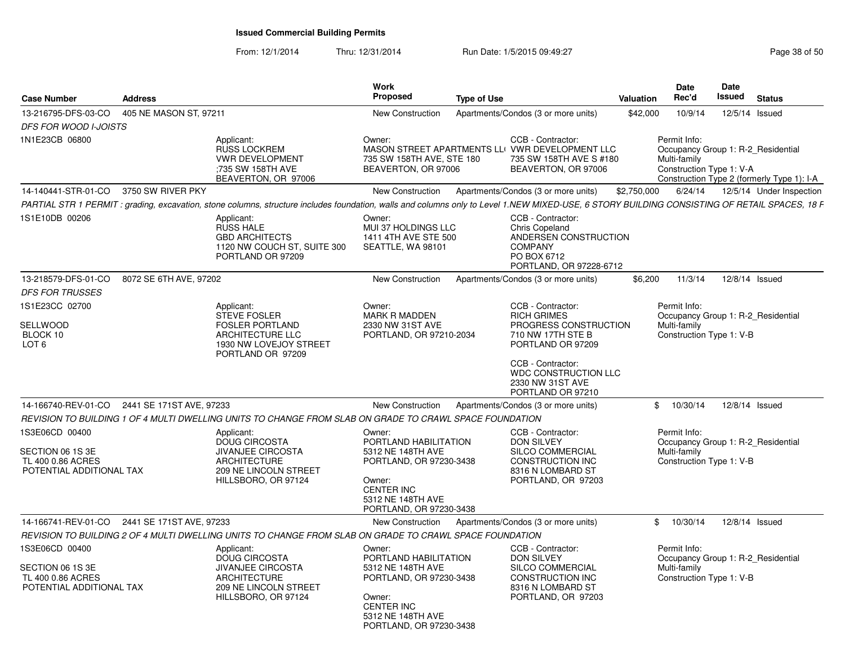|                                                                                     |                |                                                                                                                                       | Work                                                                                                                                                           |                                                                                                                                                                                               | <b>Date</b>                                              | Date                                                                             |
|-------------------------------------------------------------------------------------|----------------|---------------------------------------------------------------------------------------------------------------------------------------|----------------------------------------------------------------------------------------------------------------------------------------------------------------|-----------------------------------------------------------------------------------------------------------------------------------------------------------------------------------------------|----------------------------------------------------------|----------------------------------------------------------------------------------|
| <b>Case Number</b>                                                                  | <b>Address</b> |                                                                                                                                       | Proposed                                                                                                                                                       | <b>Type of Use</b>                                                                                                                                                                            | Rec'd<br><b>Valuation</b>                                | Issued<br>Status                                                                 |
| 13-216795-DFS-03-CO 405 NE MASON ST. 97211                                          |                |                                                                                                                                       | New Construction                                                                                                                                               | Apartments/Condos (3 or more units)                                                                                                                                                           | 10/9/14<br>\$42,000                                      | 12/5/14 Issued                                                                   |
| DFS FOR WOOD I-JOISTS                                                               |                |                                                                                                                                       |                                                                                                                                                                |                                                                                                                                                                                               |                                                          |                                                                                  |
| 1N1E23CB 06800                                                                      |                | Applicant:<br>RUSS LOCKREM<br><b>VWR DEVELOPMENT</b><br>:735 SW 158TH AVE<br>BEAVERTON, OR 97006                                      | Owner:<br>735 SW 158TH AVE, STE 180<br>BEAVERTON, OR 97006                                                                                                     | CCB - Contractor:<br>MASON STREET APARTMENTS LLOVWR DEVELOPMENT LLC<br>735 SW 158TH AVE S #180<br>BEAVERTON, OR 97006                                                                         | Permit Info:<br>Multi-family<br>Construction Type 1: V-A | Occupancy Group 1: R-2_Residential<br>Construction Type 2 (formerly Type 1): I-A |
| 14-140441-STR-01-CO 3750 SW RIVER PKY                                               |                |                                                                                                                                       | New Construction                                                                                                                                               | Apartments/Condos (3 or more units) \$2,750,000 6/24/14 12/5/14 Under Inspection                                                                                                              |                                                          |                                                                                  |
|                                                                                     |                |                                                                                                                                       |                                                                                                                                                                | PARTIAL STR 1 PERMIT : grading, excavation, stone columns, structure includes foundation, walls and columns only to Level 1.NEW MIXED-USE, 6 STORY BUILDING CONSISTING OF RETAIL SPACES, 18 F |                                                          |                                                                                  |
| 1S1E10DB 00206                                                                      |                | Applicant:<br>RUSS HALE<br><b>GBD ARCHITECTS</b><br>1120 NW COUCH ST, SUITE 300<br>PORTLAND OR 97209                                  | Owner:<br>MUI 37 HOLDINGS LLC<br>1411 4TH AVE STE 500<br>SEATTLE, WA 98101                                                                                     | CCB - Contractor:<br><b>Chris Copeland</b><br>ANDERSEN CONSTRUCTION<br><b>COMPANY</b><br>PO BOX 6712<br>PORTLAND, OR 97228-6712                                                               |                                                          |                                                                                  |
| 13-218579-DFS-01-CO 8072 SE 6TH AVE, 97202                                          |                |                                                                                                                                       | <b>New Construction</b>                                                                                                                                        | Apartments/Condos (3 or more units)                                                                                                                                                           | \$6,200<br>11/3/14                                       | 12/8/14 Issued                                                                   |
| <b>DFS FOR TRUSSES</b>                                                              |                |                                                                                                                                       |                                                                                                                                                                |                                                                                                                                                                                               |                                                          |                                                                                  |
| 1S1E23CC 02700<br>SELLWOOD<br>BLOCK 10<br>LOT <sub>6</sub>                          |                | Applicant:<br><b>STEVE FOSLER</b><br><b>FOSLER PORTLAND</b><br><b>ARCHITECTURE LLC</b><br>1930 NW LOVEJOY STREET<br>PORTLAND OR 97209 | Owner:<br><b>MARK R MADDEN</b><br>2330 NW 31ST AVE<br>PORTLAND, OR 97210-2034                                                                                  | CCB - Contractor:<br><b>RICH GRIMES</b><br>PROGRESS CONSTRUCTION<br>710 NW 17TH STE B<br>PORTLAND OR 97209                                                                                    | Permit Info:<br>Multi-family<br>Construction Type 1: V-B | Occupancy Group 1: R-2 Residential                                               |
|                                                                                     |                |                                                                                                                                       |                                                                                                                                                                | CCB - Contractor:<br>WDC CONSTRUCTION LLC<br>2330 NW 31ST AVE<br>PORTLAND OR 97210                                                                                                            |                                                          |                                                                                  |
| 14-166740-REV-01-CO 2441 SE 171ST AVE, 97233                                        |                |                                                                                                                                       | New Construction                                                                                                                                               | Apartments/Condos (3 or more units)                                                                                                                                                           |                                                          | \$ 10/30/14 12/8/14 Issued                                                       |
|                                                                                     |                | REVISION TO BUILDING 1 OF 4 MULTI DWELLING UNITS TO CHANGE FROM SLAB ON GRADE TO CRAWL SPACE FOUNDATION                               |                                                                                                                                                                |                                                                                                                                                                                               |                                                          |                                                                                  |
| 1S3E06CD 00400<br>SECTION 06 1S 3E<br>TL 400 0.86 ACRES<br>POTENTIAL ADDITIONAL TAX |                | Applicant:<br>DOUG CIRCOSTA<br><b>JIVANJEE CIRCOSTA</b><br><b>ARCHITECTURE</b><br>209 NE LINCOLN STREET<br>HILLSBORO, OR 97124        | Owner:<br>PORTLAND HABILITATION<br>5312 NE 148TH AVE<br>PORTLAND, OR 97230-3438<br>Owner:<br><b>CENTER INC</b><br>5312 NE 148TH AVE<br>PORTLAND, OR 97230-3438 | CCB - Contractor:<br><b>DON SILVEY</b><br><b>SILCO COMMERCIAL</b><br><b>CONSTRUCTION INC</b><br>8316 N LOMBARD ST<br>PORTLAND, OR 97203                                                       | Permit Info:<br>Multi-family<br>Construction Type 1: V-B | Occupancy Group 1: R-2_Residential                                               |
| 14-166741-REV-01-CO 2441 SE 171ST AVE, 97233                                        |                |                                                                                                                                       | New Construction                                                                                                                                               | Apartments/Condos (3 or more units)                                                                                                                                                           | \$10/30/14                                               | 12/8/14 Issued                                                                   |
|                                                                                     |                | REVISION TO BUILDING 2 OF 4 MULTI DWELLING UNITS TO CHANGE FROM SLAB ON GRADE TO CRAWL SPACE FOUNDATION                               |                                                                                                                                                                |                                                                                                                                                                                               |                                                          |                                                                                  |
| 1S3E06CD 00400<br>SECTION 06 1S 3E<br>TL 400 0.86 ACRES<br>POTENTIAL ADDITIONAL TAX |                | Applicant:<br>DOUG CIRCOSTA<br><b>JIVANJEE CIRCOSTA</b><br>ARCHITECTURE<br>209 NE LINCOLN STREET<br>HILLSBORO, OR 97124               | Owner:<br>PORTLAND HABILITATION<br>5312 NE 148TH AVE<br>PORTLAND, OR 97230-3438<br>Owner:<br><b>CENTER INC</b><br>5312 NE 148TH AVE<br>PORTLAND, OR 97230-3438 | CCB - Contractor:<br><b>DON SILVEY</b><br>SILCO COMMERCIAL<br><b>CONSTRUCTION INC</b><br>8316 N LOMBARD ST<br>PORTLAND, OR 97203                                                              | Permit Info:<br>Multi-family<br>Construction Type 1: V-B | Occupancy Group 1: R-2_Residential                                               |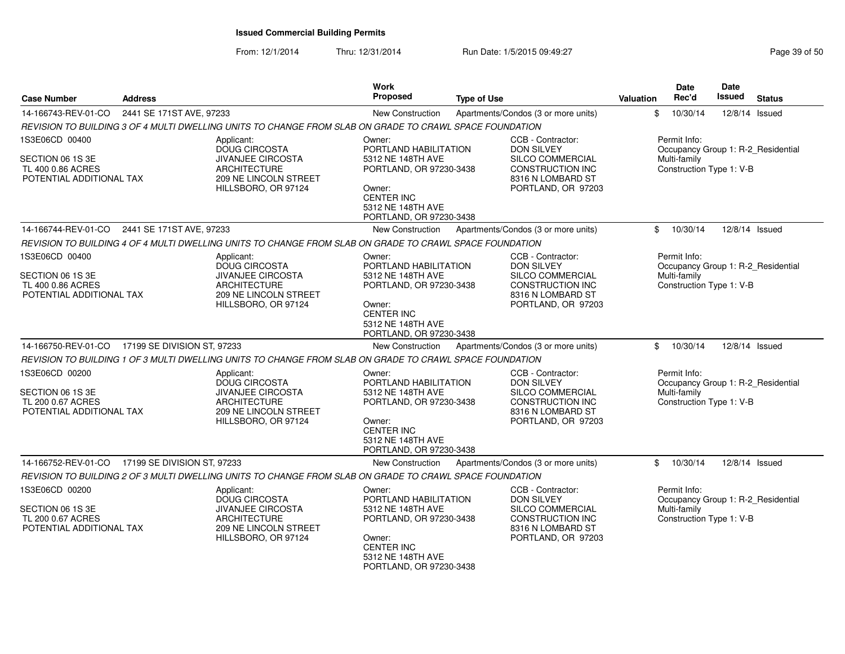| <b>Case Number</b>                                                | <b>Address</b>           |                                                                                                         | <b>Work</b><br>Proposed                                                                                                     | <b>Type of Use</b>                                                              | <b>Valuation</b> | <b>Date</b><br>Rec'd                     | <b>Date</b><br><b>Issued</b> | <b>Status</b>                      |
|-------------------------------------------------------------------|--------------------------|---------------------------------------------------------------------------------------------------------|-----------------------------------------------------------------------------------------------------------------------------|---------------------------------------------------------------------------------|------------------|------------------------------------------|------------------------------|------------------------------------|
| 14-166743-REV-01-CO                                               | 2441 SE 171ST AVE, 97233 |                                                                                                         | New Construction                                                                                                            | Apartments/Condos (3 or more units)                                             | \$               | 10/30/14                                 |                              | 12/8/14 Issued                     |
|                                                                   |                          | REVISION TO BUILDING 3 OF 4 MULTI DWELLING UNITS TO CHANGE FROM SLAB ON GRADE TO CRAWL SPACE FOUNDATION |                                                                                                                             |                                                                                 |                  |                                          |                              |                                    |
| 1S3E06CD 00400                                                    |                          | Applicant:<br><b>DOUG CIRCOSTA</b>                                                                      | Owner:<br>PORTLAND HABILITATION                                                                                             | CCB - Contractor:<br><b>DON SILVEY</b>                                          |                  | Permit Info:                             |                              | Occupancy Group 1: R-2_Residential |
| SECTION 06 1S 3E<br>TL 400 0.86 ACRES<br>POTENTIAL ADDITIONAL TAX |                          | <b>JIVANJEE CIRCOSTA</b><br><b>ARCHITECTURE</b><br>209 NE LINCOLN STREET                                | 5312 NE 148TH AVE<br>PORTLAND, OR 97230-3438                                                                                | SILCO COMMERCIAL<br><b>CONSTRUCTION INC</b><br>8316 N LOMBARD ST                |                  | Multi-family<br>Construction Type 1: V-B |                              |                                    |
|                                                                   |                          | HILLSBORO, OR 97124                                                                                     | Owner:<br><b>CENTER INC</b><br>5312 NE 148TH AVE<br>PORTLAND, OR 97230-3438                                                 | PORTLAND, OR 97203                                                              |                  |                                          |                              |                                    |
| 14-166744-REV-01-CO 2441 SE 171ST AVE, 97233                      |                          |                                                                                                         | New Construction                                                                                                            | Apartments/Condos (3 or more units)                                             | \$               | 10/30/14                                 |                              | 12/8/14 Issued                     |
|                                                                   |                          | REVISION TO BUILDING 4 OF 4 MULTI DWELLING UNITS TO CHANGE FROM SLAB ON GRADE TO CRAWL SPACE FOUNDATION |                                                                                                                             |                                                                                 |                  |                                          |                              |                                    |
| 1S3E06CD 00400                                                    |                          | Applicant:<br><b>DOUG CIRCOSTA</b>                                                                      | Owner:<br>PORTLAND HABILITATION                                                                                             | CCB - Contractor:<br><b>DON SILVEY</b>                                          |                  | Permit Info:                             |                              | Occupancy Group 1: R-2_Residential |
| SECTION 06 1S 3E<br>TL 400 0.86 ACRES<br>POTENTIAL ADDITIONAL TAX |                          | <b>JIVANJEE CIRCOSTA</b><br><b>ARCHITECTURE</b><br>209 NE LINCOLN STREET<br>HILLSBORO, OR 97124         | 5312 NE 148TH AVE<br>PORTLAND, OR 97230-3438<br>Owner:<br><b>CENTER INC</b><br>5312 NE 148TH AVE<br>PORTLAND, OR 97230-3438 | SILCO COMMERCIAL<br>CONSTRUCTION INC<br>8316 N LOMBARD ST<br>PORTLAND, OR 97203 |                  | Multi-family<br>Construction Type 1: V-B |                              |                                    |
| 14-166750-REV-01-CO  17199 SE DIVISION ST, 97233                  |                          |                                                                                                         | <b>New Construction</b>                                                                                                     | Apartments/Condos (3 or more units)                                             | \$               | 10/30/14                                 |                              | 12/8/14 Issued                     |
|                                                                   |                          | REVISION TO BUILDING 1 OF 3 MULTI DWELLING UNITS TO CHANGE FROM SLAB ON GRADE TO CRAWL SPACE FOUNDATION |                                                                                                                             |                                                                                 |                  |                                          |                              |                                    |
| 1S3E06CD 00200                                                    |                          | Applicant:<br>DOUG CIRCOSTA                                                                             | Owner:<br>PORTLAND HABILITATION                                                                                             | CCB - Contractor:<br><b>DON SILVEY</b>                                          |                  | Permit Info:                             |                              | Occupancy Group 1: R-2 Residential |
| SECTION 06 1S 3E<br>TL 200 0.67 ACRES<br>POTENTIAL ADDITIONAL TAX |                          | <b>JIVANJEE CIRCOSTA</b><br><b>ARCHITECTURE</b><br>209 NE LINCOLN STREET                                | 5312 NE 148TH AVE<br>PORTLAND, OR 97230-3438                                                                                | SILCO COMMERCIAL<br><b>CONSTRUCTION INC</b><br>8316 N LOMBARD ST                |                  | Multi-family<br>Construction Type 1: V-B |                              |                                    |
|                                                                   |                          | HILLSBORO, OR 97124                                                                                     | Owner:<br><b>CENTER INC</b><br>5312 NE 148TH AVE<br>PORTLAND, OR 97230-3438                                                 | PORTLAND, OR 97203                                                              |                  |                                          |                              |                                    |
| 14-166752-REV-01-CO 17199 SE DIVISION ST, 97233                   |                          |                                                                                                         | <b>New Construction</b>                                                                                                     | Apartments/Condos (3 or more units)                                             | \$               | 10/30/14                                 |                              | 12/8/14 Issued                     |
|                                                                   |                          | REVISION TO BUILDING 2 OF 3 MULTI DWELLING UNITS TO CHANGE FROM SLAB ON GRADE TO CRAWL SPACE FOUNDATION |                                                                                                                             |                                                                                 |                  |                                          |                              |                                    |
| 1S3E06CD 00200                                                    |                          | Applicant:<br><b>DOUG CIRCOSTA</b>                                                                      | Owner:<br>PORTLAND HABILITATION                                                                                             | CCB - Contractor:<br><b>DON SILVEY</b>                                          |                  | Permit Info:                             |                              | Occupancy Group 1: R-2_Residential |
| SECTION 06 1S 3E<br>TL 200 0.67 ACRES<br>POTENTIAL ADDITIONAL TAX |                          | JIVANJEE CIRCOSTA<br><b>ARCHITECTURE</b><br>209 NE LINCOLN STREET                                       | 5312 NE 148TH AVE<br>PORTLAND, OR 97230-3438                                                                                | SILCO COMMERCIAL<br><b>CONSTRUCTION INC</b><br>8316 N LOMBARD ST                |                  | Multi-family<br>Construction Type 1: V-B |                              |                                    |
|                                                                   |                          | HILLSBORO, OR 97124                                                                                     | Owner:<br><b>CENTER INC</b><br>5312 NE 148TH AVE<br>PORTLAND, OR 97230-3438                                                 | PORTLAND, OR 97203                                                              |                  |                                          |                              |                                    |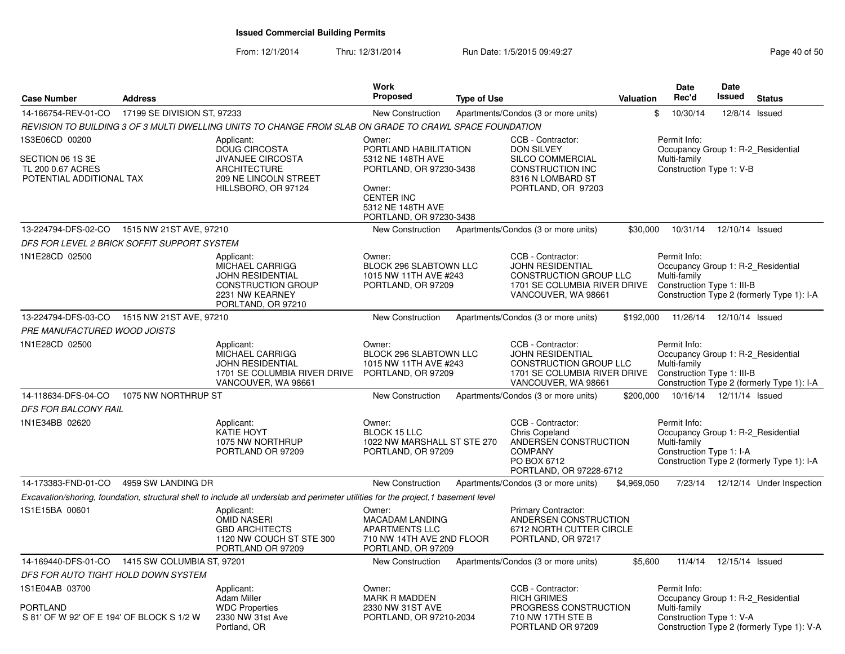| 17199 SE DIVISION ST, 97233<br>14-166754-REV-01-CO<br>New Construction<br>Apartments/Condos (3 or more units)<br>REVISION TO BUILDING 3 OF 3 MULTI DWELLING UNITS TO CHANGE FROM SLAB ON GRADE TO CRAWL SPACE FOUNDATION<br>1S3E06CD 00200<br>CCB - Contractor:<br>Applicant:<br>Owner:<br><b>DOUG CIRCOSTA</b><br>PORTLAND HABILITATION<br><b>DON SILVEY</b><br>SECTION 06 1S 3E<br><b>JIVANJEE CIRCOSTA</b><br>5312 NE 148TH AVE<br>SILCO COMMERCIAL<br>TL 200 0.67 ACRES<br><b>ARCHITECTURE</b><br>PORTLAND, OR 97230-3438<br>CONSTRUCTION INC<br>POTENTIAL ADDITIONAL TAX<br>209 NE LINCOLN STREET<br>8316 N LOMBARD ST<br>HILLSBORO, OR 97124<br>PORTLAND, OR 97203<br>Owner:<br><b>CENTER INC</b><br>5312 NE 148TH AVE<br>PORTLAND, OR 97230-3438<br>13-224794-DFS-02-CO<br>1515 NW 21ST AVE, 97210<br>Apartments/Condos (3 or more units)<br>\$30,000<br><b>New Construction</b><br>DFS FOR LEVEL 2 BRICK SOFFIT SUPPORT SYSTEM<br>1N1E28CD 02500<br>CCB - Contractor:<br>Owner:<br>Applicant:<br>MICHAEL CARRIGG<br>BLOCK 296 SLABTOWN LLC<br><b>JOHN RESIDENTIAL</b><br><b>JOHN RESIDENTIAL</b><br>1015 NW 11TH AVE #243<br>CONSTRUCTION GROUP LLC<br><b>CONSTRUCTION GROUP</b><br>1701 SE COLUMBIA RIVER DRIVE<br>PORTLAND, OR 97209<br>2231 NW KEARNEY<br>VANCOUVER, WA 98661<br>PORLTAND, OR 97210<br>13-224794-DFS-03-CO<br>1515 NW 21ST AVE, 97210<br>\$192,000<br><b>New Construction</b><br>Apartments/Condos (3 or more units)<br>PRE MANUFACTURED WOOD JOISTS<br>1N1E28CD 02500<br>Owner:<br>CCB - Contractor:<br>Applicant:<br>MICHAEL CARRIGG<br>BLOCK 296 SLABTOWN LLC<br><b>JOHN RESIDENTIAL</b><br><b>JOHN RESIDENTIAL</b><br>1015 NW 11TH AVE #243<br><b>CONSTRUCTION GROUP LLC</b><br>1701 SE COLUMBIA RIVER DRIVE<br>PORTLAND, OR 97209<br>1701 SE COLUMBIA RIVER DRIVE<br>VANCOUVER, WA 98661<br>VANCOUVER, WA 98661 | \$<br>10/30/14<br>12/8/14 Issued<br>Permit Info:                                                                                               |
|-------------------------------------------------------------------------------------------------------------------------------------------------------------------------------------------------------------------------------------------------------------------------------------------------------------------------------------------------------------------------------------------------------------------------------------------------------------------------------------------------------------------------------------------------------------------------------------------------------------------------------------------------------------------------------------------------------------------------------------------------------------------------------------------------------------------------------------------------------------------------------------------------------------------------------------------------------------------------------------------------------------------------------------------------------------------------------------------------------------------------------------------------------------------------------------------------------------------------------------------------------------------------------------------------------------------------------------------------------------------------------------------------------------------------------------------------------------------------------------------------------------------------------------------------------------------------------------------------------------------------------------------------------------------------------------------------------------------------------------------------------------------------------------------------------------------------------------------------|------------------------------------------------------------------------------------------------------------------------------------------------|
|                                                                                                                                                                                                                                                                                                                                                                                                                                                                                                                                                                                                                                                                                                                                                                                                                                                                                                                                                                                                                                                                                                                                                                                                                                                                                                                                                                                                                                                                                                                                                                                                                                                                                                                                                                                                                                                 |                                                                                                                                                |
|                                                                                                                                                                                                                                                                                                                                                                                                                                                                                                                                                                                                                                                                                                                                                                                                                                                                                                                                                                                                                                                                                                                                                                                                                                                                                                                                                                                                                                                                                                                                                                                                                                                                                                                                                                                                                                                 |                                                                                                                                                |
|                                                                                                                                                                                                                                                                                                                                                                                                                                                                                                                                                                                                                                                                                                                                                                                                                                                                                                                                                                                                                                                                                                                                                                                                                                                                                                                                                                                                                                                                                                                                                                                                                                                                                                                                                                                                                                                 | Occupancy Group 1: R-2 Residential<br>Multi-family<br>Construction Type 1: V-B                                                                 |
|                                                                                                                                                                                                                                                                                                                                                                                                                                                                                                                                                                                                                                                                                                                                                                                                                                                                                                                                                                                                                                                                                                                                                                                                                                                                                                                                                                                                                                                                                                                                                                                                                                                                                                                                                                                                                                                 | 10/31/14<br>12/10/14 Issued                                                                                                                    |
|                                                                                                                                                                                                                                                                                                                                                                                                                                                                                                                                                                                                                                                                                                                                                                                                                                                                                                                                                                                                                                                                                                                                                                                                                                                                                                                                                                                                                                                                                                                                                                                                                                                                                                                                                                                                                                                 |                                                                                                                                                |
|                                                                                                                                                                                                                                                                                                                                                                                                                                                                                                                                                                                                                                                                                                                                                                                                                                                                                                                                                                                                                                                                                                                                                                                                                                                                                                                                                                                                                                                                                                                                                                                                                                                                                                                                                                                                                                                 | Permit Info:<br>Occupancy Group 1: R-2_Residential<br>Multi-family<br>Construction Type 1: III-B<br>Construction Type 2 (formerly Type 1): I-A |
|                                                                                                                                                                                                                                                                                                                                                                                                                                                                                                                                                                                                                                                                                                                                                                                                                                                                                                                                                                                                                                                                                                                                                                                                                                                                                                                                                                                                                                                                                                                                                                                                                                                                                                                                                                                                                                                 | 11/26/14<br>12/10/14 Issued                                                                                                                    |
|                                                                                                                                                                                                                                                                                                                                                                                                                                                                                                                                                                                                                                                                                                                                                                                                                                                                                                                                                                                                                                                                                                                                                                                                                                                                                                                                                                                                                                                                                                                                                                                                                                                                                                                                                                                                                                                 |                                                                                                                                                |
|                                                                                                                                                                                                                                                                                                                                                                                                                                                                                                                                                                                                                                                                                                                                                                                                                                                                                                                                                                                                                                                                                                                                                                                                                                                                                                                                                                                                                                                                                                                                                                                                                                                                                                                                                                                                                                                 | Permit Info:<br>Occupancy Group 1: R-2_Residential<br>Multi-family<br>Construction Type 1: III-B<br>Construction Type 2 (formerly Type 1): I-A |
| 14-118634-DFS-04-CO<br>1075 NW NORTHRUP ST<br>New Construction<br>Apartments/Condos (3 or more units)<br>\$200,000                                                                                                                                                                                                                                                                                                                                                                                                                                                                                                                                                                                                                                                                                                                                                                                                                                                                                                                                                                                                                                                                                                                                                                                                                                                                                                                                                                                                                                                                                                                                                                                                                                                                                                                              | 10/16/14<br>12/11/14 Issued                                                                                                                    |
| <i>DFS FOR BALCONY RAIL</i>                                                                                                                                                                                                                                                                                                                                                                                                                                                                                                                                                                                                                                                                                                                                                                                                                                                                                                                                                                                                                                                                                                                                                                                                                                                                                                                                                                                                                                                                                                                                                                                                                                                                                                                                                                                                                     |                                                                                                                                                |
| 1N1E34BB 02620<br>CCB - Contractor:<br>Owner:<br>Applicant:<br>KATIE HOYT<br><b>BLOCK 15 LLC</b><br><b>Chris Copeland</b><br>ANDERSEN CONSTRUCTION<br>1075 NW NORTHRUP<br>1022 NW MARSHALL ST STE 270<br><b>COMPANY</b><br>PORTLAND OR 97209<br>PORTLAND, OR 97209<br>PO BOX 6712<br>PORTLAND, OR 97228-6712                                                                                                                                                                                                                                                                                                                                                                                                                                                                                                                                                                                                                                                                                                                                                                                                                                                                                                                                                                                                                                                                                                                                                                                                                                                                                                                                                                                                                                                                                                                                    | Permit Info:<br>Occupancy Group 1: R-2 Residential<br>Multi-family<br>Construction Type 1: I-A<br>Construction Type 2 (formerly Type 1): I-A   |
| 14-173383-FND-01-CO<br>4959 SW LANDING DR<br><b>New Construction</b><br>Apartments/Condos (3 or more units)<br>\$4,969,050                                                                                                                                                                                                                                                                                                                                                                                                                                                                                                                                                                                                                                                                                                                                                                                                                                                                                                                                                                                                                                                                                                                                                                                                                                                                                                                                                                                                                                                                                                                                                                                                                                                                                                                      | 7/23/14<br>12/12/14 Under Inspection                                                                                                           |
| Excavation/shoring, foundation, structural shell to include all underslab and perimeter utilities for the project, 1 basement level                                                                                                                                                                                                                                                                                                                                                                                                                                                                                                                                                                                                                                                                                                                                                                                                                                                                                                                                                                                                                                                                                                                                                                                                                                                                                                                                                                                                                                                                                                                                                                                                                                                                                                             |                                                                                                                                                |
| 1S1E15BA 00601<br>Primary Contractor:<br>Applicant:<br>Owner:<br>ANDERSEN CONSTRUCTION<br><b>OMID NASERI</b><br><b>MACADAM LANDING</b><br><b>GBD ARCHITECTS</b><br><b>APARTMENTS LLC</b><br>6712 NORTH CUTTER CIRCLE<br>710 NW 14TH AVE 2ND FLOOR<br>PORTLAND, OR 97217<br>1120 NW COUCH ST STE 300<br>PORTLAND OR 97209<br>PORTLAND, OR 97209                                                                                                                                                                                                                                                                                                                                                                                                                                                                                                                                                                                                                                                                                                                                                                                                                                                                                                                                                                                                                                                                                                                                                                                                                                                                                                                                                                                                                                                                                                  |                                                                                                                                                |
| 14-169440-DFS-01-CO  1415 SW COLUMBIA ST, 97201<br>Apartments/Condos (3 or more units)<br><b>New Construction</b><br>\$5,600                                                                                                                                                                                                                                                                                                                                                                                                                                                                                                                                                                                                                                                                                                                                                                                                                                                                                                                                                                                                                                                                                                                                                                                                                                                                                                                                                                                                                                                                                                                                                                                                                                                                                                                    | 12/15/14 Issued<br>11/4/14                                                                                                                     |
| DFS FOR AUTO TIGHT HOLD DOWN SYSTEM                                                                                                                                                                                                                                                                                                                                                                                                                                                                                                                                                                                                                                                                                                                                                                                                                                                                                                                                                                                                                                                                                                                                                                                                                                                                                                                                                                                                                                                                                                                                                                                                                                                                                                                                                                                                             |                                                                                                                                                |
| 1S1E04AB 03700<br>CCB - Contractor:<br>Applicant:<br>Owner:<br><b>Adam Miller</b><br><b>MARK R MADDEN</b><br><b>RICH GRIMES</b><br><b>WDC Properties</b><br>PROGRESS CONSTRUCTION<br>PORTLAND<br>2330 NW 31ST AVE<br>S 81' OF W 92' OF E 194' OF BLOCK S 1/2 W<br>2330 NW 31st Ave<br>PORTLAND, OR 97210-2034<br>710 NW 17TH STE B<br>Portland, OR<br>PORTLAND OR 97209                                                                                                                                                                                                                                                                                                                                                                                                                                                                                                                                                                                                                                                                                                                                                                                                                                                                                                                                                                                                                                                                                                                                                                                                                                                                                                                                                                                                                                                                         | Permit Info:<br>Occupancy Group 1: R-2 Residential                                                                                             |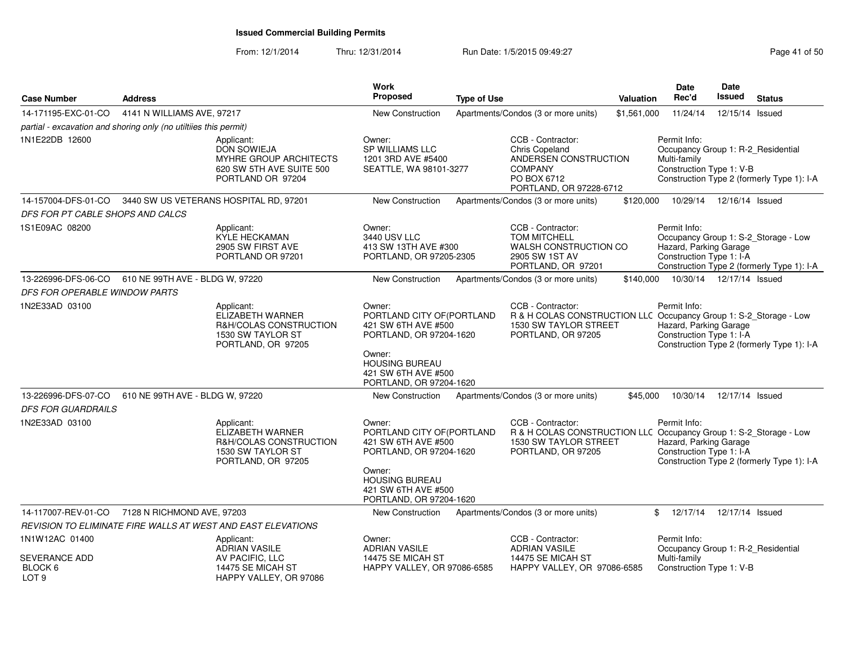| <b>Case Number</b>                               | <b>Address</b>                                                   |                                                                                                             | <b>Work</b><br><b>Proposed</b>                                                                                                                                              | <b>Type of Use</b> |                                                                                                                                       | Valuation   | Date<br>Rec'd                                                                                  | <b>Date</b><br><b>Issued</b> | <b>Status</b>                                                                      |
|--------------------------------------------------|------------------------------------------------------------------|-------------------------------------------------------------------------------------------------------------|-----------------------------------------------------------------------------------------------------------------------------------------------------------------------------|--------------------|---------------------------------------------------------------------------------------------------------------------------------------|-------------|------------------------------------------------------------------------------------------------|------------------------------|------------------------------------------------------------------------------------|
| 14-171195-EXC-01-CO                              | 4141 N WILLIAMS AVE, 97217                                       |                                                                                                             | <b>New Construction</b>                                                                                                                                                     |                    | Apartments/Condos (3 or more units)                                                                                                   | \$1,561,000 | 11/24/14                                                                                       | 12/15/14 Issued              |                                                                                    |
|                                                  | partial - excavation and shoring only (no utilities this permit) |                                                                                                             |                                                                                                                                                                             |                    |                                                                                                                                       |             |                                                                                                |                              |                                                                                    |
| 1N1E22DB 12600                                   |                                                                  | Applicant:<br><b>DON SOWIEJA</b><br>MYHRE GROUP ARCHITECTS<br>620 SW 5TH AVE SUITE 500<br>PORTLAND OR 97204 | Owner:<br><b>SP WILLIAMS LLC</b><br>1201 3RD AVE #5400<br>SEATTLE, WA 98101-3277                                                                                            |                    | CCB - Contractor:<br>Chris Copeland<br>ANDERSEN CONSTRUCTION<br><b>COMPANY</b><br>PO BOX 6712<br>PORTLAND, OR 97228-6712              |             | Permit Info:<br>Occupancy Group 1: R-2_Residential<br>Multi-family<br>Construction Type 1: V-B |                              | Construction Type 2 (formerly Type 1): I-A                                         |
| 14-157004-DFS-01-CO                              |                                                                  | 3440 SW US VETERANS HOSPITAL RD, 97201                                                                      | <b>New Construction</b>                                                                                                                                                     |                    | Apartments/Condos (3 or more units)                                                                                                   | \$120,000   | 10/29/14                                                                                       | 12/16/14 Issued              |                                                                                    |
| DFS FOR PT CABLE SHOPS AND CALCS                 |                                                                  |                                                                                                             |                                                                                                                                                                             |                    |                                                                                                                                       |             |                                                                                                |                              |                                                                                    |
| 1S1E09AC 08200                                   |                                                                  | Applicant:<br>KYLE HECKAMAN<br>2905 SW FIRST AVE<br>PORTLAND OR 97201                                       | Owner:<br><b>3440 USV LLC</b><br>413 SW 13TH AVE #300<br>PORTLAND, OR 97205-2305                                                                                            |                    | CCB - Contractor:<br><b>TOM MITCHELL</b><br><b>WALSH CONSTRUCTION CO</b><br>2905 SW 1ST AV<br>PORTLAND, OR 97201                      |             | Permit Info:<br>Hazard, Parking Garage<br>Construction Type 1: I-A                             |                              | Occupancy Group 1: S-2_Storage - Low<br>Construction Type 2 (formerly Type 1): I-A |
| 13-226996-DFS-06-CO                              | 610 NE 99TH AVE - BLDG W, 97220                                  |                                                                                                             | New Construction                                                                                                                                                            |                    | Apartments/Condos (3 or more units)                                                                                                   | \$140,000   |                                                                                                | 10/30/14  12/17/14  Issued   |                                                                                    |
| DFS FOR OPERABLE WINDOW PARTS                    |                                                                  |                                                                                                             |                                                                                                                                                                             |                    |                                                                                                                                       |             |                                                                                                |                              |                                                                                    |
| 1N2E33AD 03100                                   |                                                                  | Applicant:<br>ELIZABETH WARNER<br>R&H/COLAS CONSTRUCTION<br>1530 SW TAYLOR ST<br>PORTLAND, OR 97205         | Owner:<br>PORTLAND CITY OF(PORTLAND<br>421 SW 6TH AVE #500<br>PORTLAND, OR 97204-1620<br>Owner:<br><b>HOUSING BUREAU</b><br>421 SW 6TH AVE #500<br>PORTLAND, OR 97204-1620  |                    | CCB - Contractor:<br>R & H COLAS CONSTRUCTION LLC Occupancy Group 1: S-2_Storage - Low<br>1530 SW TAYLOR STREET<br>PORTLAND, OR 97205 |             | Permit Info:<br>Hazard, Parking Garage<br>Construction Type 1: I-A                             |                              | Construction Type 2 (formerly Type 1): I-A                                         |
| 13-226996-DFS-07-CO<br><b>DFS FOR GUARDRAILS</b> | 610 NE 99TH AVE - BLDG W, 97220                                  |                                                                                                             | New Construction                                                                                                                                                            |                    | Apartments/Condos (3 or more units)                                                                                                   | \$45,000    | 10/30/14                                                                                       | 12/17/14 Issued              |                                                                                    |
| 1N2E33AD 03100                                   |                                                                  | Applicant:<br>ELIZABETH WARNER<br>R&H/COLAS CONSTRUCTION<br>1530 SW TAYLOR ST<br>PORTLAND, OR 97205         | Owner:<br>PORTLAND CITY OF (PORTLAND<br>421 SW 6TH AVE #500<br>PORTLAND, OR 97204-1620<br>Owner:<br><b>HOUSING BUREAU</b><br>421 SW 6TH AVE #500<br>PORTLAND, OR 97204-1620 |                    | CCB - Contractor:<br>R & H COLAS CONSTRUCTION LLC Occupancy Group 1: S-2_Storage - Low<br>1530 SW TAYLOR STREET<br>PORTLAND, OR 97205 |             | Permit Info:<br>Hazard, Parking Garage<br>Construction Type 1: I-A                             |                              | Construction Type 2 (formerly Type 1): I-A                                         |
|                                                  | 14-117007-REV-01-CO 7128 N RICHMOND AVE, 97203                   |                                                                                                             | New Construction                                                                                                                                                            |                    | Apartments/Condos (3 or more units)                                                                                                   |             | 12/17/14<br>\$                                                                                 | 12/17/14 Issued              |                                                                                    |
|                                                  |                                                                  | REVISION TO ELIMINATE FIRE WALLS AT WEST AND EAST ELEVATIONS                                                |                                                                                                                                                                             |                    |                                                                                                                                       |             |                                                                                                |                              |                                                                                    |
| 1N1W12AC 01400<br>SEVERANCE ADD<br>BLOCK 6       |                                                                  | Applicant:<br><b>ADRIAN VASILE</b><br>AV PACIFIC, LLC<br>14475 SE MICAH ST                                  | Owner:<br><b>ADRIAN VASILE</b><br>14475 SE MICAH ST<br><b>HAPPY VALLEY, OR 97086-6585</b>                                                                                   |                    | CCB - Contractor:<br><b>ADRIAN VASILE</b><br>14475 SE MICAH ST<br>HAPPY VALLEY, OR 97086-6585                                         |             | Permit Info:<br>Occupancy Group 1: R-2_Residential<br>Multi-family<br>Construction Type 1: V-B |                              |                                                                                    |
| LOT <sub>9</sub>                                 |                                                                  | HAPPY VALLEY, OR 97086                                                                                      |                                                                                                                                                                             |                    |                                                                                                                                       |             |                                                                                                |                              |                                                                                    |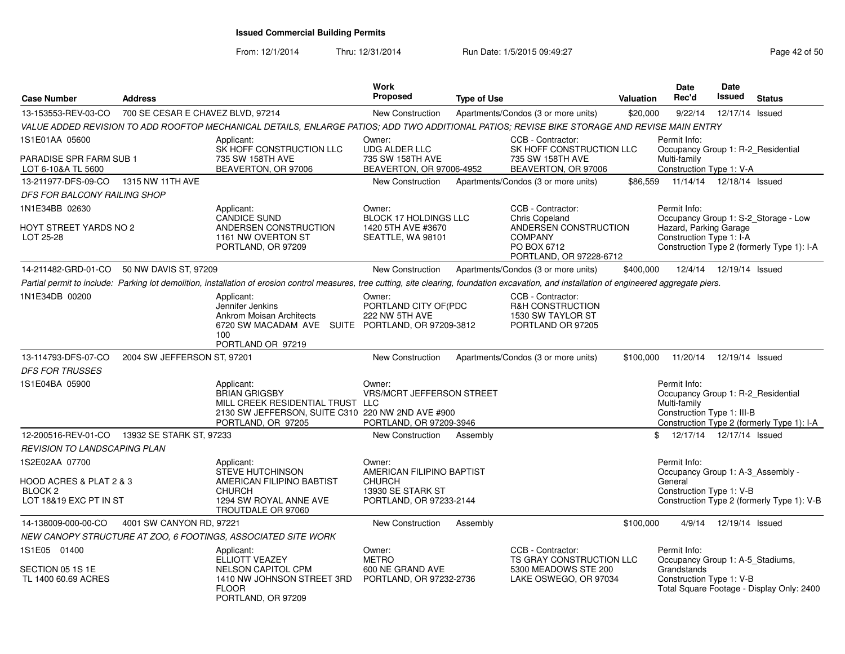|                                                  |                                   |                                                                                                                                                                                                  | Work                                                                  |                    |                                                                                            |                  | <b>Date</b>                                                                                      | <b>Date</b>     |                                            |
|--------------------------------------------------|-----------------------------------|--------------------------------------------------------------------------------------------------------------------------------------------------------------------------------------------------|-----------------------------------------------------------------------|--------------------|--------------------------------------------------------------------------------------------|------------------|--------------------------------------------------------------------------------------------------|-----------------|--------------------------------------------|
| <b>Case Number</b>                               | <b>Address</b>                    |                                                                                                                                                                                                  | <b>Proposed</b>                                                       | <b>Type of Use</b> |                                                                                            | <b>Valuation</b> | Rec'd                                                                                            | Issued          | <b>Status</b>                              |
| 13-153553-REV-03-CO                              | 700 SE CESAR E CHAVEZ BLVD, 97214 |                                                                                                                                                                                                  | New Construction                                                      |                    | Apartments/Condos (3 or more units)                                                        | \$20,000         | 9/22/14                                                                                          | 12/17/14 Issued |                                            |
|                                                  |                                   | VALUE ADDED REVISION TO ADD ROOFTOP MECHANICAL DETAILS, ENLARGE PATIOS; ADD TWO ADDITIONAL PATIOS; REVISE BIKE STORAGE AND REVISE MAIN ENTRY                                                     |                                                                       |                    |                                                                                            |                  |                                                                                                  |                 |                                            |
| 1S1E01AA 05600<br><b>PARADISE SPR FARM SUB 1</b> |                                   | Applicant:<br>SK HOFF CONSTRUCTION LLC<br>735 SW 158TH AVE                                                                                                                                       | Owner:<br><b>UDG ALDER LLC</b><br>735 SW 158TH AVE                    |                    | CCB - Contractor:<br>SK HOFF CONSTRUCTION LLC<br>735 SW 158TH AVE                          |                  | Permit Info:<br>Occupancy Group 1: R-2_Residential<br>Multi-family                               |                 |                                            |
| LOT 6-10&A TL 5600                               |                                   | BEAVERTON, OR 97006                                                                                                                                                                              | BEAVERTON, OR 97006-4952                                              |                    | BEAVERTON, OR 97006                                                                        |                  | Construction Type 1: V-A                                                                         |                 |                                            |
| 13-211977-DFS-09-CO                              | 1315 NW 11TH AVE                  |                                                                                                                                                                                                  | New Construction                                                      |                    | Apartments/Condos (3 or more units)                                                        | \$86,559         | 11/14/14                                                                                         | 12/18/14 Issued |                                            |
| DFS FOR BALCONY RAILING SHOP                     |                                   |                                                                                                                                                                                                  |                                                                       |                    |                                                                                            |                  |                                                                                                  |                 |                                            |
| 1N1E34BB 02630                                   |                                   | Applicant:<br><b>CANDICE SUND</b>                                                                                                                                                                | Owner:<br><b>BLOCK 17 HOLDINGS LLC</b>                                |                    | CCB - Contractor:<br><b>Chris Copeland</b>                                                 |                  | Permit Info:                                                                                     |                 | Occupancy Group 1: S-2_Storage - Low       |
| HOYT STREET YARDS NO 2<br>LOT 25-28              |                                   | ANDERSEN CONSTRUCTION<br>1161 NW OVERTON ST<br>PORTLAND, OR 97209                                                                                                                                | 1420 5TH AVE #3670<br>SEATTLE, WA 98101                               |                    | ANDERSEN CONSTRUCTION<br><b>COMPANY</b><br>PO BOX 6712<br>PORTLAND, OR 97228-6712          |                  | Hazard, Parking Garage<br>Construction Type 1: I-A                                               |                 | Construction Type 2 (formerly Type 1): I-A |
| 14-211482-GRD-01-CO                              | 50 NW DAVIS ST, 97209             |                                                                                                                                                                                                  | New Construction                                                      |                    | Apartments/Condos (3 or more units)                                                        | \$400,000        | 12/4/14                                                                                          | 12/19/14 Issued |                                            |
|                                                  |                                   | Partial permit to include: Parking lot demolition, installation of erosion control measures, tree cutting, site clearing, foundation excavation, and installation of engineered aggregate piers. |                                                                       |                    |                                                                                            |                  |                                                                                                  |                 |                                            |
| 1N1E34DB 00200                                   |                                   | Applicant:<br>Jennifer Jenkins<br><b>Ankrom Moisan Architects</b><br>6720 SW MACADAM AVE SUITE PORTLAND, OR 97209-3812<br>100                                                                    | Owner:<br>PORTLAND CITY OF(PDC<br>222 NW 5TH AVE                      |                    | CCB - Contractor:<br><b>R&amp;H CONSTRUCTION</b><br>1530 SW TAYLOR ST<br>PORTLAND OR 97205 |                  |                                                                                                  |                 |                                            |
|                                                  |                                   | PORTLAND OR 97219                                                                                                                                                                                |                                                                       |                    |                                                                                            |                  |                                                                                                  |                 |                                            |
| 13-114793-DFS-07-CO                              | 2004 SW JEFFERSON ST, 97201       |                                                                                                                                                                                                  | New Construction                                                      |                    | Apartments/Condos (3 or more units)                                                        | \$100,000        | 11/20/14                                                                                         | 12/19/14 Issued |                                            |
| <b>DFS FOR TRUSSES</b>                           |                                   |                                                                                                                                                                                                  |                                                                       |                    |                                                                                            |                  |                                                                                                  |                 |                                            |
| 1S1E04BA 05900                                   |                                   | Applicant:<br><b>BRIAN GRIGSBY</b><br>MILL CREEK RESIDENTIAL TRUST LLC<br>2130 SW JEFFERSON, SUITE C310 220 NW 2ND AVE #900<br>PORTLAND, OR 97205                                                | Owner:<br><b>VRS/MCRT JEFFERSON STREET</b><br>PORTLAND, OR 97209-3946 |                    |                                                                                            |                  | Permit Info:<br>Occupancy Group 1: R-2_Residential<br>Multi-family<br>Construction Type 1: III-B |                 | Construction Type 2 (formerly Type 1): I-A |
| 12-200516-REV-01-CO  13932 SE STARK ST, 97233    |                                   |                                                                                                                                                                                                  | New Construction                                                      | Assembly           |                                                                                            | \$               | 12/17/14  12/17/14  Issued                                                                       |                 |                                            |
| <b>REVISION TO LANDSCAPING PLAN</b>              |                                   |                                                                                                                                                                                                  |                                                                       |                    |                                                                                            |                  |                                                                                                  |                 |                                            |
| 1S2E02AA 07700<br>HOOD ACRES & PLAT 2 & 3        |                                   | Applicant:<br><b>STEVE HUTCHINSON</b><br>AMERICAN FILIPINO BABTIST                                                                                                                               | Owner:<br>AMERICAN FILIPINO BAPTIST<br><b>CHURCH</b>                  |                    |                                                                                            |                  | Permit Info:<br>Occupancy Group 1: A-3_Assembly -<br>General                                     |                 |                                            |
| BLOCK <sub>2</sub><br>LOT 18&19 EXC PT IN ST     |                                   | <b>CHURCH</b><br>1294 SW ROYAL ANNE AVE<br>TROUTDALE OR 97060                                                                                                                                    | 13930 SE STARK ST<br>PORTLAND, OR 97233-2144                          |                    |                                                                                            |                  | Construction Type 1: V-B                                                                         |                 | Construction Type 2 (formerly Type 1): V-B |
| 14-138009-000-00-CO                              | 4001 SW CANYON RD, 97221          |                                                                                                                                                                                                  | New Construction                                                      | Assembly           |                                                                                            | \$100,000        | 4/9/14                                                                                           | 12/19/14 Issued |                                            |
|                                                  |                                   | NEW CANOPY STRUCTURE AT ZOO, 6 FOOTINGS, ASSOCIATED SITE WORK                                                                                                                                    |                                                                       |                    |                                                                                            |                  |                                                                                                  |                 |                                            |
| 1S1E05 01400                                     |                                   | Applicant:<br>ELLIOTT VEAZEY                                                                                                                                                                     | Owner:<br><b>METRO</b>                                                |                    | CCB - Contractor:<br>TS GRAY CONSTRUCTION LLC                                              |                  | Permit Info:<br>Occupancy Group 1: A-5_Stadiums,                                                 |                 |                                            |
| SECTION 05 1S 1E<br>TL 1400 60.69 ACRES          |                                   | <b>NELSON CAPITOL CPM</b><br>1410 NW JOHNSON STREET 3RD<br><b>FLOOR</b><br>PORTLAND, OR 97209                                                                                                    | 600 NE GRAND AVE<br>PORTLAND, OR 97232-2736                           |                    | 5300 MEADOWS STE 200<br>LAKE OSWEGO, OR 97034                                              |                  | Grandstands<br>Construction Type 1: V-B                                                          |                 | Total Square Footage - Display Only: 2400  |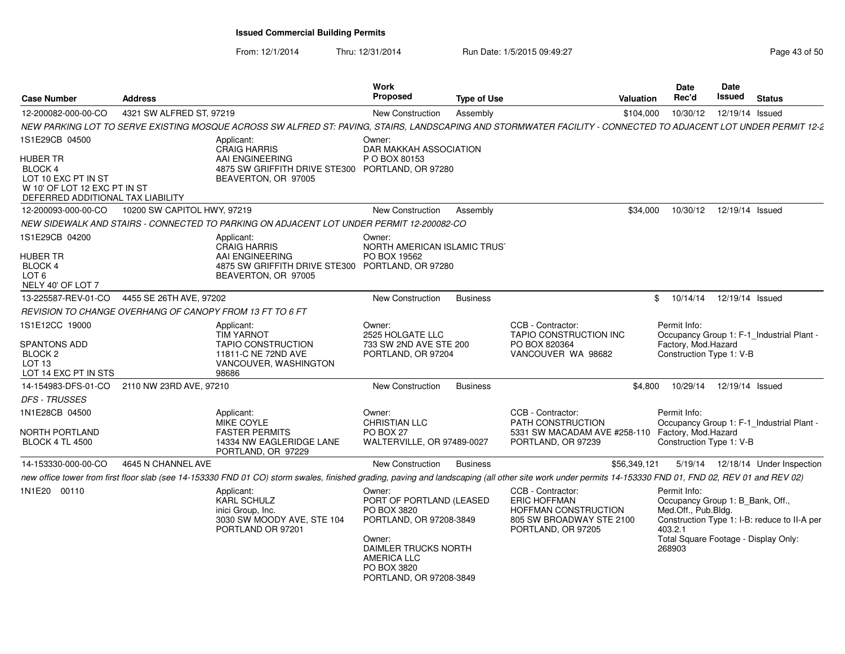| <b>Case Number</b>                                                                                                     | <b>Address</b>              |                                                                                                                                                                                                         | <b>Work</b><br>Proposed                                                                 | <b>Type of Use</b> | Valuation                                                                                                          |           | <b>Date</b><br>Rec'd                                                               | Date<br>Issued             | <b>Status</b>                                |
|------------------------------------------------------------------------------------------------------------------------|-----------------------------|---------------------------------------------------------------------------------------------------------------------------------------------------------------------------------------------------------|-----------------------------------------------------------------------------------------|--------------------|--------------------------------------------------------------------------------------------------------------------|-----------|------------------------------------------------------------------------------------|----------------------------|----------------------------------------------|
| 12-200082-000-00-CO                                                                                                    | 4321 SW ALFRED ST, 97219    |                                                                                                                                                                                                         | <b>New Construction</b>                                                                 | Assembly           |                                                                                                                    | \$104,000 | 10/30/12                                                                           | 12/19/14 Issued            |                                              |
|                                                                                                                        |                             | NEW PARKING LOT TO SERVE EXISTING MOSQUE ACROSS SW ALFRED ST: PAVING, STAIRS, LANDSCAPING AND STORMWATER FACILITY - CONNECTED TO ADJACENT LOT UNDER PERMIT 12-2                                         |                                                                                         |                    |                                                                                                                    |           |                                                                                    |                            |                                              |
| 1S1E29CB 04500                                                                                                         |                             | Applicant:<br><b>CRAIG HARRIS</b>                                                                                                                                                                       | Owner:<br>DAR MAKKAH ASSOCIATION                                                        |                    |                                                                                                                    |           |                                                                                    |                            |                                              |
| <b>HUBER TR</b><br>BLOCK 4<br>LOT 10 EXC PT IN ST<br>W 10' OF LOT 12 EXC PT IN ST<br>DEFERRED ADDITIONAL TAX LIABILITY |                             | AAI ENGINEERING<br>4875 SW GRIFFITH DRIVE STE300 PORTLAND, OR 97280<br>BEAVERTON, OR 97005                                                                                                              | P O BOX 80153                                                                           |                    |                                                                                                                    |           |                                                                                    |                            |                                              |
| 12-200093-000-00-CO                                                                                                    | 10200 SW CAPITOL HWY, 97219 |                                                                                                                                                                                                         | New Construction                                                                        | Assembly           |                                                                                                                    | \$34,000  |                                                                                    | 10/30/12  12/19/14  Issued |                                              |
|                                                                                                                        |                             | NEW SIDEWALK AND STAIRS - CONNECTED TO PARKING ON ADJACENT LOT UNDER PERMIT 12-200082-CO                                                                                                                |                                                                                         |                    |                                                                                                                    |           |                                                                                    |                            |                                              |
| 1S1E29CB 04200<br>HUBER TR                                                                                             |                             | Applicant:<br><b>CRAIG HARRIS</b><br>AAI ENGINEERING                                                                                                                                                    | Owner:<br>NORTH AMERICAN ISLAMIC TRUS'<br>PO BOX 19562                                  |                    |                                                                                                                    |           |                                                                                    |                            |                                              |
| <b>BLOCK 4</b><br>LOT <sub>6</sub><br>NELY 40' OF LOT 7                                                                |                             | 4875 SW GRIFFITH DRIVE STE300 PORTLAND, OR 97280<br>BEAVERTON, OR 97005                                                                                                                                 |                                                                                         |                    |                                                                                                                    |           |                                                                                    |                            |                                              |
| 13-225587-REV-01-CO                                                                                                    | 4455 SE 26TH AVE, 97202     |                                                                                                                                                                                                         | <b>New Construction</b>                                                                 | <b>Business</b>    |                                                                                                                    | \$        | 10/14/14                                                                           | 12/19/14 Issued            |                                              |
| REVISION TO CHANGE OVERHANG OF CANOPY FROM 13 FT TO 6 FT                                                               |                             |                                                                                                                                                                                                         |                                                                                         |                    |                                                                                                                    |           |                                                                                    |                            |                                              |
| 1S1E12CC 19000                                                                                                         |                             | Applicant:<br><b>TIM YARNOT</b>                                                                                                                                                                         | Owner:<br>2525 HOLGATE LLC                                                              |                    | CCB - Contractor:<br><b>TAPIO CONSTRUCTION INC</b>                                                                 |           | Permit Info:                                                                       |                            | Occupancy Group 1: F-1 Industrial Plant -    |
| <b>SPANTONS ADD</b><br>BLOCK <sub>2</sub><br>LOT <sub>13</sub><br>LOT 14 EXC PT IN STS                                 |                             | <b>TAPIO CONSTRUCTION</b><br>11811-C NE 72ND AVE<br>VANCOUVER, WASHINGTON<br>98686                                                                                                                      | 733 SW 2ND AVE STE 200<br>PORTLAND, OR 97204                                            |                    | PO BOX 820364<br>VANCOUVER WA 98682                                                                                |           | Factory, Mod.Hazard<br>Construction Type 1: V-B                                    |                            |                                              |
| 14-154983-DFS-01-CO                                                                                                    | 2110 NW 23RD AVE, 97210     |                                                                                                                                                                                                         | New Construction                                                                        | <b>Business</b>    |                                                                                                                    | \$4,800   |                                                                                    | 10/29/14  12/19/14  Issued |                                              |
| <b>DFS - TRUSSES</b>                                                                                                   |                             |                                                                                                                                                                                                         |                                                                                         |                    |                                                                                                                    |           |                                                                                    |                            |                                              |
| 1N1E28CB 04500                                                                                                         |                             | Applicant:<br>MIKE COYLE                                                                                                                                                                                | Owner:<br><b>CHRISTIAN LLC</b>                                                          |                    | CCB - Contractor:<br><b>PATH CONSTRUCTION</b>                                                                      |           | Permit Info:                                                                       |                            | Occupancy Group 1: F-1_Industrial Plant -    |
| NORTH PORTLAND<br><b>BLOCK 4 TL 4500</b>                                                                               |                             | <b>FASTER PERMITS</b><br>14334 NW EAGLERIDGE LANE<br>PORTLAND, OR 97229                                                                                                                                 | PO BOX 27<br>WALTERVILLE, OR 97489-0027                                                 |                    | 5331 SW MACADAM AVE #258-110<br>PORTLAND, OR 97239                                                                 |           | Factory, Mod.Hazard<br>Construction Type 1: V-B                                    |                            |                                              |
| 14-153330-000-00-CO                                                                                                    | 4645 N CHANNEL AVE          |                                                                                                                                                                                                         | New Construction                                                                        | <b>Business</b>    | \$56,349,121                                                                                                       |           |                                                                                    |                            | 5/19/14  12/18/14  Under Inspection          |
|                                                                                                                        |                             | new office tower from first floor slab (see 14-153330 FND 01 CO) storm swales, finished grading, paving and landscaping (all other site work under permits 14-153330 FND 01, FND 02, REV 01 and REV 02) |                                                                                         |                    |                                                                                                                    |           |                                                                                    |                            |                                              |
| 1N1E20 00110                                                                                                           |                             | Applicant:<br><b>KARL SCHULZ</b><br>inici Group, Inc.<br>3030 SW MOODY AVE, STE 104<br>PORTLAND OR 97201                                                                                                | Owner:<br>PORT OF PORTLAND (LEASED<br>PO BOX 3820<br>PORTLAND, OR 97208-3849            |                    | CCB - Contractor:<br><b>ERIC HOFFMAN</b><br>HOFFMAN CONSTRUCTION<br>805 SW BROADWAY STE 2100<br>PORTLAND, OR 97205 |           | Permit Info:<br>Occupancy Group 1: B_Bank, Off.,<br>Med.Off., Pub.Bldg.<br>403.2.1 |                            | Construction Type 1: I-B: reduce to II-A per |
|                                                                                                                        |                             |                                                                                                                                                                                                         | Owner:<br>DAIMLER TRUCKS NORTH<br>AMERICA LLC<br>PO BOX 3820<br>PORTLAND, OR 97208-3849 |                    |                                                                                                                    |           | 268903                                                                             |                            | Total Square Footage - Display Only:         |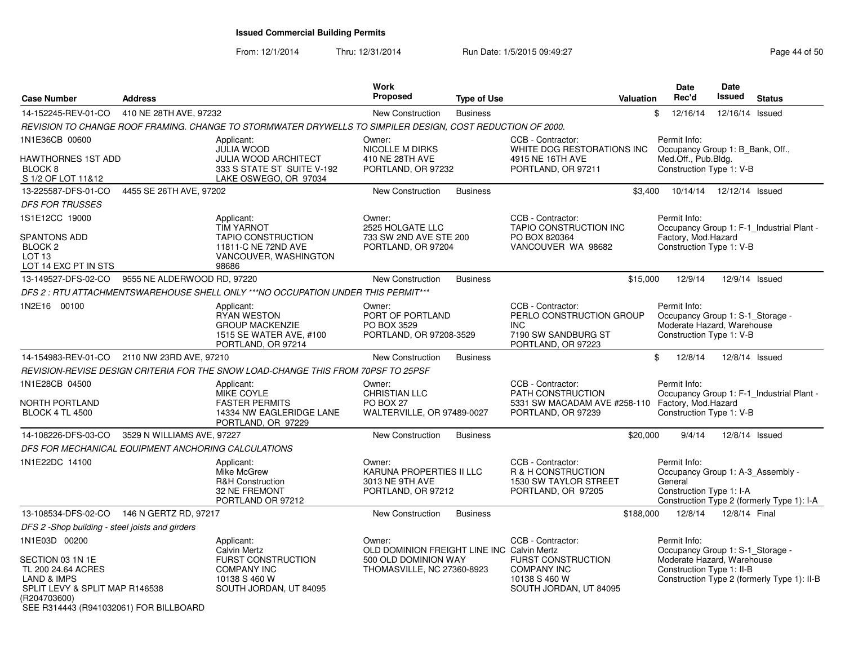From: 12/1/2014

| <b>Case Number</b>                                                                                                                                                            | <b>Address</b>             |                                                                                                                          | <b>Work</b><br>Proposed                                                                                    | <b>Type of Use</b> | <b>Valuation</b>                                                                                                | <b>Date</b><br>Rec'd                                            | <b>Date</b><br><b>Issued</b><br><b>Status</b>                                                                 |
|-------------------------------------------------------------------------------------------------------------------------------------------------------------------------------|----------------------------|--------------------------------------------------------------------------------------------------------------------------|------------------------------------------------------------------------------------------------------------|--------------------|-----------------------------------------------------------------------------------------------------------------|-----------------------------------------------------------------|---------------------------------------------------------------------------------------------------------------|
| 14-152245-REV-01-CO                                                                                                                                                           | 410 NE 28TH AVE, 97232     |                                                                                                                          | New Construction                                                                                           | <b>Business</b>    |                                                                                                                 | \$<br>12/16/14                                                  | 12/16/14 Issued                                                                                               |
|                                                                                                                                                                               |                            | REVISION TO CHANGE ROOF FRAMING. CHANGE TO STORMWATER DRYWELLS TO SIMPILER DESIGN, COST REDUCTION OF 2000.               |                                                                                                            |                    |                                                                                                                 |                                                                 |                                                                                                               |
| 1N1E36CB 00600<br><b>HAWTHORNES 1ST ADD</b><br>BLOCK <sub>8</sub><br>S 1/2 OF LOT 11&12                                                                                       |                            | Applicant:<br><b>JULIA WOOD</b><br><b>JULIA WOOD ARCHITECT</b><br>333 S STATE ST SUITE V-192<br>LAKE OSWEGO, OR 97034    | Owner:<br>NICOLLE M DIRKS<br>410 NE 28TH AVE<br>PORTLAND, OR 97232                                         |                    | CCB - Contractor:<br>WHITE DOG RESTORATIONS INC<br>4915 NE 16TH AVE<br>PORTLAND, OR 97211                       | Permit Info:<br>Med.Off., Pub.Bldg.<br>Construction Type 1: V-B | Occupancy Group 1: B_Bank, Off.,                                                                              |
| 13-225587-DFS-01-CO                                                                                                                                                           | 4455 SE 26TH AVE, 97202    |                                                                                                                          | <b>New Construction</b>                                                                                    | <b>Business</b>    | \$3.400                                                                                                         | 10/14/14                                                        | 12/12/14 Issued                                                                                               |
| <b>DFS FOR TRUSSES</b>                                                                                                                                                        |                            |                                                                                                                          |                                                                                                            |                    |                                                                                                                 |                                                                 |                                                                                                               |
| 1S1E12CC 19000<br><b>SPANTONS ADD</b><br>BLOCK <sub>2</sub><br>LOT <sub>13</sub>                                                                                              |                            | Applicant:<br><b>TIM YARNOT</b><br><b>TAPIO CONSTRUCTION</b><br>11811-C NE 72ND AVE<br>VANCOUVER, WASHINGTON             | Owner:<br>2525 HOLGATE LLC<br>733 SW 2ND AVE STE 200<br>PORTLAND, OR 97204                                 |                    | CCB - Contractor:<br><b>TAPIO CONSTRUCTION INC</b><br>PO BOX 820364<br>VANCOUVER WA 98682                       | Permit Info:<br>Factory, Mod.Hazard<br>Construction Type 1: V-B | Occupancy Group 1: F-1 Industrial Plant -                                                                     |
| LOT 14 EXC PT IN STS                                                                                                                                                          |                            | 98686                                                                                                                    |                                                                                                            |                    |                                                                                                                 |                                                                 |                                                                                                               |
| 13-149527-DFS-02-CO 9555 NE ALDERWOOD RD, 97220                                                                                                                               |                            |                                                                                                                          | New Construction                                                                                           | <b>Business</b>    | \$15,000                                                                                                        | 12/9/14                                                         | 12/9/14 Issued                                                                                                |
|                                                                                                                                                                               |                            | DFS 2 : RTU ATTACHMENTSWAREHOUSE SHELL ONLY ***NO OCCUPATION UNDER THIS PERMIT***                                        |                                                                                                            |                    |                                                                                                                 |                                                                 |                                                                                                               |
| 1N2E16 00100                                                                                                                                                                  |                            | Applicant:<br><b>RYAN WESTON</b><br><b>GROUP MACKENZIE</b><br>1515 SE WATER AVE, #100<br>PORTLAND, OR 97214              | Owner:<br>PORT OF PORTLAND<br>PO BOX 3529<br>PORTLAND, OR 97208-3529                                       |                    | CCB - Contractor:<br>PERLO CONSTRUCTION GROUP<br><b>INC</b><br>7190 SW SANDBURG ST<br>PORTLAND, OR 97223        | Permit Info:<br>Construction Type 1: V-B                        | Occupancy Group 1: S-1_Storage -<br>Moderate Hazard, Warehouse                                                |
| 14-154983-REV-01-CO 2110 NW 23RD AVE, 97210                                                                                                                                   |                            |                                                                                                                          | <b>New Construction</b>                                                                                    | <b>Business</b>    |                                                                                                                 | \$<br>12/8/14                                                   | 12/8/14 Issued                                                                                                |
|                                                                                                                                                                               |                            | REVISION-REVISE DESIGN CRITERIA FOR THE SNOW LOAD-CHANGE THIS FROM 70PSF TO 25PSF                                        |                                                                                                            |                    |                                                                                                                 |                                                                 |                                                                                                               |
| 1N1E28CB 04500<br>NORTH PORTLAND<br><b>BLOCK 4 TL 4500</b>                                                                                                                    |                            | Applicant:<br>MIKE COYLE<br><b>FASTER PERMITS</b><br>14334 NW EAGLERIDGE LANE<br>PORTLAND, OR 97229                      | Owner:<br><b>CHRISTIAN LLC</b><br>PO BOX 27<br>WALTERVILLE, OR 97489-0027                                  |                    | CCB - Contractor:<br>PATH CONSTRUCTION<br>5331 SW MACADAM AVE #258-110<br>PORTLAND, OR 97239                    | Permit Info:<br>Factory, Mod.Hazard<br>Construction Type 1: V-B | Occupancy Group 1: F-1 Industrial Plant -                                                                     |
| 14-108226-DFS-03-CO                                                                                                                                                           | 3529 N WILLIAMS AVE, 97227 |                                                                                                                          | New Construction                                                                                           | <b>Business</b>    | \$20,000                                                                                                        | 9/4/14                                                          | 12/8/14 Issued                                                                                                |
| DFS FOR MECHANICAL EQUIPMENT ANCHORING CALCULATIONS                                                                                                                           |                            |                                                                                                                          |                                                                                                            |                    |                                                                                                                 |                                                                 |                                                                                                               |
| 1N1E22DC 14100                                                                                                                                                                |                            | Applicant:<br>Mike McGrew<br><b>R&amp;H Construction</b><br>32 NE FREMONT<br>PORTLAND OR 97212                           | Owner:<br>KARUNA PROPERTIES II LLC<br>3013 NE 9TH AVE<br>PORTLAND, OR 97212                                |                    | CCB - Contractor:<br>R & H CONSTRUCTION<br><b>1530 SW TAYLOR STREET</b><br>PORTLAND, OR 97205                   | Permit Info:<br>General<br>Construction Type 1: I-A             | Occupancy Group 1: A-3_Assembly -<br>Construction Type 2 (formerly Type 1): I-A                               |
| 13-108534-DFS-02-CO 146 N GERTZ RD. 97217                                                                                                                                     |                            |                                                                                                                          | <b>New Construction</b>                                                                                    | <b>Business</b>    | \$188,000                                                                                                       | 12/8/14                                                         | 12/8/14 Final                                                                                                 |
| DFS 2 -Shop building - steel joists and girders                                                                                                                               |                            |                                                                                                                          |                                                                                                            |                    |                                                                                                                 |                                                                 |                                                                                                               |
| 1N1E03D 00200<br>SECTION 03 1N 1E<br>TL 200 24.64 ACRES<br><b>LAND &amp; IMPS</b><br>SPLIT LEVY & SPLIT MAP R146538<br>(R204703600)<br>SEE R314443 (R941032061) FOR BILLBOARD |                            | Applicant:<br><b>Calvin Mertz</b><br>FURST CONSTRUCTION<br><b>COMPANY INC</b><br>10138 S 460 W<br>SOUTH JORDAN, UT 84095 | Owner:<br>OLD DOMINION FREIGHT LINE INC Calvin Mertz<br>500 OLD DOMINION WAY<br>THOMASVILLE, NC 27360-8923 |                    | CCB - Contractor:<br><b>FURST CONSTRUCTION</b><br><b>COMPANY INC</b><br>10138 S 460 W<br>SOUTH JORDAN, UT 84095 | Permit Info:<br>Construction Type 1: II-B                       | Occupancy Group 1: S-1_Storage -<br>Moderate Hazard, Warehouse<br>Construction Type 2 (formerly Type 1): II-B |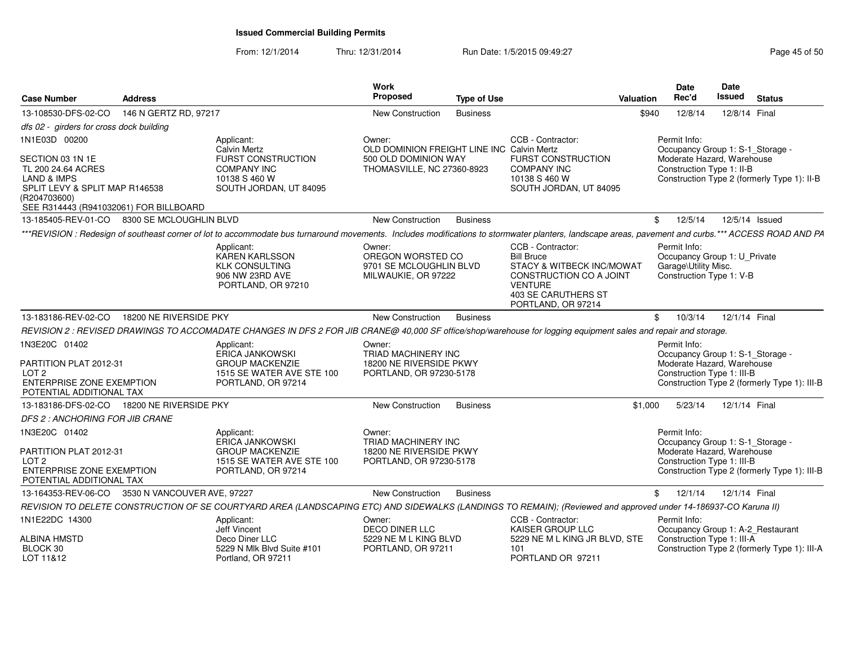| <b>Case Number</b>                                                                                                                                                            | <b>Address</b>         |                                                                                                                                                                                                      | <b>Work</b><br><b>Proposed</b>                                                                             | <b>Type of Use</b> |                                                                                                                                                               | Valuation    | <b>Date</b><br>Rec'd                                                                                         | Date<br>Issued | <b>Status</b>                                |
|-------------------------------------------------------------------------------------------------------------------------------------------------------------------------------|------------------------|------------------------------------------------------------------------------------------------------------------------------------------------------------------------------------------------------|------------------------------------------------------------------------------------------------------------|--------------------|---------------------------------------------------------------------------------------------------------------------------------------------------------------|--------------|--------------------------------------------------------------------------------------------------------------|----------------|----------------------------------------------|
| 13-108530-DFS-02-CO                                                                                                                                                           | 146 N GERTZ RD, 97217  |                                                                                                                                                                                                      | New Construction                                                                                           | <b>Business</b>    |                                                                                                                                                               | \$940        | 12/8/14                                                                                                      | 12/8/14 Final  |                                              |
| dfs 02 - girders for cross dock building                                                                                                                                      |                        |                                                                                                                                                                                                      |                                                                                                            |                    |                                                                                                                                                               |              |                                                                                                              |                |                                              |
| 1N1E03D 00200<br>SECTION 03 1N 1E<br>TL 200 24.64 ACRES<br><b>LAND &amp; IMPS</b><br>SPLIT LEVY & SPLIT MAP R146538<br>(R204703600)<br>SEE R314443 (R941032061) FOR BILLBOARD |                        | Applicant:<br>Calvin Mertz<br>FURST CONSTRUCTION<br><b>COMPANY INC</b><br>10138 S 460 W<br>SOUTH JORDAN, UT 84095                                                                                    | Owner:<br>OLD DOMINION FREIGHT LINE INC Calvin Mertz<br>500 OLD DOMINION WAY<br>THOMASVILLE, NC 27360-8923 |                    | CCB - Contractor:<br>FURST CONSTRUCTION<br>COMPANY INC<br>10138 S 460 W<br>SOUTH JORDAN, UT 84095                                                             |              | Permit Info:<br>Occupancy Group 1: S-1_Storage<br>Moderate Hazard, Warehouse<br>Construction Type 1: II-B    |                | Construction Type 2 (formerly Type 1): II-B  |
| 13-185405-REV-01-CO 8300 SE MCLOUGHLIN BLVD                                                                                                                                   |                        |                                                                                                                                                                                                      | New Construction                                                                                           | <b>Business</b>    |                                                                                                                                                               | $\mathbb{S}$ | 12/5/14                                                                                                      |                | 12/5/14 Issued                               |
|                                                                                                                                                                               |                        | ***REVISION : Redesign of southeast corner of lot to accommodate bus turnaround movements. Includes modifications to stormwater planters, landscape areas, pavement and curbs.*** ACCESS ROAD AND PA |                                                                                                            |                    |                                                                                                                                                               |              |                                                                                                              |                |                                              |
|                                                                                                                                                                               |                        | Applicant:<br>KAREN KARLSSON<br><b>KLK CONSULTING</b><br>906 NW 23RD AVE<br>PORTLAND, OR 97210                                                                                                       | Owner:<br>OREGON WORSTED CO<br>9701 SE MCLOUGHLIN BLVD<br>MILWAUKIE, OR 97222                              |                    | CCB - Contractor:<br><b>Bill Bruce</b><br>STACY & WITBECK INC/MOWAT<br>CONSTRUCTION CO A JOINT<br><b>VENTURE</b><br>403 SE CARUTHERS ST<br>PORTLAND, OR 97214 |              | Permit Info:<br>Occupancy Group 1: U_Private<br>Garage\Utility Misc.<br>Construction Type 1: V-B             |                |                                              |
| 13-183186-REV-02-CO                                                                                                                                                           | 18200 NE RIVERSIDE PKY |                                                                                                                                                                                                      | New Construction                                                                                           | <b>Business</b>    |                                                                                                                                                               | \$           | 10/3/14                                                                                                      | 12/1/14 Final  |                                              |
|                                                                                                                                                                               |                        | REVISION 2 : REVISED DRAWINGS TO ACCOMADATE CHANGES IN DFS 2 FOR JIB CRANE@ 40,000 SF office/shop/warehouse for logging equipment sales and repair and storage.                                      |                                                                                                            |                    |                                                                                                                                                               |              |                                                                                                              |                |                                              |
| 1N3E20C 01402<br>PARTITION PLAT 2012-31<br>LOT <sub>2</sub><br><b>ENTERPRISE ZONE EXEMPTION</b><br>POTENTIAL ADDITIONAL TAX                                                   |                        | Applicant:<br><b>ERICA JANKOWSKI</b><br><b>GROUP MACKENZIE</b><br>1515 SE WATER AVE STE 100<br>PORTLAND, OR 97214                                                                                    | Owner:<br>TRIAD MACHINERY INC<br>18200 NE RIVERSIDE PKWY<br>PORTLAND, OR 97230-5178                        |                    |                                                                                                                                                               |              | Permit Info:<br>Occupancy Group 1: S-1_Storage -<br>Moderate Hazard, Warehouse<br>Construction Type 1: III-B |                | Construction Type 2 (formerly Type 1): III-B |
| 13-183186-DFS-02-CO                                                                                                                                                           | 18200 NE RIVERSIDE PKY |                                                                                                                                                                                                      | New Construction                                                                                           | <b>Business</b>    |                                                                                                                                                               | \$1,000      | 5/23/14                                                                                                      | 12/1/14 Final  |                                              |
| DFS 2: ANCHORING FOR JIB CRANE                                                                                                                                                |                        |                                                                                                                                                                                                      |                                                                                                            |                    |                                                                                                                                                               |              |                                                                                                              |                |                                              |
| 1N3E20C 01402<br>PARTITION PLAT 2012-31<br>LOT <sub>2</sub><br><b>ENTERPRISE ZONE EXEMPTION</b><br>POTENTIAL ADDITIONAL TAX                                                   |                        | Applicant:<br><b>ERICA JANKOWSKI</b><br><b>GROUP MACKENZIE</b><br>1515 SE WATER AVE STE 100<br>PORTLAND, OR 97214                                                                                    | Owner:<br>TRIAD MACHINERY INC<br>18200 NE RIVERSIDE PKWY<br>PORTLAND, OR 97230-5178                        |                    |                                                                                                                                                               |              | Permit Info:<br>Occupancy Group 1: S-1 Storage -<br>Moderate Hazard, Warehouse<br>Construction Type 1: III-B |                | Construction Type 2 (formerly Type 1): III-B |
| 13-164353-REV-06-CO 3530 N VANCOUVER AVE, 97227                                                                                                                               |                        |                                                                                                                                                                                                      | New Construction                                                                                           | <b>Business</b>    |                                                                                                                                                               | \$           | 12/1/14                                                                                                      | 12/1/14 Final  |                                              |
|                                                                                                                                                                               |                        | REVISION TO DELETE CONSTRUCTION OF SE COURTYARD AREA (LANDSCAPING ETC) AND SIDEWALKS (LANDINGS TO REMAIN); (Reviewed and approved under 14-186937-CO Karuna II)                                      |                                                                                                            |                    |                                                                                                                                                               |              |                                                                                                              |                |                                              |
| 1N1E22DC 14300                                                                                                                                                                |                        | Applicant:<br>Jeff Vincent                                                                                                                                                                           | Owner:<br><b>DECO DINER LLC</b>                                                                            |                    | CCB - Contractor:<br>KAISER GROUP LLC                                                                                                                         |              | Permit Info:<br>Occupancy Group 1: A-2 Restaurant                                                            |                |                                              |
| <b>ALBINA HMSTD</b><br>BLOCK 30<br>LOT 11&12                                                                                                                                  |                        | Deco Diner LLC<br>5229 N Mlk Blvd Suite #101<br>Portland, OR 97211                                                                                                                                   | 5229 NE M L KING BLVD<br>PORTLAND, OR 97211                                                                |                    | 5229 NE M L KING JR BLVD, STE<br>101<br>PORTLAND OR 97211                                                                                                     |              | Construction Type 1: III-A                                                                                   |                | Construction Type 2 (formerly Type 1): III-A |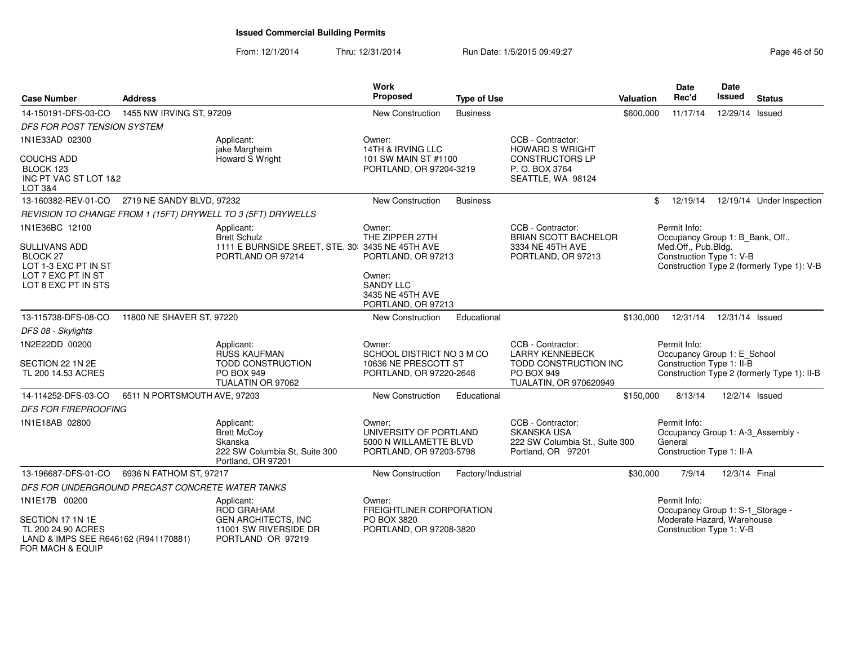| <b>Case Number</b>                                                                                                                 | <b>Address</b>                                   |                                                                                                            | Work<br>Proposed                                                                       | <b>Type of Use</b> |                                                                                                                     | Valuation | <b>Date</b><br>Rec'd                                                                                | <b>Date</b><br><b>Issued</b> | <b>Status</b>                               |
|------------------------------------------------------------------------------------------------------------------------------------|--------------------------------------------------|------------------------------------------------------------------------------------------------------------|----------------------------------------------------------------------------------------|--------------------|---------------------------------------------------------------------------------------------------------------------|-----------|-----------------------------------------------------------------------------------------------------|------------------------------|---------------------------------------------|
| 14-150191-DFS-03-CO                                                                                                                | 1455 NW IRVING ST, 97209                         |                                                                                                            | New Construction                                                                       | <b>Business</b>    |                                                                                                                     | \$600,000 | 11/17/14                                                                                            | 12/29/14 Issued              |                                             |
| <b>DFS FOR POST TENSION SYSTEM</b>                                                                                                 |                                                  |                                                                                                            |                                                                                        |                    |                                                                                                                     |           |                                                                                                     |                              |                                             |
| 1N1E33AD 02300                                                                                                                     |                                                  | Applicant:<br>jake Margheim                                                                                | Owner:<br>14TH & IRVING LLC                                                            |                    | CCB - Contractor:<br><b>HOWARD S WRIGHT</b>                                                                         |           |                                                                                                     |                              |                                             |
| <b>COUCHS ADD</b><br>BLOCK 123<br>INC PT VAC ST LOT 1&2<br>LOT 3&4                                                                 |                                                  | Howard S Wright                                                                                            | 101 SW MAIN ST #1100<br>PORTLAND, OR 97204-3219                                        |                    | <b>CONSTRUCTORS LP</b><br>P.O. BOX 3764<br>SEATTLE, WA 98124                                                        |           |                                                                                                     |                              |                                             |
|                                                                                                                                    | 13-160382-REV-01-CO 2719 NE SANDY BLVD, 97232    |                                                                                                            | New Construction                                                                       | <b>Business</b>    |                                                                                                                     |           | 12/19/14<br>\$                                                                                      |                              | 12/19/14 Under Inspection                   |
|                                                                                                                                    |                                                  | REVISION TO CHANGE FROM 1 (15FT) DRYWELL TO 3 (5FT) DRYWELLS                                               |                                                                                        |                    |                                                                                                                     |           |                                                                                                     |                              |                                             |
| 1N1E36BC 12100<br><b>SULLIVANS ADD</b><br>BLOCK <sub>27</sub><br>LOT 1-3 EXC PT IN ST<br>LOT 7 EXC PT IN ST<br>LOT 8 EXC PT IN STS |                                                  | Applicant:<br><b>Brett Schulz</b><br>1111 E BURNSIDE SREET, STE. 30: 3435 NE 45TH AVE<br>PORTLAND OR 97214 | Owner:<br>THE ZIPPER 27TH<br>PORTLAND, OR 97213<br>Owner:<br><b>SANDY LLC</b>          |                    | CCB - Contractor:<br><b>BRIAN SCOTT BACHELOR</b><br>3334 NE 45TH AVE<br>PORTLAND, OR 97213                          |           | Permit Info:<br>Occupancy Group 1: B_Bank, Off.,<br>Med.Off., Pub.Bldg.<br>Construction Type 1: V-B |                              | Construction Type 2 (formerly Type 1): V-B  |
|                                                                                                                                    |                                                  |                                                                                                            | 3435 NE 45TH AVE<br>PORTLAND, OR 97213                                                 |                    |                                                                                                                     |           |                                                                                                     |                              |                                             |
| 13-115738-DFS-08-CO                                                                                                                | 11800 NE SHAVER ST, 97220                        |                                                                                                            | <b>New Construction</b>                                                                | Educational        |                                                                                                                     | \$130,000 | 12/31/14                                                                                            | 12/31/14 Issued              |                                             |
| DFS 08 - Skylights                                                                                                                 |                                                  |                                                                                                            |                                                                                        |                    |                                                                                                                     |           |                                                                                                     |                              |                                             |
| 1N2E22DD 00200<br>SECTION 22 1N 2E<br>TL 200 14.53 ACRES                                                                           |                                                  | Applicant:<br>RUSS KAUFMAN<br><b>TODD CONSTRUCTION</b><br><b>PO BOX 949</b><br>TUALATIN OR 97062           | Owner:<br>SCHOOL DISTRICT NO 3 M CO<br>10636 NE PRESCOTT ST<br>PORTLAND, OR 97220-2648 |                    | CCB - Contractor:<br><b>LARRY KENNEBECK</b><br>TODD CONSTRUCTION INC<br><b>PO BOX 949</b><br>TUALATIN, OR 970620949 |           | Permit Info:<br>Occupancy Group 1: E_School<br>Construction Type 1: II-B                            |                              | Construction Type 2 (formerly Type 1): II-B |
| 14-114252-DFS-03-CO                                                                                                                | 6511 N PORTSMOUTH AVE, 97203                     |                                                                                                            | New Construction                                                                       | Educational        |                                                                                                                     | \$150,000 | 8/13/14                                                                                             |                              | 12/2/14 Issued                              |
| <b>DFS FOR FIREPROOFING</b>                                                                                                        |                                                  |                                                                                                            |                                                                                        |                    |                                                                                                                     |           |                                                                                                     |                              |                                             |
| 1N1E18AB 02800                                                                                                                     |                                                  | Applicant:<br><b>Brett McCov</b><br>Skanska<br>222 SW Columbia St, Suite 300<br>Portland, OR 97201         | Owner:<br>UNIVERSITY OF PORTLAND<br>5000 N WILLAMETTE BLVD<br>PORTLAND, OR 97203-5798  |                    | CCB - Contractor:<br><b>SKANSKA USA</b><br>222 SW Columbia St., Suite 300<br>Portland, OR 97201                     |           | Permit Info:<br>Occupancy Group 1: A-3 Assembly -<br>General<br>Construction Type 1: II-A           |                              |                                             |
| 13-196687-DFS-01-CO                                                                                                                | 6936 N FATHOM ST, 97217                          |                                                                                                            | New Construction                                                                       | Factory/Industrial |                                                                                                                     | \$30,000  | 7/9/14                                                                                              | 12/3/14 Final                |                                             |
|                                                                                                                                    | DFS FOR UNDERGROUND PRECAST CONCRETE WATER TANKS |                                                                                                            |                                                                                        |                    |                                                                                                                     |           |                                                                                                     |                              |                                             |
| 1N1E17B 00200                                                                                                                      |                                                  | Applicant:<br><b>ROD GRAHAM</b>                                                                            | Owner:<br>FREIGHTLINER CORPORATION                                                     |                    |                                                                                                                     |           | Permit Info:<br>Occupancy Group 1: S-1_Storage -                                                    |                              |                                             |
| SECTION 17 1N 1E<br>TL 200 24.90 ACRES<br>LAND & IMPS SEE R646162 (R941170881)<br>FOR MACH & EQUIP                                 |                                                  | <b>GEN ARCHITECTS, INC</b><br>11001 SW RIVERSIDE DR<br>PORTLAND OR 97219                                   | PO BOX 3820<br>PORTLAND, OR 97208-3820                                                 |                    |                                                                                                                     |           | Moderate Hazard, Warehouse<br>Construction Type 1: V-B                                              |                              |                                             |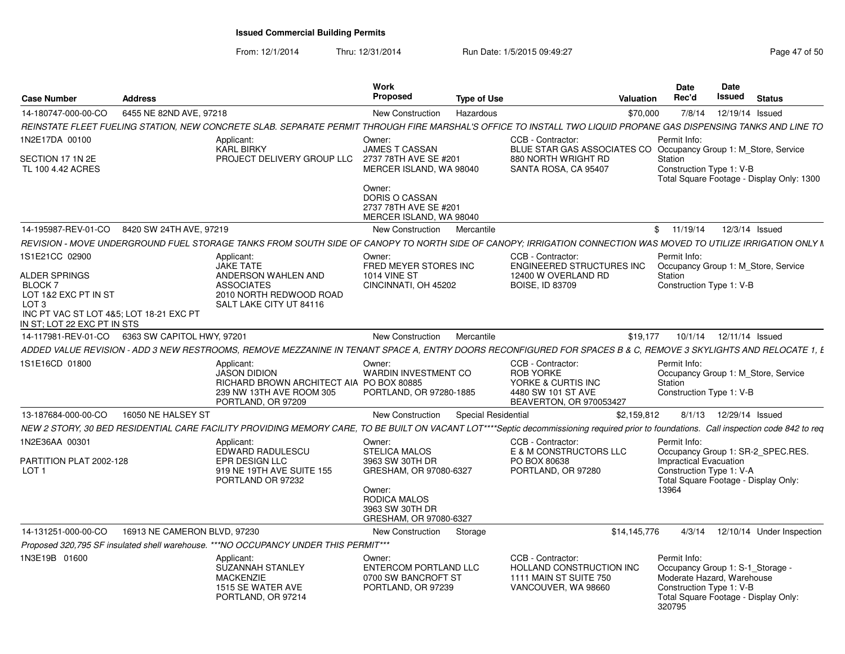| <b>Case Number</b>                                                                                                                       | <b>Address</b>                                   |                                                                                                                                                                                         | Work<br><b>Proposed</b>                                                             | Type of Use         |                                                                                                              | Valuation    | <b>Date</b><br>Rec'd                                                                                               | <b>Date</b><br>Issued    | <b>Status</b>                             |
|------------------------------------------------------------------------------------------------------------------------------------------|--------------------------------------------------|-----------------------------------------------------------------------------------------------------------------------------------------------------------------------------------------|-------------------------------------------------------------------------------------|---------------------|--------------------------------------------------------------------------------------------------------------|--------------|--------------------------------------------------------------------------------------------------------------------|--------------------------|-------------------------------------------|
| 14-180747-000-00-CO                                                                                                                      | 6455 NE 82ND AVE, 97218                          |                                                                                                                                                                                         | <b>New Construction</b>                                                             | Hazardous           |                                                                                                              | \$70,000     | 7/8/14                                                                                                             | 12/19/14 Issued          |                                           |
|                                                                                                                                          |                                                  | REINSTATE FLEET FUELING STATION. NEW CONCRETE SLAB. SEPARATE PERMIT THROUGH FIRE MARSHAL'S OFFICE TO INSTALL TWO LIQUID PROPANE GAS DISPENSING TANKS AND LINE TO                        |                                                                                     |                     |                                                                                                              |              |                                                                                                                    |                          |                                           |
| 1N2E17DA 00100<br>SECTION 17 1N 2E                                                                                                       |                                                  | Applicant:<br><b>KARL BIRKY</b><br>PROJECT DELIVERY GROUP LLC                                                                                                                           | Owner:<br><b>JAMES T CASSAN</b><br>2737 78TH AVE SE #201                            |                     | CCB - Contractor:<br>BLUE STAR GAS ASSOCIATES CO Occupancy Group 1: M_Store, Service<br>880 NORTH WRIGHT RD  |              | Permit Info:<br>Station                                                                                            |                          |                                           |
| TL 100 4.42 ACRES                                                                                                                        |                                                  |                                                                                                                                                                                         | MERCER ISLAND, WA 98040<br>Owner:                                                   |                     | SANTA ROSA, CA 95407                                                                                         |              | Construction Type 1: V-B                                                                                           |                          | Total Square Footage - Display Only: 1300 |
|                                                                                                                                          |                                                  |                                                                                                                                                                                         | <b>DORIS O CASSAN</b><br>2737 78TH AVE SE #201<br>MERCER ISLAND, WA 98040           |                     |                                                                                                              |              |                                                                                                                    |                          |                                           |
|                                                                                                                                          | 14-195987-REV-01-CO 8420 SW 24TH AVE, 97219      |                                                                                                                                                                                         | New Construction                                                                    | Mercantile          |                                                                                                              |              | \$11/19/14                                                                                                         | 12/3/14 Issued           |                                           |
|                                                                                                                                          |                                                  | REVISION - MOVE UNDERGROUND FUEL STORAGE TANKS FROM SOUTH SIDE OF CANOPY TO NORTH SIDE OF CANOPY; IRRIGATION CONNECTION WAS MOVED TO UTILIZE IRRIGATION ONLY N                          |                                                                                     |                     |                                                                                                              |              |                                                                                                                    |                          |                                           |
| 1S1E21CC 02900<br>ALDER SPRINGS                                                                                                          |                                                  | Applicant:<br><b>JAKE TATE</b><br>ANDERSON WAHLEN AND                                                                                                                                   | Owner:<br>FRED MEYER STORES INC<br><b>1014 VINE ST</b>                              |                     | CCB - Contractor:<br>ENGINEERED STRUCTURES INC<br>12400 W OVERLAND RD                                        |              | Permit Info:<br>Station                                                                                            |                          | Occupancy Group 1: M Store, Service       |
| BLOCK <sub>7</sub><br>LOT 1&2 EXC PT IN ST<br>LOT <sub>3</sub><br>INC PT VAC ST LOT 4&5: LOT 18-21 EXC PT<br>IN ST: LOT 22 EXC PT IN STS |                                                  | <b>ASSOCIATES</b><br>2010 NORTH REDWOOD ROAD<br>SALT LAKE CITY UT 84116                                                                                                                 | CINCINNATI, OH 45202                                                                |                     | <b>BOISE, ID 83709</b>                                                                                       |              | Construction Type 1: V-B                                                                                           |                          |                                           |
|                                                                                                                                          | 14-117981-REV-01-CO   6363 SW CAPITOL HWY, 97201 |                                                                                                                                                                                         | New Construction                                                                    | Mercantile          |                                                                                                              | \$19,177     | 10/1/14                                                                                                            | 12/11/14 Issued          |                                           |
|                                                                                                                                          |                                                  | ADDED VALUE REVISION - ADD 3 NEW RESTROOMS, REMOVE MEZZANINE IN TENANT SPACE A. ENTRY DOORS RECONFIGURED FOR SPACES B & C. REMOVE 3 SKYLIGHTS AND RELOCATE 1. E                         |                                                                                     |                     |                                                                                                              |              |                                                                                                                    |                          |                                           |
| 1S1E16CD 01800                                                                                                                           |                                                  | Applicant:<br><b>JASON DIDION</b><br>RICHARD BROWN ARCHITECT AIA PO BOX 80885<br>239 NW 13TH AVE ROOM 305<br>PORTLAND, OR 97209                                                         | Owner:<br><b>WARDIN INVESTMENT CO</b><br>PORTLAND, OR 97280-1885                    |                     | CCB - Contractor:<br><b>ROB YORKE</b><br>YORKE & CURTIS INC<br>4480 SW 101 ST AVE<br>BEAVERTON, OR 970053427 |              | Permit Info:<br>Station<br>Construction Type 1: V-B                                                                |                          | Occupancy Group 1: M_Store, Service       |
| 13-187684-000-00-CO                                                                                                                      | 16050 NE HALSEY ST                               |                                                                                                                                                                                         | New Construction                                                                    | Special Residential |                                                                                                              | \$2,159,812  |                                                                                                                    | 8/1/13  12/29/14  Issued |                                           |
|                                                                                                                                          |                                                  | NEW 2 STORY, 30 BED RESIDENTIAL CARE FACILITY PROVIDING MEMORY CARE, TO BE BUILT ON VACANT LOT****Septic decommissioning required prior to foundations. Call inspection code 842 to req |                                                                                     |                     |                                                                                                              |              |                                                                                                                    |                          |                                           |
| 1N2E36AA 00301                                                                                                                           |                                                  | Applicant:<br>EDWARD RADULESCU                                                                                                                                                          | Owner:<br><b>STELICA MALOS</b>                                                      |                     | CCB - Contractor:<br>E & M CONSTRUCTORS LLC                                                                  |              | Permit Info:                                                                                                       |                          | Occupancy Group 1: SR-2 SPEC.RES.         |
| PARTITION PLAT 2002-128<br>LOT <sub>1</sub>                                                                                              |                                                  | EPR DESIGN LLC<br>919 NE 19TH AVE SUITE 155<br>PORTLAND OR 97232                                                                                                                        | 3963 SW 30TH DR<br>GRESHAM, OR 97080-6327                                           |                     | PO BOX 80638<br>PORTLAND, OR 97280                                                                           |              | Impractical Evacuation<br>Construction Type 1: V-A                                                                 |                          | Total Square Footage - Display Only:      |
|                                                                                                                                          |                                                  |                                                                                                                                                                                         | Owner:<br>RODICA MALOS<br>3963 SW 30TH DR<br>GRESHAM, OR 97080-6327                 |                     |                                                                                                              |              | 13964                                                                                                              |                          |                                           |
| 14-131251-000-00-CO                                                                                                                      | 16913 NE CAMERON BLVD, 97230                     |                                                                                                                                                                                         | New Construction                                                                    | Storage             |                                                                                                              | \$14,145,776 | 4/3/14                                                                                                             |                          | 12/10/14 Under Inspection                 |
|                                                                                                                                          |                                                  | Proposed 320.795 SF insulated shell warehouse. ***NO OCCUPANCY UNDER THIS PERMIT***                                                                                                     |                                                                                     |                     |                                                                                                              |              |                                                                                                                    |                          |                                           |
| 1N3E19B 01600                                                                                                                            |                                                  | Applicant:<br><b>SUZANNAH STANLEY</b><br><b>MACKENZIE</b><br>1515 SE WATER AVE<br>PORTLAND, OR 97214                                                                                    | Owner:<br><b>ENTERCOM PORTLAND LLC</b><br>0700 SW BANCROFT ST<br>PORTLAND, OR 97239 |                     | CCB - Contractor:<br><b>HOLLAND CONSTRUCTION INC</b><br>1111 MAIN ST SUITE 750<br>VANCOUVER, WA 98660        |              | Permit Info:<br>Occupancy Group 1: S-1 Storage<br>Moderate Hazard, Warehouse<br>Construction Type 1: V-B<br>320795 |                          | Total Square Footage - Display Only:      |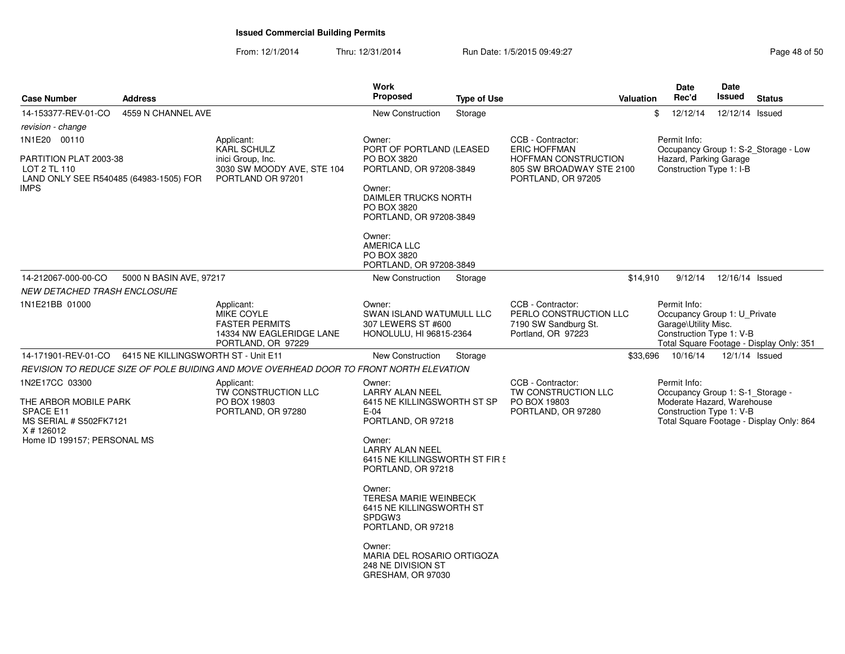| <b>Case Number</b>                                                                                                          | <b>Address</b>                      |                                                                                                            | Work<br><b>Proposed</b>                                                                                            | <b>Type of Use</b>                                                                                        |                                                                                           | Valuation | <b>Date</b><br>Rec'd                                                                                       | <b>Date</b><br>Issued | <b>Status</b>                            |
|-----------------------------------------------------------------------------------------------------------------------------|-------------------------------------|------------------------------------------------------------------------------------------------------------|--------------------------------------------------------------------------------------------------------------------|-----------------------------------------------------------------------------------------------------------|-------------------------------------------------------------------------------------------|-----------|------------------------------------------------------------------------------------------------------------|-----------------------|------------------------------------------|
| 14-153377-REV-01-CO<br>revision - change                                                                                    | 4559 N CHANNEL AVE                  |                                                                                                            | New Construction                                                                                                   | Storage                                                                                                   |                                                                                           |           | \$<br>12/12/14                                                                                             | 12/12/14 Issued       |                                          |
| 1N1E20 00110                                                                                                                |                                     | Applicant:<br><b>KARL SCHULZ</b>                                                                           | Owner:<br>PORT OF PORTLAND (LEASED                                                                                 |                                                                                                           | CCB - Contractor:<br><b>ERIC HOFFMAN</b>                                                  |           | Permit Info:<br>Occupancy Group 1: S-2_Storage - Low                                                       |                       |                                          |
| PARTITION PLAT 2003-38<br>LOT 2 TL 110<br>LAND ONLY SEE R540485 (64983-1505) FOR<br>IMPS                                    |                                     | inici Group, Inc.<br>3030 SW MOODY AVE, STE 104<br>PORTLAND OR 97201                                       | PO BOX 3820<br>PORTLAND, OR 97208-3849<br>Owner:<br>DAIMLER TRUCKS NORTH<br>PO BOX 3820<br>PORTLAND, OR 97208-3849 |                                                                                                           | HOFFMAN CONSTRUCTION<br>805 SW BROADWAY STE 2100<br>PORTLAND, OR 97205                    |           | Hazard, Parking Garage<br>Construction Type 1: I-B                                                         |                       |                                          |
|                                                                                                                             |                                     |                                                                                                            | Owner:<br><b>AMERICA LLC</b><br>PO BOX 3820<br>PORTLAND, OR 97208-3849                                             |                                                                                                           |                                                                                           |           |                                                                                                            |                       |                                          |
| 14-212067-000-00-CO<br>NEW DETACHED TRASH ENCLOSURE                                                                         | 5000 N BASIN AVE, 97217             |                                                                                                            | New Construction                                                                                                   | Storage                                                                                                   |                                                                                           | \$14,910  | 9/12/14                                                                                                    | 12/16/14 Issued       |                                          |
| 1N1E21BB 01000                                                                                                              |                                     | Applicant:<br><b>MIKE COYLE</b><br><b>FASTER PERMITS</b><br>14334 NW EAGLERIDGE LANE<br>PORTLAND, OR 97229 | Owner:<br>SWAN ISLAND WATUMULL LLC<br>307 LEWERS ST #600<br>HONOLULU, HI 96815-2364                                |                                                                                                           | CCB - Contractor:<br>PERLO CONSTRUCTION LLC<br>7190 SW Sandburg St.<br>Portland, OR 97223 |           | Permit Info:<br>Occupancy Group 1: U_Private<br>Garage\Utility Misc.<br>Construction Type 1: V-B           |                       | Total Square Footage - Display Only: 351 |
| 14-171901-REV-01-CO                                                                                                         | 6415 NE KILLINGSWORTH ST - Unit E11 |                                                                                                            | New Construction                                                                                                   | Storage                                                                                                   |                                                                                           | \$33,696  | 10/16/14                                                                                                   | 12/1/14 Issued        |                                          |
|                                                                                                                             |                                     | REVISION TO REDUCE SIZE OF POLE BUIDING AND MOVE OVERHEAD DOOR TO FRONT NORTH ELEVATION                    |                                                                                                                    |                                                                                                           |                                                                                           |           |                                                                                                            |                       |                                          |
| 1N2E17CC 03300<br>THE ARBOR MOBILE PARK<br>SPACE E11<br>MS SERIAL # S502FK7121<br>X # 126012<br>Home ID 199157; PERSONAL MS |                                     | Applicant:<br>TW CONSTRUCTION LLC<br>PO BOX 19803<br>PORTLAND, OR 97280                                    |                                                                                                                    | 6415 NE KILLINGSWORTH ST SP<br>PORTLAND, OR 97218<br>6415 NE KILLINGSWORTH ST FIR 5<br>PORTLAND, OR 97218 | CCB - Contractor:<br>TW CONSTRUCTION LLC<br>PO BOX 19803<br>PORTLAND, OR 97280            |           | Permit Info:<br>Occupancy Group 1: S-1_Storage -<br>Moderate Hazard, Warehouse<br>Construction Type 1: V-B |                       | Total Square Footage - Display Only: 864 |
|                                                                                                                             |                                     |                                                                                                            | Owner:<br><b>TERESA MARIE WEINBECK</b><br>6415 NE KILLINGSWORTH ST<br>SPDGW3<br>PORTLAND, OR 97218                 |                                                                                                           |                                                                                           |           |                                                                                                            |                       |                                          |
|                                                                                                                             |                                     |                                                                                                            | Owner:<br>MARIA DEL ROSARIO ORTIGOZA<br>248 NE DIVISION ST<br>GRESHAM, OR 97030                                    |                                                                                                           |                                                                                           |           |                                                                                                            |                       |                                          |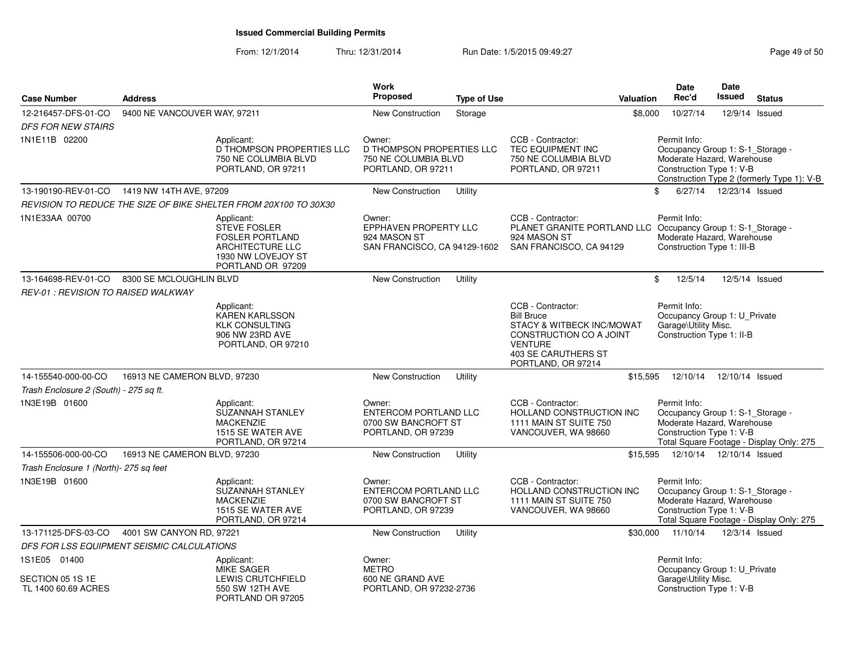| <b>Case Number</b>                                      | <b>Address</b>               |                                                                                                                            | Work<br>Proposed                                                                  | <b>Type of Use</b> | <b>Valuation</b>                                                                                                                                              | <b>Date</b><br>Rec'd                                                                                       | Date<br><b>Issued</b>     | <b>Status</b>                              |  |
|---------------------------------------------------------|------------------------------|----------------------------------------------------------------------------------------------------------------------------|-----------------------------------------------------------------------------------|--------------------|---------------------------------------------------------------------------------------------------------------------------------------------------------------|------------------------------------------------------------------------------------------------------------|---------------------------|--------------------------------------------|--|
| 12-216457-DFS-01-CO                                     | 9400 NE VANCOUVER WAY, 97211 |                                                                                                                            | New Construction                                                                  |                    |                                                                                                                                                               | \$8,000<br>10/27/14                                                                                        | 12/9/14                   |                                            |  |
| <b>DFS FOR NEW STAIRS</b>                               |                              |                                                                                                                            |                                                                                   | Storage            |                                                                                                                                                               |                                                                                                            |                           | Issued                                     |  |
| 1N1E11B 02200                                           |                              | Applicant:<br>D THOMPSON PROPERTIES LLC<br>750 NE COLUMBIA BLVD<br>PORTLAND, OR 97211                                      | Owner:<br>D THOMPSON PROPERTIES LLC<br>750 NE COLUMBIA BLVD<br>PORTLAND, OR 97211 |                    | CCB - Contractor:<br>TEC EQUIPMENT INC<br>750 NE COLUMBIA BLVD<br>PORTLAND, OR 97211                                                                          | Permit Info:<br>Occupancy Group 1: S-1_Storage -<br>Moderate Hazard, Warehouse<br>Construction Type 1: V-B |                           | Construction Type 2 (formerly Type 1): V-B |  |
| 13-190190-REV-01-CO  1419 NW 14TH AVE, 97209            |                              |                                                                                                                            | New Construction                                                                  | Utility            |                                                                                                                                                               | \$                                                                                                         | 6/27/14  12/23/14  Issued |                                            |  |
|                                                         |                              | REVISION TO REDUCE THE SIZE OF BIKE SHELTER FROM 20X100 TO 30X30                                                           |                                                                                   |                    |                                                                                                                                                               |                                                                                                            |                           |                                            |  |
| 1N1E33AA 00700                                          |                              | Applicant:<br><b>STEVE FOSLER</b><br><b>FOSLER PORTLAND</b><br>ARCHITECTURE LLC<br>1930 NW LOVEJOY ST<br>PORTLAND OR 97209 | Owner:<br>EPPHAVEN PROPERTY LLC<br>924 MASON ST<br>SAN FRANCISCO, CA 94129-1602   |                    | CCB - Contractor:<br>PLANET GRANITE PORTLAND LLC Occupancy Group 1: S-1_Storage -<br>924 MASON ST<br>SAN FRANCISCO, CA 94129                                  | Permit Info:<br>Moderate Hazard, Warehouse<br>Construction Type 1: III-B                                   |                           |                                            |  |
| 13-164698-REV-01-CO                                     | 8300 SE MCLOUGHLIN BLVD      |                                                                                                                            | New Construction                                                                  | Utility            |                                                                                                                                                               | \$<br>12/5/14                                                                                              |                           | 12/5/14 Issued                             |  |
| <b>REV-01: REVISION TO RAISED WALKWAY</b>               |                              |                                                                                                                            |                                                                                   |                    |                                                                                                                                                               |                                                                                                            |                           |                                            |  |
|                                                         |                              | Applicant:<br><b>KAREN KARLSSON</b><br><b>KLK CONSULTING</b><br>906 NW 23RD AVE<br>PORTLAND, OR 97210                      |                                                                                   |                    | CCB - Contractor:<br><b>Bill Bruce</b><br>STACY & WITBECK INC/MOWAT<br>CONSTRUCTION CO A JOINT<br><b>VENTURE</b><br>403 SE CARUTHERS ST<br>PORTLAND, OR 97214 | Permit Info:<br>Occupancy Group 1: U_Private<br>Garage\Utility Misc.<br>Construction Type 1: II-B          |                           |                                            |  |
| 14-155540-000-00-CO                                     | 16913 NE CAMERON BLVD, 97230 |                                                                                                                            | New Construction                                                                  | Utility            | \$15,595                                                                                                                                                      | 12/10/14                                                                                                   | 12/10/14 Issued           |                                            |  |
| Trash Enclosure 2 (South) - 275 sq ft.                  |                              |                                                                                                                            |                                                                                   |                    |                                                                                                                                                               |                                                                                                            |                           |                                            |  |
| 1N3E19B 01600                                           |                              | Applicant:<br>SUZANNAH STANLEY<br><b>MACKENZIE</b><br>1515 SE WATER AVE<br>PORTLAND, OR 97214                              | Owner:<br>ENTERCOM PORTLAND LLC<br>0700 SW BANCROFT ST<br>PORTLAND, OR 97239      |                    | CCB - Contractor:<br>HOLLAND CONSTRUCTION INC<br>1111 MAIN ST SUITE 750<br>VANCOUVER, WA 98660                                                                | Permit Info:<br>Occupancy Group 1: S-1_Storage -<br>Moderate Hazard, Warehouse<br>Construction Type 1: V-B |                           | Total Square Footage - Display Only: 275   |  |
| 14-155506-000-00-CO<br>16913 NE CAMERON BLVD, 97230     |                              | <b>New Construction</b><br>Utility                                                                                         |                                                                                   |                    | \$15,595                                                                                                                                                      | 12/10/14  12/10/14  Issued                                                                                 |                           |                                            |  |
| Trash Enclosure 1 (North)- 275 sq feet                  |                              |                                                                                                                            |                                                                                   |                    |                                                                                                                                                               |                                                                                                            |                           |                                            |  |
| 1N3E19B 01600                                           |                              | Applicant:<br>SUZANNAH STANLEY<br><b>MACKENZIE</b><br>1515 SE WATER AVE<br>PORTLAND, OR 97214                              | Owner:<br>ENTERCOM PORTLAND LLC<br>0700 SW BANCROFT ST<br>PORTLAND, OR 97239      |                    | CCB - Contractor:<br>HOLLAND CONSTRUCTION INC<br>1111 MAIN ST SUITE 750<br>VANCOUVER, WA 98660                                                                | Permit Info:<br>Occupancy Group 1: S-1_Storage -<br>Moderate Hazard, Warehouse<br>Construction Type 1: V-B |                           | Total Square Footage - Display Only: 275   |  |
| 13-171125-DFS-03-CO                                     | 4001 SW CANYON RD, 97221     |                                                                                                                            | New Construction<br>Utility                                                       |                    |                                                                                                                                                               | \$30,000 11/10/14                                                                                          | 12/3/14 Issued            |                                            |  |
| DFS FOR LSS EQUIPMENT SEISMIC CALCULATIONS              |                              |                                                                                                                            |                                                                                   |                    |                                                                                                                                                               |                                                                                                            |                           |                                            |  |
| 1S1E05 01400<br>SECTION 05 1S 1E<br>TL 1400 60.69 ACRES |                              | Applicant:<br><b>MIKE SAGER</b><br>LEWIS CRUTCHFIELD<br>550 SW 12TH AVE<br>PORTLAND OR 97205                               | Owner:<br><b>METRO</b><br>600 NE GRAND AVE<br>PORTLAND, OR 97232-2736             |                    |                                                                                                                                                               | Permit Info:<br>Occupancy Group 1: U_Private<br>Garage\Utility Misc.<br>Construction Type 1: V-B           |                           |                                            |  |